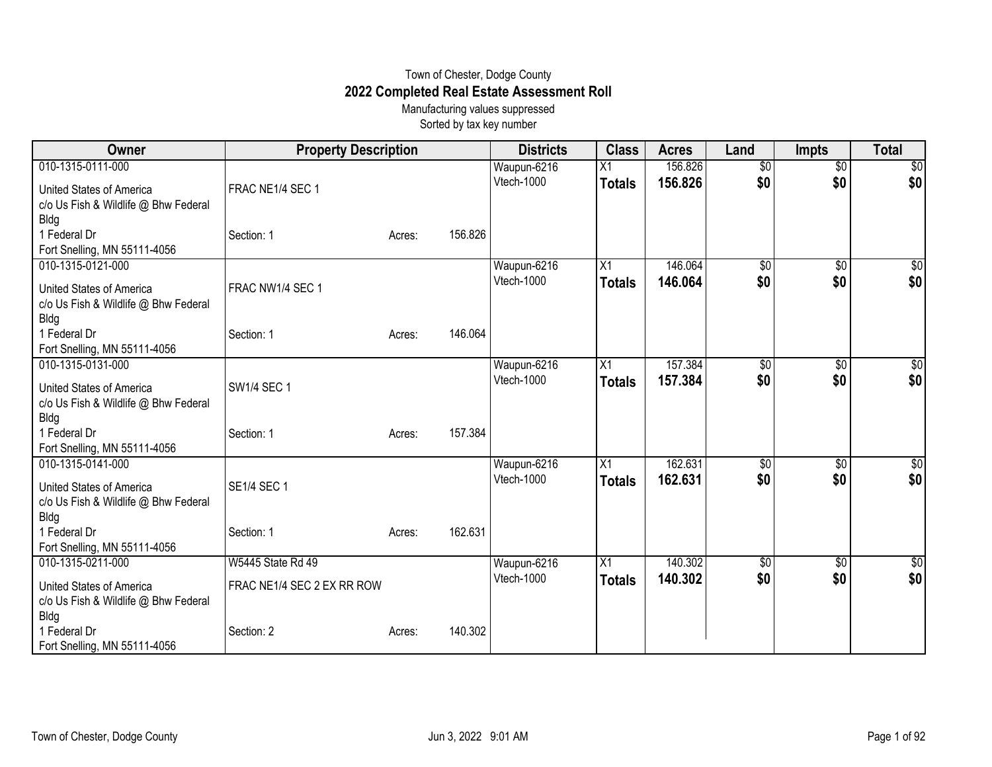## Town of Chester, Dodge County **2022 Completed Real Estate Assessment Roll**

Manufacturing values suppressed Sorted by tax key number

| Owner                                             | <b>Property Description</b> |        |         | <b>Districts</b>          | <b>Class</b>     | <b>Acres</b>       | Land                   | <b>Impts</b>           | <b>Total</b>         |
|---------------------------------------------------|-----------------------------|--------|---------|---------------------------|------------------|--------------------|------------------------|------------------------|----------------------|
| 010-1315-0111-000                                 |                             |        |         | Waupun-6216               | X1               | 156.826            | $\overline{60}$        | $\overline{30}$        | $\sqrt{50}$          |
| United States of America                          | FRAC NE1/4 SEC 1            |        |         | Vtech-1000                | <b>Totals</b>    | 156.826            | \$0                    | \$0                    | \$0                  |
| c/o Us Fish & Wildlife @ Bhw Federal              |                             |        |         |                           |                  |                    |                        |                        |                      |
| <b>Bldg</b>                                       |                             |        |         |                           |                  |                    |                        |                        |                      |
| 1 Federal Dr                                      | Section: 1                  | Acres: | 156.826 |                           |                  |                    |                        |                        |                      |
| Fort Snelling, MN 55111-4056                      |                             |        |         |                           |                  |                    |                        |                        |                      |
| 010-1315-0121-000                                 |                             |        |         | Waupun-6216               | $\overline{X}$ 1 | 146.064            | $\sqrt{6}$             | \$0                    | $\frac{6}{3}$        |
| United States of America                          | FRAC NW1/4 SEC 1            |        |         | Vtech-1000                | <b>Totals</b>    | 146.064            | \$0                    | \$0                    | \$0                  |
| c/o Us Fish & Wildlife @ Bhw Federal              |                             |        |         |                           |                  |                    |                        |                        |                      |
| <b>Bldg</b>                                       |                             |        |         |                           |                  |                    |                        |                        |                      |
| 1 Federal Dr                                      | Section: 1                  | Acres: | 146.064 |                           |                  |                    |                        |                        |                      |
| Fort Snelling, MN 55111-4056                      |                             |        |         |                           |                  |                    |                        |                        |                      |
| 010-1315-0131-000                                 |                             |        |         | Waupun-6216<br>Vtech-1000 | X1               | 157.384<br>157.384 | $\overline{50}$<br>\$0 | $\overline{50}$<br>\$0 | $\frac{1}{2}$<br>\$0 |
| United States of America                          | <b>SW1/4 SEC 1</b>          |        |         |                           | <b>Totals</b>    |                    |                        |                        |                      |
| c/o Us Fish & Wildlife @ Bhw Federal              |                             |        |         |                           |                  |                    |                        |                        |                      |
| <b>Bldg</b>                                       |                             |        |         |                           |                  |                    |                        |                        |                      |
| 1 Federal Dr                                      | Section: 1                  | Acres: | 157.384 |                           |                  |                    |                        |                        |                      |
| Fort Snelling, MN 55111-4056<br>010-1315-0141-000 |                             |        |         |                           | X1               | 162.631            |                        |                        |                      |
|                                                   |                             |        |         | Waupun-6216<br>Vtech-1000 |                  | 162.631            | \$0<br>\$0             | $\sqrt{6}$<br>\$0      | \$0<br>\$0           |
| <b>United States of America</b>                   | <b>SE1/4 SEC 1</b>          |        |         |                           | <b>Totals</b>    |                    |                        |                        |                      |
| c/o Us Fish & Wildlife @ Bhw Federal              |                             |        |         |                           |                  |                    |                        |                        |                      |
| <b>Bldg</b>                                       |                             |        |         |                           |                  |                    |                        |                        |                      |
| 1 Federal Dr                                      | Section: 1                  | Acres: | 162.631 |                           |                  |                    |                        |                        |                      |
| Fort Snelling, MN 55111-4056<br>010-1315-0211-000 | <b>W5445 State Rd 49</b>    |        |         | Waupun-6216               | X1               | 140.302            | \$0                    | $\overline{60}$        | \$0                  |
|                                                   |                             |        |         | Vtech-1000                | <b>Totals</b>    | 140.302            | \$0                    | \$0                    | \$0                  |
| United States of America                          | FRAC NE1/4 SEC 2 EX RR ROW  |        |         |                           |                  |                    |                        |                        |                      |
| c/o Us Fish & Wildlife @ Bhw Federal              |                             |        |         |                           |                  |                    |                        |                        |                      |
| <b>Bldg</b>                                       |                             |        |         |                           |                  |                    |                        |                        |                      |
| 1 Federal Dr                                      | Section: 2                  | Acres: | 140.302 |                           |                  |                    |                        |                        |                      |
| Fort Snelling, MN 55111-4056                      |                             |        |         |                           |                  |                    |                        |                        |                      |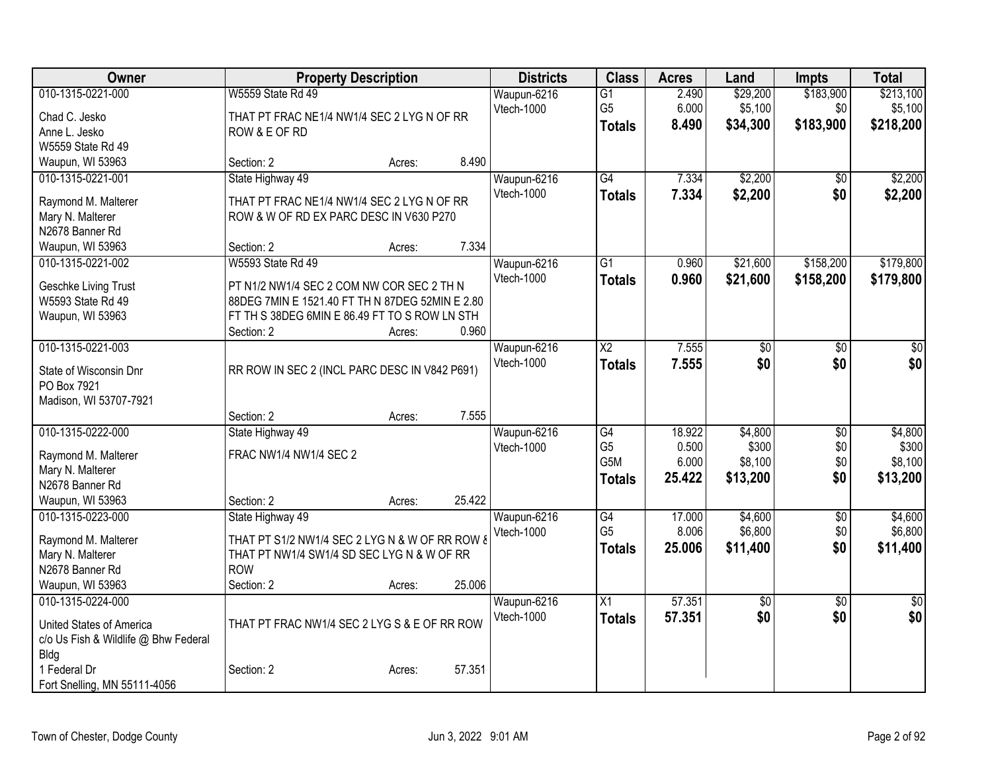| Owner                                |                                                 | <b>Property Description</b> |        | <b>Districts</b> | <b>Class</b>             | <b>Acres</b> | Land            | <b>Impts</b>    | <b>Total</b>    |
|--------------------------------------|-------------------------------------------------|-----------------------------|--------|------------------|--------------------------|--------------|-----------------|-----------------|-----------------|
| 010-1315-0221-000                    | W5559 State Rd 49                               |                             |        | Waupun-6216      | $\overline{G1}$          | 2.490        | \$29,200        | \$183,900       | \$213,100       |
| Chad C. Jesko                        | THAT PT FRAC NE1/4 NW1/4 SEC 2 LYG N OF RR      |                             |        | Vtech-1000       | G <sub>5</sub>           | 6.000        | \$5,100         | \$0             | \$5,100         |
| Anne L. Jesko                        | ROW & E OF RD                                   |                             |        |                  | <b>Totals</b>            | 8.490        | \$34,300        | \$183,900       | \$218,200       |
| W5559 State Rd 49                    |                                                 |                             |        |                  |                          |              |                 |                 |                 |
| Waupun, WI 53963                     | Section: 2                                      | Acres:                      | 8.490  |                  |                          |              |                 |                 |                 |
| 010-1315-0221-001                    | State Highway 49                                |                             |        | Waupun-6216      | G4                       | 7.334        | \$2,200         | $\sqrt{6}$      | \$2,200         |
| Raymond M. Malterer                  | THAT PT FRAC NE1/4 NW1/4 SEC 2 LYG N OF RR      |                             |        | Vtech-1000       | <b>Totals</b>            | 7.334        | \$2,200         | \$0             | \$2,200         |
| Mary N. Malterer                     | ROW & W OF RD EX PARC DESC IN V630 P270         |                             |        |                  |                          |              |                 |                 |                 |
| N2678 Banner Rd                      |                                                 |                             |        |                  |                          |              |                 |                 |                 |
| Waupun, WI 53963                     | Section: 2                                      | Acres:                      | 7.334  |                  |                          |              |                 |                 |                 |
| 010-1315-0221-002                    | <b>W5593 State Rd 49</b>                        |                             |        | Waupun-6216      | $\overline{G1}$          | 0.960        | \$21,600        | \$158,200       | \$179,800       |
|                                      |                                                 |                             |        | Vtech-1000       | <b>Totals</b>            | 0.960        | \$21,600        | \$158,200       | \$179,800       |
| Geschke Living Trust                 | PT N1/2 NW1/4 SEC 2 COM NW COR SEC 2 TH N       |                             |        |                  |                          |              |                 |                 |                 |
| W5593 State Rd 49                    | 88DEG 7MIN E 1521.40 FT TH N 87DEG 52MIN E 2.80 |                             |        |                  |                          |              |                 |                 |                 |
| Waupun, WI 53963                     | FT TH S 38DEG 6MIN E 86.49 FT TO S ROW LN STH   |                             |        |                  |                          |              |                 |                 |                 |
|                                      | Section: 2                                      | Acres:                      | 0.960  |                  |                          |              |                 |                 |                 |
| 010-1315-0221-003                    |                                                 |                             |        | Waupun-6216      | $\overline{\mathsf{X2}}$ | 7.555        | \$0             | \$0             | \$0             |
| State of Wisconsin Dnr               | RR ROW IN SEC 2 (INCL PARC DESC IN V842 P691)   |                             |        | Vtech-1000       | <b>Totals</b>            | 7.555        | \$0             | \$0             | \$0             |
| PO Box 7921                          |                                                 |                             |        |                  |                          |              |                 |                 |                 |
| Madison, WI 53707-7921               |                                                 |                             |        |                  |                          |              |                 |                 |                 |
|                                      | Section: 2                                      | Acres:                      | 7.555  |                  |                          |              |                 |                 |                 |
| 010-1315-0222-000                    | State Highway 49                                |                             |        | Waupun-6216      | $\overline{G4}$          | 18.922       | \$4,800         | $\overline{50}$ | \$4,800         |
| Raymond M. Malterer                  | FRAC NW1/4 NW1/4 SEC 2                          |                             |        | Vtech-1000       | G <sub>5</sub>           | 0.500        | \$300           | \$0             | \$300           |
| Mary N. Malterer                     |                                                 |                             |        |                  | G5M                      | 6.000        | \$8,100         | \$0             | \$8,100         |
| N2678 Banner Rd                      |                                                 |                             |        |                  | <b>Totals</b>            | 25.422       | \$13,200        | \$0             | \$13,200        |
| Waupun, WI 53963                     | Section: 2                                      | Acres:                      | 25.422 |                  |                          |              |                 |                 |                 |
| 010-1315-0223-000                    | State Highway 49                                |                             |        | Waupun-6216      | $\overline{G4}$          | 17.000       | \$4,600         | $\overline{50}$ | \$4,600         |
|                                      |                                                 |                             |        | Vtech-1000       | G <sub>5</sub>           | 8.006        | \$6,800         | \$0             | \$6,800         |
| Raymond M. Malterer                  | THAT PT S1/2 NW1/4 SEC 2 LYG N & W OF RR ROW &  |                             |        |                  | <b>Totals</b>            | 25.006       | \$11,400        | \$0             | \$11,400        |
| Mary N. Malterer                     | THAT PT NW1/4 SW1/4 SD SEC LYG N & W OF RR      |                             |        |                  |                          |              |                 |                 |                 |
| N2678 Banner Rd                      | <b>ROW</b>                                      |                             |        |                  |                          |              |                 |                 |                 |
| Waupun, WI 53963                     | Section: 2                                      | Acres:                      | 25.006 |                  |                          |              |                 |                 |                 |
| 010-1315-0224-000                    |                                                 |                             |        | Waupun-6216      | $\overline{X1}$          | 57.351       | $\overline{60}$ | $\overline{50}$ | $\overline{50}$ |
| United States of America             | THAT PT FRAC NW1/4 SEC 2 LYG S & E OF RR ROW    |                             |        | Vtech-1000       | <b>Totals</b>            | 57.351       | \$0             | \$0             | \$0             |
| c/o Us Fish & Wildlife @ Bhw Federal |                                                 |                             |        |                  |                          |              |                 |                 |                 |
| Bldg                                 |                                                 |                             |        |                  |                          |              |                 |                 |                 |
| 1 Federal Dr                         | Section: 2                                      | Acres:                      | 57.351 |                  |                          |              |                 |                 |                 |
| Fort Snelling, MN 55111-4056         |                                                 |                             |        |                  |                          |              |                 |                 |                 |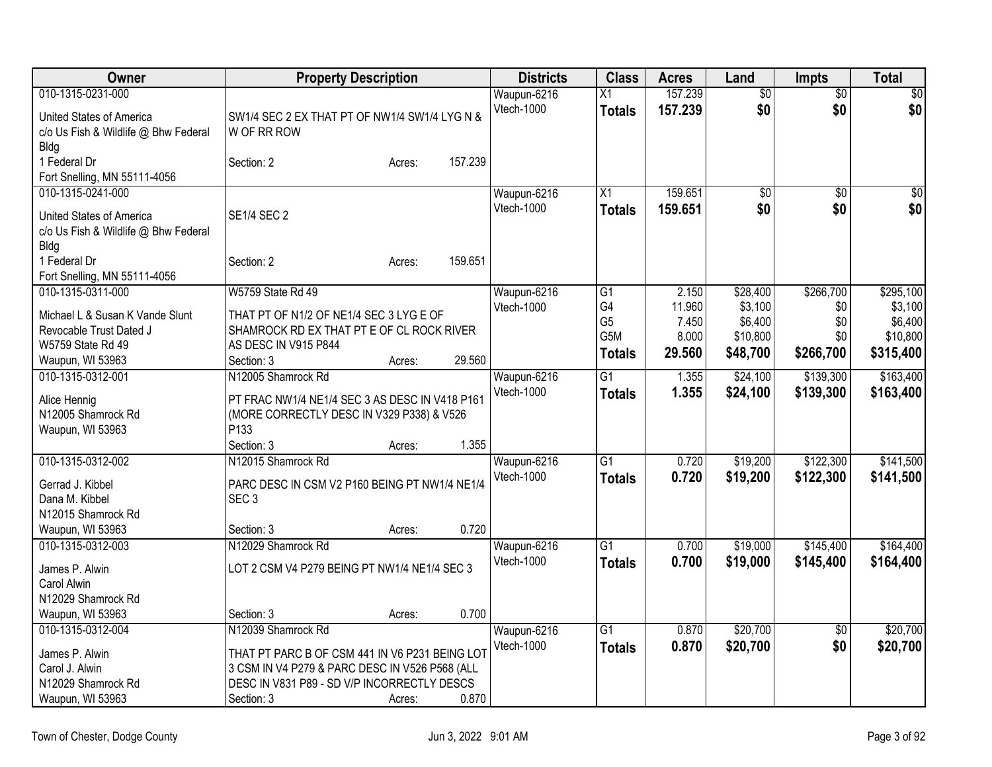| Owner                                | <b>Property Description</b>                                                                      |        |         | <b>Districts</b>  | <b>Class</b>          | <b>Acres</b>   | Land                | <b>Impts</b>    | Total               |
|--------------------------------------|--------------------------------------------------------------------------------------------------|--------|---------|-------------------|-----------------------|----------------|---------------------|-----------------|---------------------|
| 010-1315-0231-000                    |                                                                                                  |        |         | Waupun-6216       | $\overline{X1}$       | 157.239        | $\overline{50}$     | $\overline{50}$ | $\overline{50}$     |
| United States of America             | SW1/4 SEC 2 EX THAT PT OF NW1/4 SW1/4 LYG N &                                                    |        |         | Vtech-1000        | <b>Totals</b>         | 157.239        | \$0                 | \$0             | \$0                 |
| c/o Us Fish & Wildlife @ Bhw Federal | W OF RR ROW                                                                                      |        |         |                   |                       |                |                     |                 |                     |
| <b>Bldg</b>                          |                                                                                                  |        |         |                   |                       |                |                     |                 |                     |
| 1 Federal Dr                         | Section: 2                                                                                       | Acres: | 157.239 |                   |                       |                |                     |                 |                     |
| Fort Snelling, MN 55111-4056         |                                                                                                  |        |         |                   |                       |                |                     |                 |                     |
| 010-1315-0241-000                    |                                                                                                  |        |         | Waupun-6216       | X1                    | 159.651        | $\overline{60}$     | $\overline{50}$ | \$0                 |
| United States of America             | <b>SE1/4 SEC 2</b>                                                                               |        |         | Vtech-1000        | <b>Totals</b>         | 159.651        | \$0                 | \$0             | \$0                 |
| c/o Us Fish & Wildlife @ Bhw Federal |                                                                                                  |        |         |                   |                       |                |                     |                 |                     |
| Bldg                                 |                                                                                                  |        |         |                   |                       |                |                     |                 |                     |
| 1 Federal Dr                         | Section: 2                                                                                       | Acres: | 159.651 |                   |                       |                |                     |                 |                     |
| Fort Snelling, MN 55111-4056         |                                                                                                  |        |         |                   |                       |                |                     |                 |                     |
| 010-1315-0311-000                    | W5759 State Rd 49                                                                                |        |         | Waupun-6216       | G1                    | 2.150          | \$28,400            | \$266,700       | \$295,100           |
| Michael L & Susan K Vande Slunt      | THAT PT OF N1/2 OF NE1/4 SEC 3 LYG E OF                                                          |        |         | Vtech-1000        | G4                    | 11.960         | \$3,100             | \$0             | \$3,100             |
| Revocable Trust Dated J              | SHAMROCK RD EX THAT PT E OF CL ROCK RIVER                                                        |        |         |                   | G <sub>5</sub><br>G5M | 7.450<br>8.000 | \$6,400<br>\$10,800 | \$0<br>\$0      | \$6,400<br>\$10,800 |
| W5759 State Rd 49                    | AS DESC IN V915 P844                                                                             |        |         |                   |                       | 29.560         | \$48,700            | \$266,700       | \$315,400           |
| Waupun, WI 53963                     | Section: 3                                                                                       | Acres: | 29.560  |                   | <b>Totals</b>         |                |                     |                 |                     |
| 010-1315-0312-001                    | N12005 Shamrock Rd                                                                               |        |         | Waupun-6216       | $\overline{G1}$       | 1.355          | \$24,100            | \$139,300       | \$163,400           |
| Alice Hennig                         | PT FRAC NW1/4 NE1/4 SEC 3 AS DESC IN V418 P161                                                   |        |         | <b>Vtech-1000</b> | <b>Totals</b>         | 1.355          | \$24,100            | \$139,300       | \$163,400           |
| N12005 Shamrock Rd                   | (MORE CORRECTLY DESC IN V329 P338) & V526                                                        |        |         |                   |                       |                |                     |                 |                     |
| Waupun, WI 53963                     | P <sub>133</sub>                                                                                 |        |         |                   |                       |                |                     |                 |                     |
|                                      | Section: 3                                                                                       | Acres: | 1.355   |                   |                       |                |                     |                 |                     |
| 010-1315-0312-002                    | N12015 Shamrock Rd                                                                               |        |         | Waupun-6216       | $\overline{G1}$       | 0.720          | \$19,200            | \$122,300       | \$141,500           |
| Gerrad J. Kibbel                     | PARC DESC IN CSM V2 P160 BEING PT NW1/4 NE1/4                                                    |        |         | Vtech-1000        | <b>Totals</b>         | 0.720          | \$19,200            | \$122,300       | \$141,500           |
| Dana M. Kibbel                       | SEC <sub>3</sub>                                                                                 |        |         |                   |                       |                |                     |                 |                     |
| N12015 Shamrock Rd                   |                                                                                                  |        |         |                   |                       |                |                     |                 |                     |
| Waupun, WI 53963                     | Section: 3                                                                                       | Acres: | 0.720   |                   |                       |                |                     |                 |                     |
| 010-1315-0312-003                    | N12029 Shamrock Rd                                                                               |        |         | Waupun-6216       | $\overline{G1}$       | 0.700          | \$19,000            | \$145,400       | \$164,400           |
| James P. Alwin                       | LOT 2 CSM V4 P279 BEING PT NW1/4 NE1/4 SEC 3                                                     |        |         | Vtech-1000        | <b>Totals</b>         | 0.700          | \$19,000            | \$145,400       | \$164,400           |
| Carol Alwin                          |                                                                                                  |        |         |                   |                       |                |                     |                 |                     |
| N12029 Shamrock Rd                   |                                                                                                  |        |         |                   |                       |                |                     |                 |                     |
| Waupun, WI 53963                     | Section: 3                                                                                       | Acres: | 0.700   |                   |                       |                |                     |                 |                     |
| 010-1315-0312-004                    | N12039 Shamrock Rd                                                                               |        |         | Waupun-6216       | $\overline{G1}$       | 0.870          | \$20,700            | $\sqrt{6}$      | \$20,700            |
| James P. Alwin                       |                                                                                                  |        |         | Vtech-1000        | <b>Totals</b>         | 0.870          | \$20,700            | \$0             | \$20,700            |
| Carol J. Alwin                       | THAT PT PARC B OF CSM 441 IN V6 P231 BEING LOT<br>3 CSM IN V4 P279 & PARC DESC IN V526 P568 (ALL |        |         |                   |                       |                |                     |                 |                     |
| N12029 Shamrock Rd                   | DESC IN V831 P89 - SD V/P INCORRECTLY DESCS                                                      |        |         |                   |                       |                |                     |                 |                     |
| Waupun, WI 53963                     | Section: 3                                                                                       | Acres: | 0.870   |                   |                       |                |                     |                 |                     |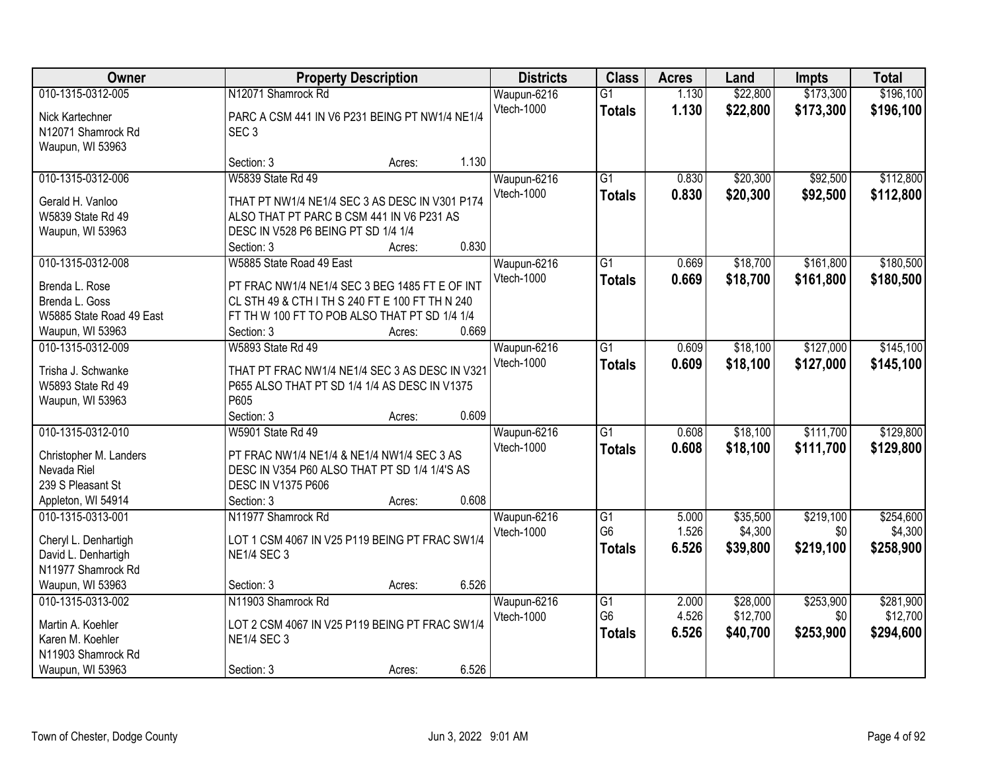| Owner                    |                                                 | <b>Property Description</b> |       | <b>Districts</b>  | <b>Class</b>    | <b>Acres</b> | Land     | <b>Impts</b> | <b>Total</b> |
|--------------------------|-------------------------------------------------|-----------------------------|-------|-------------------|-----------------|--------------|----------|--------------|--------------|
| 010-1315-0312-005        | N12071 Shamrock Rd                              |                             |       | Waupun-6216       | $\overline{G1}$ | 1.130        | \$22,800 | \$173,300    | \$196,100    |
| Nick Kartechner          | PARC A CSM 441 IN V6 P231 BEING PT NW1/4 NE1/4  |                             |       | Vtech-1000        | <b>Totals</b>   | 1.130        | \$22,800 | \$173,300    | \$196,100    |
| N12071 Shamrock Rd       | SEC <sub>3</sub>                                |                             |       |                   |                 |              |          |              |              |
| Waupun, WI 53963         |                                                 |                             |       |                   |                 |              |          |              |              |
|                          | Section: 3                                      | Acres:                      | 1.130 |                   |                 |              |          |              |              |
| 010-1315-0312-006        | W5839 State Rd 49                               |                             |       | Waupun-6216       | $\overline{G1}$ | 0.830        | \$20,300 | \$92,500     | \$112,800    |
| Gerald H. Vanloo         | THAT PT NW1/4 NE1/4 SEC 3 AS DESC IN V301 P174  |                             |       | <b>Vtech-1000</b> | <b>Totals</b>   | 0.830        | \$20,300 | \$92,500     | \$112,800    |
| W5839 State Rd 49        | ALSO THAT PT PARC B CSM 441 IN V6 P231 AS       |                             |       |                   |                 |              |          |              |              |
| Waupun, WI 53963         | DESC IN V528 P6 BEING PT SD 1/4 1/4             |                             |       |                   |                 |              |          |              |              |
|                          | Section: 3                                      | Acres:                      | 0.830 |                   |                 |              |          |              |              |
| 010-1315-0312-008        | W5885 State Road 49 East                        |                             |       | Waupun-6216       | $\overline{G1}$ | 0.669        | \$18,700 | \$161,800    | \$180,500    |
|                          |                                                 |                             |       | Vtech-1000        | <b>Totals</b>   | 0.669        | \$18,700 | \$161,800    | \$180,500    |
| Brenda L. Rose           | PT FRAC NW1/4 NE1/4 SEC 3 BEG 1485 FT E OF INT  |                             |       |                   |                 |              |          |              |              |
| Brenda L. Goss           | CL STH 49 & CTH I TH S 240 FT E 100 FT TH N 240 |                             |       |                   |                 |              |          |              |              |
| W5885 State Road 49 East | FT TH W 100 FT TO POB ALSO THAT PT SD 1/4 1/4   |                             |       |                   |                 |              |          |              |              |
| Waupun, WI 53963         | Section: 3                                      | Acres:                      | 0.669 |                   |                 |              |          |              |              |
| 010-1315-0312-009        | W5893 State Rd 49                               |                             |       | Waupun-6216       | $\overline{G1}$ | 0.609        | \$18,100 | \$127,000    | \$145,100    |
| Trisha J. Schwanke       | THAT PT FRAC NW1/4 NE1/4 SEC 3 AS DESC IN V321  |                             |       | Vtech-1000        | <b>Totals</b>   | 0.609        | \$18,100 | \$127,000    | \$145,100    |
| W5893 State Rd 49        | P655 ALSO THAT PT SD 1/4 1/4 AS DESC IN V1375   |                             |       |                   |                 |              |          |              |              |
| Waupun, WI 53963         | P605                                            |                             |       |                   |                 |              |          |              |              |
|                          | Section: 3                                      | Acres:                      | 0.609 |                   |                 |              |          |              |              |
| 010-1315-0312-010        | <b>W5901 State Rd 49</b>                        |                             |       | Waupun-6216       | $\overline{G1}$ | 0.608        | \$18,100 | \$111,700    | \$129,800    |
| Christopher M. Landers   | PT FRAC NW1/4 NE1/4 & NE1/4 NW1/4 SEC 3 AS      |                             |       | Vtech-1000        | <b>Totals</b>   | 0.608        | \$18,100 | \$111,700    | \$129,800    |
| Nevada Riel              | DESC IN V354 P60 ALSO THAT PT SD 1/4 1/4'S AS   |                             |       |                   |                 |              |          |              |              |
| 239 S Pleasant St        | <b>DESC IN V1375 P606</b>                       |                             |       |                   |                 |              |          |              |              |
| Appleton, WI 54914       | Section: 3                                      | Acres:                      | 0.608 |                   |                 |              |          |              |              |
| 010-1315-0313-001        | N11977 Shamrock Rd                              |                             |       | Waupun-6216       | $\overline{G1}$ | 5.000        | \$35,500 | \$219,100    | \$254,600    |
|                          |                                                 |                             |       | <b>Vtech-1000</b> | G <sub>6</sub>  | 1.526        | \$4,300  | \$0          | \$4,300      |
| Cheryl L. Denhartigh     | LOT 1 CSM 4067 IN V25 P119 BEING PT FRAC SW1/4  |                             |       |                   | <b>Totals</b>   | 6.526        | \$39,800 | \$219,100    | \$258,900    |
| David L. Denhartigh      | <b>NE1/4 SEC 3</b>                              |                             |       |                   |                 |              |          |              |              |
| N11977 Shamrock Rd       |                                                 |                             |       |                   |                 |              |          |              |              |
| Waupun, WI 53963         | Section: 3                                      | Acres:                      | 6.526 |                   |                 |              |          |              |              |
| 010-1315-0313-002        | N11903 Shamrock Rd                              |                             |       | Waupun-6216       | $\overline{G1}$ | 2.000        | \$28,000 | \$253,900    | \$281,900    |
| Martin A. Koehler        | LOT 2 CSM 4067 IN V25 P119 BEING PT FRAC SW1/4  |                             |       | Vtech-1000        | G <sub>6</sub>  | 4.526        | \$12,700 | \$0          | \$12,700     |
| Karen M. Koehler         | <b>NE1/4 SEC 3</b>                              |                             |       |                   | <b>Totals</b>   | 6.526        | \$40,700 | \$253,900    | \$294,600    |
| N11903 Shamrock Rd       |                                                 |                             |       |                   |                 |              |          |              |              |
| Waupun, WI 53963         | Section: 3                                      | Acres:                      | 6.526 |                   |                 |              |          |              |              |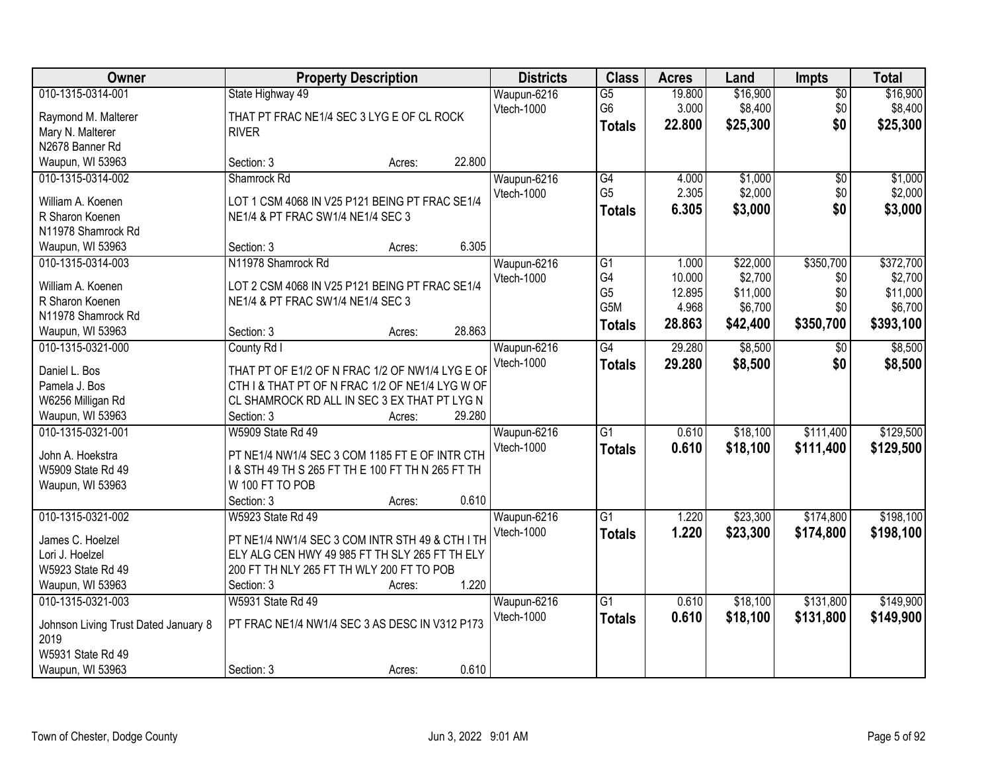| Owner                                    | <b>Property Description</b>                                   | <b>Districts</b>                 | <b>Class</b>                           | <b>Acres</b>              | Land                            | Impts                         | <b>Total</b>                    |
|------------------------------------------|---------------------------------------------------------------|----------------------------------|----------------------------------------|---------------------------|---------------------------------|-------------------------------|---------------------------------|
| 010-1315-0314-001<br>Raymond M. Malterer | State Highway 49<br>THAT PT FRAC NE1/4 SEC 3 LYG E OF CL ROCK | Waupun-6216<br>Vtech-1000        | $\overline{G5}$<br>G6<br><b>Totals</b> | 19.800<br>3.000<br>22.800 | \$16,900<br>\$8,400<br>\$25,300 | $\overline{50}$<br>\$0<br>\$0 | \$16,900<br>\$8,400<br>\$25,300 |
| Mary N. Malterer<br>N2678 Banner Rd      | <b>RIVER</b>                                                  |                                  |                                        |                           |                                 |                               |                                 |
| Waupun, WI 53963                         | 22.800<br>Section: 3<br>Acres:                                |                                  |                                        |                           |                                 |                               |                                 |
| 010-1315-0314-002                        | Shamrock Rd                                                   | Waupun-6216                      | G4                                     | 4.000                     | \$1,000                         | $\overline{50}$               | \$1,000                         |
|                                          |                                                               | <b>Vtech-1000</b>                | G <sub>5</sub>                         | 2.305                     | \$2,000                         | \$0                           | \$2,000                         |
| William A. Koenen                        | LOT 1 CSM 4068 IN V25 P121 BEING PT FRAC SE1/4                |                                  | <b>Totals</b>                          | 6.305                     | \$3,000                         | \$0                           | \$3,000                         |
| R Sharon Koenen                          | NE1/4 & PT FRAC SW1/4 NE1/4 SEC 3                             |                                  |                                        |                           |                                 |                               |                                 |
| N11978 Shamrock Rd                       | 6.305                                                         |                                  |                                        |                           |                                 |                               |                                 |
| Waupun, WI 53963<br>010-1315-0314-003    | Section: 3<br>Acres:<br>N11978 Shamrock Rd                    |                                  | G1                                     | 1.000                     | \$22,000                        | \$350,700                     | \$372,700                       |
|                                          |                                                               | Waupun-6216<br>Vtech-1000        | G4                                     | 10.000                    | \$2,700                         | \$0                           | \$2,700                         |
| William A. Koenen                        | LOT 2 CSM 4068 IN V25 P121 BEING PT FRAC SE1/4                |                                  | G <sub>5</sub>                         | 12.895                    | \$11,000                        | \$0                           | \$11,000                        |
| R Sharon Koenen                          | NE1/4 & PT FRAC SW1/4 NE1/4 SEC 3                             |                                  | G5M                                    | 4.968                     | \$6,700                         | \$0                           | \$6,700                         |
| N11978 Shamrock Rd                       |                                                               |                                  | <b>Totals</b>                          | 28.863                    | \$42,400                        | \$350,700                     | \$393,100                       |
| Waupun, WI 53963                         | 28.863<br>Section: 3<br>Acres:                                |                                  |                                        |                           |                                 |                               |                                 |
| 010-1315-0321-000                        | County Rd I                                                   | Waupun-6216                      | G4                                     | 29.280                    | \$8,500                         | $\sqrt[6]{}$                  | \$8,500                         |
| Daniel L. Bos                            | THAT PT OF E1/2 OF N FRAC 1/2 OF NW1/4 LYG E OF               | Vtech-1000                       | <b>Totals</b>                          | 29.280                    | \$8,500                         | \$0                           | \$8,500                         |
| Pamela J. Bos                            | CTH I & THAT PT OF N FRAC 1/2 OF NE1/4 LYG W OF               |                                  |                                        |                           |                                 |                               |                                 |
| W6256 Milligan Rd                        | CL SHAMROCK RD ALL IN SEC 3 EX THAT PT LYG N                  |                                  |                                        |                           |                                 |                               |                                 |
| Waupun, WI 53963                         | 29.280<br>Section: 3<br>Acres:                                |                                  |                                        |                           |                                 |                               |                                 |
| 010-1315-0321-001                        | <b>W5909 State Rd 49</b>                                      | Waupun-6216                      | $\overline{G1}$                        | 0.610                     | \$18,100                        | \$111,400                     | \$129,500                       |
| John A. Hoekstra                         | PT NE1/4 NW1/4 SEC 3 COM 1185 FT E OF INTR CTH                | Vtech-1000                       | <b>Totals</b>                          | 0.610                     | \$18,100                        | \$111,400                     | \$129,500                       |
| W5909 State Rd 49                        | 1 & STH 49 TH S 265 FT TH E 100 FT TH N 265 FT TH             |                                  |                                        |                           |                                 |                               |                                 |
| Waupun, WI 53963                         | W 100 FT TO POB                                               |                                  |                                        |                           |                                 |                               |                                 |
|                                          | 0.610<br>Section: 3<br>Acres:                                 |                                  |                                        |                           |                                 |                               |                                 |
| 010-1315-0321-002                        | W5923 State Rd 49                                             | Waupun-6216                      | $\overline{G1}$                        | 1.220                     | \$23,300                        | \$174,800                     | \$198,100                       |
|                                          |                                                               | <b>Vtech-1000</b>                | <b>Totals</b>                          | 1.220                     | \$23,300                        | \$174,800                     | \$198,100                       |
| James C. Hoelzel                         | PT NE1/4 NW1/4 SEC 3 COM INTR STH 49 & CTH I TH               |                                  |                                        |                           |                                 |                               |                                 |
| Lori J. Hoelzel                          | ELY ALG CEN HWY 49 985 FT TH SLY 265 FT TH ELY                |                                  |                                        |                           |                                 |                               |                                 |
| W5923 State Rd 49                        | 200 FT TH NLY 265 FT TH WLY 200 FT TO POB                     |                                  |                                        |                           |                                 |                               |                                 |
| Waupun, WI 53963                         | 1.220<br>Section: 3<br>Acres:                                 |                                  |                                        |                           |                                 |                               |                                 |
| 010-1315-0321-003                        | W5931 State Rd 49                                             | Waupun-6216<br><b>Vtech-1000</b> | $\overline{G1}$                        | 0.610                     | \$18,100                        | \$131,800                     | \$149,900                       |
| Johnson Living Trust Dated January 8     | PT FRAC NE1/4 NW1/4 SEC 3 AS DESC IN V312 P173                |                                  | <b>Totals</b>                          | 0.610                     | \$18,100                        | \$131,800                     | \$149,900                       |
| 2019                                     |                                                               |                                  |                                        |                           |                                 |                               |                                 |
| W5931 State Rd 49                        |                                                               |                                  |                                        |                           |                                 |                               |                                 |
| Waupun, WI 53963                         | 0.610<br>Section: 3<br>Acres:                                 |                                  |                                        |                           |                                 |                               |                                 |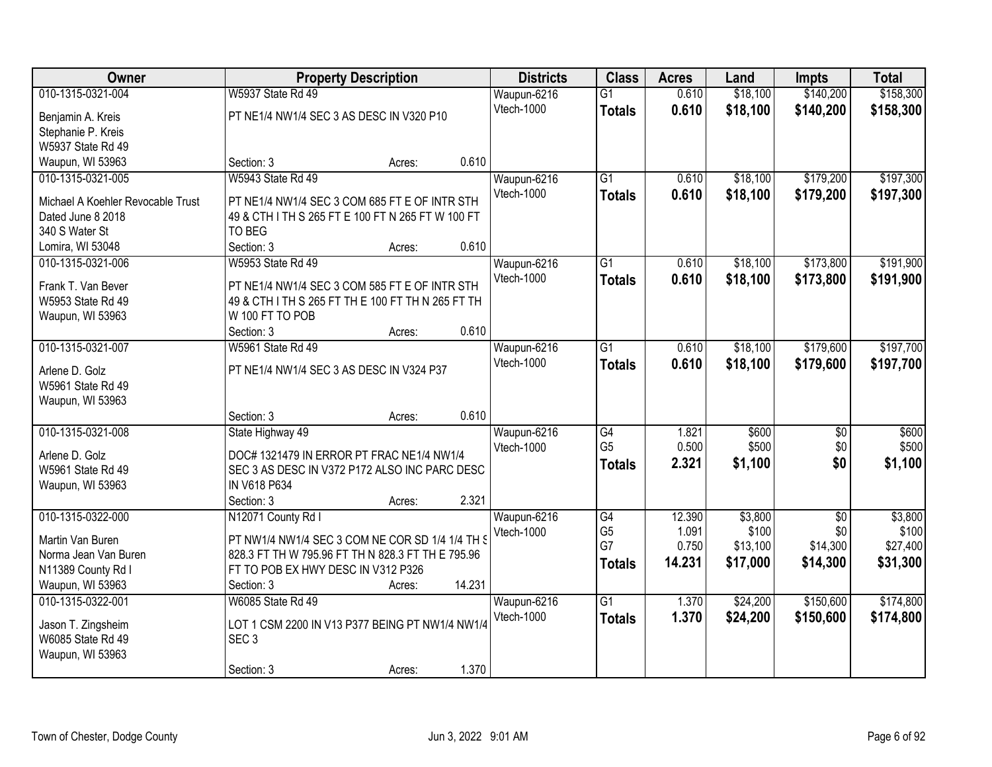| Owner                             |                                                   | <b>Property Description</b> |        | <b>Districts</b>          | <b>Class</b>    | <b>Acres</b> | Land     | <b>Impts</b>    | <b>Total</b> |
|-----------------------------------|---------------------------------------------------|-----------------------------|--------|---------------------------|-----------------|--------------|----------|-----------------|--------------|
| 010-1315-0321-004                 | W5937 State Rd 49                                 |                             |        | Waupun-6216               | $\overline{G1}$ | 0.610        | \$18,100 | \$140,200       | \$158,300    |
| Benjamin A. Kreis                 | PT NE1/4 NW1/4 SEC 3 AS DESC IN V320 P10          |                             |        | Vtech-1000                | <b>Totals</b>   | 0.610        | \$18,100 | \$140,200       | \$158,300    |
| Stephanie P. Kreis                |                                                   |                             |        |                           |                 |              |          |                 |              |
| W5937 State Rd 49                 |                                                   |                             |        |                           |                 |              |          |                 |              |
| Waupun, WI 53963                  | Section: 3                                        | Acres:                      | 0.610  |                           |                 |              |          |                 |              |
| 010-1315-0321-005                 | <b>W5943 State Rd 49</b>                          |                             |        | Waupun-6216               | $\overline{G1}$ | 0.610        | \$18,100 | \$179,200       | \$197,300    |
| Michael A Koehler Revocable Trust | PT NE1/4 NW1/4 SEC 3 COM 685 FT E OF INTR STH     |                             |        | <b>Vtech-1000</b>         | <b>Totals</b>   | 0.610        | \$18,100 | \$179,200       | \$197,300    |
| Dated June 8 2018                 | 49 & CTH I TH S 265 FT E 100 FT N 265 FT W 100 FT |                             |        |                           |                 |              |          |                 |              |
| 340 S Water St                    | TO BEG                                            |                             |        |                           |                 |              |          |                 |              |
| Lomira, WI 53048                  | Section: 3                                        | Acres:                      | 0.610  |                           |                 |              |          |                 |              |
| 010-1315-0321-006                 | W5953 State Rd 49                                 |                             |        | Waupun-6216               | $\overline{G1}$ | 0.610        | \$18,100 | \$173,800       | \$191,900    |
|                                   |                                                   |                             |        | Vtech-1000                | <b>Totals</b>   | 0.610        | \$18,100 | \$173,800       | \$191,900    |
| Frank T. Van Bever                | PT NE1/4 NW1/4 SEC 3 COM 585 FT E OF INTR STH     |                             |        |                           |                 |              |          |                 |              |
| W5953 State Rd 49                 | 49 & CTH I TH S 265 FT TH E 100 FT TH N 265 FT TH |                             |        |                           |                 |              |          |                 |              |
| Waupun, WI 53963                  | W 100 FT TO POB<br>Section: 3                     |                             | 0.610  |                           |                 |              |          |                 |              |
| 010-1315-0321-007                 | W5961 State Rd 49                                 | Acres:                      |        |                           | $\overline{G1}$ | 0.610        | \$18,100 | \$179,600       | \$197,700    |
|                                   |                                                   |                             |        | Waupun-6216<br>Vtech-1000 |                 | 0.610        |          |                 |              |
| Arlene D. Golz                    | PT NE1/4 NW1/4 SEC 3 AS DESC IN V324 P37          |                             |        |                           | <b>Totals</b>   |              | \$18,100 | \$179,600       | \$197,700    |
| W5961 State Rd 49                 |                                                   |                             |        |                           |                 |              |          |                 |              |
| Waupun, WI 53963                  |                                                   |                             |        |                           |                 |              |          |                 |              |
|                                   | Section: 3                                        | Acres:                      | 0.610  |                           |                 |              |          |                 |              |
| 010-1315-0321-008                 | State Highway 49                                  |                             |        | Waupun-6216               | G4              | 1.821        | \$600    | $\overline{50}$ | \$600        |
| Arlene D. Golz                    | DOC# 1321479 IN ERROR PT FRAC NE1/4 NW1/4         |                             |        | Vtech-1000                | G <sub>5</sub>  | 0.500        | \$500    | \$0             | \$500        |
| W5961 State Rd 49                 | SEC 3 AS DESC IN V372 P172 ALSO INC PARC DESC     |                             |        |                           | <b>Totals</b>   | 2.321        | \$1,100  | \$0             | \$1,100      |
| Waupun, WI 53963                  | IN V618 P634                                      |                             |        |                           |                 |              |          |                 |              |
|                                   | Section: 3                                        | Acres:                      | 2.321  |                           |                 |              |          |                 |              |
| 010-1315-0322-000                 | N12071 County Rd I                                |                             |        | Waupun-6216               | G4              | 12.390       | \$3,800  | $\overline{50}$ | \$3,800      |
| Martin Van Buren                  | PT NW1/4 NW1/4 SEC 3 COM NE COR SD 1/4 1/4 TH S   |                             |        | Vtech-1000                | G <sub>5</sub>  | 1.091        | \$100    | \$0             | \$100        |
| Norma Jean Van Buren              | 828.3 FT TH W 795.96 FT TH N 828.3 FT TH E 795.96 |                             |        |                           | G7              | 0.750        | \$13,100 | \$14,300        | \$27,400     |
| N11389 County Rd I                | FT TO POB EX HWY DESC IN V312 P326                |                             |        |                           | <b>Totals</b>   | 14.231       | \$17,000 | \$14,300        | \$31,300     |
| Waupun, WI 53963                  | Section: 3                                        | Acres:                      | 14.231 |                           |                 |              |          |                 |              |
| 010-1315-0322-001                 | W6085 State Rd 49                                 |                             |        | Waupun-6216               | $\overline{G1}$ | 1.370        | \$24,200 | \$150,600       | \$174,800    |
|                                   |                                                   |                             |        | Vtech-1000                | <b>Totals</b>   | 1.370        | \$24,200 | \$150,600       | \$174,800    |
| Jason T. Zingsheim                | LOT 1 CSM 2200 IN V13 P377 BEING PT NW1/4 NW1/4   |                             |        |                           |                 |              |          |                 |              |
| W6085 State Rd 49                 | SEC <sub>3</sub>                                  |                             |        |                           |                 |              |          |                 |              |
| Waupun, WI 53963                  |                                                   |                             |        |                           |                 |              |          |                 |              |
|                                   | Section: 3                                        | Acres:                      | 1.370  |                           |                 |              |          |                 |              |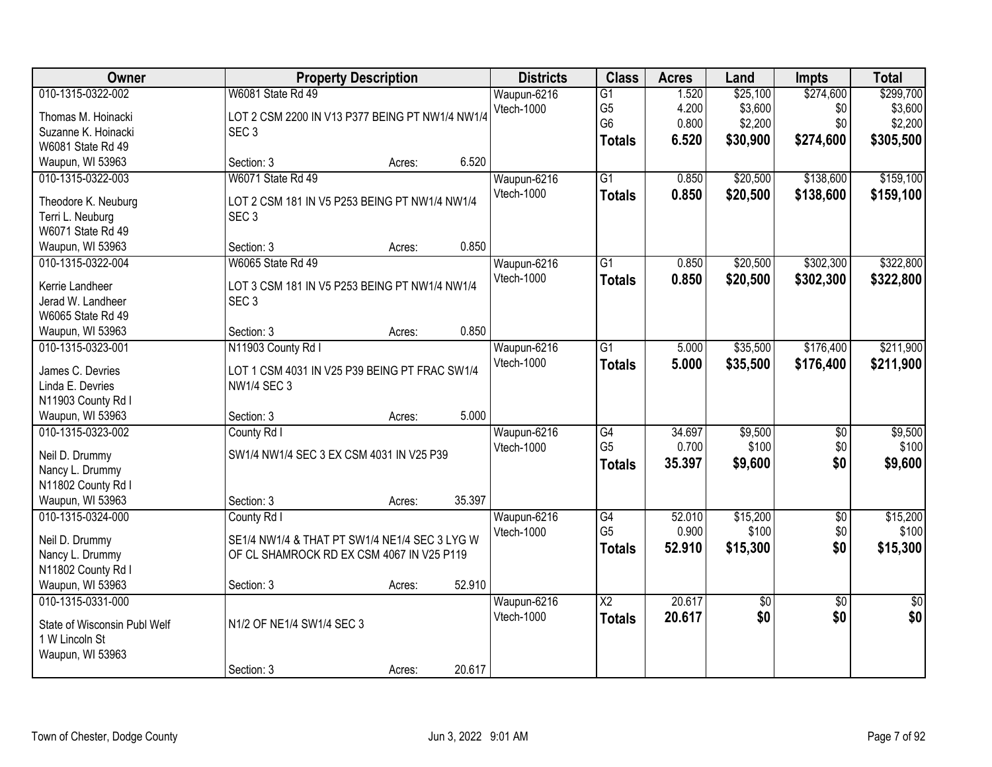| Owner                                                                                                 | <b>Property Description</b>                                                                                             |        |        | <b>Districts</b>                 | <b>Class</b>                                                         | <b>Acres</b>                     | Land                                       | <b>Impts</b>                         | <b>Total</b>                                 |
|-------------------------------------------------------------------------------------------------------|-------------------------------------------------------------------------------------------------------------------------|--------|--------|----------------------------------|----------------------------------------------------------------------|----------------------------------|--------------------------------------------|--------------------------------------|----------------------------------------------|
| 010-1315-0322-002<br>Thomas M. Hoinacki<br>Suzanne K. Hoinacki<br>W6081 State Rd 49                   | W6081 State Rd 49<br>LOT 2 CSM 2200 IN V13 P377 BEING PT NW1/4 NW1/4<br>SEC <sub>3</sub>                                |        |        | Waupun-6216<br>Vtech-1000        | $\overline{G1}$<br>G <sub>5</sub><br>G <sub>6</sub><br><b>Totals</b> | 1.520<br>4.200<br>0.800<br>6.520 | \$25,100<br>\$3,600<br>\$2,200<br>\$30,900 | \$274,600<br>\$0<br>\$0<br>\$274,600 | \$299,700<br>\$3,600<br>\$2,200<br>\$305,500 |
| Waupun, WI 53963                                                                                      | Section: 3                                                                                                              | Acres: | 6.520  |                                  |                                                                      |                                  |                                            |                                      |                                              |
| 010-1315-0322-003<br>Theodore K. Neuburg<br>Terri L. Neuburg<br>W6071 State Rd 49<br>Waupun, WI 53963 | W6071 State Rd 49<br>LOT 2 CSM 181 IN V5 P253 BEING PT NW1/4 NW1/4<br>SEC <sub>3</sub><br>Section: 3                    | Acres: | 0.850  | Waupun-6216<br>Vtech-1000        | $\overline{G1}$<br><b>Totals</b>                                     | 0.850<br>0.850                   | \$20,500<br>\$20,500                       | \$138,600<br>\$138,600               | \$159,100<br>\$159,100                       |
| 010-1315-0322-004                                                                                     | W6065 State Rd 49                                                                                                       |        |        | Waupun-6216                      | G1                                                                   | 0.850                            | \$20,500                                   | \$302,300                            | \$322,800                                    |
| Kerrie Landheer<br>Jerad W. Landheer<br>W6065 State Rd 49                                             | LOT 3 CSM 181 IN V5 P253 BEING PT NW1/4 NW1/4<br>SEC <sub>3</sub>                                                       |        |        | <b>Vtech-1000</b>                | <b>Totals</b>                                                        | 0.850                            | \$20,500                                   | \$302,300                            | \$322,800                                    |
| Waupun, WI 53963                                                                                      | Section: 3                                                                                                              | Acres: | 0.850  |                                  |                                                                      |                                  |                                            |                                      |                                              |
| 010-1315-0323-001<br>James C. Devries<br>Linda E. Devries<br>N11903 County Rd I                       | N11903 County Rd I<br>LOT 1 CSM 4031 IN V25 P39 BEING PT FRAC SW1/4<br><b>NW1/4 SEC 3</b>                               |        |        | Waupun-6216<br>Vtech-1000        | G1<br><b>Totals</b>                                                  | 5.000<br>5.000                   | \$35,500<br>\$35,500                       | \$176,400<br>\$176,400               | \$211,900<br>\$211,900                       |
| Waupun, WI 53963                                                                                      | Section: 3                                                                                                              | Acres: | 5.000  |                                  |                                                                      |                                  |                                            |                                      |                                              |
| 010-1315-0323-002<br>Neil D. Drummy<br>Nancy L. Drummy<br>N11802 County Rd I<br>Waupun, WI 53963      | County Rd I<br>SW1/4 NW1/4 SEC 3 EX CSM 4031 IN V25 P39<br>Section: 3                                                   | Acres: | 35.397 | Waupun-6216<br>Vtech-1000        | $\overline{G4}$<br>G <sub>5</sub><br><b>Totals</b>                   | 34.697<br>0.700<br>35.397        | \$9,500<br>\$100<br>\$9,600                | $\overline{50}$<br>\$0<br>\$0        | \$9,500<br>\$100<br>\$9,600                  |
| 010-1315-0324-000<br>Neil D. Drummy<br>Nancy L. Drummy<br>N11802 County Rd I<br>Waupun, WI 53963      | County Rd I<br>SE1/4 NW1/4 & THAT PT SW1/4 NE1/4 SEC 3 LYG W<br>OF CL SHAMROCK RD EX CSM 4067 IN V25 P119<br>Section: 3 | Acres: | 52.910 | Waupun-6216<br><b>Vtech-1000</b> | $\overline{G4}$<br>G <sub>5</sub><br><b>Totals</b>                   | 52.010<br>0.900<br>52.910        | \$15,200<br>\$100<br>\$15,300              | $\overline{50}$<br>\$0<br>\$0        | \$15,200<br>\$100<br>\$15,300                |
| 010-1315-0331-000<br>State of Wisconsin Publ Welf<br>1 W Lincoln St<br>Waupun, WI 53963               | N1/2 OF NE1/4 SW1/4 SEC 3<br>Section: 3                                                                                 | Acres: | 20.617 | Waupun-6216<br>Vtech-1000        | $\overline{\text{X2}}$<br><b>Totals</b>                              | 20.617<br>20.617                 | \$0<br>\$0                                 | $\overline{30}$<br>\$0               | $\overline{50}$<br>\$0                       |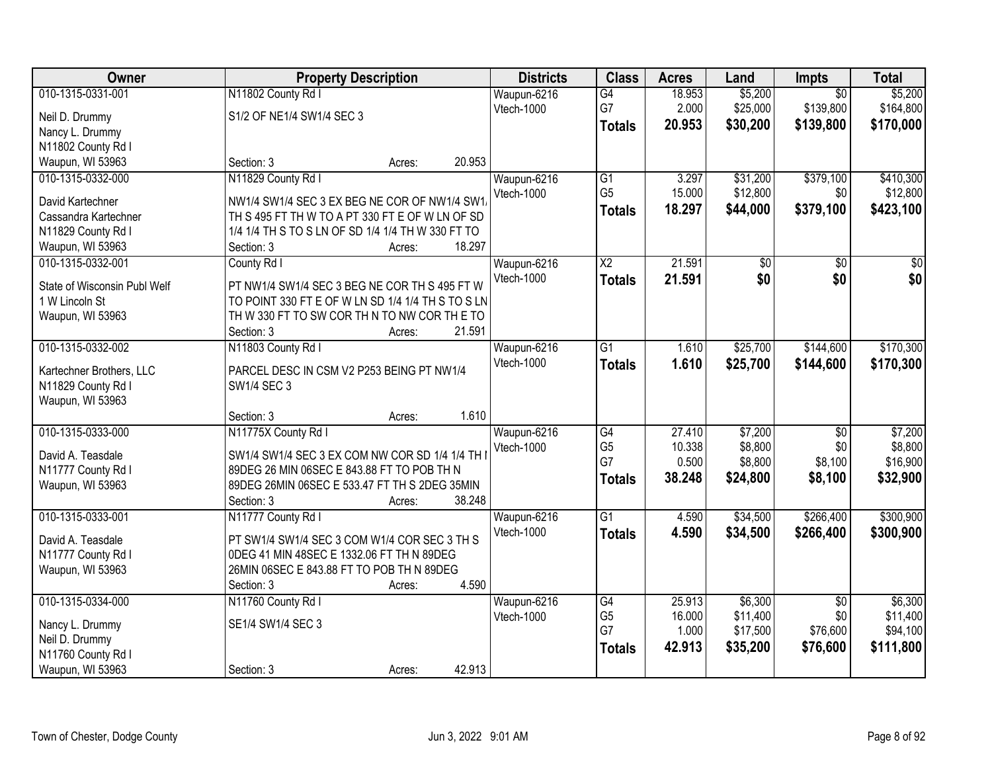| Owner                        | <b>Property Description</b>                       | <b>Districts</b> | <b>Class</b>           | <b>Acres</b> | Land     | Impts           | <b>Total</b>    |
|------------------------------|---------------------------------------------------|------------------|------------------------|--------------|----------|-----------------|-----------------|
| 010-1315-0331-001            | N11802 County Rd I                                | Waupun-6216      | $\overline{G4}$        | 18.953       | \$5,200  | $\overline{50}$ | \$5,200         |
| Neil D. Drummy               | S1/2 OF NE1/4 SW1/4 SEC 3                         | Vtech-1000       | G7                     | 2.000        | \$25,000 | \$139,800       | \$164,800       |
| Nancy L. Drummy              |                                                   |                  | <b>Totals</b>          | 20.953       | \$30,200 | \$139,800       | \$170,000       |
| N11802 County Rd I           |                                                   |                  |                        |              |          |                 |                 |
| Waupun, WI 53963             | 20.953<br>Section: 3<br>Acres:                    |                  |                        |              |          |                 |                 |
| 010-1315-0332-000            | N11829 County Rd I                                | Waupun-6216      | $\overline{G1}$        | 3.297        | \$31,200 | \$379,100       | \$410,300       |
|                              |                                                   | Vtech-1000       | G <sub>5</sub>         | 15.000       | \$12,800 | \$0             | \$12,800        |
| David Kartechner             | NW1/4 SW1/4 SEC 3 EX BEG NE COR OF NW1/4 SW1      |                  | <b>Totals</b>          | 18.297       | \$44,000 | \$379,100       | \$423,100       |
| Cassandra Kartechner         | TH S 495 FT TH W TO A PT 330 FT E OF W LN OF SD   |                  |                        |              |          |                 |                 |
| N11829 County Rd I           | 1/4 1/4 TH S TO S LN OF SD 1/4 1/4 TH W 330 FT TO |                  |                        |              |          |                 |                 |
| Waupun, WI 53963             | 18.297<br>Section: 3<br>Acres:                    |                  |                        |              |          |                 |                 |
| 010-1315-0332-001            | County Rd I                                       | Waupun-6216      | $\overline{\text{X2}}$ | 21.591       | \$0      | $\overline{50}$ | $\overline{50}$ |
| State of Wisconsin Publ Welf | PT NW1/4 SW1/4 SEC 3 BEG NE COR TH S 495 FT W     | Vtech-1000       | <b>Totals</b>          | 21.591       | \$0      | \$0             | \$0             |
| 1 W Lincoln St               | TO POINT 330 FT E OF W LN SD 1/4 1/4 TH S TO S LN |                  |                        |              |          |                 |                 |
| Waupun, WI 53963             | TH W 330 FT TO SW COR TH N TO NW COR THE TO       |                  |                        |              |          |                 |                 |
|                              | 21.591<br>Section: 3<br>Acres:                    |                  |                        |              |          |                 |                 |
| 010-1315-0332-002            | N11803 County Rd I                                | Waupun-6216      | $\overline{G1}$        | 1.610        | \$25,700 | \$144,600       | \$170,300       |
|                              |                                                   | Vtech-1000       | <b>Totals</b>          | 1.610        | \$25,700 | \$144,600       | \$170,300       |
| Kartechner Brothers, LLC     | PARCEL DESC IN CSM V2 P253 BEING PT NW1/4         |                  |                        |              |          |                 |                 |
| N11829 County Rd I           | SW1/4 SEC 3                                       |                  |                        |              |          |                 |                 |
| Waupun, WI 53963             |                                                   |                  |                        |              |          |                 |                 |
|                              | 1.610<br>Section: 3<br>Acres:                     |                  |                        |              |          |                 |                 |
| 010-1315-0333-000            | N11775X County Rd I                               | Waupun-6216      | $\overline{G4}$        | 27.410       | \$7,200  | $\overline{50}$ | \$7,200         |
| David A. Teasdale            | SW1/4 SW1/4 SEC 3 EX COM NW COR SD 1/4 1/4 TH     | Vtech-1000       | G <sub>5</sub>         | 10.338       | \$8,800  | \$0             | \$8,800         |
| N11777 County Rd I           | 89DEG 26 MIN 06SEC E 843.88 FT TO POB TH N        |                  | G7                     | 0.500        | \$8,800  | \$8,100         | \$16,900        |
| Waupun, WI 53963             | 89DEG 26MIN 06SEC E 533.47 FT TH S 2DEG 35MIN     |                  | <b>Totals</b>          | 38.248       | \$24,800 | \$8,100         | \$32,900        |
|                              | Section: 3<br>38.248<br>Acres:                    |                  |                        |              |          |                 |                 |
| 010-1315-0333-001            | N11777 County Rd I                                | Waupun-6216      | $\overline{G1}$        | 4.590        | \$34,500 | \$266,400       | \$300,900       |
| David A. Teasdale            | PT SW1/4 SW1/4 SEC 3 COM W1/4 COR SEC 3 TH S      | Vtech-1000       | <b>Totals</b>          | 4.590        | \$34,500 | \$266,400       | \$300,900       |
| N11777 County Rd I           | 0DEG 41 MIN 48SEC E 1332.06 FT TH N 89DEG         |                  |                        |              |          |                 |                 |
| Waupun, WI 53963             | 26MIN 06SEC E 843.88 FT TO POB TH N 89DEG         |                  |                        |              |          |                 |                 |
|                              | 4.590<br>Section: 3<br>Acres:                     |                  |                        |              |          |                 |                 |
| 010-1315-0334-000            | N11760 County Rd I                                | Waupun-6216      | $\overline{G4}$        | 25.913       | \$6,300  | $\overline{50}$ | \$6,300         |
|                              |                                                   | Vtech-1000       | G <sub>5</sub>         | 16.000       | \$11,400 | \$0             | \$11,400        |
| Nancy L. Drummy              | SE1/4 SW1/4 SEC 3                                 |                  | G7                     | 1.000        | \$17,500 | \$76,600        | \$94,100        |
| Neil D. Drummy               |                                                   |                  | <b>Totals</b>          | 42.913       | \$35,200 | \$76,600        | \$111,800       |
| N11760 County Rd I           |                                                   |                  |                        |              |          |                 |                 |
| Waupun, WI 53963             | 42.913<br>Section: 3<br>Acres:                    |                  |                        |              |          |                 |                 |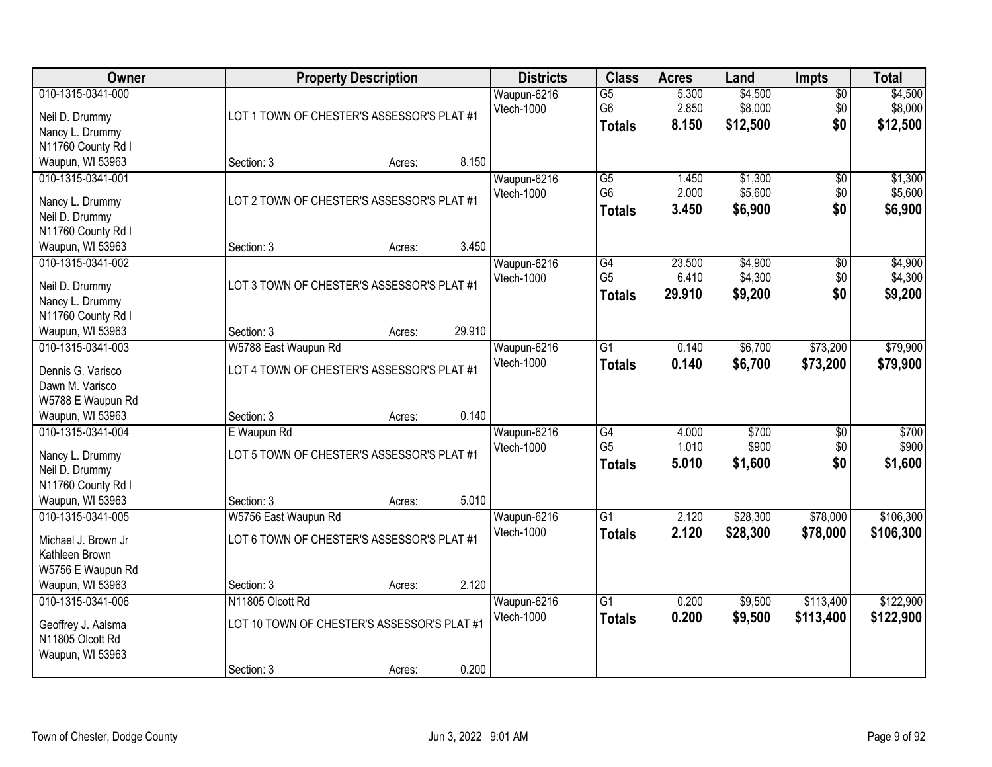| <b>Owner</b>                      |                                             | <b>Property Description</b> |        | <b>Districts</b> | <b>Class</b>    | <b>Acres</b> | Land     | <b>Impts</b>    | <b>Total</b> |
|-----------------------------------|---------------------------------------------|-----------------------------|--------|------------------|-----------------|--------------|----------|-----------------|--------------|
| 010-1315-0341-000                 |                                             |                             |        | Waupun-6216      | $\overline{G5}$ | 5.300        | \$4,500  | $\overline{50}$ | \$4,500      |
| Neil D. Drummy                    | LOT 1 TOWN OF CHESTER'S ASSESSOR'S PLAT #1  |                             |        | Vtech-1000       | G <sub>6</sub>  | 2.850        | \$8,000  | \$0             | \$8,000      |
| Nancy L. Drummy                   |                                             |                             |        |                  | <b>Totals</b>   | 8.150        | \$12,500 | \$0             | \$12,500     |
| N11760 County Rd I                |                                             |                             |        |                  |                 |              |          |                 |              |
| Waupun, WI 53963                  | Section: 3                                  | Acres:                      | 8.150  |                  |                 |              |          |                 |              |
| 010-1315-0341-001                 |                                             |                             |        | Waupun-6216      | $\overline{G5}$ | 1.450        | \$1,300  | \$0             | \$1,300      |
|                                   | LOT 2 TOWN OF CHESTER'S ASSESSOR'S PLAT #1  |                             |        | Vtech-1000       | G <sub>6</sub>  | 2.000        | \$5,600  | \$0             | \$5,600      |
| Nancy L. Drummy<br>Neil D. Drummy |                                             |                             |        |                  | <b>Totals</b>   | 3.450        | \$6,900  | \$0             | \$6,900      |
| N11760 County Rd I                |                                             |                             |        |                  |                 |              |          |                 |              |
| Waupun, WI 53963                  | Section: 3                                  | Acres:                      | 3.450  |                  |                 |              |          |                 |              |
| 010-1315-0341-002                 |                                             |                             |        | Waupun-6216      | G4              | 23.500       | \$4,900  | \$0             | \$4,900      |
|                                   |                                             |                             |        | Vtech-1000       | G <sub>5</sub>  | 6.410        | \$4,300  | \$0             | \$4,300      |
| Neil D. Drummy                    | LOT 3 TOWN OF CHESTER'S ASSESSOR'S PLAT #1  |                             |        |                  | <b>Totals</b>   | 29.910       | \$9,200  | \$0             | \$9,200      |
| Nancy L. Drummy                   |                                             |                             |        |                  |                 |              |          |                 |              |
| N11760 County Rd I                |                                             |                             |        |                  |                 |              |          |                 |              |
| Waupun, WI 53963                  | Section: 3                                  | Acres:                      | 29.910 |                  |                 |              |          |                 |              |
| 010-1315-0341-003                 | W5788 East Waupun Rd                        |                             |        | Waupun-6216      | $\overline{G1}$ | 0.140        | \$6,700  | \$73,200        | \$79,900     |
| Dennis G. Varisco                 | LOT 4 TOWN OF CHESTER'S ASSESSOR'S PLAT #1  |                             |        | Vtech-1000       | <b>Totals</b>   | 0.140        | \$6,700  | \$73,200        | \$79,900     |
| Dawn M. Varisco                   |                                             |                             |        |                  |                 |              |          |                 |              |
| W5788 E Waupun Rd                 |                                             |                             |        |                  |                 |              |          |                 |              |
| Waupun, WI 53963                  | Section: 3                                  | Acres:                      | 0.140  |                  |                 |              |          |                 |              |
| 010-1315-0341-004                 | E Waupun Rd                                 |                             |        | Waupun-6216      | G4              | 4.000        | \$700    | \$0             | \$700        |
| Nancy L. Drummy                   | LOT 5 TOWN OF CHESTER'S ASSESSOR'S PLAT #1  |                             |        | Vtech-1000       | G <sub>5</sub>  | 1.010        | \$900    | \$0             | \$900        |
| Neil D. Drummy                    |                                             |                             |        |                  | <b>Totals</b>   | 5.010        | \$1,600  | \$0             | \$1,600      |
| N11760 County Rd I                |                                             |                             |        |                  |                 |              |          |                 |              |
| Waupun, WI 53963                  | Section: 3                                  | Acres:                      | 5.010  |                  |                 |              |          |                 |              |
| 010-1315-0341-005                 | W5756 East Waupun Rd                        |                             |        | Waupun-6216      | $\overline{G1}$ | 2.120        | \$28,300 | \$78,000        | \$106,300    |
|                                   |                                             |                             |        | Vtech-1000       | <b>Totals</b>   | 2.120        | \$28,300 | \$78,000        | \$106,300    |
| Michael J. Brown Jr               | LOT 6 TOWN OF CHESTER'S ASSESSOR'S PLAT #1  |                             |        |                  |                 |              |          |                 |              |
| Kathleen Brown                    |                                             |                             |        |                  |                 |              |          |                 |              |
| W5756 E Waupun Rd                 |                                             |                             |        |                  |                 |              |          |                 |              |
| Waupun, WI 53963                  | Section: 3                                  | Acres:                      | 2.120  |                  |                 |              |          |                 |              |
| 010-1315-0341-006                 | N11805 Olcott Rd                            |                             |        | Waupun-6216      | $\overline{G1}$ | 0.200        | \$9,500  | \$113,400       | \$122,900    |
| Geoffrey J. Aalsma                | LOT 10 TOWN OF CHESTER'S ASSESSOR'S PLAT #1 |                             |        | Vtech-1000       | <b>Totals</b>   | 0.200        | \$9,500  | \$113,400       | \$122,900    |
| N11805 Olcott Rd                  |                                             |                             |        |                  |                 |              |          |                 |              |
| Waupun, WI 53963                  |                                             |                             |        |                  |                 |              |          |                 |              |
|                                   | Section: 3                                  | Acres:                      | 0.200  |                  |                 |              |          |                 |              |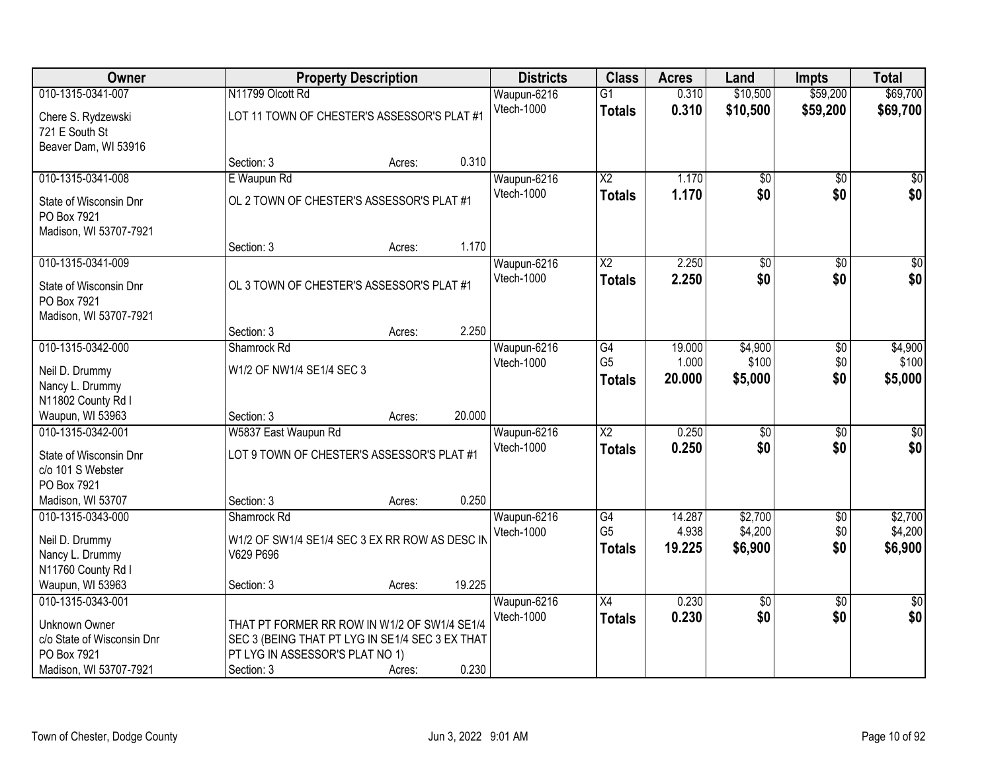| Owner                                                           |                                                 | <b>Property Description</b> |        | <b>Districts</b>  | <b>Class</b>           | <b>Acres</b> | Land            | <b>Impts</b>    | <b>Total</b>    |
|-----------------------------------------------------------------|-------------------------------------------------|-----------------------------|--------|-------------------|------------------------|--------------|-----------------|-----------------|-----------------|
| 010-1315-0341-007                                               | N11799 Olcott Rd                                |                             |        | Waupun-6216       | $\overline{G1}$        | 0.310        | \$10,500        | \$59,200        | \$69,700        |
| Chere S. Rydzewski<br>721 E South St<br>Beaver Dam, WI 53916    | LOT 11 TOWN OF CHESTER'S ASSESSOR'S PLAT #1     |                             |        | Vtech-1000        | <b>Totals</b>          | 0.310        | \$10,500        | \$59,200        | \$69,700        |
|                                                                 | Section: 3                                      | Acres:                      | 0.310  |                   |                        |              |                 |                 |                 |
| 010-1315-0341-008                                               | E Waupun Rd                                     |                             |        | Waupun-6216       | $\overline{\text{X2}}$ | 1.170        | $\overline{50}$ | $\overline{50}$ | $\sqrt{50}$     |
| State of Wisconsin Dnr<br>PO Box 7921<br>Madison, WI 53707-7921 | OL 2 TOWN OF CHESTER'S ASSESSOR'S PLAT #1       |                             |        | Vtech-1000        | <b>Totals</b>          | 1.170        | \$0             | \$0             | \$0             |
|                                                                 | Section: 3                                      | Acres:                      | 1.170  |                   |                        |              |                 |                 |                 |
| 010-1315-0341-009                                               |                                                 |                             |        | Waupun-6216       | X2                     | 2.250        | \$0             | \$0             | $\overline{50}$ |
| State of Wisconsin Dnr<br>PO Box 7921<br>Madison, WI 53707-7921 | OL 3 TOWN OF CHESTER'S ASSESSOR'S PLAT #1       |                             |        | Vtech-1000        | <b>Totals</b>          | 2.250        | \$0             | \$0             | \$0             |
|                                                                 | Section: 3                                      | Acres:                      | 2.250  |                   |                        |              |                 |                 |                 |
| 010-1315-0342-000                                               | Shamrock Rd                                     |                             |        | Waupun-6216       | $\overline{G4}$        | 19.000       | \$4,900         | \$0             | \$4,900         |
| Neil D. Drummy                                                  | W1/2 OF NW1/4 SE1/4 SEC 3                       |                             |        | <b>Vtech-1000</b> | G <sub>5</sub>         | 1.000        | \$100           | \$0             | \$100           |
| Nancy L. Drummy                                                 |                                                 |                             |        |                   | <b>Totals</b>          | 20.000       | \$5,000         | \$0             | \$5,000         |
| N11802 County Rd I                                              |                                                 |                             |        |                   |                        |              |                 |                 |                 |
| Waupun, WI 53963                                                | Section: 3                                      | Acres:                      | 20.000 |                   |                        |              |                 |                 |                 |
| 010-1315-0342-001                                               | W5837 East Waupun Rd                            |                             |        | Waupun-6216       | $\overline{\text{X2}}$ | 0.250        | $\overline{50}$ | $\overline{30}$ | \$0             |
| State of Wisconsin Dnr                                          | LOT 9 TOWN OF CHESTER'S ASSESSOR'S PLAT #1      |                             |        | Vtech-1000        | <b>Totals</b>          | 0.250        | \$0             | \$0             | \$0             |
| c/o 101 S Webster                                               |                                                 |                             |        |                   |                        |              |                 |                 |                 |
| PO Box 7921                                                     |                                                 |                             |        |                   |                        |              |                 |                 |                 |
| Madison, WI 53707                                               | Section: 3                                      | Acres:                      | 0.250  |                   |                        |              |                 |                 |                 |
| 010-1315-0343-000                                               | Shamrock Rd                                     |                             |        | Waupun-6216       | $\overline{G4}$        | 14.287       | \$2,700         | $\overline{60}$ | \$2,700         |
| Neil D. Drummy                                                  | W1/2 OF SW1/4 SE1/4 SEC 3 EX RR ROW AS DESC IN  |                             |        | Vtech-1000        | G <sub>5</sub>         | 4.938        | \$4,200         | \$0             | \$4,200         |
| Nancy L. Drummy                                                 | V629 P696                                       |                             |        |                   | <b>Totals</b>          | 19.225       | \$6,900         | \$0             | \$6,900         |
| N11760 County Rd I                                              |                                                 |                             |        |                   |                        |              |                 |                 |                 |
| Waupun, WI 53963                                                | Section: 3                                      | Acres:                      | 19.225 |                   |                        |              |                 |                 |                 |
| 010-1315-0343-001                                               |                                                 |                             |        | Waupun-6216       | X4                     | 0.230        | $\overline{50}$ | $\overline{50}$ | $\frac{1}{6}$   |
|                                                                 | THAT PT FORMER RR ROW IN W1/2 OF SW1/4 SE1/4    |                             |        | Vtech-1000        | <b>Totals</b>          | 0.230        | \$0             | \$0             | \$0             |
| Unknown Owner<br>c/o State of Wisconsin Dnr                     | SEC 3 (BEING THAT PT LYG IN SE1/4 SEC 3 EX THAT |                             |        |                   |                        |              |                 |                 |                 |
| PO Box 7921                                                     | PT LYG IN ASSESSOR'S PLAT NO 1)                 |                             |        |                   |                        |              |                 |                 |                 |
| Madison, WI 53707-7921                                          | Section: 3                                      | Acres:                      | 0.230  |                   |                        |              |                 |                 |                 |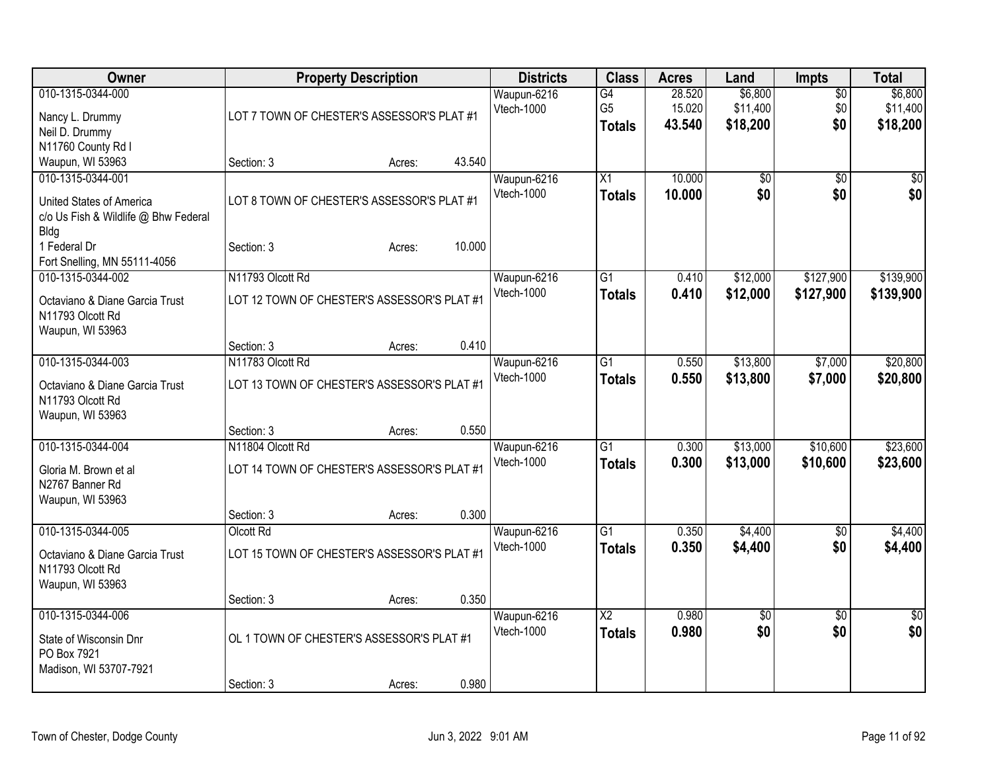| Owner                                                                                                                                         |                                                                               | <b>Property Description</b> |        | <b>Districts</b>          | <b>Class</b>                            | <b>Acres</b>               | Land                            | Impts                         | <b>Total</b>                    |
|-----------------------------------------------------------------------------------------------------------------------------------------------|-------------------------------------------------------------------------------|-----------------------------|--------|---------------------------|-----------------------------------------|----------------------------|---------------------------------|-------------------------------|---------------------------------|
| 010-1315-0344-000<br>Nancy L. Drummy<br>Neil D. Drummy<br>N11760 County Rd I                                                                  | LOT 7 TOWN OF CHESTER'S ASSESSOR'S PLAT #1                                    |                             |        | Waupun-6216<br>Vtech-1000 | G4<br>G <sub>5</sub><br><b>Totals</b>   | 28.520<br>15.020<br>43.540 | \$6,800<br>\$11,400<br>\$18,200 | $\overline{50}$<br>\$0<br>\$0 | \$6,800<br>\$11,400<br>\$18,200 |
| Waupun, WI 53963                                                                                                                              | Section: 3                                                                    | Acres:                      | 43.540 |                           |                                         |                            |                                 |                               |                                 |
| 010-1315-0344-001<br>United States of America<br>c/o Us Fish & Wildlife @ Bhw Federal<br>Bldg<br>1 Federal Dr<br>Fort Snelling, MN 55111-4056 | LOT 8 TOWN OF CHESTER'S ASSESSOR'S PLAT #1<br>Section: 3                      | Acres:                      | 10.000 | Waupun-6216<br>Vtech-1000 | X1<br><b>Totals</b>                     | 10.000<br>10.000           | \$0<br>\$0                      | \$0<br>\$0                    | $\overline{50}$<br>\$0          |
| 010-1315-0344-002                                                                                                                             | N11793 Olcott Rd                                                              |                             |        | Waupun-6216               | $\overline{G1}$                         | 0.410                      | \$12,000                        | \$127,900                     | \$139,900                       |
| Octaviano & Diane Garcia Trust<br>N11793 Olcott Rd<br>Waupun, WI 53963                                                                        | LOT 12 TOWN OF CHESTER'S ASSESSOR'S PLAT #1                                   |                             |        | Vtech-1000                | <b>Totals</b>                           | 0.410                      | \$12,000                        | \$127,900                     | \$139,900                       |
|                                                                                                                                               | Section: 3                                                                    | Acres:                      | 0.410  |                           |                                         |                            |                                 |                               |                                 |
| 010-1315-0344-003<br>Octaviano & Diane Garcia Trust<br>N11793 Olcott Rd<br>Waupun, WI 53963                                                   | N11783 Olcott Rd<br>LOT 13 TOWN OF CHESTER'S ASSESSOR'S PLAT #1               |                             |        | Waupun-6216<br>Vtech-1000 | $\overline{G1}$<br><b>Totals</b>        | 0.550<br>0.550             | \$13,800<br>\$13,800            | \$7,000<br>\$7,000            | \$20,800<br>\$20,800            |
|                                                                                                                                               | Section: 3                                                                    | Acres:                      | 0.550  |                           |                                         |                            |                                 |                               |                                 |
| 010-1315-0344-004<br>Gloria M. Brown et al<br>N2767 Banner Rd<br>Waupun, WI 53963                                                             | N11804 Olcott Rd<br>LOT 14 TOWN OF CHESTER'S ASSESSOR'S PLAT #1<br>Section: 3 | Acres:                      | 0.300  | Waupun-6216<br>Vtech-1000 | $\overline{G1}$<br><b>Totals</b>        | 0.300<br>0.300             | \$13,000<br>\$13,000            | \$10,600<br>\$10,600          | \$23,600<br>\$23,600            |
| 010-1315-0344-005                                                                                                                             | Olcott Rd                                                                     |                             |        | Waupun-6216               | $\overline{G1}$                         | 0.350                      | \$4,400                         | $\overline{50}$               | \$4,400                         |
| Octaviano & Diane Garcia Trust<br>N11793 Olcott Rd<br>Waupun, WI 53963                                                                        | LOT 15 TOWN OF CHESTER'S ASSESSOR'S PLAT #1                                   |                             |        | Vtech-1000                | <b>Totals</b>                           | 0.350                      | \$4,400                         | \$0                           | \$4,400                         |
|                                                                                                                                               | Section: 3                                                                    | Acres:                      | 0.350  |                           |                                         |                            |                                 |                               |                                 |
| 010-1315-0344-006<br>State of Wisconsin Dnr<br>PO Box 7921<br>Madison, WI 53707-7921                                                          | OL 1 TOWN OF CHESTER'S ASSESSOR'S PLAT #1                                     |                             |        | Waupun-6216<br>Vtech-1000 | $\overline{\text{X2}}$<br><b>Totals</b> | 0.980<br>0.980             | $\overline{60}$<br>\$0          | $\overline{30}$<br>\$0        | $\overline{50}$<br>\$0          |
|                                                                                                                                               | Section: 3                                                                    | Acres:                      | 0.980  |                           |                                         |                            |                                 |                               |                                 |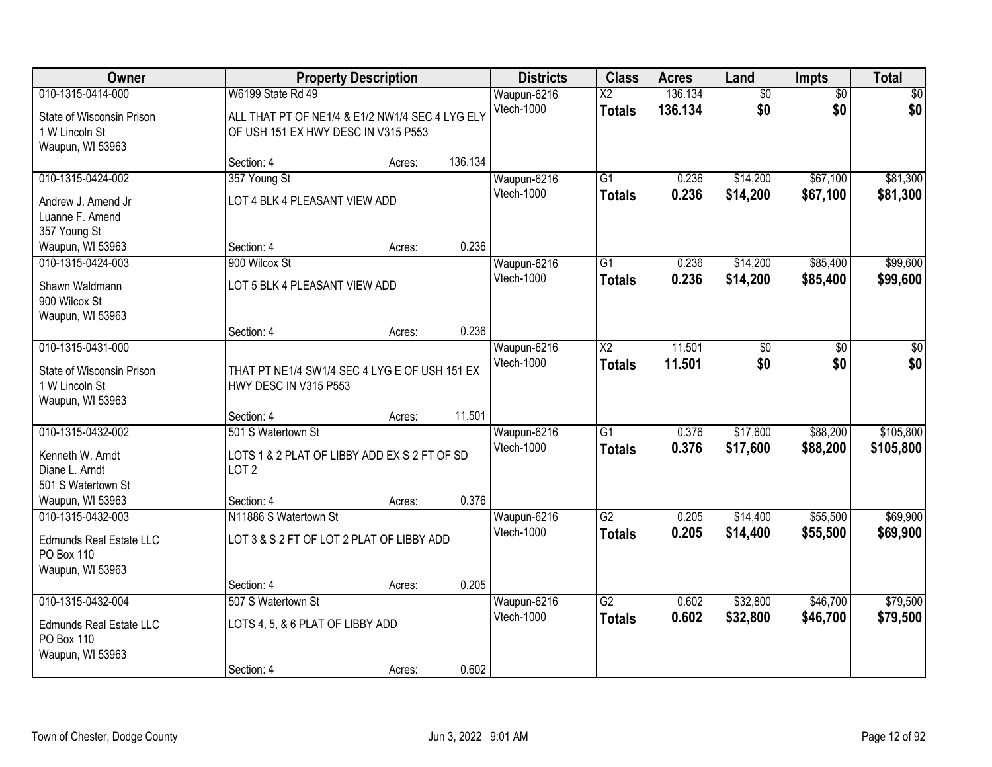| Owner                                       |                                                                                        | <b>Property Description</b> |         | <b>Districts</b> | <b>Class</b>           | <b>Acres</b> | Land            | <b>Impts</b>    | <b>Total</b> |
|---------------------------------------------|----------------------------------------------------------------------------------------|-----------------------------|---------|------------------|------------------------|--------------|-----------------|-----------------|--------------|
| 010-1315-0414-000                           | W6199 State Rd 49                                                                      |                             |         | Waupun-6216      | $\overline{X2}$        | 136.134      | $\overline{60}$ | $\overline{50}$ | \$0          |
| State of Wisconsin Prison<br>1 W Lincoln St | ALL THAT PT OF NE1/4 & E1/2 NW1/4 SEC 4 LYG ELY<br>OF USH 151 EX HWY DESC IN V315 P553 |                             |         | Vtech-1000       | <b>Totals</b>          | 136.134      | \$0             | \$0             | \$0          |
| Waupun, WI 53963                            |                                                                                        |                             |         |                  |                        |              |                 |                 |              |
|                                             | Section: 4                                                                             | Acres:                      | 136.134 |                  |                        |              |                 |                 |              |
| 010-1315-0424-002                           | 357 Young St                                                                           |                             |         | Waupun-6216      | $\overline{G1}$        | 0.236        | \$14,200        | \$67,100        | \$81,300     |
| Andrew J. Amend Jr                          | LOT 4 BLK 4 PLEASANT VIEW ADD                                                          |                             |         | Vtech-1000       | <b>Totals</b>          | 0.236        | \$14,200        | \$67,100        | \$81,300     |
| Luanne F. Amend                             |                                                                                        |                             |         |                  |                        |              |                 |                 |              |
| 357 Young St                                |                                                                                        |                             |         |                  |                        |              |                 |                 |              |
| Waupun, WI 53963                            | Section: 4                                                                             | Acres:                      | 0.236   |                  |                        |              |                 |                 |              |
| 010-1315-0424-003                           | 900 Wilcox St                                                                          |                             |         | Waupun-6216      | $\overline{G1}$        | 0.236        | \$14,200        | \$85,400        | \$99,600     |
| Shawn Waldmann                              | LOT 5 BLK 4 PLEASANT VIEW ADD                                                          |                             |         | Vtech-1000       | <b>Totals</b>          | 0.236        | \$14,200        | \$85,400        | \$99,600     |
| 900 Wilcox St                               |                                                                                        |                             |         |                  |                        |              |                 |                 |              |
| Waupun, WI 53963                            |                                                                                        |                             |         |                  |                        |              |                 |                 |              |
|                                             | Section: 4                                                                             | Acres:                      | 0.236   |                  |                        |              |                 |                 |              |
| 010-1315-0431-000                           |                                                                                        |                             |         | Waupun-6216      | $\overline{\text{X2}}$ | 11.501       | \$0             | \$0             | \$0          |
| State of Wisconsin Prison                   | THAT PT NE1/4 SW1/4 SEC 4 LYG E OF USH 151 EX                                          |                             |         | Vtech-1000       | <b>Totals</b>          | 11.501       | \$0             | \$0             | \$0          |
| 1 W Lincoln St                              | HWY DESC IN V315 P553                                                                  |                             |         |                  |                        |              |                 |                 |              |
| Waupun, WI 53963                            |                                                                                        |                             |         |                  |                        |              |                 |                 |              |
|                                             | Section: 4                                                                             | Acres:                      | 11.501  |                  |                        |              |                 |                 |              |
| 010-1315-0432-002                           | 501 S Watertown St                                                                     |                             |         | Waupun-6216      | $\overline{G1}$        | 0.376        | \$17,600        | \$88,200        | \$105,800    |
| Kenneth W. Arndt                            | LOTS 1 & 2 PLAT OF LIBBY ADD EX S 2 FT OF SD                                           |                             |         | Vtech-1000       | <b>Totals</b>          | 0.376        | \$17,600        | \$88,200        | \$105,800    |
| Diane L. Arndt                              | LOT <sub>2</sub>                                                                       |                             |         |                  |                        |              |                 |                 |              |
| 501 S Watertown St                          |                                                                                        |                             |         |                  |                        |              |                 |                 |              |
| Waupun, WI 53963                            | Section: 4                                                                             | Acres:                      | 0.376   |                  |                        |              |                 |                 |              |
| 010-1315-0432-003                           | N11886 S Watertown St                                                                  |                             |         | Waupun-6216      | $\overline{G2}$        | 0.205        | \$14,400        | \$55,500        | \$69,900     |
| <b>Edmunds Real Estate LLC</b>              | LOT 3 & S 2 FT OF LOT 2 PLAT OF LIBBY ADD                                              |                             |         | Vtech-1000       | <b>Totals</b>          | 0.205        | \$14,400        | \$55,500        | \$69,900     |
| PO Box 110                                  |                                                                                        |                             |         |                  |                        |              |                 |                 |              |
| Waupun, WI 53963                            |                                                                                        |                             |         |                  |                        |              |                 |                 |              |
|                                             | Section: 4                                                                             | Acres:                      | 0.205   |                  |                        |              |                 |                 |              |
| 010-1315-0432-004                           | 507 S Watertown St                                                                     |                             |         | Waupun-6216      | $\overline{G2}$        | 0.602        | \$32,800        | \$46,700        | \$79,500     |
| Edmunds Real Estate LLC                     | LOTS 4, 5, & 6 PLAT OF LIBBY ADD                                                       |                             |         | Vtech-1000       | <b>Totals</b>          | 0.602        | \$32,800        | \$46,700        | \$79,500     |
| PO Box 110                                  |                                                                                        |                             |         |                  |                        |              |                 |                 |              |
| Waupun, WI 53963                            |                                                                                        |                             |         |                  |                        |              |                 |                 |              |
|                                             | Section: 4                                                                             | Acres:                      | 0.602   |                  |                        |              |                 |                 |              |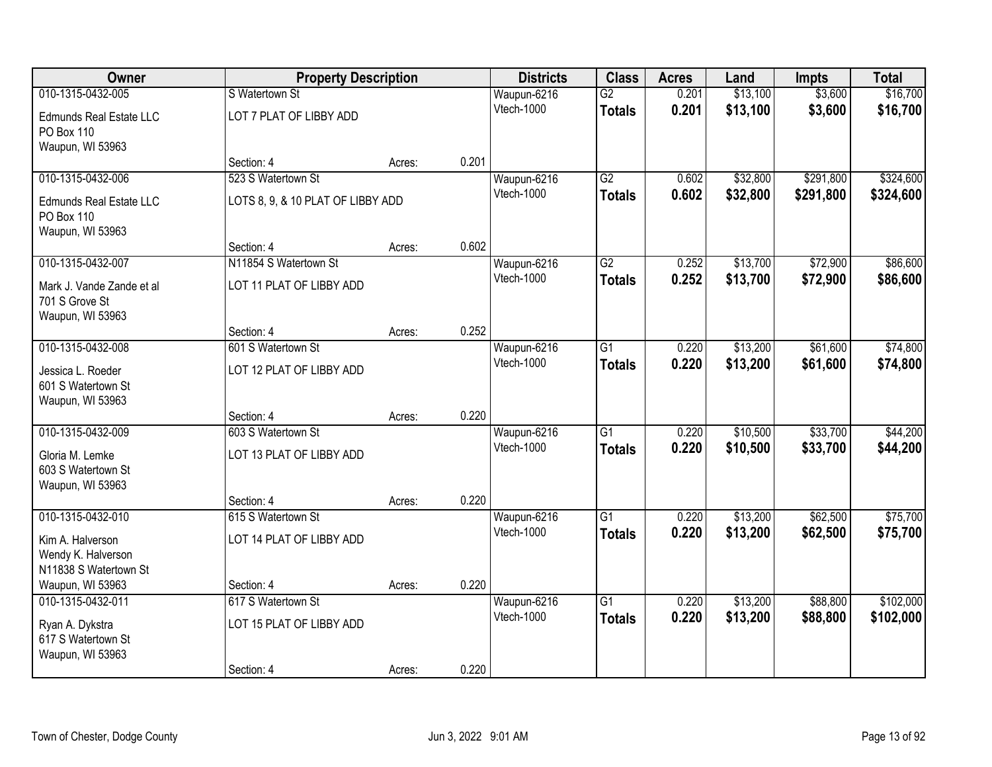| Owner                                        | <b>Property Description</b>       |        |       | <b>Districts</b>          | <b>Class</b>    | <b>Acres</b> | Land     | <b>Impts</b> | <b>Total</b> |
|----------------------------------------------|-----------------------------------|--------|-------|---------------------------|-----------------|--------------|----------|--------------|--------------|
| 010-1315-0432-005                            | S Watertown St                    |        |       | Waupun-6216               | $\overline{G2}$ | 0.201        | \$13,100 | \$3,600      | \$16,700     |
| <b>Edmunds Real Estate LLC</b><br>PO Box 110 | LOT 7 PLAT OF LIBBY ADD           |        |       | Vtech-1000                | <b>Totals</b>   | 0.201        | \$13,100 | \$3,600      | \$16,700     |
| Waupun, WI 53963                             |                                   |        |       |                           |                 |              |          |              |              |
|                                              | Section: 4                        | Acres: | 0.201 |                           |                 |              |          |              |              |
| 010-1315-0432-006                            | 523 S Watertown St                |        |       | Waupun-6216               | $\overline{G2}$ | 0.602        | \$32,800 | \$291,800    | \$324,600    |
| <b>Edmunds Real Estate LLC</b><br>PO Box 110 | LOTS 8, 9, & 10 PLAT OF LIBBY ADD |        |       | Vtech-1000                | <b>Totals</b>   | 0.602        | \$32,800 | \$291,800    | \$324,600    |
| Waupun, WI 53963                             |                                   |        |       |                           |                 |              |          |              |              |
|                                              | Section: 4                        | Acres: | 0.602 |                           |                 |              |          |              |              |
| 010-1315-0432-007                            | N11854 S Watertown St             |        |       | Waupun-6216               | $\overline{G2}$ | 0.252        | \$13,700 | \$72,900     | \$86,600     |
| Mark J. Vande Zande et al<br>701 S Grove St  | LOT 11 PLAT OF LIBBY ADD          |        |       | Vtech-1000                | <b>Totals</b>   | 0.252        | \$13,700 | \$72,900     | \$86,600     |
| Waupun, WI 53963                             |                                   |        |       |                           |                 |              |          |              |              |
|                                              | Section: 4                        | Acres: | 0.252 |                           |                 |              |          |              |              |
| 010-1315-0432-008                            | 601 S Watertown St                |        |       | Waupun-6216               | $\overline{G1}$ | 0.220        | \$13,200 | \$61,600     | \$74,800     |
| Jessica L. Roeder                            | LOT 12 PLAT OF LIBBY ADD          |        |       | Vtech-1000                | <b>Totals</b>   | 0.220        | \$13,200 | \$61,600     | \$74,800     |
| 601 S Watertown St                           |                                   |        |       |                           |                 |              |          |              |              |
| Waupun, WI 53963                             |                                   |        |       |                           |                 |              |          |              |              |
|                                              | Section: 4                        | Acres: | 0.220 |                           |                 |              |          |              |              |
| 010-1315-0432-009                            | 603 S Watertown St                |        |       | Waupun-6216               | $\overline{G1}$ | 0.220        | \$10,500 | \$33,700     | \$44,200     |
| Gloria M. Lemke                              | LOT 13 PLAT OF LIBBY ADD          |        |       | Vtech-1000                | <b>Totals</b>   | 0.220        | \$10,500 | \$33,700     | \$44,200     |
| 603 S Watertown St                           |                                   |        |       |                           |                 |              |          |              |              |
| Waupun, WI 53963                             |                                   |        |       |                           |                 |              |          |              |              |
|                                              | Section: 4                        | Acres: | 0.220 |                           |                 |              |          |              |              |
| 010-1315-0432-010                            | 615 S Watertown St                |        |       | Waupun-6216               | G1              | 0.220        | \$13,200 | \$62,500     | \$75,700     |
| Kim A. Halverson                             | LOT 14 PLAT OF LIBBY ADD          |        |       | Vtech-1000                | <b>Totals</b>   | 0.220        | \$13,200 | \$62,500     | \$75,700     |
| Wendy K. Halverson                           |                                   |        |       |                           |                 |              |          |              |              |
| N11838 S Watertown St                        |                                   |        |       |                           |                 |              |          |              |              |
| Waupun, WI 53963                             | Section: 4                        | Acres: | 0.220 |                           |                 |              |          |              |              |
| 010-1315-0432-011                            | 617 S Watertown St                |        |       | Waupun-6216<br>Vtech-1000 | $\overline{G1}$ | 0.220        | \$13,200 | \$88,800     | \$102,000    |
| Ryan A. Dykstra                              | LOT 15 PLAT OF LIBBY ADD          |        |       |                           | <b>Totals</b>   | 0.220        | \$13,200 | \$88,800     | \$102,000    |
| 617 S Watertown St                           |                                   |        |       |                           |                 |              |          |              |              |
| Waupun, WI 53963                             |                                   |        |       |                           |                 |              |          |              |              |
|                                              | Section: 4                        | Acres: | 0.220 |                           |                 |              |          |              |              |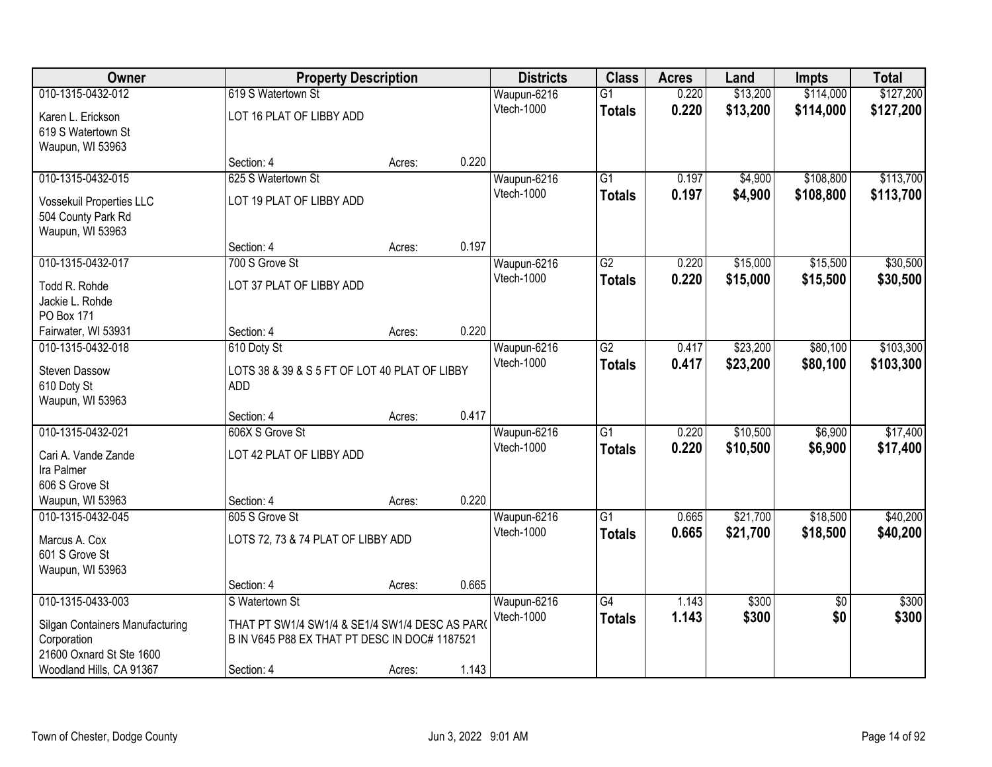| Owner                           | <b>Property Description</b>                    |        |       | <b>Districts</b> | <b>Class</b>    | <b>Acres</b> | Land     | <b>Impts</b>    | <b>Total</b> |
|---------------------------------|------------------------------------------------|--------|-------|------------------|-----------------|--------------|----------|-----------------|--------------|
| 010-1315-0432-012               | 619 S Watertown St                             |        |       | Waupun-6216      | $\overline{G1}$ | 0.220        | \$13,200 | \$114,000       | \$127,200    |
| Karen L. Erickson               | LOT 16 PLAT OF LIBBY ADD                       |        |       | Vtech-1000       | <b>Totals</b>   | 0.220        | \$13,200 | \$114,000       | \$127,200    |
| 619 S Watertown St              |                                                |        |       |                  |                 |              |          |                 |              |
| Waupun, WI 53963                |                                                |        |       |                  |                 |              |          |                 |              |
|                                 | Section: 4                                     | Acres: | 0.220 |                  |                 |              |          |                 |              |
| 010-1315-0432-015               | 625 S Watertown St                             |        |       | Waupun-6216      | $\overline{G1}$ | 0.197        | \$4,900  | \$108,800       | \$113,700    |
| Vossekuil Properties LLC        | LOT 19 PLAT OF LIBBY ADD                       |        |       | Vtech-1000       | <b>Totals</b>   | 0.197        | \$4,900  | \$108,800       | \$113,700    |
| 504 County Park Rd              |                                                |        |       |                  |                 |              |          |                 |              |
| Waupun, WI 53963                |                                                |        |       |                  |                 |              |          |                 |              |
|                                 | Section: 4                                     | Acres: | 0.197 |                  |                 |              |          |                 |              |
| 010-1315-0432-017               | 700 S Grove St                                 |        |       | Waupun-6216      | G2              | 0.220        | \$15,000 | \$15,500        | \$30,500     |
| Todd R. Rohde                   | LOT 37 PLAT OF LIBBY ADD                       |        |       | Vtech-1000       | <b>Totals</b>   | 0.220        | \$15,000 | \$15,500        | \$30,500     |
| Jackie L. Rohde                 |                                                |        |       |                  |                 |              |          |                 |              |
| PO Box 171                      |                                                |        |       |                  |                 |              |          |                 |              |
| Fairwater, WI 53931             | Section: 4                                     | Acres: | 0.220 |                  |                 |              |          |                 |              |
| 010-1315-0432-018               | 610 Doty St                                    |        |       | Waupun-6216      | $\overline{G2}$ | 0.417        | \$23,200 | \$80,100        | \$103,300    |
| <b>Steven Dassow</b>            | LOTS 38 & 39 & S 5 FT OF LOT 40 PLAT OF LIBBY  |        |       | Vtech-1000       | <b>Totals</b>   | 0.417        | \$23,200 | \$80,100        | \$103,300    |
| 610 Doty St                     | <b>ADD</b>                                     |        |       |                  |                 |              |          |                 |              |
| Waupun, WI 53963                |                                                |        |       |                  |                 |              |          |                 |              |
|                                 | Section: 4                                     | Acres: | 0.417 |                  |                 |              |          |                 |              |
| 010-1315-0432-021               | 606X S Grove St                                |        |       | Waupun-6216      | $\overline{G1}$ | 0.220        | \$10,500 | \$6,900         | \$17,400     |
| Cari A. Vande Zande             | LOT 42 PLAT OF LIBBY ADD                       |        |       | Vtech-1000       | <b>Totals</b>   | 0.220        | \$10,500 | \$6,900         | \$17,400     |
| Ira Palmer                      |                                                |        |       |                  |                 |              |          |                 |              |
| 606 S Grove St                  |                                                |        |       |                  |                 |              |          |                 |              |
| Waupun, WI 53963                | Section: 4                                     | Acres: | 0.220 |                  |                 |              |          |                 |              |
| 010-1315-0432-045               | 605 S Grove St                                 |        |       | Waupun-6216      | $\overline{G1}$ | 0.665        | \$21,700 | \$18,500        | \$40,200     |
| Marcus A. Cox                   | LOTS 72, 73 & 74 PLAT OF LIBBY ADD             |        |       | Vtech-1000       | <b>Totals</b>   | 0.665        | \$21,700 | \$18,500        | \$40,200     |
| 601 S Grove St                  |                                                |        |       |                  |                 |              |          |                 |              |
| Waupun, WI 53963                |                                                |        |       |                  |                 |              |          |                 |              |
|                                 | Section: 4                                     | Acres: | 0.665 |                  |                 |              |          |                 |              |
| 010-1315-0433-003               | S Watertown St                                 |        |       | Waupun-6216      | $\overline{G4}$ | 1.143        | \$300    | $\overline{30}$ | \$300        |
| Silgan Containers Manufacturing | THAT PT SW1/4 SW1/4 & SE1/4 SW1/4 DESC AS PAR( |        |       | Vtech-1000       | <b>Totals</b>   | 1.143        | \$300    | \$0             | \$300        |
| Corporation                     | B IN V645 P88 EX THAT PT DESC IN DOC# 1187521  |        |       |                  |                 |              |          |                 |              |
| 21600 Oxnard St Ste 1600        |                                                |        |       |                  |                 |              |          |                 |              |
| Woodland Hills, CA 91367        | Section: 4                                     | Acres: | 1.143 |                  |                 |              |          |                 |              |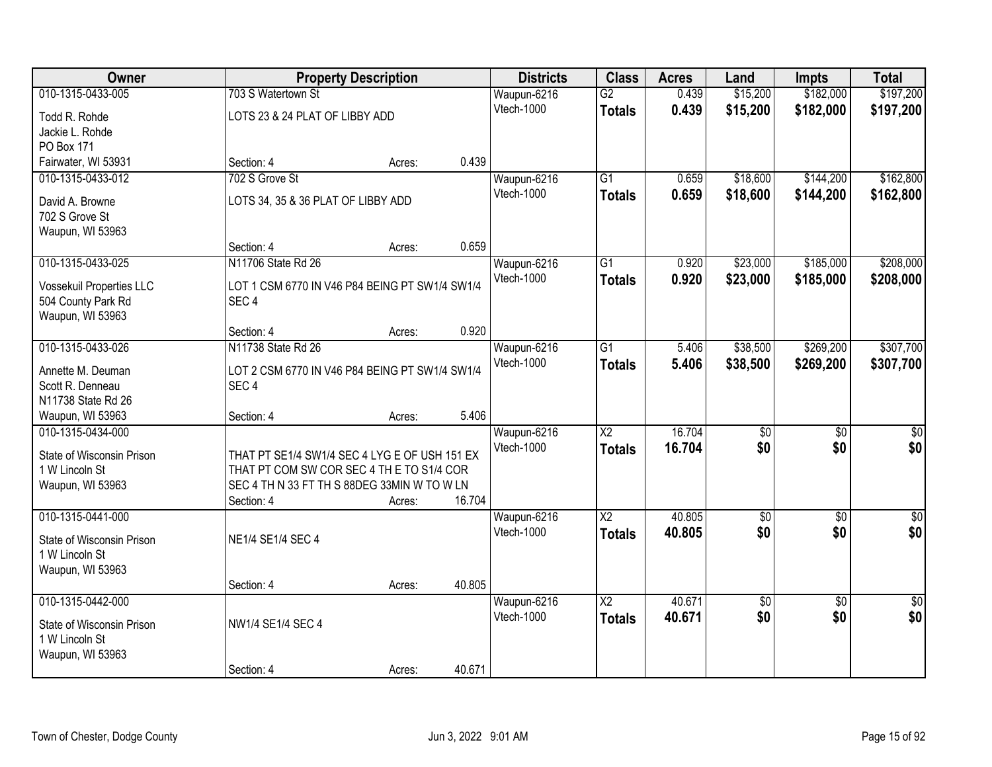| Owner                     |                                                | <b>Property Description</b> |        | <b>Districts</b> | <b>Class</b>           | <b>Acres</b> | Land            | <b>Impts</b>    | <b>Total</b>    |
|---------------------------|------------------------------------------------|-----------------------------|--------|------------------|------------------------|--------------|-----------------|-----------------|-----------------|
| 010-1315-0433-005         | 703 S Watertown St                             |                             |        | Waupun-6216      | G2                     | 0.439        | \$15,200        | \$182,000       | \$197,200       |
| Todd R. Rohde             | LOTS 23 & 24 PLAT OF LIBBY ADD                 |                             |        | Vtech-1000       | <b>Totals</b>          | 0.439        | \$15,200        | \$182,000       | \$197,200       |
| Jackie L. Rohde           |                                                |                             |        |                  |                        |              |                 |                 |                 |
| PO Box 171                |                                                |                             |        |                  |                        |              |                 |                 |                 |
| Fairwater, WI 53931       | Section: 4                                     | Acres:                      | 0.439  |                  |                        |              |                 |                 |                 |
| 010-1315-0433-012         | 702 S Grove St                                 |                             |        | Waupun-6216      | $\overline{G1}$        | 0.659        | \$18,600        | \$144,200       | \$162,800       |
| David A. Browne           | LOTS 34, 35 & 36 PLAT OF LIBBY ADD             |                             |        | Vtech-1000       | <b>Totals</b>          | 0.659        | \$18,600        | \$144,200       | \$162,800       |
| 702 S Grove St            |                                                |                             |        |                  |                        |              |                 |                 |                 |
| Waupun, WI 53963          |                                                |                             |        |                  |                        |              |                 |                 |                 |
|                           | Section: 4                                     | Acres:                      | 0.659  |                  |                        |              |                 |                 |                 |
| 010-1315-0433-025         | N11706 State Rd 26                             |                             |        | Waupun-6216      | G1                     | 0.920        | \$23,000        | \$185,000       | \$208,000       |
| Vossekuil Properties LLC  | LOT 1 CSM 6770 IN V46 P84 BEING PT SW1/4 SW1/4 |                             |        | Vtech-1000       | <b>Totals</b>          | 0.920        | \$23,000        | \$185,000       | \$208,000       |
| 504 County Park Rd        | SEC <sub>4</sub>                               |                             |        |                  |                        |              |                 |                 |                 |
| Waupun, WI 53963          |                                                |                             |        |                  |                        |              |                 |                 |                 |
|                           | Section: 4                                     | Acres:                      | 0.920  |                  |                        |              |                 |                 |                 |
| 010-1315-0433-026         | N11738 State Rd 26                             |                             |        | Waupun-6216      | $\overline{G1}$        | 5.406        | \$38,500        | \$269,200       | \$307,700       |
| Annette M. Deuman         | LOT 2 CSM 6770 IN V46 P84 BEING PT SW1/4 SW1/4 |                             |        | Vtech-1000       | <b>Totals</b>          | 5.406        | \$38,500        | \$269,200       | \$307,700       |
| Scott R. Denneau          | SEC <sub>4</sub>                               |                             |        |                  |                        |              |                 |                 |                 |
| N11738 State Rd 26        |                                                |                             |        |                  |                        |              |                 |                 |                 |
| Waupun, WI 53963          | Section: 4                                     | Acres:                      | 5.406  |                  |                        |              |                 |                 |                 |
| 010-1315-0434-000         |                                                |                             |        | Waupun-6216      | $\overline{\text{X2}}$ | 16.704       | \$0             | \$0             | \$0             |
| State of Wisconsin Prison | THAT PT SE1/4 SW1/4 SEC 4 LYG E OF USH 151 EX  |                             |        | Vtech-1000       | <b>Totals</b>          | 16.704       | \$0             | \$0             | \$0             |
| 1 W Lincoln St            | THAT PT COM SW COR SEC 4 TH E TO S1/4 COR      |                             |        |                  |                        |              |                 |                 |                 |
| Waupun, WI 53963          | SEC 4 TH N 33 FT TH S 88DEG 33MIN W TO W LN    |                             |        |                  |                        |              |                 |                 |                 |
|                           | Section: 4                                     | Acres:                      | 16.704 |                  |                        |              |                 |                 |                 |
| 010-1315-0441-000         |                                                |                             |        | Waupun-6216      | $\overline{X2}$        | 40.805       | $\overline{60}$ | $\overline{50}$ | \$0             |
| State of Wisconsin Prison | NE1/4 SE1/4 SEC 4                              |                             |        | Vtech-1000       | <b>Totals</b>          | 40.805       | \$0             | \$0             | \$0             |
| 1 W Lincoln St            |                                                |                             |        |                  |                        |              |                 |                 |                 |
| Waupun, WI 53963          |                                                |                             |        |                  |                        |              |                 |                 |                 |
|                           | Section: 4                                     | Acres:                      | 40.805 |                  |                        |              |                 |                 |                 |
| 010-1315-0442-000         |                                                |                             |        | Waupun-6216      | $\overline{\text{X2}}$ | 40.671       | $\overline{60}$ | $\overline{30}$ | $\overline{30}$ |
| State of Wisconsin Prison | NW1/4 SE1/4 SEC 4                              |                             |        | Vtech-1000       | <b>Totals</b>          | 40.671       | \$0             | \$0             | \$0             |
| 1 W Lincoln St            |                                                |                             |        |                  |                        |              |                 |                 |                 |
| Waupun, WI 53963          |                                                |                             |        |                  |                        |              |                 |                 |                 |
|                           | Section: 4                                     | Acres:                      | 40.671 |                  |                        |              |                 |                 |                 |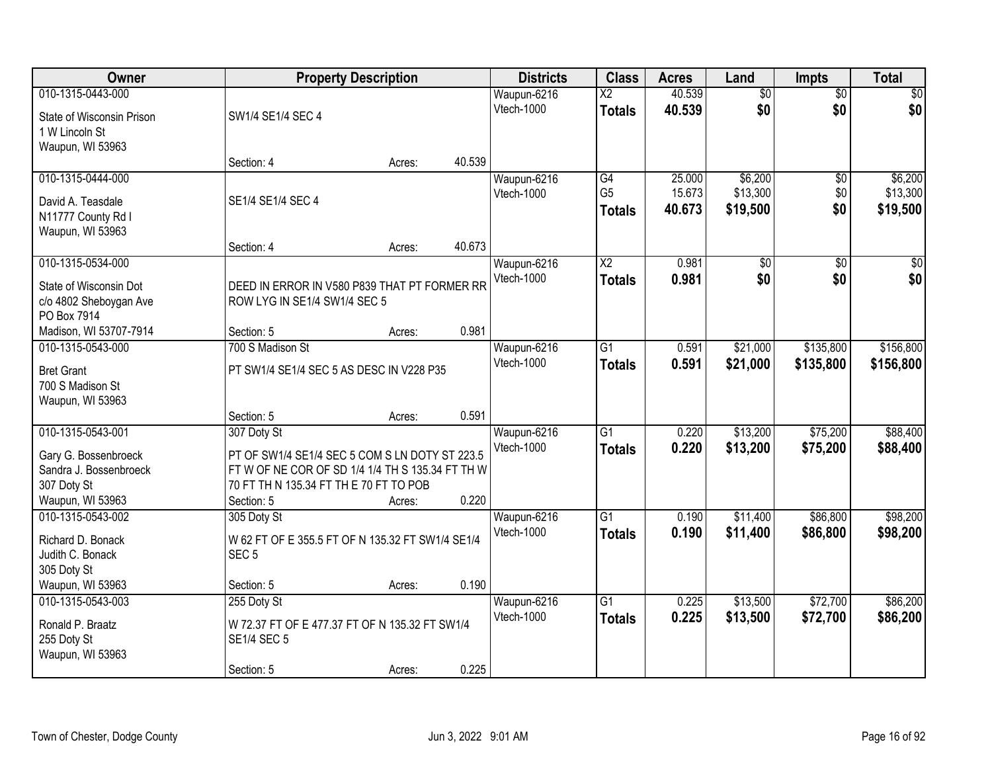| Owner                     |                                                  | <b>Property Description</b> |        | <b>Districts</b>  | <b>Class</b>           | <b>Acres</b> | Land            | <b>Impts</b>    | <b>Total</b>    |
|---------------------------|--------------------------------------------------|-----------------------------|--------|-------------------|------------------------|--------------|-----------------|-----------------|-----------------|
| 010-1315-0443-000         |                                                  |                             |        | Waupun-6216       | $\overline{\text{X2}}$ | 40.539       | $\overline{50}$ | $\overline{50}$ | $\overline{30}$ |
| State of Wisconsin Prison | SW1/4 SE1/4 SEC 4                                |                             |        | Vtech-1000        | <b>Totals</b>          | 40.539       | \$0             | \$0             | \$0             |
| 1 W Lincoln St            |                                                  |                             |        |                   |                        |              |                 |                 |                 |
| Waupun, WI 53963          |                                                  |                             |        |                   |                        |              |                 |                 |                 |
|                           | Section: 4                                       | Acres:                      | 40.539 |                   |                        |              |                 |                 |                 |
| 010-1315-0444-000         |                                                  |                             |        | Waupun-6216       | G4                     | 25.000       | \$6,200         | \$0             | \$6,200         |
| David A. Teasdale         | SE1/4 SE1/4 SEC 4                                |                             |        | Vtech-1000        | G <sub>5</sub>         | 15.673       | \$13,300        | \$0             | \$13,300        |
| N11777 County Rd I        |                                                  |                             |        |                   | <b>Totals</b>          | 40.673       | \$19,500        | \$0             | \$19,500        |
| Waupun, WI 53963          |                                                  |                             |        |                   |                        |              |                 |                 |                 |
|                           | Section: 4                                       | Acres:                      | 40.673 |                   |                        |              |                 |                 |                 |
| 010-1315-0534-000         |                                                  |                             |        | Waupun-6216       | $\overline{X2}$        | 0.981        | $\overline{50}$ | \$0             | $\sqrt{50}$     |
| State of Wisconsin Dot    | DEED IN ERROR IN V580 P839 THAT PT FORMER RR     |                             |        | Vtech-1000        | <b>Totals</b>          | 0.981        | \$0             | \$0             | \$0             |
| c/o 4802 Sheboygan Ave    | ROW LYG IN SE1/4 SW1/4 SEC 5                     |                             |        |                   |                        |              |                 |                 |                 |
| PO Box 7914               |                                                  |                             |        |                   |                        |              |                 |                 |                 |
| Madison, WI 53707-7914    | Section: 5                                       | Acres:                      | 0.981  |                   |                        |              |                 |                 |                 |
| 010-1315-0543-000         | 700 S Madison St                                 |                             |        | Waupun-6216       | G1                     | 0.591        | \$21,000        | \$135,800       | \$156,800       |
| <b>Bret Grant</b>         | PT SW1/4 SE1/4 SEC 5 AS DESC IN V228 P35         |                             |        | <b>Vtech-1000</b> | <b>Totals</b>          | 0.591        | \$21,000        | \$135,800       | \$156,800       |
| 700 S Madison St          |                                                  |                             |        |                   |                        |              |                 |                 |                 |
| Waupun, WI 53963          |                                                  |                             |        |                   |                        |              |                 |                 |                 |
|                           | Section: 5                                       | Acres:                      | 0.591  |                   |                        |              |                 |                 |                 |
| 010-1315-0543-001         | 307 Doty St                                      |                             |        | Waupun-6216       | $\overline{G1}$        | 0.220        | \$13,200        | \$75,200        | \$88,400        |
| Gary G. Bossenbroeck      | PT OF SW1/4 SE1/4 SEC 5 COM S LN DOTY ST 223.5   |                             |        | Vtech-1000        | <b>Totals</b>          | 0.220        | \$13,200        | \$75,200        | \$88,400        |
| Sandra J. Bossenbroeck    | FT W OF NE COR OF SD 1/4 1/4 TH S 135.34 FT TH W |                             |        |                   |                        |              |                 |                 |                 |
| 307 Doty St               | 70 FT TH N 135.34 FT TH E 70 FT TO POB           |                             |        |                   |                        |              |                 |                 |                 |
| Waupun, WI 53963          | Section: 5                                       | Acres:                      | 0.220  |                   |                        |              |                 |                 |                 |
| 010-1315-0543-002         | 305 Doty St                                      |                             |        | Waupun-6216       | $\overline{G1}$        | 0.190        | \$11,400        | \$86,800        | \$98,200        |
| Richard D. Bonack         | W 62 FT OF E 355.5 FT OF N 135.32 FT SW1/4 SE1/4 |                             |        | <b>Vtech-1000</b> | <b>Totals</b>          | 0.190        | \$11,400        | \$86,800        | \$98,200        |
| Judith C. Bonack          | SEC <sub>5</sub>                                 |                             |        |                   |                        |              |                 |                 |                 |
| 305 Doty St               |                                                  |                             |        |                   |                        |              |                 |                 |                 |
| Waupun, WI 53963          | Section: 5                                       | Acres:                      | 0.190  |                   |                        |              |                 |                 |                 |
| 010-1315-0543-003         | 255 Doty St                                      |                             |        | Waupun-6216       | $\overline{G1}$        | 0.225        | \$13,500        | \$72,700        | \$86,200        |
| Ronald P. Braatz          | W 72.37 FT OF E 477.37 FT OF N 135.32 FT SW1/4   |                             |        | Vtech-1000        | <b>Totals</b>          | 0.225        | \$13,500        | \$72,700        | \$86,200        |
| 255 Doty St               | <b>SE1/4 SEC 5</b>                               |                             |        |                   |                        |              |                 |                 |                 |
| Waupun, WI 53963          |                                                  |                             |        |                   |                        |              |                 |                 |                 |
|                           | Section: 5                                       | Acres:                      | 0.225  |                   |                        |              |                 |                 |                 |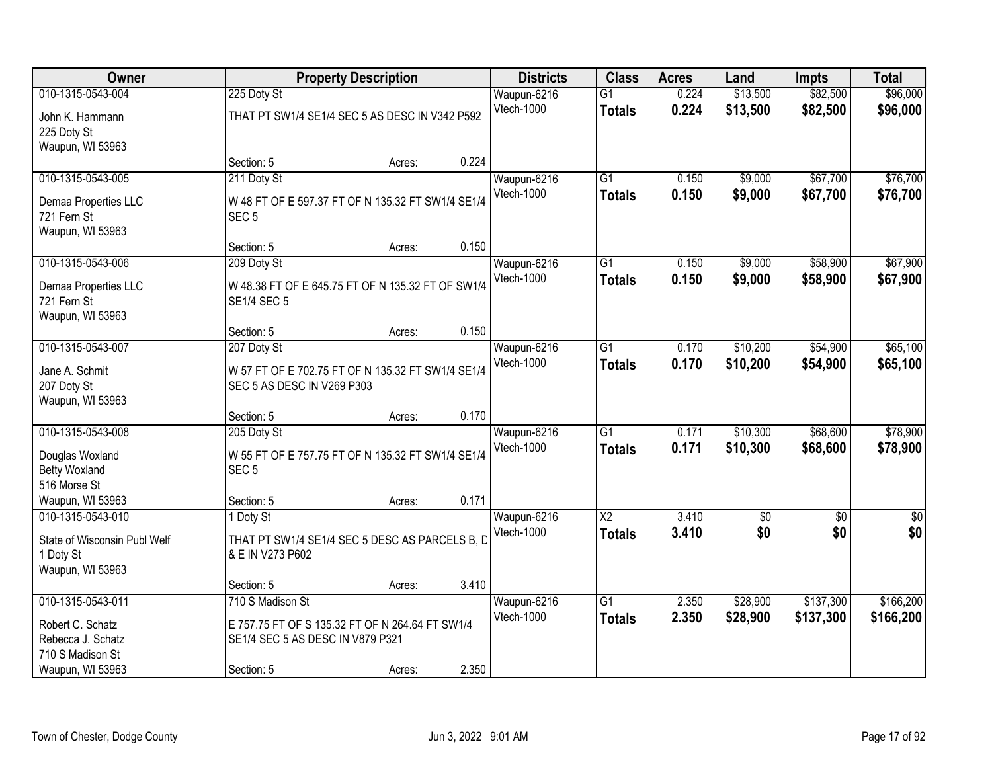| 010-1315-0543-004<br>\$13,500<br>\$82,500<br>\$96,000<br>225 Doty St<br>$\overline{G1}$<br>0.224<br>Waupun-6216<br>Vtech-1000<br>0.224<br>\$82,500<br>\$13,500<br>\$96,000<br><b>Totals</b><br>THAT PT SW1/4 SE1/4 SEC 5 AS DESC IN V342 P592<br>John K. Hammann<br>225 Doty St<br>Waupun, WI 53963<br>0.224<br>Section: 5<br>Acres:<br>\$67,700<br>010-1315-0543-005<br>211 Doty St<br>Waupun-6216<br>$\overline{G1}$<br>\$9,000<br>0.150<br>Vtech-1000<br>0.150<br>\$9,000<br>\$67,700<br><b>Totals</b><br>Demaa Properties LLC<br>W 48 FT OF E 597.37 FT OF N 135.32 FT SW1/4 SE1/4<br>721 Fern St<br>SEC <sub>5</sub><br>Waupun, WI 53963<br>0.150<br>Section: 5<br>Acres:<br>\$58,900<br>010-1315-0543-006<br>Waupun-6216<br>$\overline{G1}$<br>0.150<br>\$9,000<br>209 Doty St<br>Vtech-1000<br>0.150<br>\$9,000<br>\$58,900<br><b>Totals</b><br>W 48.38 FT OF E 645.75 FT OF N 135.32 FT OF SW1/4<br>Demaa Properties LLC<br>721 Fern St<br><b>SE1/4 SEC 5</b><br>Waupun, WI 53963<br>0.150<br>Section: 5<br>Acres:<br>010-1315-0543-007<br>$\overline{G1}$<br>\$10,200<br>\$54,900<br>207 Doty St<br>Waupun-6216<br>0.170<br>Vtech-1000<br>0.170<br>\$10,200<br>\$54,900<br><b>Totals</b><br>Jane A. Schmit<br>W 57 FT OF E 702.75 FT OF N 135.32 FT SW1/4 SE1/4<br>SEC 5 AS DESC IN V269 P303<br>207 Doty St<br>Waupun, WI 53963<br>0.170<br>Section: 5<br>Acres:<br>$\overline{G1}$<br>\$68,600<br>010-1315-0543-008<br>205 Doty St<br>0.171<br>\$10,300<br>Waupun-6216<br>0.171<br>Vtech-1000<br>\$10,300<br>\$68,600<br><b>Totals</b><br>W 55 FT OF E 757.75 FT OF N 135.32 FT SW1/4 SE1/4<br>Douglas Woxland<br><b>Betty Woxland</b><br>SEC <sub>5</sub><br>516 Morse St<br>Waupun, WI 53963<br>0.171<br>Section: 5<br>Acres:<br>$\overline{\text{X2}}$<br>3.410<br>$\overline{60}$<br>$\overline{50}$<br>010-1315-0543-010<br>Waupun-6216<br>1 Doty St<br>\$0<br>Vtech-1000<br>3.410<br>\$0<br><b>Totals</b><br>State of Wisconsin Publ Welf<br>THAT PT SW1/4 SE1/4 SEC 5 DESC AS PARCELS B, D<br>1 Doty St<br>& E IN V273 P602<br>Waupun, WI 53963<br>3.410<br>Section: 5<br>Acres:<br>\$137,300<br>010-1315-0543-011<br>710 S Madison St<br>Waupun-6216<br>$\overline{G1}$<br>2.350<br>\$28,900<br>Vtech-1000<br>2.350<br>\$28,900<br>\$137,300<br><b>Totals</b><br>E 757.75 FT OF S 135.32 FT OF N 264.64 FT SW1/4<br>Robert C. Schatz<br>Rebecca J. Schatz<br>SE1/4 SEC 5 AS DESC IN V879 P321<br>710 S Madison St | Owner            |            | <b>Property Description</b> |       | <b>Districts</b> | <b>Class</b> | <b>Acres</b> | Land | <b>Impts</b> | <b>Total</b> |
|--------------------------------------------------------------------------------------------------------------------------------------------------------------------------------------------------------------------------------------------------------------------------------------------------------------------------------------------------------------------------------------------------------------------------------------------------------------------------------------------------------------------------------------------------------------------------------------------------------------------------------------------------------------------------------------------------------------------------------------------------------------------------------------------------------------------------------------------------------------------------------------------------------------------------------------------------------------------------------------------------------------------------------------------------------------------------------------------------------------------------------------------------------------------------------------------------------------------------------------------------------------------------------------------------------------------------------------------------------------------------------------------------------------------------------------------------------------------------------------------------------------------------------------------------------------------------------------------------------------------------------------------------------------------------------------------------------------------------------------------------------------------------------------------------------------------------------------------------------------------------------------------------------------------------------------------------------------------------------------------------------------------------------------------------------------------------------------------------------------------------------------------------------------------------------------------------------------------------------------------------------------------------------------------------------------------------------------------------------------------------------------------------------------------------------------|------------------|------------|-----------------------------|-------|------------------|--------------|--------------|------|--------------|--------------|
|                                                                                                                                                                                                                                                                                                                                                                                                                                                                                                                                                                                                                                                                                                                                                                                                                                                                                                                                                                                                                                                                                                                                                                                                                                                                                                                                                                                                                                                                                                                                                                                                                                                                                                                                                                                                                                                                                                                                                                                                                                                                                                                                                                                                                                                                                                                                                                                                                                      |                  |            |                             |       |                  |              |              |      |              |              |
|                                                                                                                                                                                                                                                                                                                                                                                                                                                                                                                                                                                                                                                                                                                                                                                                                                                                                                                                                                                                                                                                                                                                                                                                                                                                                                                                                                                                                                                                                                                                                                                                                                                                                                                                                                                                                                                                                                                                                                                                                                                                                                                                                                                                                                                                                                                                                                                                                                      |                  |            |                             |       |                  |              |              |      |              |              |
| \$76,700<br>\$76,700<br>\$67,900<br>\$67,900<br>\$65,100<br>\$65,100<br>\$78,900<br>\$78,900<br>\$0                                                                                                                                                                                                                                                                                                                                                                                                                                                                                                                                                                                                                                                                                                                                                                                                                                                                                                                                                                                                                                                                                                                                                                                                                                                                                                                                                                                                                                                                                                                                                                                                                                                                                                                                                                                                                                                                                                                                                                                                                                                                                                                                                                                                                                                                                                                                  |                  |            |                             |       |                  |              |              |      |              |              |
|                                                                                                                                                                                                                                                                                                                                                                                                                                                                                                                                                                                                                                                                                                                                                                                                                                                                                                                                                                                                                                                                                                                                                                                                                                                                                                                                                                                                                                                                                                                                                                                                                                                                                                                                                                                                                                                                                                                                                                                                                                                                                                                                                                                                                                                                                                                                                                                                                                      |                  |            |                             |       |                  |              |              |      |              |              |
|                                                                                                                                                                                                                                                                                                                                                                                                                                                                                                                                                                                                                                                                                                                                                                                                                                                                                                                                                                                                                                                                                                                                                                                                                                                                                                                                                                                                                                                                                                                                                                                                                                                                                                                                                                                                                                                                                                                                                                                                                                                                                                                                                                                                                                                                                                                                                                                                                                      |                  |            |                             |       |                  |              |              |      |              |              |
|                                                                                                                                                                                                                                                                                                                                                                                                                                                                                                                                                                                                                                                                                                                                                                                                                                                                                                                                                                                                                                                                                                                                                                                                                                                                                                                                                                                                                                                                                                                                                                                                                                                                                                                                                                                                                                                                                                                                                                                                                                                                                                                                                                                                                                                                                                                                                                                                                                      |                  |            |                             |       |                  |              |              |      |              |              |
|                                                                                                                                                                                                                                                                                                                                                                                                                                                                                                                                                                                                                                                                                                                                                                                                                                                                                                                                                                                                                                                                                                                                                                                                                                                                                                                                                                                                                                                                                                                                                                                                                                                                                                                                                                                                                                                                                                                                                                                                                                                                                                                                                                                                                                                                                                                                                                                                                                      |                  |            |                             |       |                  |              |              |      |              |              |
|                                                                                                                                                                                                                                                                                                                                                                                                                                                                                                                                                                                                                                                                                                                                                                                                                                                                                                                                                                                                                                                                                                                                                                                                                                                                                                                                                                                                                                                                                                                                                                                                                                                                                                                                                                                                                                                                                                                                                                                                                                                                                                                                                                                                                                                                                                                                                                                                                                      |                  |            |                             |       |                  |              |              |      |              |              |
|                                                                                                                                                                                                                                                                                                                                                                                                                                                                                                                                                                                                                                                                                                                                                                                                                                                                                                                                                                                                                                                                                                                                                                                                                                                                                                                                                                                                                                                                                                                                                                                                                                                                                                                                                                                                                                                                                                                                                                                                                                                                                                                                                                                                                                                                                                                                                                                                                                      |                  |            |                             |       |                  |              |              |      |              |              |
|                                                                                                                                                                                                                                                                                                                                                                                                                                                                                                                                                                                                                                                                                                                                                                                                                                                                                                                                                                                                                                                                                                                                                                                                                                                                                                                                                                                                                                                                                                                                                                                                                                                                                                                                                                                                                                                                                                                                                                                                                                                                                                                                                                                                                                                                                                                                                                                                                                      |                  |            |                             |       |                  |              |              |      |              |              |
|                                                                                                                                                                                                                                                                                                                                                                                                                                                                                                                                                                                                                                                                                                                                                                                                                                                                                                                                                                                                                                                                                                                                                                                                                                                                                                                                                                                                                                                                                                                                                                                                                                                                                                                                                                                                                                                                                                                                                                                                                                                                                                                                                                                                                                                                                                                                                                                                                                      |                  |            |                             |       |                  |              |              |      |              |              |
|                                                                                                                                                                                                                                                                                                                                                                                                                                                                                                                                                                                                                                                                                                                                                                                                                                                                                                                                                                                                                                                                                                                                                                                                                                                                                                                                                                                                                                                                                                                                                                                                                                                                                                                                                                                                                                                                                                                                                                                                                                                                                                                                                                                                                                                                                                                                                                                                                                      |                  |            |                             |       |                  |              |              |      |              |              |
|                                                                                                                                                                                                                                                                                                                                                                                                                                                                                                                                                                                                                                                                                                                                                                                                                                                                                                                                                                                                                                                                                                                                                                                                                                                                                                                                                                                                                                                                                                                                                                                                                                                                                                                                                                                                                                                                                                                                                                                                                                                                                                                                                                                                                                                                                                                                                                                                                                      |                  |            |                             |       |                  |              |              |      |              |              |
|                                                                                                                                                                                                                                                                                                                                                                                                                                                                                                                                                                                                                                                                                                                                                                                                                                                                                                                                                                                                                                                                                                                                                                                                                                                                                                                                                                                                                                                                                                                                                                                                                                                                                                                                                                                                                                                                                                                                                                                                                                                                                                                                                                                                                                                                                                                                                                                                                                      |                  |            |                             |       |                  |              |              |      |              |              |
|                                                                                                                                                                                                                                                                                                                                                                                                                                                                                                                                                                                                                                                                                                                                                                                                                                                                                                                                                                                                                                                                                                                                                                                                                                                                                                                                                                                                                                                                                                                                                                                                                                                                                                                                                                                                                                                                                                                                                                                                                                                                                                                                                                                                                                                                                                                                                                                                                                      |                  |            |                             |       |                  |              |              |      |              |              |
|                                                                                                                                                                                                                                                                                                                                                                                                                                                                                                                                                                                                                                                                                                                                                                                                                                                                                                                                                                                                                                                                                                                                                                                                                                                                                                                                                                                                                                                                                                                                                                                                                                                                                                                                                                                                                                                                                                                                                                                                                                                                                                                                                                                                                                                                                                                                                                                                                                      |                  |            |                             |       |                  |              |              |      |              |              |
|                                                                                                                                                                                                                                                                                                                                                                                                                                                                                                                                                                                                                                                                                                                                                                                                                                                                                                                                                                                                                                                                                                                                                                                                                                                                                                                                                                                                                                                                                                                                                                                                                                                                                                                                                                                                                                                                                                                                                                                                                                                                                                                                                                                                                                                                                                                                                                                                                                      |                  |            |                             |       |                  |              |              |      |              |              |
|                                                                                                                                                                                                                                                                                                                                                                                                                                                                                                                                                                                                                                                                                                                                                                                                                                                                                                                                                                                                                                                                                                                                                                                                                                                                                                                                                                                                                                                                                                                                                                                                                                                                                                                                                                                                                                                                                                                                                                                                                                                                                                                                                                                                                                                                                                                                                                                                                                      |                  |            |                             |       |                  |              |              |      |              |              |
|                                                                                                                                                                                                                                                                                                                                                                                                                                                                                                                                                                                                                                                                                                                                                                                                                                                                                                                                                                                                                                                                                                                                                                                                                                                                                                                                                                                                                                                                                                                                                                                                                                                                                                                                                                                                                                                                                                                                                                                                                                                                                                                                                                                                                                                                                                                                                                                                                                      |                  |            |                             |       |                  |              |              |      |              |              |
|                                                                                                                                                                                                                                                                                                                                                                                                                                                                                                                                                                                                                                                                                                                                                                                                                                                                                                                                                                                                                                                                                                                                                                                                                                                                                                                                                                                                                                                                                                                                                                                                                                                                                                                                                                                                                                                                                                                                                                                                                                                                                                                                                                                                                                                                                                                                                                                                                                      |                  |            |                             |       |                  |              |              |      |              |              |
|                                                                                                                                                                                                                                                                                                                                                                                                                                                                                                                                                                                                                                                                                                                                                                                                                                                                                                                                                                                                                                                                                                                                                                                                                                                                                                                                                                                                                                                                                                                                                                                                                                                                                                                                                                                                                                                                                                                                                                                                                                                                                                                                                                                                                                                                                                                                                                                                                                      |                  |            |                             |       |                  |              |              |      |              |              |
|                                                                                                                                                                                                                                                                                                                                                                                                                                                                                                                                                                                                                                                                                                                                                                                                                                                                                                                                                                                                                                                                                                                                                                                                                                                                                                                                                                                                                                                                                                                                                                                                                                                                                                                                                                                                                                                                                                                                                                                                                                                                                                                                                                                                                                                                                                                                                                                                                                      |                  |            |                             |       |                  |              |              |      |              |              |
|                                                                                                                                                                                                                                                                                                                                                                                                                                                                                                                                                                                                                                                                                                                                                                                                                                                                                                                                                                                                                                                                                                                                                                                                                                                                                                                                                                                                                                                                                                                                                                                                                                                                                                                                                                                                                                                                                                                                                                                                                                                                                                                                                                                                                                                                                                                                                                                                                                      |                  |            |                             |       |                  |              |              |      |              |              |
|                                                                                                                                                                                                                                                                                                                                                                                                                                                                                                                                                                                                                                                                                                                                                                                                                                                                                                                                                                                                                                                                                                                                                                                                                                                                                                                                                                                                                                                                                                                                                                                                                                                                                                                                                                                                                                                                                                                                                                                                                                                                                                                                                                                                                                                                                                                                                                                                                                      |                  |            |                             |       |                  |              |              |      |              |              |
| \$0<br>\$166,200<br>\$166,200                                                                                                                                                                                                                                                                                                                                                                                                                                                                                                                                                                                                                                                                                                                                                                                                                                                                                                                                                                                                                                                                                                                                                                                                                                                                                                                                                                                                                                                                                                                                                                                                                                                                                                                                                                                                                                                                                                                                                                                                                                                                                                                                                                                                                                                                                                                                                                                                        |                  |            |                             |       |                  |              |              |      |              |              |
|                                                                                                                                                                                                                                                                                                                                                                                                                                                                                                                                                                                                                                                                                                                                                                                                                                                                                                                                                                                                                                                                                                                                                                                                                                                                                                                                                                                                                                                                                                                                                                                                                                                                                                                                                                                                                                                                                                                                                                                                                                                                                                                                                                                                                                                                                                                                                                                                                                      |                  |            |                             |       |                  |              |              |      |              |              |
|                                                                                                                                                                                                                                                                                                                                                                                                                                                                                                                                                                                                                                                                                                                                                                                                                                                                                                                                                                                                                                                                                                                                                                                                                                                                                                                                                                                                                                                                                                                                                                                                                                                                                                                                                                                                                                                                                                                                                                                                                                                                                                                                                                                                                                                                                                                                                                                                                                      |                  |            |                             |       |                  |              |              |      |              |              |
|                                                                                                                                                                                                                                                                                                                                                                                                                                                                                                                                                                                                                                                                                                                                                                                                                                                                                                                                                                                                                                                                                                                                                                                                                                                                                                                                                                                                                                                                                                                                                                                                                                                                                                                                                                                                                                                                                                                                                                                                                                                                                                                                                                                                                                                                                                                                                                                                                                      |                  |            |                             |       |                  |              |              |      |              |              |
|                                                                                                                                                                                                                                                                                                                                                                                                                                                                                                                                                                                                                                                                                                                                                                                                                                                                                                                                                                                                                                                                                                                                                                                                                                                                                                                                                                                                                                                                                                                                                                                                                                                                                                                                                                                                                                                                                                                                                                                                                                                                                                                                                                                                                                                                                                                                                                                                                                      |                  |            |                             |       |                  |              |              |      |              |              |
|                                                                                                                                                                                                                                                                                                                                                                                                                                                                                                                                                                                                                                                                                                                                                                                                                                                                                                                                                                                                                                                                                                                                                                                                                                                                                                                                                                                                                                                                                                                                                                                                                                                                                                                                                                                                                                                                                                                                                                                                                                                                                                                                                                                                                                                                                                                                                                                                                                      |                  |            |                             |       |                  |              |              |      |              |              |
|                                                                                                                                                                                                                                                                                                                                                                                                                                                                                                                                                                                                                                                                                                                                                                                                                                                                                                                                                                                                                                                                                                                                                                                                                                                                                                                                                                                                                                                                                                                                                                                                                                                                                                                                                                                                                                                                                                                                                                                                                                                                                                                                                                                                                                                                                                                                                                                                                                      |                  |            |                             |       |                  |              |              |      |              |              |
|                                                                                                                                                                                                                                                                                                                                                                                                                                                                                                                                                                                                                                                                                                                                                                                                                                                                                                                                                                                                                                                                                                                                                                                                                                                                                                                                                                                                                                                                                                                                                                                                                                                                                                                                                                                                                                                                                                                                                                                                                                                                                                                                                                                                                                                                                                                                                                                                                                      |                  |            |                             |       |                  |              |              |      |              |              |
|                                                                                                                                                                                                                                                                                                                                                                                                                                                                                                                                                                                                                                                                                                                                                                                                                                                                                                                                                                                                                                                                                                                                                                                                                                                                                                                                                                                                                                                                                                                                                                                                                                                                                                                                                                                                                                                                                                                                                                                                                                                                                                                                                                                                                                                                                                                                                                                                                                      |                  |            |                             |       |                  |              |              |      |              |              |
|                                                                                                                                                                                                                                                                                                                                                                                                                                                                                                                                                                                                                                                                                                                                                                                                                                                                                                                                                                                                                                                                                                                                                                                                                                                                                                                                                                                                                                                                                                                                                                                                                                                                                                                                                                                                                                                                                                                                                                                                                                                                                                                                                                                                                                                                                                                                                                                                                                      | Waupun, WI 53963 | Section: 5 | Acres:                      | 2.350 |                  |              |              |      |              |              |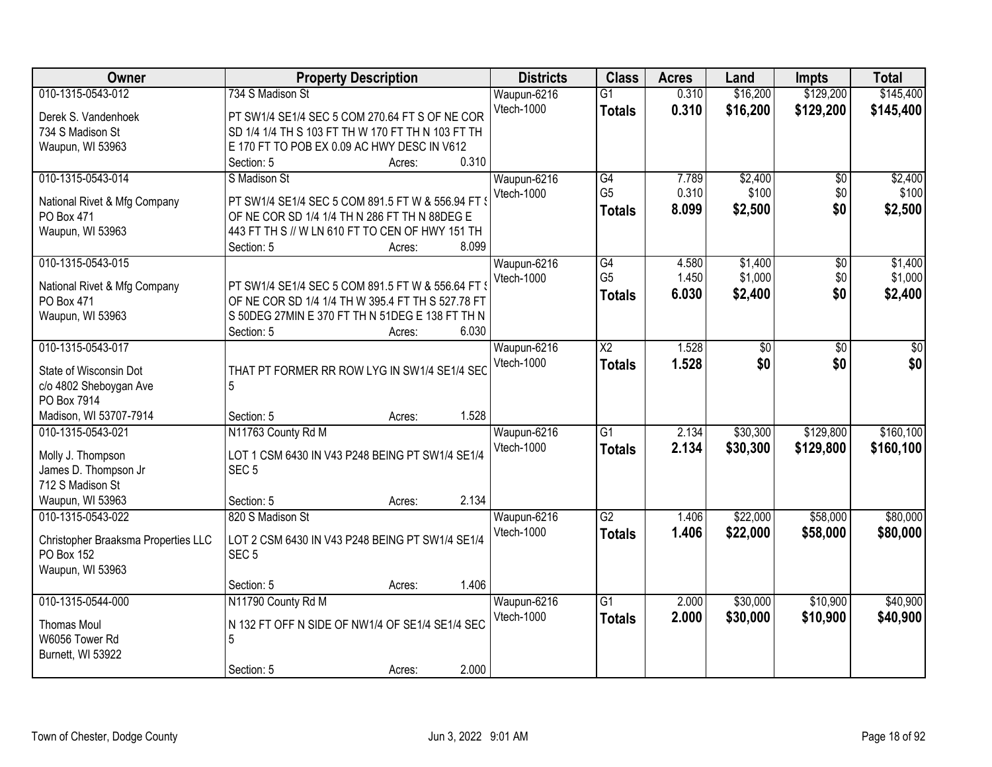| Owner                                      | <b>Property Description</b>                                                                            | <b>Districts</b>  | <b>Class</b>           | <b>Acres</b> | Land            | <b>Impts</b>    | <b>Total</b> |
|--------------------------------------------|--------------------------------------------------------------------------------------------------------|-------------------|------------------------|--------------|-----------------|-----------------|--------------|
| 010-1315-0543-012                          | 734 S Madison St                                                                                       | Waupun-6216       | $\overline{G1}$        | 0.310        | \$16,200        | \$129,200       | \$145,400    |
| Derek S. Vandenhoek                        | PT SW1/4 SE1/4 SEC 5 COM 270.64 FT S OF NE COR                                                         | Vtech-1000        | <b>Totals</b>          | 0.310        | \$16,200        | \$129,200       | \$145,400    |
| 734 S Madison St                           | SD 1/4 1/4 TH S 103 FT TH W 170 FT TH N 103 FT TH                                                      |                   |                        |              |                 |                 |              |
| Waupun, WI 53963                           | E 170 FT TO POB EX 0.09 AC HWY DESC IN V612                                                            |                   |                        |              |                 |                 |              |
|                                            | Section: 5<br>Acres:                                                                                   | 0.310             |                        |              |                 |                 |              |
| 010-1315-0543-014                          | S Madison St                                                                                           | Waupun-6216       | G4                     | 7.789        | \$2,400         | $\overline{50}$ | \$2,400      |
| National Rivet & Mfg Company               | PT SW1/4 SE1/4 SEC 5 COM 891.5 FT W & 556.94 FT                                                        | Vtech-1000        | G <sub>5</sub>         | 0.310        | \$100           | \$0             | \$100        |
| PO Box 471                                 | OF NE COR SD 1/4 1/4 TH N 286 FT TH N 88DEG E                                                          |                   | <b>Totals</b>          | 8.099        | \$2,500         | \$0             | \$2,500      |
| Waupun, WI 53963                           | 443 FT TH S // W LN 610 FT TO CEN OF HWY 151 TH                                                        |                   |                        |              |                 |                 |              |
|                                            | Section: 5<br>Acres:                                                                                   | 8.099             |                        |              |                 |                 |              |
| 010-1315-0543-015                          |                                                                                                        | Waupun-6216       | G4                     | 4.580        | \$1,400         | \$0             | \$1,400      |
|                                            |                                                                                                        | Vtech-1000        | G <sub>5</sub>         | 1.450        | \$1,000         | \$0             | \$1,000      |
| National Rivet & Mfg Company<br>PO Box 471 | PT SW1/4 SE1/4 SEC 5 COM 891.5 FT W & 556.64 FT \<br>OF NE COR SD 1/4 1/4 TH W 395.4 FT TH S 527.78 FT |                   | <b>Totals</b>          | 6.030        | \$2,400         | \$0             | \$2,400      |
| Waupun, WI 53963                           | S 50DEG 27MIN E 370 FT TH N 51DEG E 138 FT TH N                                                        |                   |                        |              |                 |                 |              |
|                                            | Section: 5<br>Acres:                                                                                   | 6.030             |                        |              |                 |                 |              |
| 010-1315-0543-017                          |                                                                                                        | Waupun-6216       | $\overline{\text{X2}}$ | 1.528        | $\overline{30}$ | \$0             | \$0          |
|                                            |                                                                                                        | Vtech-1000        | <b>Totals</b>          | 1.528        | \$0             | \$0             | \$0          |
| State of Wisconsin Dot                     | THAT PT FORMER RR ROW LYG IN SW1/4 SE1/4 SEC                                                           |                   |                        |              |                 |                 |              |
| c/o 4802 Sheboygan Ave<br>PO Box 7914      | 5                                                                                                      |                   |                        |              |                 |                 |              |
| Madison, WI 53707-7914                     | Section: 5<br>Acres:                                                                                   | 1.528             |                        |              |                 |                 |              |
| 010-1315-0543-021                          | N11763 County Rd M                                                                                     | Waupun-6216       | $\overline{G1}$        | 2.134        | \$30,300        | \$129,800       | \$160, 100   |
|                                            |                                                                                                        | Vtech-1000        | <b>Totals</b>          | 2.134        | \$30,300        | \$129,800       | \$160,100    |
| Molly J. Thompson                          | LOT 1 CSM 6430 IN V43 P248 BEING PT SW1/4 SE1/4                                                        |                   |                        |              |                 |                 |              |
| James D. Thompson Jr                       | SEC <sub>5</sub>                                                                                       |                   |                        |              |                 |                 |              |
| 712 S Madison St                           |                                                                                                        |                   |                        |              |                 |                 |              |
| Waupun, WI 53963                           | Section: 5<br>Acres:                                                                                   | 2.134             |                        |              |                 |                 |              |
| 010-1315-0543-022                          | 820 S Madison St                                                                                       | Waupun-6216       | $\overline{G2}$        | 1.406        | \$22,000        | \$58,000        | \$80,000     |
| Christopher Braaksma Properties LLC        | LOT 2 CSM 6430 IN V43 P248 BEING PT SW1/4 SE1/4                                                        | Vtech-1000        | <b>Totals</b>          | 1.406        | \$22,000        | \$58,000        | \$80,000     |
| PO Box 152                                 | SEC <sub>5</sub>                                                                                       |                   |                        |              |                 |                 |              |
| Waupun, WI 53963                           |                                                                                                        |                   |                        |              |                 |                 |              |
|                                            | Section: 5<br>Acres:                                                                                   | 1.406             |                        |              |                 |                 |              |
| 010-1315-0544-000                          | N11790 County Rd M                                                                                     | Waupun-6216       | $\overline{G1}$        | 2.000        | \$30,000        | \$10,900        | \$40,900     |
| <b>Thomas Moul</b>                         | N 132 FT OFF N SIDE OF NW1/4 OF SE1/4 SE1/4 SEC                                                        | <b>Vtech-1000</b> | <b>Totals</b>          | 2.000        | \$30,000        | \$10,900        | \$40,900     |
| W6056 Tower Rd                             | 5                                                                                                      |                   |                        |              |                 |                 |              |
| Burnett, WI 53922                          |                                                                                                        |                   |                        |              |                 |                 |              |
|                                            | Section: 5<br>Acres:                                                                                   | 2.000             |                        |              |                 |                 |              |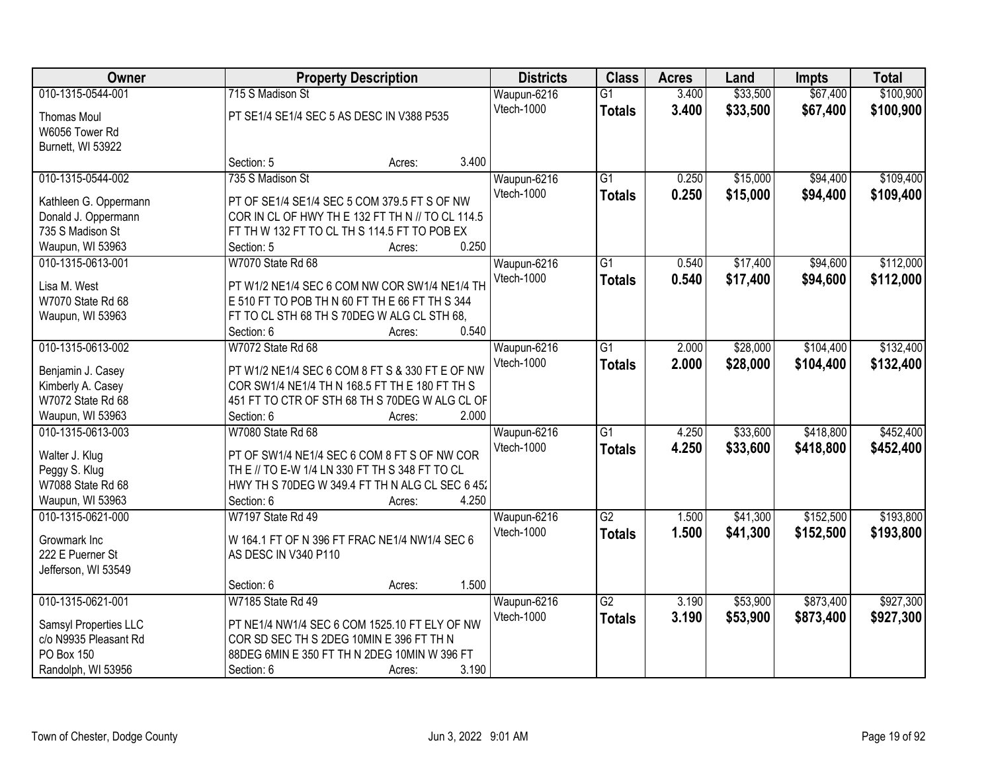| Owner                                        |                                                                                                   | <b>Property Description</b> |       | <b>Districts</b> | <b>Class</b>    | <b>Acres</b> | Land     | <b>Impts</b> | <b>Total</b> |
|----------------------------------------------|---------------------------------------------------------------------------------------------------|-----------------------------|-------|------------------|-----------------|--------------|----------|--------------|--------------|
| 010-1315-0544-001                            | 715 S Madison St                                                                                  |                             |       | Waupun-6216      | $\overline{G1}$ | 3.400        | \$33,500 | \$67,400     | \$100,900    |
| <b>Thomas Moul</b>                           | PT SE1/4 SE1/4 SEC 5 AS DESC IN V388 P535                                                         |                             |       | Vtech-1000       | <b>Totals</b>   | 3.400        | \$33,500 | \$67,400     | \$100,900    |
| W6056 Tower Rd                               |                                                                                                   |                             |       |                  |                 |              |          |              |              |
| Burnett, WI 53922                            |                                                                                                   |                             |       |                  |                 |              |          |              |              |
|                                              | Section: 5                                                                                        | Acres:                      | 3.400 |                  |                 |              |          |              |              |
| 010-1315-0544-002                            | 735 S Madison St                                                                                  |                             |       | Waupun-6216      | $\overline{G1}$ | 0.250        | \$15,000 | \$94,400     | \$109,400    |
|                                              |                                                                                                   |                             |       | Vtech-1000       | <b>Totals</b>   | 0.250        | \$15,000 | \$94,400     | \$109,400    |
| Kathleen G. Oppermann<br>Donald J. Oppermann | PT OF SE1/4 SE1/4 SEC 5 COM 379.5 FT S OF NW<br>COR IN CL OF HWY THE 132 FT TH N // TO CL 114.5   |                             |       |                  |                 |              |          |              |              |
| 735 S Madison St                             | FT TH W 132 FT TO CL TH S 114.5 FT TO POB EX                                                      |                             |       |                  |                 |              |          |              |              |
| Waupun, WI 53963                             | Section: 5                                                                                        | Acres:                      | 0.250 |                  |                 |              |          |              |              |
| 010-1315-0613-001                            | W7070 State Rd 68                                                                                 |                             |       | Waupun-6216      | $\overline{G1}$ | 0.540        | \$17,400 | \$94,600     | \$112,000    |
|                                              |                                                                                                   |                             |       | Vtech-1000       | <b>Totals</b>   | 0.540        | \$17,400 | \$94,600     | \$112,000    |
| Lisa M. West                                 | PT W1/2 NE1/4 SEC 6 COM NW COR SW1/4 NE1/4 TH                                                     |                             |       |                  |                 |              |          |              |              |
| W7070 State Rd 68                            | E 510 FT TO POB TH N 60 FT TH E 66 FT TH S 344                                                    |                             |       |                  |                 |              |          |              |              |
| Waupun, WI 53963                             | FT TO CL STH 68 TH S 70DEG W ALG CL STH 68,                                                       |                             |       |                  |                 |              |          |              |              |
|                                              | Section: 6                                                                                        | Acres:                      | 0.540 |                  |                 |              |          |              |              |
| 010-1315-0613-002                            | W7072 State Rd 68                                                                                 |                             |       | Waupun-6216      | $\overline{G1}$ | 2.000        | \$28,000 | \$104,400    | \$132,400    |
| Benjamin J. Casey                            | PT W1/2 NE1/4 SEC 6 COM 8 FT S & 330 FT E OF NW                                                   |                             |       | Vtech-1000       | <b>Totals</b>   | 2.000        | \$28,000 | \$104,400    | \$132,400    |
| Kimberly A. Casey                            | COR SW1/4 NE1/4 TH N 168.5 FT TH E 180 FT TH S                                                    |                             |       |                  |                 |              |          |              |              |
| W7072 State Rd 68                            | 451 FT TO CTR OF STH 68 TH S 70DEG W ALG CL OF                                                    |                             |       |                  |                 |              |          |              |              |
| Waupun, WI 53963                             | Section: 6                                                                                        | Acres:                      | 2.000 |                  |                 |              |          |              |              |
| 010-1315-0613-003                            | W7080 State Rd 68                                                                                 |                             |       | Waupun-6216      | $\overline{G1}$ | 4.250        | \$33,600 | \$418,800    | \$452,400    |
|                                              |                                                                                                   |                             |       | Vtech-1000       | <b>Totals</b>   | 4.250        | \$33,600 | \$418,800    | \$452,400    |
| Walter J. Klug                               | PT OF SW1/4 NE1/4 SEC 6 COM 8 FT S OF NW COR                                                      |                             |       |                  |                 |              |          |              |              |
| Peggy S. Klug<br>W7088 State Rd 68           | TH E // TO E-W 1/4 LN 330 FT TH S 348 FT TO CL<br>HWY TH S 70DEG W 349.4 FT TH N ALG CL SEC 6 45. |                             |       |                  |                 |              |          |              |              |
| Waupun, WI 53963                             | Section: 6                                                                                        | Acres:                      | 4.250 |                  |                 |              |          |              |              |
| 010-1315-0621-000                            | W7197 State Rd 49                                                                                 |                             |       | Waupun-6216      | G2              | 1.500        | \$41,300 | \$152,500    | \$193,800    |
|                                              |                                                                                                   |                             |       | Vtech-1000       |                 | 1.500        | \$41,300 | \$152,500    | \$193,800    |
| Growmark Inc                                 | W 164.1 FT OF N 396 FT FRAC NE1/4 NW1/4 SEC 6                                                     |                             |       |                  | <b>Totals</b>   |              |          |              |              |
| 222 E Puerner St                             | AS DESC IN V340 P110                                                                              |                             |       |                  |                 |              |          |              |              |
| Jefferson, WI 53549                          |                                                                                                   |                             |       |                  |                 |              |          |              |              |
|                                              | Section: 6                                                                                        | Acres:                      | 1.500 |                  |                 |              |          |              |              |
| 010-1315-0621-001                            | W7185 State Rd 49                                                                                 |                             |       | Waupun-6216      | $\overline{G2}$ | 3.190        | \$53,900 | \$873,400    | \$927,300    |
| Samsyl Properties LLC                        | PT NE1/4 NW1/4 SEC 6 COM 1525.10 FT ELY OF NW                                                     |                             |       | Vtech-1000       | <b>Totals</b>   | 3.190        | \$53,900 | \$873,400    | \$927,300    |
| c/o N9935 Pleasant Rd                        | COR SD SEC TH S 2DEG 10MIN E 396 FT TH N                                                          |                             |       |                  |                 |              |          |              |              |
| PO Box 150                                   | 88DEG 6MIN E 350 FT TH N 2DEG 10MIN W 396 FT                                                      |                             |       |                  |                 |              |          |              |              |
| Randolph, WI 53956                           | Section: 6                                                                                        | Acres:                      | 3.190 |                  |                 |              |          |              |              |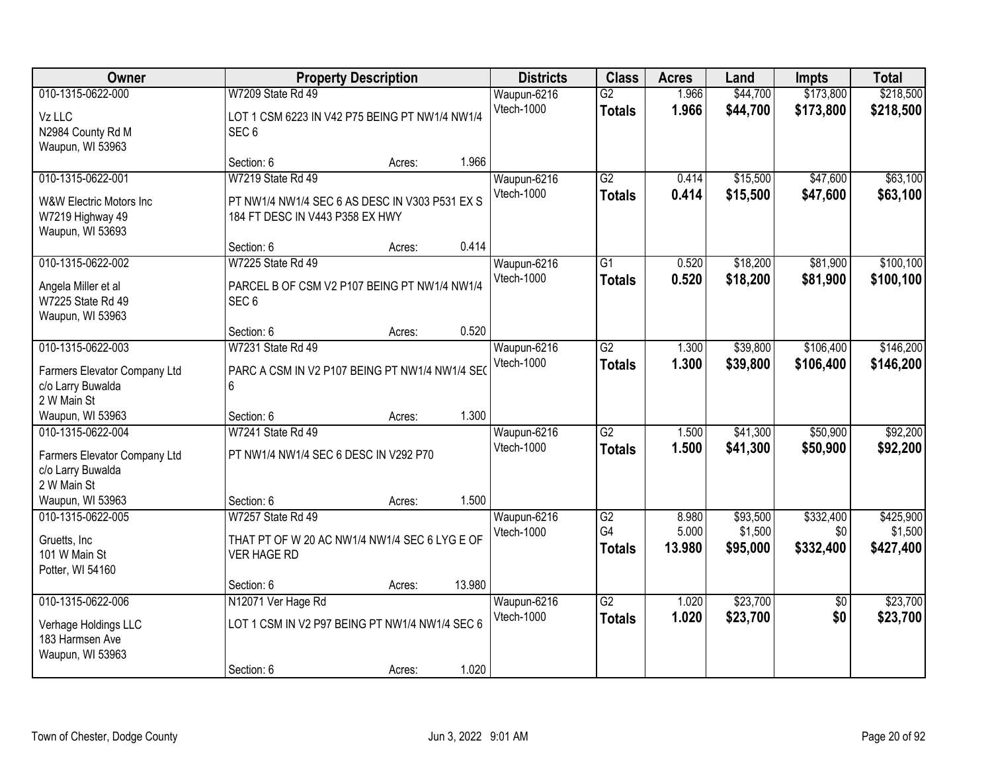| Owner                                                                                                     |                                                                                                        | <b>Property Description</b> |        | <b>Districts</b>          | <b>Class</b>                     | <b>Acres</b>             | Land                            | <b>Impts</b>                   | <b>Total</b>                      |
|-----------------------------------------------------------------------------------------------------------|--------------------------------------------------------------------------------------------------------|-----------------------------|--------|---------------------------|----------------------------------|--------------------------|---------------------------------|--------------------------------|-----------------------------------|
| 010-1315-0622-000<br>Vz LLC<br>N2984 County Rd M<br>Waupun, WI 53963                                      | W7209 State Rd 49<br>LOT 1 CSM 6223 IN V42 P75 BEING PT NW1/4 NW1/4<br>SEC <sub>6</sub>                |                             |        | Waupun-6216<br>Vtech-1000 | $\overline{G2}$<br><b>Totals</b> | 1.966<br>1.966           | \$44,700<br>\$44,700            | \$173,800<br>\$173,800         | \$218,500<br>\$218,500            |
|                                                                                                           | Section: 6                                                                                             | Acres:                      | 1.966  |                           |                                  |                          |                                 |                                |                                   |
| 010-1315-0622-001<br>W&W Electric Motors Inc<br>W7219 Highway 49<br>Waupun, WI 53693                      | W7219 State Rd 49<br>PT NW1/4 NW1/4 SEC 6 AS DESC IN V303 P531 EX S<br>184 FT DESC IN V443 P358 EX HWY |                             |        | Waupun-6216<br>Vtech-1000 | $\overline{G2}$<br><b>Totals</b> | 0.414<br>0.414           | \$15,500<br>\$15,500            | \$47,600<br>\$47,600           | \$63,100<br>\$63,100              |
|                                                                                                           | Section: 6                                                                                             | Acres:                      | 0.414  |                           |                                  |                          |                                 |                                |                                   |
| 010-1315-0622-002<br>Angela Miller et al<br>W7225 State Rd 49<br>Waupun, WI 53963                         | W7225 State Rd 49<br>PARCEL B OF CSM V2 P107 BEING PT NW1/4 NW1/4<br>SEC <sub>6</sub>                  |                             |        | Waupun-6216<br>Vtech-1000 | $\overline{G1}$<br><b>Totals</b> | 0.520<br>0.520           | \$18,200<br>\$18,200            | \$81,900<br>\$81,900           | \$100, 100<br>\$100,100           |
|                                                                                                           | Section: 6                                                                                             | Acres:                      | 0.520  |                           |                                  |                          |                                 |                                |                                   |
| 010-1315-0622-003<br>Farmers Elevator Company Ltd<br>c/o Larry Buwalda<br>2 W Main St                     | W7231 State Rd 49<br>PARC A CSM IN V2 P107 BEING PT NW1/4 NW1/4 SEO<br>6                               |                             |        | Waupun-6216<br>Vtech-1000 | $\overline{G2}$<br><b>Totals</b> | 1.300<br>1.300           | \$39,800<br>\$39,800            | \$106,400<br>\$106,400         | \$146,200<br>\$146,200            |
| Waupun, WI 53963                                                                                          | Section: 6                                                                                             | Acres:                      | 1.300  |                           |                                  |                          |                                 |                                |                                   |
| 010-1315-0622-004<br>Farmers Elevator Company Ltd<br>c/o Larry Buwalda<br>2 W Main St<br>Waupun, WI 53963 | W7241 State Rd 49<br>PT NW1/4 NW1/4 SEC 6 DESC IN V292 P70<br>Section: 6                               | Acres:                      | 1.500  | Waupun-6216<br>Vtech-1000 | $\overline{G2}$<br><b>Totals</b> | 1.500<br>1.500           | \$41,300<br>\$41,300            | \$50,900<br>\$50,900           | \$92,200<br>\$92,200              |
| 010-1315-0622-005<br>Gruetts, Inc.<br>101 W Main St<br>Potter, WI 54160                                   | W7257 State Rd 49<br>THAT PT OF W 20 AC NW1/4 NW1/4 SEC 6 LYG E OF<br><b>VER HAGE RD</b>               |                             |        | Waupun-6216<br>Vtech-1000 | G2<br>G4<br><b>Totals</b>        | 8.980<br>5.000<br>13.980 | \$93,500<br>\$1,500<br>\$95,000 | \$332,400<br>\$0 <br>\$332,400 | \$425,900<br>\$1,500<br>\$427,400 |
|                                                                                                           | Section: 6                                                                                             | Acres:                      | 13.980 |                           |                                  |                          |                                 |                                |                                   |
| 010-1315-0622-006<br>Verhage Holdings LLC<br>183 Harmsen Ave<br>Waupun, WI 53963                          | N12071 Ver Hage Rd<br>LOT 1 CSM IN V2 P97 BEING PT NW1/4 NW1/4 SEC 6<br>Section: 6                     | Acres:                      | 1.020  | Waupun-6216<br>Vtech-1000 | $\overline{G2}$<br><b>Totals</b> | 1.020<br>1.020           | \$23,700<br>\$23,700            | $\overline{50}$<br>\$0         | \$23,700<br>\$23,700              |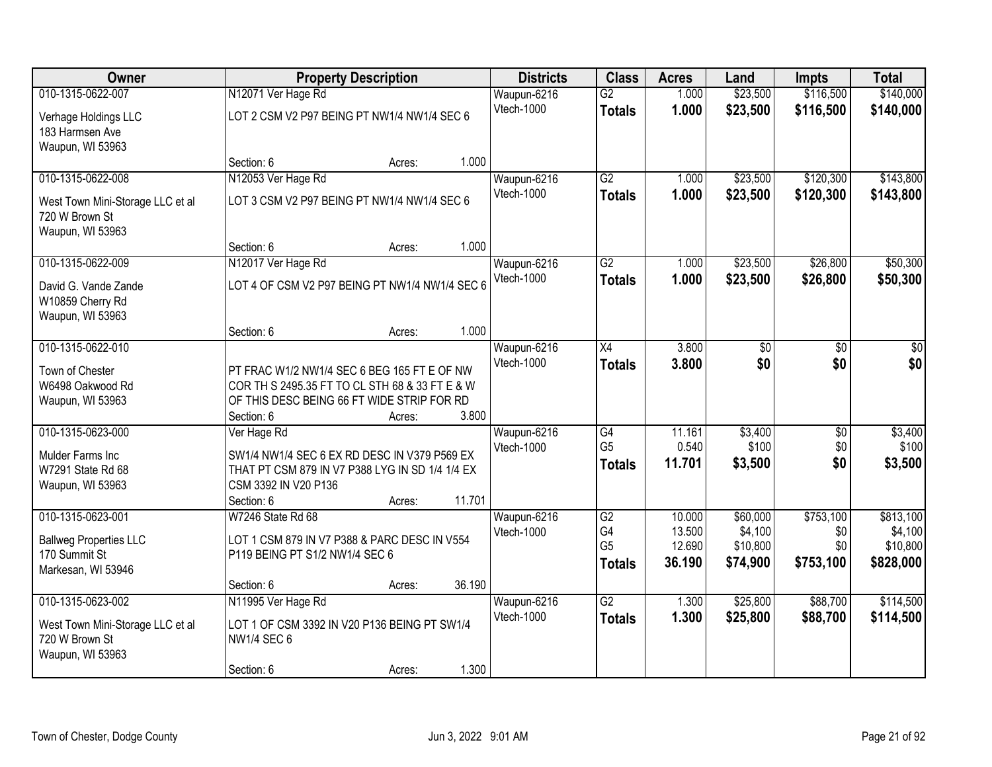| Owner                                              |                                                                    | <b>Property Description</b> |        | <b>Districts</b>          | <b>Class</b>    | <b>Acres</b>     | Land                | <b>Impts</b>     | <b>Total</b>         |
|----------------------------------------------------|--------------------------------------------------------------------|-----------------------------|--------|---------------------------|-----------------|------------------|---------------------|------------------|----------------------|
| 010-1315-0622-007                                  | N12071 Ver Hage Rd                                                 |                             |        | Waupun-6216               | $\overline{G2}$ | 1.000            | \$23,500            | \$116,500        | \$140,000            |
| Verhage Holdings LLC                               | LOT 2 CSM V2 P97 BEING PT NW1/4 NW1/4 SEC 6                        |                             |        | Vtech-1000                | <b>Totals</b>   | 1.000            | \$23,500            | \$116,500        | \$140,000            |
| 183 Harmsen Ave                                    |                                                                    |                             |        |                           |                 |                  |                     |                  |                      |
| Waupun, WI 53963                                   | Section: 6                                                         | Acres:                      | 1.000  |                           |                 |                  |                     |                  |                      |
| 010-1315-0622-008                                  | N12053 Ver Hage Rd                                                 |                             |        | Waupun-6216               | $\overline{G2}$ | 1.000            | \$23,500            | \$120,300        | \$143,800            |
|                                                    |                                                                    |                             |        | Vtech-1000                | <b>Totals</b>   | 1.000            | \$23,500            | \$120,300        | \$143,800            |
| West Town Mini-Storage LLC et al                   | LOT 3 CSM V2 P97 BEING PT NW1/4 NW1/4 SEC 6                        |                             |        |                           |                 |                  |                     |                  |                      |
| 720 W Brown St<br>Waupun, WI 53963                 |                                                                    |                             |        |                           |                 |                  |                     |                  |                      |
|                                                    | Section: 6                                                         | Acres:                      | 1.000  |                           |                 |                  |                     |                  |                      |
| 010-1315-0622-009                                  | N12017 Ver Hage Rd                                                 |                             |        | Waupun-6216               | $\overline{G2}$ | 1.000            | \$23,500            | \$26,800         | \$50,300             |
| David G. Vande Zande                               | LOT 4 OF CSM V2 P97 BEING PT NW1/4 NW1/4 SEC 6                     |                             |        | Vtech-1000                | <b>Totals</b>   | 1.000            | \$23,500            | \$26,800         | \$50,300             |
| W10859 Cherry Rd                                   |                                                                    |                             |        |                           |                 |                  |                     |                  |                      |
| Waupun, WI 53963                                   |                                                                    |                             |        |                           |                 |                  |                     |                  |                      |
|                                                    | Section: 6                                                         | Acres:                      | 1.000  |                           |                 |                  |                     |                  |                      |
| 010-1315-0622-010                                  |                                                                    |                             |        | Waupun-6216               | $\overline{X4}$ | 3.800            | \$0                 | \$0              | \$0                  |
| Town of Chester                                    | PT FRAC W1/2 NW1/4 SEC 6 BEG 165 FT E OF NW                        |                             |        | Vtech-1000                | <b>Totals</b>   | 3.800            | \$0                 | \$0              | \$0                  |
| W6498 Oakwood Rd                                   | COR TH S 2495.35 FT TO CL STH 68 & 33 FT E & W                     |                             |        |                           |                 |                  |                     |                  |                      |
| Waupun, WI 53963                                   | OF THIS DESC BEING 66 FT WIDE STRIP FOR RD                         |                             |        |                           |                 |                  |                     |                  |                      |
|                                                    | Section: 6                                                         | Acres:                      | 3.800  |                           |                 |                  |                     |                  |                      |
| 010-1315-0623-000                                  | Ver Hage Rd                                                        |                             |        | Waupun-6216               | G4              | 11.161           | \$3,400             | \$0              | \$3,400              |
| Mulder Farms Inc                                   | SW1/4 NW1/4 SEC 6 EX RD DESC IN V379 P569 EX                       |                             |        | Vtech-1000                | G <sub>5</sub>  | 0.540            | \$100               | \$0<br>\$0       | \$100                |
| W7291 State Rd 68                                  | THAT PT CSM 879 IN V7 P388 LYG IN SD 1/4 1/4 EX                    |                             |        |                           | <b>Totals</b>   | 11.701           | \$3,500             |                  | \$3,500              |
| Waupun, WI 53963                                   | CSM 3392 IN V20 P136                                               |                             |        |                           |                 |                  |                     |                  |                      |
|                                                    | Section: 6                                                         | Acres:                      | 11.701 |                           |                 |                  |                     |                  |                      |
| 010-1315-0623-001                                  | W7246 State Rd 68                                                  |                             |        | Waupun-6216<br>Vtech-1000 | G2<br>G4        | 10.000<br>13.500 | \$60,000<br>\$4,100 | \$753,100<br>\$0 | \$813,100<br>\$4,100 |
| <b>Ballweg Properties LLC</b>                      | LOT 1 CSM 879 IN V7 P388 & PARC DESC IN V554                       |                             |        |                           | G <sub>5</sub>  | 12.690           | \$10,800            | \$0              | \$10,800             |
| 170 Summit St                                      | P119 BEING PT S1/2 NW1/4 SEC 6                                     |                             |        |                           | <b>Totals</b>   | 36.190           | \$74,900            | \$753,100        | \$828,000            |
| Markesan, WI 53946                                 | Section: 6                                                         | Acres:                      | 36.190 |                           |                 |                  |                     |                  |                      |
| 010-1315-0623-002                                  | N11995 Ver Hage Rd                                                 |                             |        | Waupun-6216               | $\overline{G2}$ | 1.300            | \$25,800            | \$88,700         | \$114,500            |
|                                                    |                                                                    |                             |        | Vtech-1000                | <b>Totals</b>   | 1.300            | \$25,800            | \$88,700         | \$114,500            |
| West Town Mini-Storage LLC et al<br>720 W Brown St | LOT 1 OF CSM 3392 IN V20 P136 BEING PT SW1/4<br><b>NW1/4 SEC 6</b> |                             |        |                           |                 |                  |                     |                  |                      |
| Waupun, WI 53963                                   |                                                                    |                             |        |                           |                 |                  |                     |                  |                      |
|                                                    | Section: 6                                                         | Acres:                      | 1.300  |                           |                 |                  |                     |                  |                      |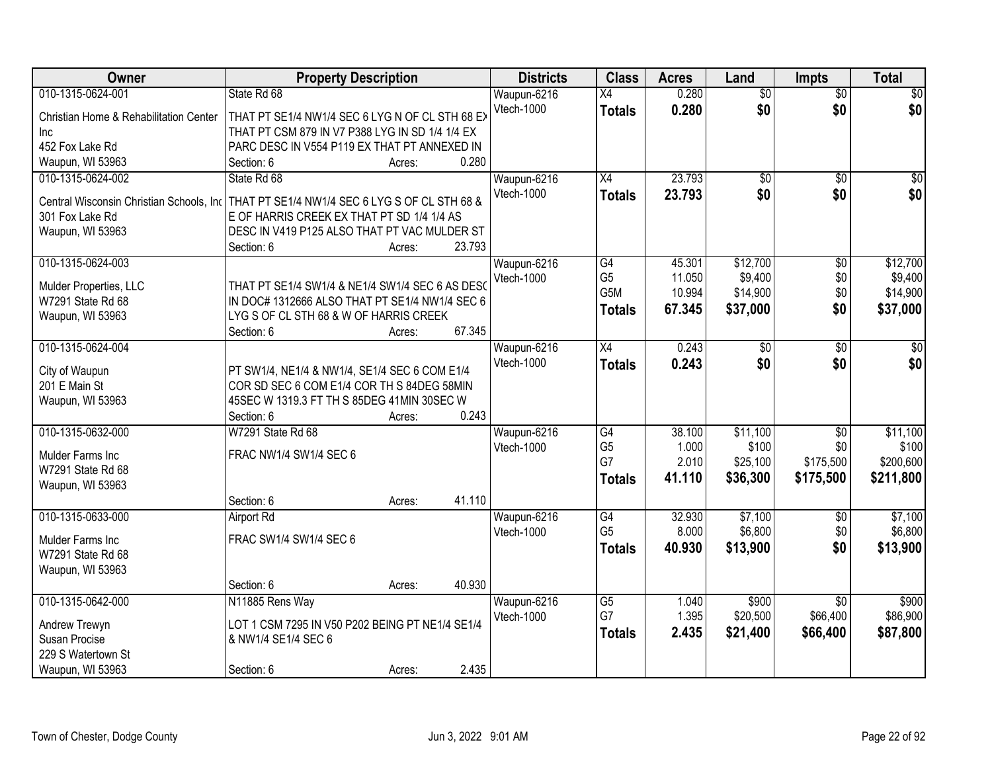| Owner                                       | <b>Property Description</b>                                                                       |                  | <b>Districts</b> | <b>Class</b>                      | <b>Acres</b>    | Land              | <b>Impts</b>           | <b>Total</b>      |
|---------------------------------------------|---------------------------------------------------------------------------------------------------|------------------|------------------|-----------------------------------|-----------------|-------------------|------------------------|-------------------|
| 010-1315-0624-001                           | State Rd 68                                                                                       |                  | Waupun-6216      | $\overline{X4}$                   | 0.280           | $\overline{60}$   | $\overline{50}$        | \$0               |
| Christian Home & Rehabilitation Center      | THAT PT SE1/4 NW1/4 SEC 6 LYG N OF CL STH 68 EX                                                   |                  | Vtech-1000       | <b>Totals</b>                     | 0.280           | \$0               | \$0                    | \$0               |
| Inc.                                        | THAT PT CSM 879 IN V7 P388 LYG IN SD 1/4 1/4 EX                                                   |                  |                  |                                   |                 |                   |                        |                   |
| 452 Fox Lake Rd                             | PARC DESC IN V554 P119 EX THAT PT ANNEXED IN                                                      |                  |                  |                                   |                 |                   |                        |                   |
| Waupun, WI 53963                            | Section: 6                                                                                        | 0.280<br>Acres:  |                  |                                   |                 |                   |                        |                   |
| 010-1315-0624-002                           | State Rd 68                                                                                       |                  | Waupun-6216      | X4                                | 23.793          | $\overline{50}$   | $\overline{50}$        | \$0               |
| Central Wisconsin Christian Schools, Inc.   | THAT PT SE1/4 NW1/4 SEC 6 LYG S OF CL STH 68 &                                                    |                  | Vtech-1000       | <b>Totals</b>                     | 23.793          | \$0               | \$0                    | \$0               |
| 301 Fox Lake Rd                             | E OF HARRIS CREEK EX THAT PT SD 1/4 1/4 AS                                                        |                  |                  |                                   |                 |                   |                        |                   |
| Waupun, WI 53963                            | DESC IN V419 P125 ALSO THAT PT VAC MULDER ST                                                      |                  |                  |                                   |                 |                   |                        |                   |
|                                             | Section: 6                                                                                        | 23.793<br>Acres: |                  |                                   |                 |                   |                        |                   |
| 010-1315-0624-003                           |                                                                                                   |                  | Waupun-6216      | $\overline{G4}$                   | 45.301          | \$12,700          | $\overline{50}$        | \$12,700          |
|                                             |                                                                                                   |                  | Vtech-1000       | G <sub>5</sub>                    | 11.050          | \$9,400           | \$0                    | \$9,400           |
| Mulder Properties, LLC<br>W7291 State Rd 68 | THAT PT SE1/4 SW1/4 & NE1/4 SW1/4 SEC 6 AS DESO<br>IN DOC# 1312666 ALSO THAT PT SE1/4 NW1/4 SEC 6 |                  |                  | G <sub>5</sub> M                  | 10.994          | \$14,900          | \$0                    | \$14,900          |
| Waupun, WI 53963                            | LYG S OF CL STH 68 & W OF HARRIS CREEK                                                            |                  |                  | <b>Totals</b>                     | 67.345          | \$37,000          | \$0                    | \$37,000          |
|                                             | Section: 6                                                                                        | 67.345<br>Acres: |                  |                                   |                 |                   |                        |                   |
| 010-1315-0624-004                           |                                                                                                   |                  | Waupun-6216      | X4                                | 0.243           | \$0               | \$0                    | \$0               |
|                                             |                                                                                                   |                  | Vtech-1000       | <b>Totals</b>                     | 0.243           | \$0               | \$0                    | \$0               |
| City of Waupun                              | PT SW1/4, NE1/4 & NW1/4, SE1/4 SEC 6 COM E1/4                                                     |                  |                  |                                   |                 |                   |                        |                   |
| 201 E Main St                               | COR SD SEC 6 COM E1/4 COR TH S 84DEG 58MIN                                                        |                  |                  |                                   |                 |                   |                        |                   |
| Waupun, WI 53963                            | 45SEC W 1319.3 FT TH S 85DEG 41MIN 30SEC W                                                        |                  |                  |                                   |                 |                   |                        |                   |
|                                             | Section: 6<br>W7291 State Rd 68                                                                   | 0.243<br>Acres:  |                  |                                   |                 |                   |                        |                   |
| 010-1315-0632-000                           |                                                                                                   |                  | Waupun-6216      | $\overline{G4}$<br>G <sub>5</sub> | 38.100<br>1.000 | \$11,100<br>\$100 | $\overline{50}$<br>\$0 | \$11,100<br>\$100 |
| Mulder Farms Inc                            | FRAC NW1/4 SW1/4 SEC 6                                                                            |                  | Vtech-1000       | G7                                | 2.010           | \$25,100          | \$175,500              | \$200,600         |
| W7291 State Rd 68                           |                                                                                                   |                  |                  | <b>Totals</b>                     | 41.110          | \$36,300          | \$175,500              | \$211,800         |
| Waupun, WI 53963                            |                                                                                                   |                  |                  |                                   |                 |                   |                        |                   |
|                                             | Section: 6                                                                                        | 41.110<br>Acres: |                  |                                   |                 |                   |                        |                   |
| 010-1315-0633-000                           | Airport Rd                                                                                        |                  | Waupun-6216      | G4                                | 32.930          | \$7,100           | \$0                    | \$7,100           |
| Mulder Farms Inc                            | FRAC SW1/4 SW1/4 SEC 6                                                                            |                  | Vtech-1000       | G <sub>5</sub>                    | 8.000           | \$6,800           | \$0                    | \$6,800           |
| W7291 State Rd 68                           |                                                                                                   |                  |                  | <b>Totals</b>                     | 40.930          | \$13,900          | \$0                    | \$13,900          |
| Waupun, WI 53963                            |                                                                                                   |                  |                  |                                   |                 |                   |                        |                   |
|                                             | Section: 6                                                                                        | 40.930<br>Acres: |                  |                                   |                 |                   |                        |                   |
| 010-1315-0642-000                           | N11885 Rens Way                                                                                   |                  | Waupun-6216      | $\overline{G5}$                   | 1.040           | \$900             | $\overline{30}$        | \$900             |
| Andrew Trewyn                               | LOT 1 CSM 7295 IN V50 P202 BEING PT NE1/4 SE1/4                                                   |                  | Vtech-1000       | G7                                | 1.395           | \$20,500          | \$66,400               | \$86,900          |
| Susan Procise                               | & NW1/4 SE1/4 SEC 6                                                                               |                  |                  | <b>Totals</b>                     | 2.435           | \$21,400          | \$66,400               | \$87,800          |
| 229 S Watertown St                          |                                                                                                   |                  |                  |                                   |                 |                   |                        |                   |
| Waupun, WI 53963                            | Section: 6                                                                                        | 2.435<br>Acres:  |                  |                                   |                 |                   |                        |                   |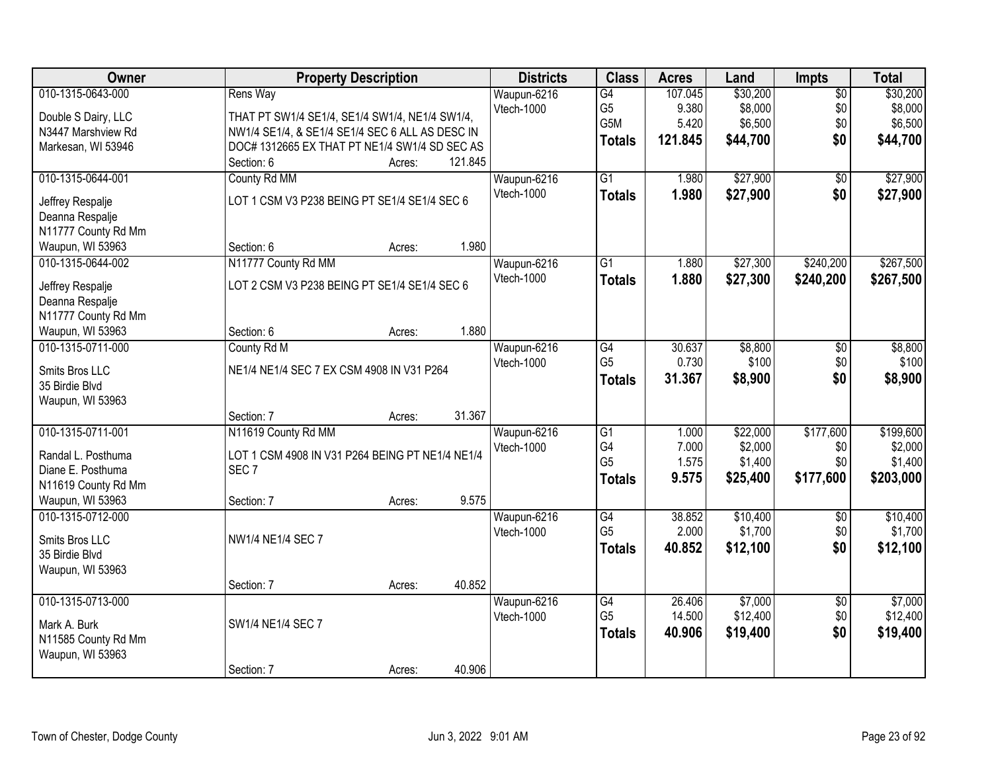| Owner                                 | <b>Property Description</b>                     | <b>Districts</b>          | <b>Class</b>    | <b>Acres</b>    | Land     | Impts                  | <b>Total</b> |
|---------------------------------------|-------------------------------------------------|---------------------------|-----------------|-----------------|----------|------------------------|--------------|
| 010-1315-0643-000                     | Rens Way                                        | Waupun-6216               | G4              | 107.045         | \$30,200 | $\overline{50}$        | \$30,200     |
| Double S Dairy, LLC                   | THAT PT SW1/4 SE1/4, SE1/4 SW1/4, NE1/4 SW1/4,  | Vtech-1000                | G <sub>5</sub>  | 9.380           | \$8,000  | \$0                    | \$8,000      |
| N3447 Marshview Rd                    | NW1/4 SE1/4, & SE1/4 SE1/4 SEC 6 ALL AS DESC IN |                           | G5M             | 5.420           | \$6,500  | \$0                    | \$6,500      |
| Markesan, WI 53946                    | DOC# 1312665 EX THAT PT NE1/4 SW1/4 SD SEC AS   |                           | <b>Totals</b>   | 121.845         | \$44,700 | \$0                    | \$44,700     |
|                                       | Section: 6<br>121.845<br>Acres:                 |                           |                 |                 |          |                        |              |
| 010-1315-0644-001                     | County Rd MM                                    | Waupun-6216               | $\overline{G1}$ | 1.980           | \$27,900 | $\overline{50}$        | \$27,900     |
| Jeffrey Respalje                      | LOT 1 CSM V3 P238 BEING PT SE1/4 SE1/4 SEC 6    | Vtech-1000                | <b>Totals</b>   | 1.980           | \$27,900 | \$0                    | \$27,900     |
| Deanna Respalje                       |                                                 |                           |                 |                 |          |                        |              |
| N11777 County Rd Mm                   |                                                 |                           |                 |                 |          |                        |              |
| Waupun, WI 53963                      | 1.980<br>Section: 6<br>Acres:                   |                           |                 |                 |          |                        |              |
| 010-1315-0644-002                     | N11777 County Rd MM                             | Waupun-6216               | G1              | 1.880           | \$27,300 | \$240,200              | \$267,500    |
| Jeffrey Respalje                      | LOT 2 CSM V3 P238 BEING PT SE1/4 SE1/4 SEC 6    | Vtech-1000                | <b>Totals</b>   | 1.880           | \$27,300 | \$240,200              | \$267,500    |
| Deanna Respalje                       |                                                 |                           |                 |                 |          |                        |              |
| N11777 County Rd Mm                   |                                                 |                           |                 |                 |          |                        |              |
| Waupun, WI 53963                      | 1.880<br>Section: 6<br>Acres:                   |                           |                 |                 |          |                        |              |
| 010-1315-0711-000                     | County Rd M                                     | Waupun-6216               | G4              | 30.637          | \$8,800  | \$0                    | \$8,800      |
| Smits Bros LLC                        | NE1/4 NE1/4 SEC 7 EX CSM 4908 IN V31 P264       | <b>Vtech-1000</b>         | G <sub>5</sub>  | 0.730           | \$100    | \$0                    | \$100        |
| 35 Birdie Blvd                        |                                                 |                           | <b>Totals</b>   | 31.367          | \$8,900  | \$0                    | \$8,900      |
| Waupun, WI 53963                      |                                                 |                           |                 |                 |          |                        |              |
|                                       | 31.367<br>Section: 7<br>Acres:                  |                           |                 |                 |          |                        |              |
| 010-1315-0711-001                     | N11619 County Rd MM                             | Waupun-6216               | $\overline{G1}$ | 1.000           | \$22,000 | \$177,600              | \$199,600    |
|                                       |                                                 | Vtech-1000                | G4              | 7.000           | \$2,000  | \$0                    | \$2,000      |
| Randal L. Posthuma                    | LOT 1 CSM 4908 IN V31 P264 BEING PT NE1/4 NE1/4 |                           | G <sub>5</sub>  | 1.575           | \$1,400  | \$0                    | \$1,400      |
| Diane E. Posthuma                     | SEC <sub>7</sub>                                |                           | <b>Totals</b>   | 9.575           | \$25,400 | \$177,600              | \$203,000    |
| N11619 County Rd Mm                   |                                                 |                           |                 |                 |          |                        |              |
| Waupun, WI 53963<br>010-1315-0712-000 | 9.575<br>Section: 7<br>Acres:                   |                           | $\overline{G4}$ |                 | \$10,400 |                        | \$10,400     |
|                                       |                                                 | Waupun-6216<br>Vtech-1000 | G <sub>5</sub>  | 38.852<br>2.000 | \$1,700  | $\overline{50}$<br>\$0 | \$1,700      |
| Smits Bros LLC                        | NW1/4 NE1/4 SEC 7                               |                           |                 | 40.852          |          | \$0                    | \$12,100     |
| 35 Birdie Blvd                        |                                                 |                           | <b>Totals</b>   |                 | \$12,100 |                        |              |
| Waupun, WI 53963                      |                                                 |                           |                 |                 |          |                        |              |
|                                       | 40.852<br>Section: 7<br>Acres:                  |                           |                 |                 |          |                        |              |
| 010-1315-0713-000                     |                                                 | Waupun-6216               | $\overline{G4}$ | 26.406          | \$7,000  | $\overline{50}$        | \$7,000      |
| Mark A. Burk                          | SW1/4 NE1/4 SEC 7                               | Vtech-1000                | G <sub>5</sub>  | 14.500          | \$12,400 | \$0                    | \$12,400     |
| N11585 County Rd Mm                   |                                                 |                           | <b>Totals</b>   | 40.906          | \$19,400 | \$0                    | \$19,400     |
| Waupun, WI 53963                      |                                                 |                           |                 |                 |          |                        |              |
|                                       | 40.906<br>Section: 7<br>Acres:                  |                           |                 |                 |          |                        |              |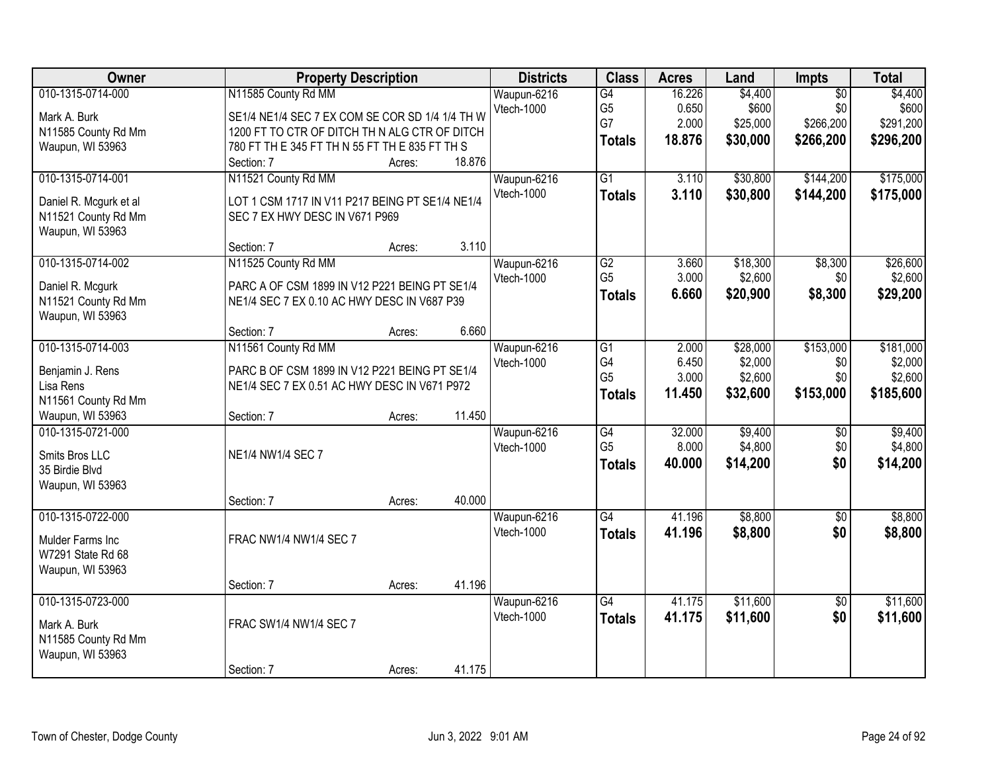| Owner                                                                                         | <b>Property Description</b>                                                                                                                                                                                 | <b>Districts</b>          | <b>Class</b>                                             | <b>Acres</b>                       | Land                                       | Impts                                            | <b>Total</b>                                 |
|-----------------------------------------------------------------------------------------------|-------------------------------------------------------------------------------------------------------------------------------------------------------------------------------------------------------------|---------------------------|----------------------------------------------------------|------------------------------------|--------------------------------------------|--------------------------------------------------|----------------------------------------------|
| 010-1315-0714-000<br>Mark A. Burk<br>N11585 County Rd Mm<br>Waupun, WI 53963                  | N11585 County Rd MM<br>SE1/4 NE1/4 SEC 7 EX COM SE COR SD 1/4 1/4 TH W<br>1200 FT TO CTR OF DITCH TH N ALG CTR OF DITCH<br>780 FT TH E 345 FT TH N 55 FT TH E 835 FT TH S<br>18.876<br>Section: 7<br>Acres: | Waupun-6216<br>Vtech-1000 | G4<br>G <sub>5</sub><br>G7<br><b>Totals</b>              | 16.226<br>0.650<br>2.000<br>18.876 | \$4,400<br>\$600<br>\$25,000<br>\$30,000   | $\overline{50}$<br>\$0<br>\$266,200<br>\$266,200 | \$4,400<br>\$600<br>\$291,200<br>\$296,200   |
| 010-1315-0714-001<br>Daniel R. Mcgurk et al<br>N11521 County Rd Mm<br>Waupun, WI 53963        | N11521 County Rd MM<br>LOT 1 CSM 1717 IN V11 P217 BEING PT SE1/4 NE1/4<br>SEC 7 EX HWY DESC IN V671 P969<br>3.110<br>Section: 7<br>Acres:                                                                   | Waupun-6216<br>Vtech-1000 | $\overline{G1}$<br><b>Totals</b>                         | 3.110<br>3.110                     | \$30,800<br>\$30,800                       | \$144,200<br>\$144,200                           | \$175,000<br>\$175,000                       |
| 010-1315-0714-002<br>Daniel R. Mcgurk<br>N11521 County Rd Mm<br>Waupun, WI 53963              | N11525 County Rd MM<br>PARC A OF CSM 1899 IN V12 P221 BEING PT SE1/4<br>NE1/4 SEC 7 EX 0.10 AC HWY DESC IN V687 P39<br>6.660<br>Section: 7<br>Acres:                                                        | Waupun-6216<br>Vtech-1000 | $\overline{G2}$<br>G <sub>5</sub><br><b>Totals</b>       | 3.660<br>3.000<br>6.660            | \$18,300<br>\$2,600<br>\$20,900            | \$8,300<br>\$0<br>\$8,300                        | \$26,600<br>\$2,600<br>\$29,200              |
| 010-1315-0714-003<br>Benjamin J. Rens<br>Lisa Rens<br>N11561 County Rd Mm<br>Waupun, WI 53963 | N11561 County Rd MM<br>PARC B OF CSM 1899 IN V12 P221 BEING PT SE1/4<br>NE1/4 SEC 7 EX 0.51 AC HWY DESC IN V671 P972<br>11.450<br>Section: 7<br>Acres:                                                      | Waupun-6216<br>Vtech-1000 | $\overline{G1}$<br>G4<br>G <sub>5</sub><br><b>Totals</b> | 2.000<br>6.450<br>3.000<br>11.450  | \$28,000<br>\$2,000<br>\$2,600<br>\$32,600 | \$153,000<br>\$0<br>\$0<br>\$153,000             | \$181,000<br>\$2,000<br>\$2,600<br>\$185,600 |
| 010-1315-0721-000<br>Smits Bros LLC<br>35 Birdie Blvd<br>Waupun, WI 53963                     | NE1/4 NW1/4 SEC 7<br>40.000<br>Section: 7<br>Acres:                                                                                                                                                         | Waupun-6216<br>Vtech-1000 | G4<br>G <sub>5</sub><br><b>Totals</b>                    | 32.000<br>8.000<br>40.000          | \$9,400<br>\$4,800<br>\$14,200             | $\overline{60}$<br>\$0<br>\$0                    | \$9,400<br>\$4,800<br>\$14,200               |
| 010-1315-0722-000<br>Mulder Farms Inc<br>W7291 State Rd 68<br>Waupun, WI 53963                | FRAC NW1/4 NW1/4 SEC 7                                                                                                                                                                                      | Waupun-6216<br>Vtech-1000 | G4<br><b>Totals</b>                                      | 41.196<br>41.196                   | \$8,800<br>\$8,800                         | $\sqrt{6}$<br>\$0                                | \$8,800<br>\$8,800                           |
| 010-1315-0723-000<br>Mark A. Burk<br>N11585 County Rd Mm<br>Waupun, WI 53963                  | 41.196<br>Section: 7<br>Acres:<br>FRAC SW1/4 NW1/4 SEC 7<br>41.175<br>Section: 7<br>Acres:                                                                                                                  | Waupun-6216<br>Vtech-1000 | $\overline{G4}$<br><b>Totals</b>                         | 41.175<br>41.175                   | \$11,600<br>\$11,600                       | $\overline{50}$<br>\$0                           | \$11,600<br>\$11,600                         |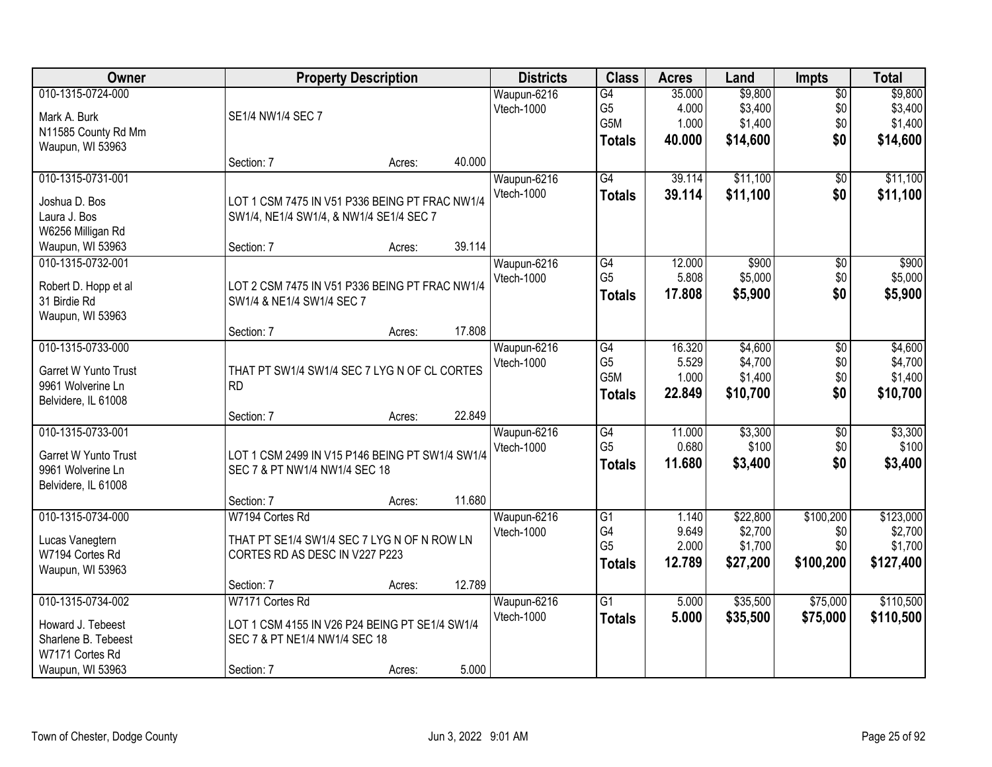| Owner                                 | <b>Property Description</b>                     |        |        | <b>Districts</b>  | <b>Class</b>    | <b>Acres</b> | Land     | <b>Impts</b>    | <b>Total</b> |
|---------------------------------------|-------------------------------------------------|--------|--------|-------------------|-----------------|--------------|----------|-----------------|--------------|
| 010-1315-0724-000                     |                                                 |        |        | Waupun-6216       | $\overline{G4}$ | 35.000       | \$9,800  | $\overline{$0}$ | \$9,800      |
| Mark A. Burk                          | SE1/4 NW1/4 SEC 7                               |        |        | Vtech-1000        | G <sub>5</sub>  | 4.000        | \$3,400  | \$0             | \$3,400      |
| N11585 County Rd Mm                   |                                                 |        |        |                   | G5M             | 1.000        | \$1,400  | \$0             | \$1,400      |
| Waupun, WI 53963                      |                                                 |        |        |                   | <b>Totals</b>   | 40.000       | \$14,600 | \$0             | \$14,600     |
|                                       | Section: 7                                      | Acres: | 40.000 |                   |                 |              |          |                 |              |
| 010-1315-0731-001                     |                                                 |        |        | Waupun-6216       | G4              | 39.114       | \$11,100 | \$0             | \$11,100     |
|                                       |                                                 |        |        | Vtech-1000        | <b>Totals</b>   | 39.114       | \$11,100 | \$0             | \$11,100     |
| Joshua D. Bos                         | LOT 1 CSM 7475 IN V51 P336 BEING PT FRAC NW1/4  |        |        |                   |                 |              |          |                 |              |
| Laura J. Bos                          | SW1/4, NE1/4 SW1/4, & NW1/4 SE1/4 SEC 7         |        |        |                   |                 |              |          |                 |              |
| W6256 Milligan Rd<br>Waupun, WI 53963 | Section: 7                                      | Acres: | 39.114 |                   |                 |              |          |                 |              |
| 010-1315-0732-001                     |                                                 |        |        | Waupun-6216       | $\overline{G4}$ | 12.000       | \$900    |                 | \$900        |
|                                       |                                                 |        |        | Vtech-1000        | G <sub>5</sub>  | 5.808        | \$5,000  | \$0<br>\$0      | \$5,000      |
| Robert D. Hopp et al                  | LOT 2 CSM 7475 IN V51 P336 BEING PT FRAC NW1/4  |        |        |                   |                 | 17,808       | \$5,900  | \$0             | \$5,900      |
| 31 Birdie Rd                          | SW1/4 & NE1/4 SW1/4 SEC 7                       |        |        |                   | <b>Totals</b>   |              |          |                 |              |
| Waupun, WI 53963                      |                                                 |        |        |                   |                 |              |          |                 |              |
|                                       | Section: 7                                      | Acres: | 17.808 |                   |                 |              |          |                 |              |
| 010-1315-0733-000                     |                                                 |        |        | Waupun-6216       | $\overline{G4}$ | 16.320       | \$4,600  | \$0             | \$4,600      |
| <b>Garret W Yunto Trust</b>           | THAT PT SW1/4 SW1/4 SEC 7 LYG N OF CL CORTES    |        |        | Vtech-1000        | G <sub>5</sub>  | 5.529        | \$4,700  | \$0             | \$4,700      |
| 9961 Wolverine Ln                     | <b>RD</b>                                       |        |        |                   | G5M             | 1.000        | \$1,400  | \$0             | \$1,400      |
| Belvidere, IL 61008                   |                                                 |        |        |                   | <b>Totals</b>   | 22.849       | \$10,700 | \$0             | \$10,700     |
|                                       | Section: 7                                      | Acres: | 22.849 |                   |                 |              |          |                 |              |
| 010-1315-0733-001                     |                                                 |        |        | Waupun-6216       | $\overline{G4}$ | 11.000       | \$3,300  | $\overline{50}$ | \$3,300      |
|                                       |                                                 |        |        | Vtech-1000        | G <sub>5</sub>  | 0.680        | \$100    | \$0             | \$100        |
| Garret W Yunto Trust                  | LOT 1 CSM 2499 IN V15 P146 BEING PT SW1/4 SW1/4 |        |        |                   | <b>Totals</b>   | 11.680       | \$3,400  | \$0             | \$3,400      |
| 9961 Wolverine Ln                     | SEC 7 & PT NW1/4 NW1/4 SEC 18                   |        |        |                   |                 |              |          |                 |              |
| Belvidere, IL 61008                   |                                                 |        |        |                   |                 |              |          |                 |              |
|                                       | Section: 7                                      | Acres: | 11.680 |                   |                 |              |          |                 |              |
| 010-1315-0734-000                     | W7194 Cortes Rd                                 |        |        | Waupun-6216       | $\overline{G1}$ | 1.140        | \$22,800 | \$100,200       | \$123,000    |
| Lucas Vanegtern                       | THAT PT SE1/4 SW1/4 SEC 7 LYG N OF N ROW LN     |        |        | Vtech-1000        | G4              | 9.649        | \$2,700  | \$0             | \$2,700      |
| W7194 Cortes Rd                       | CORTES RD AS DESC IN V227 P223                  |        |        |                   | G <sub>5</sub>  | 2.000        | \$1,700  | \$0             | \$1,700      |
| Waupun, WI 53963                      |                                                 |        |        |                   | <b>Totals</b>   | 12.789       | \$27,200 | \$100,200       | \$127,400    |
|                                       | Section: 7                                      | Acres: | 12.789 |                   |                 |              |          |                 |              |
| 010-1315-0734-002                     | W7171 Cortes Rd                                 |        |        | Waupun-6216       | $\overline{G1}$ | 5.000        | \$35,500 | \$75,000        | \$110,500    |
| Howard J. Tebeest                     | LOT 1 CSM 4155 IN V26 P24 BEING PT SE1/4 SW1/4  |        |        | <b>Vtech-1000</b> | <b>Totals</b>   | 5.000        | \$35,500 | \$75,000        | \$110,500    |
| Sharlene B. Tebeest                   | SEC 7 & PT NE1/4 NW1/4 SEC 18                   |        |        |                   |                 |              |          |                 |              |
| W7171 Cortes Rd                       |                                                 |        |        |                   |                 |              |          |                 |              |
| Waupun, WI 53963                      | Section: 7                                      | Acres: | 5.000  |                   |                 |              |          |                 |              |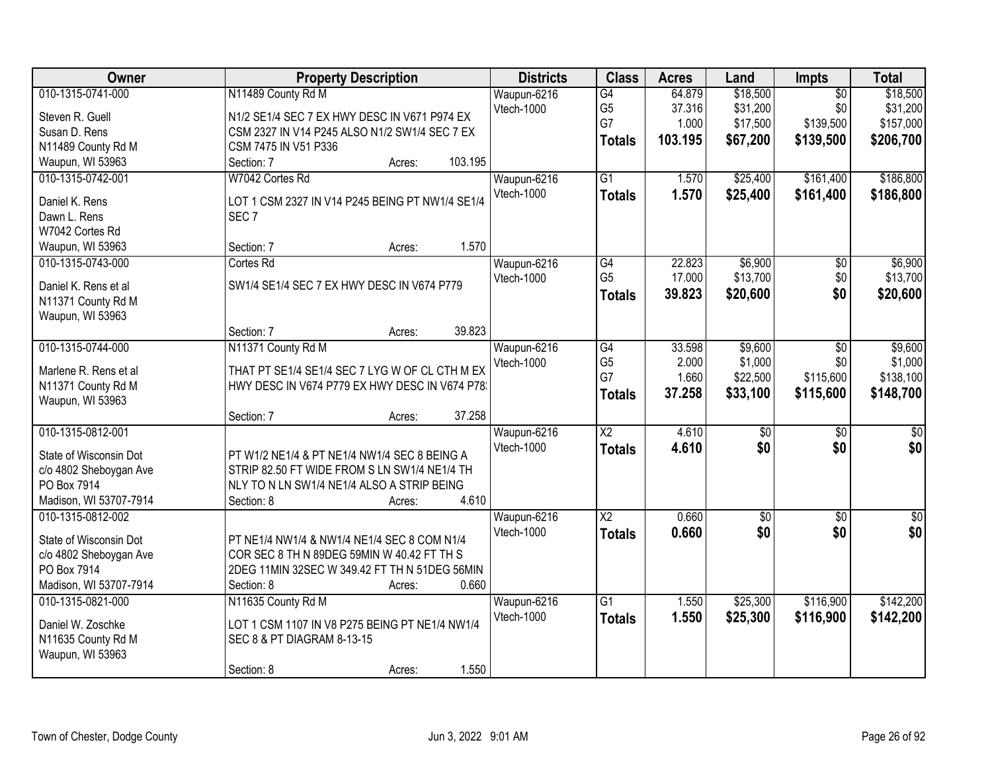| Owner                  | <b>Property Description</b>                     | <b>Districts</b> | <b>Class</b>           | <b>Acres</b> | Land            | Impts           | <b>Total</b>    |
|------------------------|-------------------------------------------------|------------------|------------------------|--------------|-----------------|-----------------|-----------------|
| 010-1315-0741-000      | N11489 County Rd M                              | Waupun-6216      | G4                     | 64.879       | \$18,500        | $\overline{50}$ | \$18,500        |
| Steven R. Guell        | N1/2 SE1/4 SEC 7 EX HWY DESC IN V671 P974 EX    | Vtech-1000       | G <sub>5</sub>         | 37.316       | \$31,200        | \$0             | \$31,200        |
| Susan D. Rens          | CSM 2327 IN V14 P245 ALSO N1/2 SW1/4 SEC 7 EX   |                  | G7                     | 1.000        | \$17,500        | \$139,500       | \$157,000       |
| N11489 County Rd M     | CSM 7475 IN V51 P336                            |                  | <b>Totals</b>          | 103.195      | \$67,200        | \$139,500       | \$206,700       |
| Waupun, WI 53963       | 103.195<br>Section: 7<br>Acres:                 |                  |                        |              |                 |                 |                 |
| 010-1315-0742-001      | W7042 Cortes Rd                                 | Waupun-6216      | $\overline{G1}$        | 1.570        | \$25,400        | \$161,400       | \$186,800       |
|                        |                                                 | Vtech-1000       | <b>Totals</b>          | 1.570        | \$25,400        | \$161,400       | \$186,800       |
| Daniel K. Rens         | LOT 1 CSM 2327 IN V14 P245 BEING PT NW1/4 SE1/4 |                  |                        |              |                 |                 |                 |
| Dawn L. Rens           | SEC <sub>7</sub>                                |                  |                        |              |                 |                 |                 |
| W7042 Cortes Rd        |                                                 |                  |                        |              |                 |                 |                 |
| Waupun, WI 53963       | 1.570<br>Section: 7<br>Acres:                   |                  |                        |              |                 |                 |                 |
| 010-1315-0743-000      | Cortes Rd                                       | Waupun-6216      | $\overline{G4}$        | 22.823       | \$6,900         | $\overline{50}$ | \$6,900         |
| Daniel K. Rens et al   | SW1/4 SE1/4 SEC 7 EX HWY DESC IN V674 P779      | Vtech-1000       | G <sub>5</sub>         | 17.000       | \$13,700        | \$0             | \$13,700        |
| N11371 County Rd M     |                                                 |                  | <b>Totals</b>          | 39.823       | \$20,600        | \$0             | \$20,600        |
| Waupun, WI 53963       |                                                 |                  |                        |              |                 |                 |                 |
|                        | 39.823<br>Section: 7<br>Acres:                  |                  |                        |              |                 |                 |                 |
| 010-1315-0744-000      | N11371 County Rd M                              | Waupun-6216      | $\overline{G4}$        | 33.598       | \$9,600         | $\overline{50}$ | \$9,600         |
|                        |                                                 | Vtech-1000       | G <sub>5</sub>         | 2.000        | \$1,000         | \$0             | \$1,000         |
| Marlene R. Rens et al  | THAT PT SE1/4 SE1/4 SEC 7 LYG W OF CL CTH M EX  |                  | G7                     | 1.660        | \$22,500        | \$115,600       | \$138,100       |
| N11371 County Rd M     | HWY DESC IN V674 P779 EX HWY DESC IN V674 P78.  |                  | <b>Totals</b>          | 37.258       | \$33,100        | \$115,600       | \$148,700       |
| Waupun, WI 53963       |                                                 |                  |                        |              |                 |                 |                 |
|                        | 37.258<br>Section: 7<br>Acres:                  |                  |                        |              |                 |                 |                 |
| 010-1315-0812-001      |                                                 | Waupun-6216      | $\overline{\text{X2}}$ | 4.610        | $\overline{50}$ | $\overline{30}$ | $\overline{50}$ |
| State of Wisconsin Dot | PT W1/2 NE1/4 & PT NE1/4 NW1/4 SEC 8 BEING A    | Vtech-1000       | <b>Totals</b>          | 4.610        | \$0             | \$0             | \$0             |
| c/o 4802 Sheboygan Ave | STRIP 82.50 FT WIDE FROM S LN SW1/4 NE1/4 TH    |                  |                        |              |                 |                 |                 |
| PO Box 7914            | NLY TO N LN SW1/4 NE1/4 ALSO A STRIP BEING      |                  |                        |              |                 |                 |                 |
| Madison, WI 53707-7914 | 4.610<br>Section: 8<br>Acres:                   |                  |                        |              |                 |                 |                 |
| 010-1315-0812-002      |                                                 | Waupun-6216      | $\overline{\text{X2}}$ | 0.660        | $\overline{50}$ | $\overline{50}$ | \$0             |
|                        |                                                 | Vtech-1000       | <b>Totals</b>          | 0.660        | \$0             | \$0             | \$0             |
| State of Wisconsin Dot | PT NE1/4 NW1/4 & NW1/4 NE1/4 SEC 8 COM N1/4     |                  |                        |              |                 |                 |                 |
| c/o 4802 Sheboygan Ave | COR SEC 8 TH N 89DEG 59MIN W 40.42 FT TH S      |                  |                        |              |                 |                 |                 |
| PO Box 7914            | 2DEG 11MIN 32SEC W 349.42 FT TH N 51DEG 56MIN   |                  |                        |              |                 |                 |                 |
| Madison, WI 53707-7914 | 0.660<br>Section: 8<br>Acres:                   |                  |                        |              |                 |                 |                 |
| 010-1315-0821-000      | N11635 County Rd M                              | Waupun-6216      | $\overline{G1}$        | 1.550        | \$25,300        | \$116,900       | \$142,200       |
| Daniel W. Zoschke      | LOT 1 CSM 1107 IN V8 P275 BEING PT NE1/4 NW1/4  | Vtech-1000       | <b>Totals</b>          | 1.550        | \$25,300        | \$116,900       | \$142,200       |
| N11635 County Rd M     | SEC 8 & PT DIAGRAM 8-13-15                      |                  |                        |              |                 |                 |                 |
| Waupun, WI 53963       |                                                 |                  |                        |              |                 |                 |                 |
|                        | 1.550<br>Section: 8<br>Acres:                   |                  |                        |              |                 |                 |                 |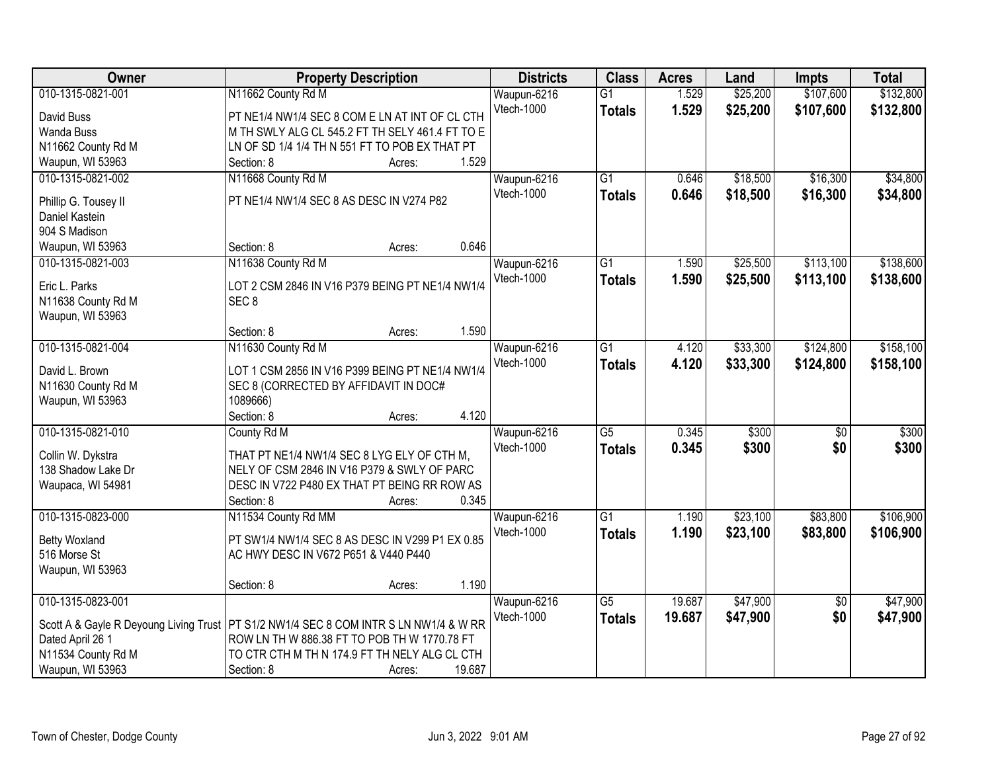| Owner                                  | <b>Property Description</b>                                                             | <b>Districts</b> | <b>Class</b>    | <b>Acres</b> | Land     | <b>Impts</b>    | <b>Total</b> |
|----------------------------------------|-----------------------------------------------------------------------------------------|------------------|-----------------|--------------|----------|-----------------|--------------|
| 010-1315-0821-001                      | N11662 County Rd M                                                                      | Waupun-6216      | $\overline{G1}$ | 1.529        | \$25,200 | \$107,600       | \$132,800    |
| David Buss                             | PT NE1/4 NW1/4 SEC 8 COM E LN AT INT OF CL CTH                                          | Vtech-1000       | <b>Totals</b>   | 1.529        | \$25,200 | \$107,600       | \$132,800    |
| Wanda Buss                             | M TH SWLY ALG CL 545.2 FT TH SELY 461.4 FT TO E                                         |                  |                 |              |          |                 |              |
| N11662 County Rd M                     | LN OF SD 1/4 1/4 TH N 551 FT TO POB EX THAT PT                                          |                  |                 |              |          |                 |              |
| Waupun, WI 53963                       | 1.529<br>Section: 8<br>Acres:                                                           |                  |                 |              |          |                 |              |
| 010-1315-0821-002                      | N11668 County Rd M                                                                      | Waupun-6216      | $\overline{G1}$ | 0.646        | \$18,500 | \$16,300        | \$34,800     |
|                                        |                                                                                         | Vtech-1000       | <b>Totals</b>   | 0.646        | \$18,500 | \$16,300        | \$34,800     |
| Phillip G. Tousey II                   | PT NE1/4 NW1/4 SEC 8 AS DESC IN V274 P82                                                |                  |                 |              |          |                 |              |
| Daniel Kastein                         |                                                                                         |                  |                 |              |          |                 |              |
| 904 S Madison                          | 0.646<br>Section: 8                                                                     |                  |                 |              |          |                 |              |
| Waupun, WI 53963                       | Acres:                                                                                  |                  |                 |              |          |                 |              |
| 010-1315-0821-003                      | N11638 County Rd M                                                                      | Waupun-6216      | $\overline{G1}$ | 1.590        | \$25,500 | \$113,100       | \$138,600    |
| Eric L. Parks                          | LOT 2 CSM 2846 IN V16 P379 BEING PT NE1/4 NW1/4                                         | Vtech-1000       | <b>Totals</b>   | 1.590        | \$25,500 | \$113,100       | \$138,600    |
| N11638 County Rd M                     | SEC <sub>8</sub>                                                                        |                  |                 |              |          |                 |              |
| Waupun, WI 53963                       |                                                                                         |                  |                 |              |          |                 |              |
|                                        | 1.590<br>Section: 8<br>Acres:                                                           |                  |                 |              |          |                 |              |
| 010-1315-0821-004                      | N11630 County Rd M                                                                      | Waupun-6216      | $\overline{G1}$ | 4.120        | \$33,300 | \$124,800       | \$158,100    |
| David L. Brown                         | LOT 1 CSM 2856 IN V16 P399 BEING PT NE1/4 NW1/4                                         | Vtech-1000       | <b>Totals</b>   | 4.120        | \$33,300 | \$124,800       | \$158,100    |
|                                        | SEC 8 (CORRECTED BY AFFIDAVIT IN DOC#                                                   |                  |                 |              |          |                 |              |
| N11630 County Rd M<br>Waupun, WI 53963 | 1089666)                                                                                |                  |                 |              |          |                 |              |
|                                        | 4.120<br>Section: 8<br>Acres:                                                           |                  |                 |              |          |                 |              |
| 010-1315-0821-010                      | County Rd M                                                                             | Waupun-6216      | $\overline{G5}$ | 0.345        | \$300    | $\overline{50}$ | \$300        |
|                                        |                                                                                         | Vtech-1000       |                 | 0.345        | \$300    | \$0             | \$300        |
| Collin W. Dykstra                      | THAT PT NE1/4 NW1/4 SEC 8 LYG ELY OF CTH M,                                             |                  | <b>Totals</b>   |              |          |                 |              |
| 138 Shadow Lake Dr                     | NELY OF CSM 2846 IN V16 P379 & SWLY OF PARC                                             |                  |                 |              |          |                 |              |
| Waupaca, WI 54981                      | DESC IN V722 P480 EX THAT PT BEING RR ROW AS                                            |                  |                 |              |          |                 |              |
|                                        | 0.345<br>Section: 8<br>Acres:                                                           |                  |                 |              |          |                 |              |
| 010-1315-0823-000                      | N11534 County Rd MM                                                                     | Waupun-6216      | $\overline{G1}$ | 1.190        | \$23,100 | \$83,800        | \$106,900    |
| <b>Betty Woxland</b>                   | PT SW1/4 NW1/4 SEC 8 AS DESC IN V299 P1 EX 0.85                                         | Vtech-1000       | <b>Totals</b>   | 1.190        | \$23,100 | \$83,800        | \$106,900    |
| 516 Morse St                           | AC HWY DESC IN V672 P651 & V440 P440                                                    |                  |                 |              |          |                 |              |
| Waupun, WI 53963                       |                                                                                         |                  |                 |              |          |                 |              |
|                                        | 1.190<br>Section: 8<br>Acres:                                                           |                  |                 |              |          |                 |              |
| 010-1315-0823-001                      |                                                                                         | Waupun-6216      | $\overline{G5}$ | 19.687       | \$47,900 | $\overline{50}$ | \$47,900     |
|                                        |                                                                                         | Vtech-1000       | <b>Totals</b>   | 19.687       | \$47,900 | \$0             | \$47,900     |
|                                        | Scott A & Gayle R Deyoung Living Trust   PT S1/2 NW1/4 SEC 8 COM INTR S LN NW1/4 & W RR |                  |                 |              |          |                 |              |
| Dated April 26 1                       | ROW LN TH W 886.38 FT TO POB TH W 1770.78 FT                                            |                  |                 |              |          |                 |              |
| N11534 County Rd M                     | TO CTR CTH M TH N 174.9 FT TH NELY ALG CL CTH                                           |                  |                 |              |          |                 |              |
| Waupun, WI 53963                       | Section: 8<br>19.687<br>Acres:                                                          |                  |                 |              |          |                 |              |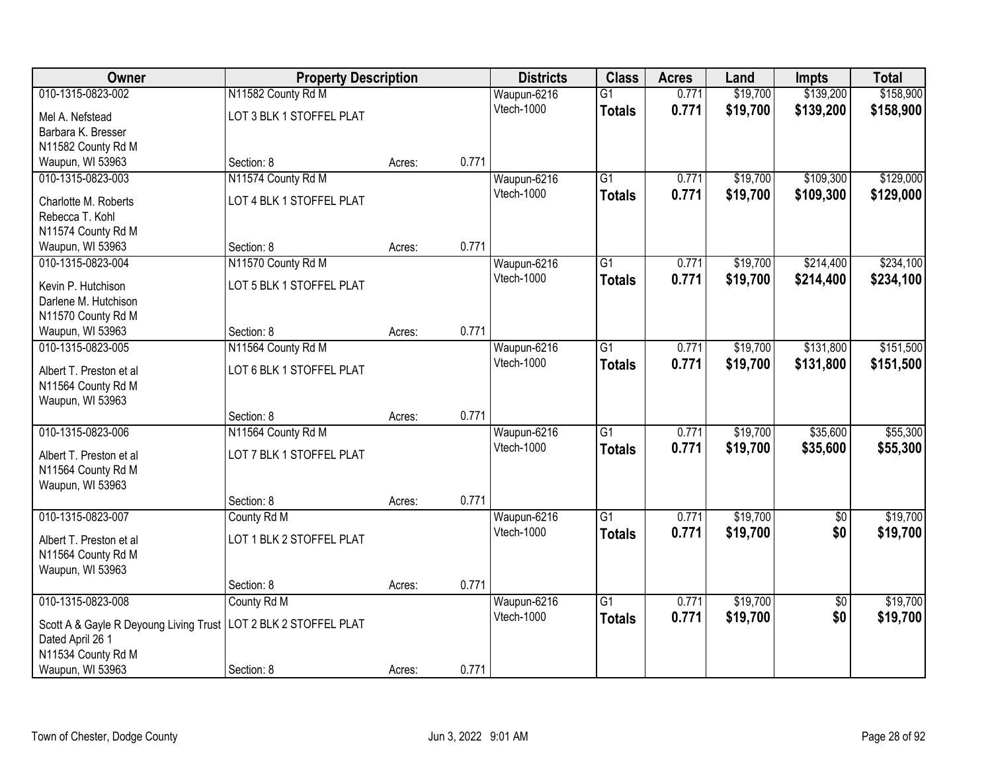| Owner                                                                                 | <b>Property Description</b> |        | <b>Districts</b> | <b>Class</b>      | <b>Acres</b>    | Land  | <b>Impts</b> | <b>Total</b>    |           |
|---------------------------------------------------------------------------------------|-----------------------------|--------|------------------|-------------------|-----------------|-------|--------------|-----------------|-----------|
| 010-1315-0823-002                                                                     | N11582 County Rd M          |        |                  | Waupun-6216       | $\overline{G1}$ | 0.771 | \$19,700     | \$139,200       | \$158,900 |
| Mel A. Nefstead                                                                       | LOT 3 BLK 1 STOFFEL PLAT    |        |                  | Vtech-1000        | <b>Totals</b>   | 0.771 | \$19,700     | \$139,200       | \$158,900 |
| Barbara K. Bresser                                                                    |                             |        |                  |                   |                 |       |              |                 |           |
| N11582 County Rd M                                                                    |                             |        |                  |                   |                 |       |              |                 |           |
| Waupun, WI 53963                                                                      | Section: 8                  | Acres: | 0.771            |                   |                 |       |              |                 |           |
| 010-1315-0823-003                                                                     | N11574 County Rd M          |        |                  | Waupun-6216       | $\overline{G1}$ | 0.771 | \$19,700     | \$109,300       | \$129,000 |
| Charlotte M. Roberts                                                                  | LOT 4 BLK 1 STOFFEL PLAT    |        |                  | Vtech-1000        | <b>Totals</b>   | 0.771 | \$19,700     | \$109,300       | \$129,000 |
| Rebecca T. Kohl                                                                       |                             |        |                  |                   |                 |       |              |                 |           |
| N11574 County Rd M                                                                    |                             |        |                  |                   |                 |       |              |                 |           |
| Waupun, WI 53963                                                                      | Section: 8                  | Acres: | 0.771            |                   |                 |       |              |                 |           |
| 010-1315-0823-004                                                                     | N11570 County Rd M          |        |                  | Waupun-6216       | $\overline{G1}$ | 0.771 | \$19,700     | \$214,400       | \$234,100 |
| Kevin P. Hutchison                                                                    | LOT 5 BLK 1 STOFFEL PLAT    |        |                  | Vtech-1000        | <b>Totals</b>   | 0.771 | \$19,700     | \$214,400       | \$234,100 |
| Darlene M. Hutchison                                                                  |                             |        |                  |                   |                 |       |              |                 |           |
| N11570 County Rd M                                                                    |                             |        |                  |                   |                 |       |              |                 |           |
| Waupun, WI 53963                                                                      | Section: 8                  | Acres: | 0.771            |                   |                 |       |              |                 |           |
| 010-1315-0823-005                                                                     | N11564 County Rd M          |        |                  | Waupun-6216       | $\overline{G1}$ | 0.771 | \$19,700     | \$131,800       | \$151,500 |
|                                                                                       |                             |        |                  | Vtech-1000        | <b>Totals</b>   | 0.771 | \$19,700     | \$131,800       | \$151,500 |
| Albert T. Preston et al                                                               | LOT 6 BLK 1 STOFFEL PLAT    |        |                  |                   |                 |       |              |                 |           |
| N11564 County Rd M                                                                    |                             |        |                  |                   |                 |       |              |                 |           |
| Waupun, WI 53963                                                                      |                             |        |                  |                   |                 |       |              |                 |           |
|                                                                                       | Section: 8                  | Acres: | 0.771            |                   |                 |       |              |                 |           |
| 010-1315-0823-006                                                                     | N11564 County Rd M          |        |                  | Waupun-6216       | $\overline{G1}$ | 0.771 | \$19,700     | \$35,600        | \$55,300  |
| Albert T. Preston et al                                                               | LOT 7 BLK 1 STOFFEL PLAT    |        |                  | <b>Vtech-1000</b> | <b>Totals</b>   | 0.771 | \$19,700     | \$35,600        | \$55,300  |
| N11564 County Rd M                                                                    |                             |        |                  |                   |                 |       |              |                 |           |
| Waupun, WI 53963                                                                      |                             |        |                  |                   |                 |       |              |                 |           |
|                                                                                       | Section: 8                  | Acres: | 0.771            |                   |                 |       |              |                 |           |
| 010-1315-0823-007                                                                     | County Rd M                 |        |                  | Waupun-6216       | $\overline{G1}$ | 0.771 | \$19,700     | $\sqrt{6}$      | \$19,700  |
| Albert T. Preston et al                                                               | LOT 1 BLK 2 STOFFEL PLAT    |        |                  | Vtech-1000        | <b>Totals</b>   | 0.771 | \$19,700     | \$0             | \$19,700  |
| N11564 County Rd M                                                                    |                             |        |                  |                   |                 |       |              |                 |           |
| Waupun, WI 53963                                                                      |                             |        |                  |                   |                 |       |              |                 |           |
|                                                                                       | Section: 8                  | Acres: | 0.771            |                   |                 |       |              |                 |           |
| 010-1315-0823-008                                                                     | County Rd M                 |        |                  | Waupun-6216       | $\overline{G1}$ | 0.771 | \$19,700     | $\overline{50}$ | \$19,700  |
|                                                                                       |                             |        |                  | Vtech-1000        | <b>Totals</b>   | 0.771 | \$19,700     | \$0             | \$19,700  |
| Scott A & Gayle R Deyoung Living Trust   LOT 2 BLK 2 STOFFEL PLAT<br>Dated April 26 1 |                             |        |                  |                   |                 |       |              |                 |           |
| N11534 County Rd M                                                                    |                             |        |                  |                   |                 |       |              |                 |           |
| Waupun, WI 53963                                                                      | Section: 8                  | Acres: | 0.771            |                   |                 |       |              |                 |           |
|                                                                                       |                             |        |                  |                   |                 |       |              |                 |           |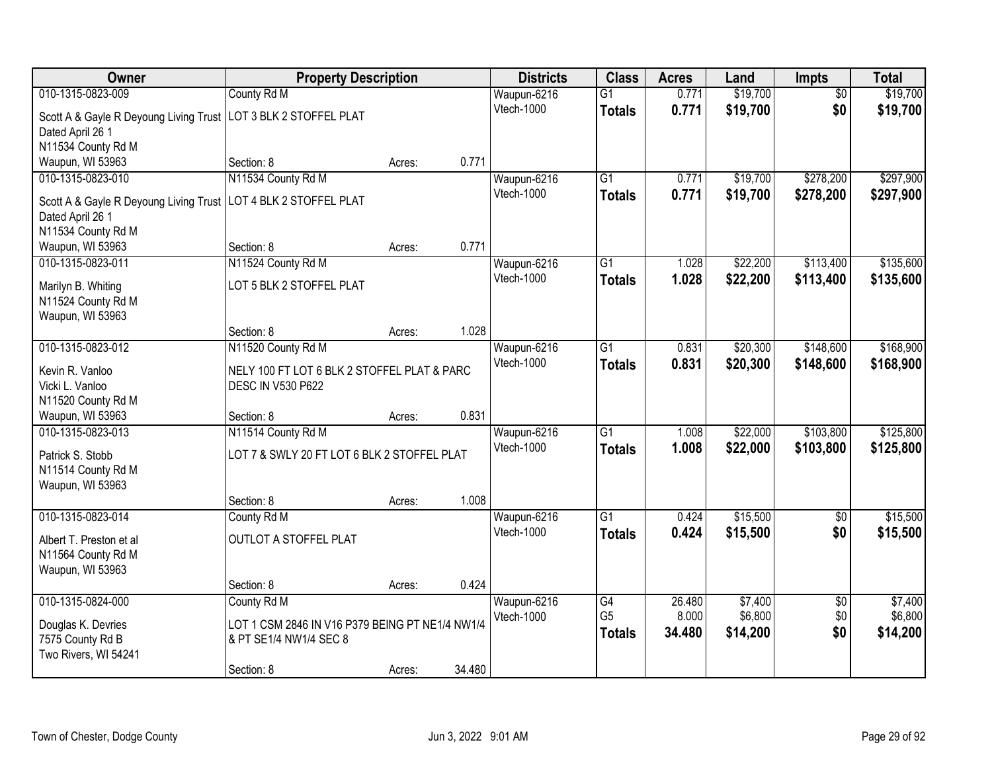| Owner                                                             |                                                 | <b>Property Description</b> |        | <b>Districts</b>  | <b>Class</b>    | <b>Acres</b> | Land     | <b>Impts</b>    | <b>Total</b> |
|-------------------------------------------------------------------|-------------------------------------------------|-----------------------------|--------|-------------------|-----------------|--------------|----------|-----------------|--------------|
| 010-1315-0823-009                                                 | County Rd M                                     |                             |        | Waupun-6216       | $\overline{G1}$ | 0.771        | \$19,700 | $\overline{50}$ | \$19,700     |
| Scott A & Gayle R Deyoung Living Trust   LOT 3 BLK 2 STOFFEL PLAT |                                                 |                             |        | Vtech-1000        | <b>Totals</b>   | 0.771        | \$19,700 | \$0             | \$19,700     |
| Dated April 26 1                                                  |                                                 |                             |        |                   |                 |              |          |                 |              |
| N11534 County Rd M                                                |                                                 |                             |        |                   |                 |              |          |                 |              |
| Waupun, WI 53963                                                  | Section: 8                                      | Acres:                      | 0.771  |                   |                 |              |          |                 |              |
| 010-1315-0823-010                                                 | N11534 County Rd M                              |                             |        | Waupun-6216       | $\overline{G1}$ | 0.771        | \$19,700 | \$278,200       | \$297,900    |
| Scott A & Gayle R Deyoung Living Trust                            | LOT 4 BLK 2 STOFFEL PLAT                        |                             |        | Vtech-1000        | <b>Totals</b>   | 0.771        | \$19,700 | \$278,200       | \$297,900    |
| Dated April 26 1                                                  |                                                 |                             |        |                   |                 |              |          |                 |              |
| N11534 County Rd M                                                |                                                 |                             |        |                   |                 |              |          |                 |              |
| Waupun, WI 53963                                                  | Section: 8                                      | Acres:                      | 0.771  |                   |                 |              |          |                 |              |
| 010-1315-0823-011                                                 | N11524 County Rd M                              |                             |        | Waupun-6216       | $\overline{G1}$ | 1.028        | \$22,200 | \$113,400       | \$135,600    |
| Marilyn B. Whiting                                                | LOT 5 BLK 2 STOFFEL PLAT                        |                             |        | Vtech-1000        | <b>Totals</b>   | 1.028        | \$22,200 | \$113,400       | \$135,600    |
| N11524 County Rd M                                                |                                                 |                             |        |                   |                 |              |          |                 |              |
| Waupun, WI 53963                                                  |                                                 |                             |        |                   |                 |              |          |                 |              |
|                                                                   | Section: 8                                      | Acres:                      | 1.028  |                   |                 |              |          |                 |              |
| 010-1315-0823-012                                                 | N11520 County Rd M                              |                             |        | Waupun-6216       | G1              | 0.831        | \$20,300 | \$148,600       | \$168,900    |
| Kevin R. Vanloo                                                   | NELY 100 FT LOT 6 BLK 2 STOFFEL PLAT & PARC     |                             |        | <b>Vtech-1000</b> | <b>Totals</b>   | 0.831        | \$20,300 | \$148,600       | \$168,900    |
| Vicki L. Vanloo                                                   | <b>DESC IN V530 P622</b>                        |                             |        |                   |                 |              |          |                 |              |
| N11520 County Rd M                                                |                                                 |                             |        |                   |                 |              |          |                 |              |
| Waupun, WI 53963                                                  | Section: 8                                      | Acres:                      | 0.831  |                   |                 |              |          |                 |              |
| 010-1315-0823-013                                                 | N11514 County Rd M                              |                             |        | Waupun-6216       | $\overline{G1}$ | 1.008        | \$22,000 | \$103,800       | \$125,800    |
| Patrick S. Stobb                                                  | LOT 7 & SWLY 20 FT LOT 6 BLK 2 STOFFEL PLAT     |                             |        | Vtech-1000        | <b>Totals</b>   | 1.008        | \$22,000 | \$103,800       | \$125,800    |
| N11514 County Rd M                                                |                                                 |                             |        |                   |                 |              |          |                 |              |
| Waupun, WI 53963                                                  |                                                 |                             |        |                   |                 |              |          |                 |              |
|                                                                   | Section: 8                                      | Acres:                      | 1.008  |                   |                 |              |          |                 |              |
| 010-1315-0823-014                                                 | County Rd M                                     |                             |        | Waupun-6216       | $\overline{G1}$ | 0.424        | \$15,500 | $\overline{50}$ | \$15,500     |
| Albert T. Preston et al                                           | OUTLOT A STOFFEL PLAT                           |                             |        | Vtech-1000        | <b>Totals</b>   | 0.424        | \$15,500 | \$0             | \$15,500     |
| N11564 County Rd M                                                |                                                 |                             |        |                   |                 |              |          |                 |              |
| Waupun, WI 53963                                                  |                                                 |                             |        |                   |                 |              |          |                 |              |
|                                                                   | Section: 8                                      | Acres:                      | 0.424  |                   |                 |              |          |                 |              |
| 010-1315-0824-000                                                 | County Rd M                                     |                             |        | Waupun-6216       | $\overline{G4}$ | 26.480       | \$7,400  | $\overline{50}$ | \$7,400      |
| Douglas K. Devries                                                | LOT 1 CSM 2846 IN V16 P379 BEING PT NE1/4 NW1/4 |                             |        | Vtech-1000        | G <sub>5</sub>  | 8.000        | \$6,800  | \$0             | \$6,800      |
| 7575 County Rd B                                                  | & PT SE1/4 NW1/4 SEC 8                          |                             |        |                   | <b>Totals</b>   | 34.480       | \$14,200 | \$0             | \$14,200     |
| Two Rivers, WI 54241                                              |                                                 |                             |        |                   |                 |              |          |                 |              |
|                                                                   | Section: 8                                      | Acres:                      | 34.480 |                   |                 |              |          |                 |              |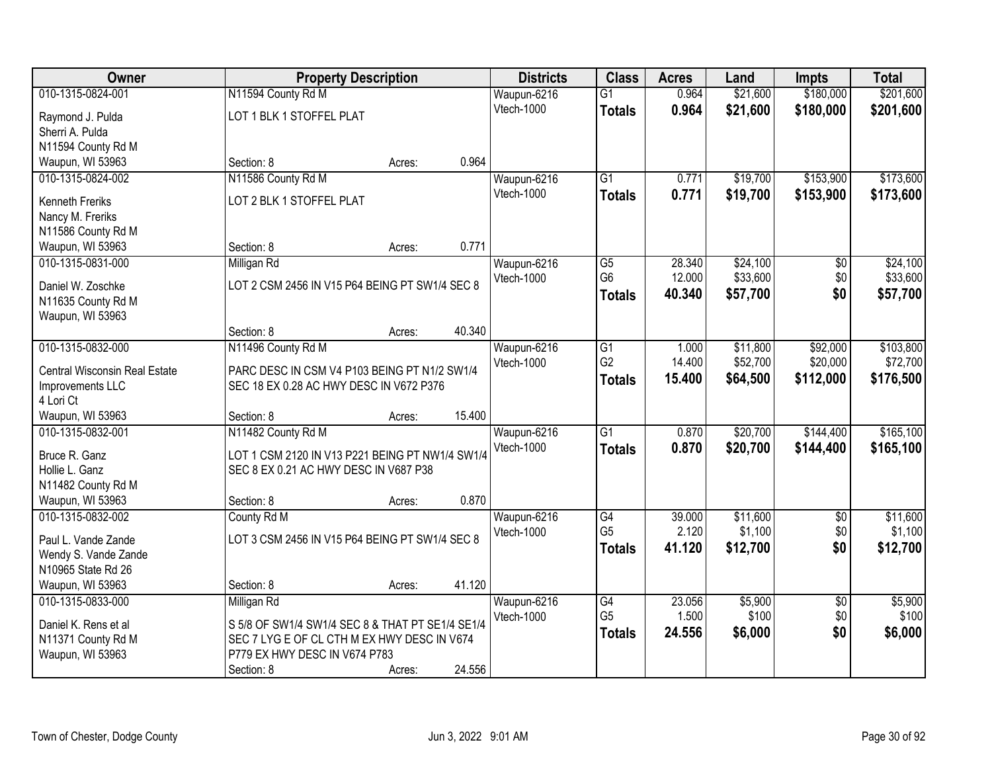| <b>Owner</b>                           | <b>Property Description</b>                                                             |        |        | <b>Districts</b> | <b>Class</b>    | <b>Acres</b> | Land     | <b>Impts</b>    | <b>Total</b> |
|----------------------------------------|-----------------------------------------------------------------------------------------|--------|--------|------------------|-----------------|--------------|----------|-----------------|--------------|
| 010-1315-0824-001                      | N11594 County Rd M                                                                      |        |        | Waupun-6216      | $\overline{G1}$ | 0.964        | \$21,600 | \$180,000       | \$201,600    |
| Raymond J. Pulda                       | LOT 1 BLK 1 STOFFEL PLAT                                                                |        |        | Vtech-1000       | <b>Totals</b>   | 0.964        | \$21,600 | \$180,000       | \$201,600    |
| Sherri A. Pulda                        |                                                                                         |        |        |                  |                 |              |          |                 |              |
| N11594 County Rd M                     |                                                                                         |        |        |                  |                 |              |          |                 |              |
| Waupun, WI 53963                       | Section: 8                                                                              | Acres: | 0.964  |                  |                 |              |          |                 |              |
| 010-1315-0824-002                      | N11586 County Rd M                                                                      |        |        | Waupun-6216      | $\overline{G1}$ | 0.771        | \$19,700 | \$153,900       | \$173,600    |
| <b>Kenneth Freriks</b>                 | LOT 2 BLK 1 STOFFEL PLAT                                                                |        |        | Vtech-1000       | Totals          | 0.771        | \$19,700 | \$153,900       | \$173,600    |
| Nancy M. Freriks                       |                                                                                         |        |        |                  |                 |              |          |                 |              |
| N11586 County Rd M                     |                                                                                         |        |        |                  |                 |              |          |                 |              |
| Waupun, WI 53963                       | Section: 8                                                                              | Acres: | 0.771  |                  |                 |              |          |                 |              |
| 010-1315-0831-000                      | Milligan Rd                                                                             |        |        | Waupun-6216      | G5              | 28.340       | \$24,100 | \$0             | \$24,100     |
| Daniel W. Zoschke                      | LOT 2 CSM 2456 IN V15 P64 BEING PT SW1/4 SEC 8                                          |        |        | Vtech-1000       | G <sub>6</sub>  | 12.000       | \$33,600 | \$0             | \$33,600     |
| N11635 County Rd M                     |                                                                                         |        |        |                  | <b>Totals</b>   | 40.340       | \$57,700 | \$0             | \$57,700     |
| Waupun, WI 53963                       |                                                                                         |        |        |                  |                 |              |          |                 |              |
|                                        | Section: 8                                                                              | Acres: | 40.340 |                  |                 |              |          |                 |              |
| 010-1315-0832-000                      | N11496 County Rd M                                                                      |        |        | Waupun-6216      | G1              | 1.000        | \$11,800 | \$92,000        | \$103,800    |
|                                        |                                                                                         |        |        | Vtech-1000       | G <sub>2</sub>  | 14.400       | \$52,700 | \$20,000        | \$72,700     |
| Central Wisconsin Real Estate          | PARC DESC IN CSM V4 P103 BEING PT N1/2 SW1/4<br>SEC 18 EX 0.28 AC HWY DESC IN V672 P376 |        |        |                  | <b>Totals</b>   | 15.400       | \$64,500 | \$112,000       | \$176,500    |
| Improvements LLC<br>4 Lori Ct          |                                                                                         |        |        |                  |                 |              |          |                 |              |
| Waupun, WI 53963                       | Section: 8                                                                              | Acres: | 15.400 |                  |                 |              |          |                 |              |
| 010-1315-0832-001                      | N11482 County Rd M                                                                      |        |        | Waupun-6216      | $\overline{G1}$ | 0.870        | \$20,700 | \$144,400       | \$165,100    |
|                                        |                                                                                         |        |        | Vtech-1000       | Totals          | 0.870        | \$20,700 | \$144,400       | \$165,100    |
| Bruce R. Ganz                          | LOT 1 CSM 2120 IN V13 P221 BEING PT NW1/4 SW1/4                                         |        |        |                  |                 |              |          |                 |              |
| Hollie L. Ganz<br>N11482 County Rd M   | SEC 8 EX 0.21 AC HWY DESC IN V687 P38                                                   |        |        |                  |                 |              |          |                 |              |
| Waupun, WI 53963                       | Section: 8                                                                              | Acres: | 0.870  |                  |                 |              |          |                 |              |
| 010-1315-0832-002                      | County Rd M                                                                             |        |        | Waupun-6216      | $\overline{G4}$ | 39.000       | \$11,600 | $\overline{60}$ | \$11,600     |
|                                        |                                                                                         |        |        | Vtech-1000       | G <sub>5</sub>  | 2.120        | \$1,100  | \$0             | \$1,100      |
| Paul L. Vande Zande                    | LOT 3 CSM 2456 IN V15 P64 BEING PT SW1/4 SEC 8                                          |        |        |                  | <b>Totals</b>   | 41.120       | \$12,700 | \$0             | \$12,700     |
| Wendy S. Vande Zande                   |                                                                                         |        |        |                  |                 |              |          |                 |              |
| N10965 State Rd 26<br>Waupun, WI 53963 | Section: 8                                                                              |        | 41.120 |                  |                 |              |          |                 |              |
| 010-1315-0833-000                      | Milligan Rd                                                                             | Acres: |        | Waupun-6216      | G4              | 23.056       | \$5,900  | $\overline{30}$ | \$5,900      |
|                                        |                                                                                         |        |        | Vtech-1000       | G <sub>5</sub>  | 1.500        | \$100    | \$0             | \$100        |
| Daniel K. Rens et al                   | S 5/8 OF SW1/4 SW1/4 SEC 8 & THAT PT SE1/4 SE1/4                                        |        |        |                  | <b>Totals</b>   | 24.556       | \$6,000  | \$0             | \$6,000      |
| N11371 County Rd M                     | SEC 7 LYG E OF CL CTH M EX HWY DESC IN V674                                             |        |        |                  |                 |              |          |                 |              |
| Waupun, WI 53963                       | P779 EX HWY DESC IN V674 P783                                                           |        |        |                  |                 |              |          |                 |              |
|                                        | Section: 8                                                                              | Acres: | 24.556 |                  |                 |              |          |                 |              |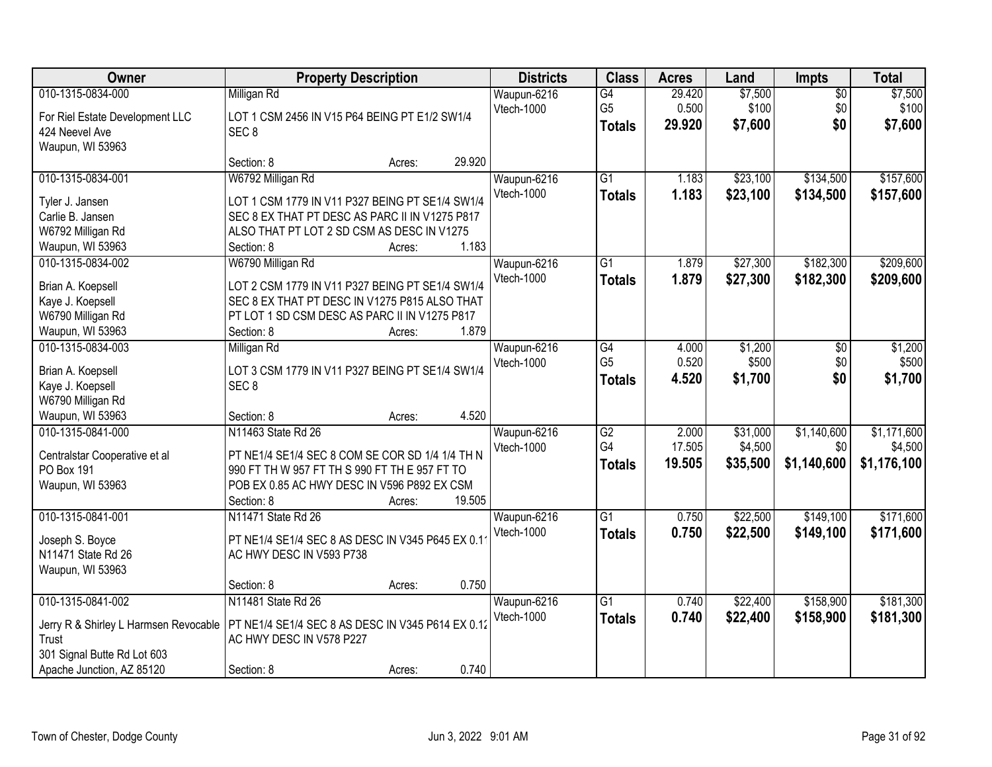| Owner                                                                                                                           | <b>Property Description</b>                                                                                                                                                                             | <b>Districts</b>                 | <b>Class</b>                                       | <b>Acres</b>              | Land                            | <b>Impts</b>                      | <b>Total</b>                          |
|---------------------------------------------------------------------------------------------------------------------------------|---------------------------------------------------------------------------------------------------------------------------------------------------------------------------------------------------------|----------------------------------|----------------------------------------------------|---------------------------|---------------------------------|-----------------------------------|---------------------------------------|
| 010-1315-0834-000<br>For Riel Estate Development LLC<br>424 Neevel Ave<br>Waupun, WI 53963                                      | Milligan Rd<br>LOT 1 CSM 2456 IN V15 P64 BEING PT E1/2 SW1/4<br>SEC <sub>8</sub>                                                                                                                        | Waupun-6216<br>Vtech-1000        | $\overline{G4}$<br>G <sub>5</sub><br><b>Totals</b> | 29.420<br>0.500<br>29.920 | \$7,500<br>\$100<br>\$7,600     | $\overline{50}$<br>\$0<br>\$0     | \$7,500<br>\$100<br>\$7,600           |
|                                                                                                                                 | 29.920<br>Section: 8<br>Acres:                                                                                                                                                                          |                                  |                                                    |                           |                                 |                                   |                                       |
| 010-1315-0834-001<br>Tyler J. Jansen<br>Carlie B. Jansen<br>W6792 Milligan Rd<br>Waupun, WI 53963                               | W6792 Milligan Rd<br>LOT 1 CSM 1779 IN V11 P327 BEING PT SE1/4 SW1/4<br>SEC 8 EX THAT PT DESC AS PARC II IN V1275 P817<br>ALSO THAT PT LOT 2 SD CSM AS DESC IN V1275<br>1.183<br>Section: 8<br>Acres:   | Waupun-6216<br>Vtech-1000        | $\overline{G1}$<br><b>Totals</b>                   | 1.183<br>1.183            | \$23,100<br>\$23,100            | \$134,500<br>\$134,500            | \$157,600<br>\$157,600                |
| 010-1315-0834-002<br>Brian A. Koepsell<br>Kaye J. Koepsell<br>W6790 Milligan Rd<br>Waupun, WI 53963                             | W6790 Milligan Rd<br>LOT 2 CSM 1779 IN V11 P327 BEING PT SE1/4 SW1/4<br>SEC 8 EX THAT PT DESC IN V1275 P815 ALSO THAT<br>PT LOT 1 SD CSM DESC AS PARC II IN V1275 P817<br>1.879<br>Section: 8<br>Acres: | Waupun-6216<br>Vtech-1000        | $\overline{G1}$<br><b>Totals</b>                   | 1.879<br>1.879            | \$27,300<br>\$27,300            | \$182,300<br>\$182,300            | \$209,600<br>\$209,600                |
| 010-1315-0834-003<br>Brian A. Koepsell<br>Kaye J. Koepsell<br>W6790 Milligan Rd<br>Waupun, WI 53963                             | Milligan Rd<br>LOT 3 CSM 1779 IN V11 P327 BEING PT SE1/4 SW1/4<br>SEC <sub>8</sub><br>4.520<br>Section: 8<br>Acres:                                                                                     | Waupun-6216<br>Vtech-1000        | $\overline{G4}$<br>G <sub>5</sub><br><b>Totals</b> | 4.000<br>0.520<br>4.520   | \$1,200<br>\$500<br>\$1,700     | \$0<br>\$0<br>\$0                 | \$1,200<br>\$500<br>\$1,700           |
| 010-1315-0841-000<br>Centralstar Cooperative et al<br>PO Box 191<br>Waupun, WI 53963                                            | N11463 State Rd 26<br>PT NE1/4 SE1/4 SEC 8 COM SE COR SD 1/4 1/4 TH N<br>990 FT TH W 957 FT TH S 990 FT TH E 957 FT TO<br>POB EX 0.85 AC HWY DESC IN V596 P892 EX CSM<br>Section: 8<br>19.505<br>Acres: | Waupun-6216<br>Vtech-1000        | $\overline{G2}$<br>G <sub>4</sub><br><b>Totals</b> | 2.000<br>17.505<br>19.505 | \$31,000<br>\$4,500<br>\$35,500 | \$1,140,600<br>\$0<br>\$1,140,600 | \$1,171,600<br>\$4,500<br>\$1,176,100 |
| 010-1315-0841-001<br>Joseph S. Boyce<br>N11471 State Rd 26<br>Waupun, WI 53963                                                  | N11471 State Rd 26<br>PT NE1/4 SE1/4 SEC 8 AS DESC IN V345 P645 EX 0.1<br>AC HWY DESC IN V593 P738<br>0.750<br>Section: 8<br>Acres:                                                                     | Waupun-6216<br>Vtech-1000        | $\overline{G1}$<br><b>Totals</b>                   | 0.750<br>0.750            | \$22,500<br>\$22,500            | \$149,100<br>\$149,100            | \$171,600<br>\$171,600                |
| 010-1315-0841-002<br>Jerry R & Shirley L Harmsen Revocable<br>Trust<br>301 Signal Butte Rd Lot 603<br>Apache Junction, AZ 85120 | N11481 State Rd 26<br>PT NE1/4 SE1/4 SEC 8 AS DESC IN V345 P614 EX 0.12<br>AC HWY DESC IN V578 P227<br>0.740<br>Section: 8<br>Acres:                                                                    | Waupun-6216<br><b>Vtech-1000</b> | $\overline{G1}$<br><b>Totals</b>                   | 0.740<br>0.740            | \$22,400<br>\$22,400            | \$158,900<br>\$158,900            | \$181,300<br>\$181,300                |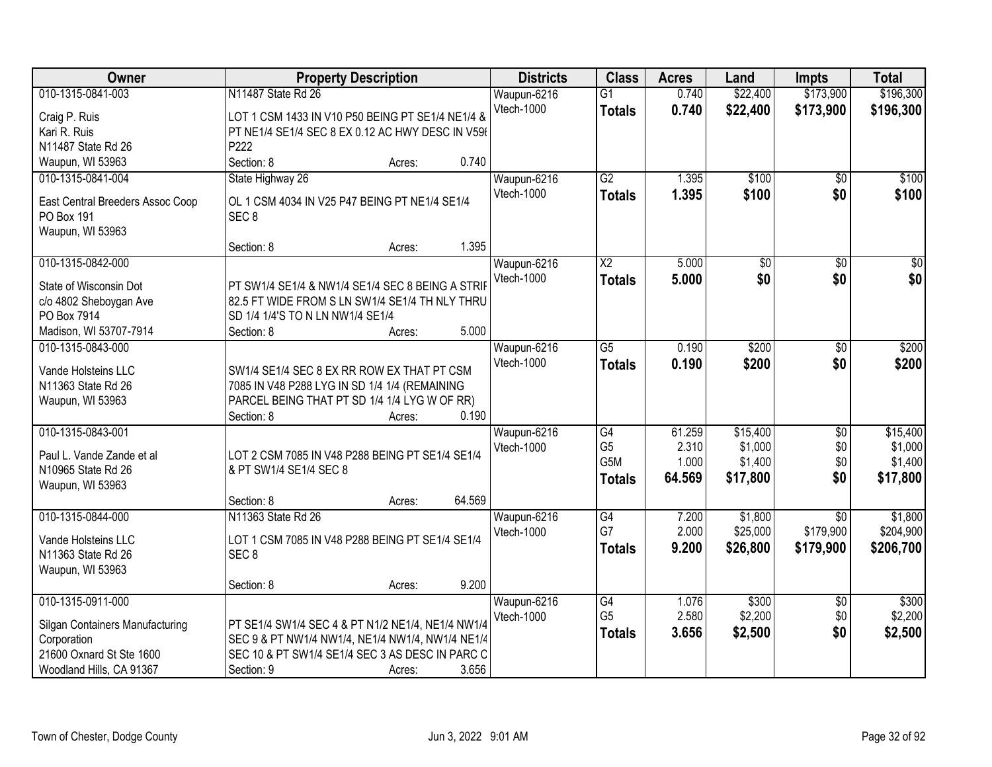| Owner                            | <b>Property Description</b>                       |        |        | <b>Districts</b> | <b>Class</b>     | <b>Acres</b> | Land            | Impts                  | <b>Total</b>        |
|----------------------------------|---------------------------------------------------|--------|--------|------------------|------------------|--------------|-----------------|------------------------|---------------------|
| 010-1315-0841-003                | N11487 State Rd 26                                |        |        | Waupun-6216      | $\overline{G1}$  | 0.740        | \$22,400        | \$173,900              | \$196,300           |
| Craig P. Ruis                    | LOT 1 CSM 1433 IN V10 P50 BEING PT SE1/4 NE1/4 &  |        |        | Vtech-1000       | <b>Totals</b>    | 0.740        | \$22,400        | \$173,900              | \$196,300           |
| Kari R. Ruis                     | PT NE1/4 SE1/4 SEC 8 EX 0.12 AC HWY DESC IN V596  |        |        |                  |                  |              |                 |                        |                     |
| N11487 State Rd 26               | P222                                              |        |        |                  |                  |              |                 |                        |                     |
| Waupun, WI 53963                 | Section: 8                                        | Acres: | 0.740  |                  |                  |              |                 |                        |                     |
| 010-1315-0841-004                | State Highway 26                                  |        |        | Waupun-6216      | $\overline{G2}$  | 1.395        | \$100           | $\overline{50}$        | \$100               |
|                                  |                                                   |        |        | Vtech-1000       | <b>Totals</b>    | 1.395        | \$100           | \$0                    | \$100               |
| East Central Breeders Assoc Coop | OL 1 CSM 4034 IN V25 P47 BEING PT NE1/4 SE1/4     |        |        |                  |                  |              |                 |                        |                     |
| PO Box 191                       | SEC <sub>8</sub>                                  |        |        |                  |                  |              |                 |                        |                     |
| Waupun, WI 53963                 |                                                   |        |        |                  |                  |              |                 |                        |                     |
|                                  | Section: 8                                        | Acres: | 1.395  |                  |                  |              |                 |                        |                     |
| 010-1315-0842-000                |                                                   |        |        | Waupun-6216      | $\overline{X2}$  | 5.000        | $\overline{50}$ | $\overline{50}$        | $\overline{50}$     |
| State of Wisconsin Dot           | PT SW1/4 SE1/4 & NW1/4 SE1/4 SEC 8 BEING A STRIF  |        |        | Vtech-1000       | <b>Totals</b>    | 5.000        | \$0             | \$0                    | \$0                 |
| c/o 4802 Sheboygan Ave           | 82.5 FT WIDE FROM S LN SW1/4 SE1/4 TH NLY THRU    |        |        |                  |                  |              |                 |                        |                     |
| PO Box 7914                      | SD 1/4 1/4'S TO N LN NW1/4 SE1/4                  |        |        |                  |                  |              |                 |                        |                     |
| Madison, WI 53707-7914           | Section: 8                                        | Acres: | 5.000  |                  |                  |              |                 |                        |                     |
| 010-1315-0843-000                |                                                   |        |        | Waupun-6216      | $\overline{G5}$  | 0.190        | \$200           | \$0                    | \$200               |
|                                  |                                                   |        |        | Vtech-1000       | <b>Totals</b>    | 0.190        | \$200           | \$0                    | \$200               |
| Vande Holsteins LLC              | SW1/4 SE1/4 SEC 8 EX RR ROW EX THAT PT CSM        |        |        |                  |                  |              |                 |                        |                     |
| N11363 State Rd 26               | 7085 IN V48 P288 LYG IN SD 1/4 1/4 (REMAINING     |        |        |                  |                  |              |                 |                        |                     |
| Waupun, WI 53963                 | PARCEL BEING THAT PT SD 1/4 1/4 LYG W OF RR)      |        | 0.190  |                  |                  |              |                 |                        |                     |
| 010-1315-0843-001                | Section: 8                                        | Acres: |        |                  | $\overline{G4}$  | 61.259       | \$15,400        |                        |                     |
|                                  |                                                   |        |        | Waupun-6216      | G <sub>5</sub>   | 2.310        | \$1,000         | $\overline{30}$<br>\$0 | \$15,400<br>\$1,000 |
| Paul L. Vande Zande et al        | LOT 2 CSM 7085 IN V48 P288 BEING PT SE1/4 SE1/4   |        |        | Vtech-1000       | G <sub>5</sub> M | 1.000        | \$1,400         | \$0                    | \$1,400             |
| N10965 State Rd 26               | & PT SW1/4 SE1/4 SEC 8                            |        |        |                  |                  | 64.569       |                 | \$0                    |                     |
| Waupun, WI 53963                 |                                                   |        |        |                  | <b>Totals</b>    |              | \$17,800        |                        | \$17,800            |
|                                  | Section: 8                                        | Acres: | 64.569 |                  |                  |              |                 |                        |                     |
| 010-1315-0844-000                | N11363 State Rd 26                                |        |        | Waupun-6216      | $\overline{G4}$  | 7.200        | \$1,800         | $\overline{50}$        | \$1,800             |
| Vande Holsteins LLC              | LOT 1 CSM 7085 IN V48 P288 BEING PT SE1/4 SE1/4   |        |        | Vtech-1000       | G7               | 2.000        | \$25,000        | \$179,900              | \$204,900           |
| N11363 State Rd 26               | SEC <sub>8</sub>                                  |        |        |                  | <b>Totals</b>    | 9.200        | \$26,800        | \$179,900              | \$206,700           |
| Waupun, WI 53963                 |                                                   |        |        |                  |                  |              |                 |                        |                     |
|                                  | Section: 8                                        | Acres: | 9.200  |                  |                  |              |                 |                        |                     |
| 010-1315-0911-000                |                                                   |        |        | Waupun-6216      | G4               | 1.076        | \$300           | $\overline{30}$        | \$300               |
|                                  |                                                   |        |        | Vtech-1000       | G <sub>5</sub>   | 2.580        | \$2,200         | \$0                    | \$2,200             |
| Silgan Containers Manufacturing  | PT SE1/4 SW1/4 SEC 4 & PT N1/2 NE1/4, NE1/4 NW1/4 |        |        |                  | <b>Totals</b>    | 3.656        | \$2,500         | \$0                    | \$2,500             |
| Corporation                      | SEC 9 & PT NW1/4 NW1/4, NE1/4 NW1/4, NW1/4 NE1/4  |        |        |                  |                  |              |                 |                        |                     |
| 21600 Oxnard St Ste 1600         | SEC 10 & PT SW1/4 SE1/4 SEC 3 AS DESC IN PARC C   |        |        |                  |                  |              |                 |                        |                     |
| Woodland Hills, CA 91367         | Section: 9                                        | Acres: | 3.656  |                  |                  |              |                 |                        |                     |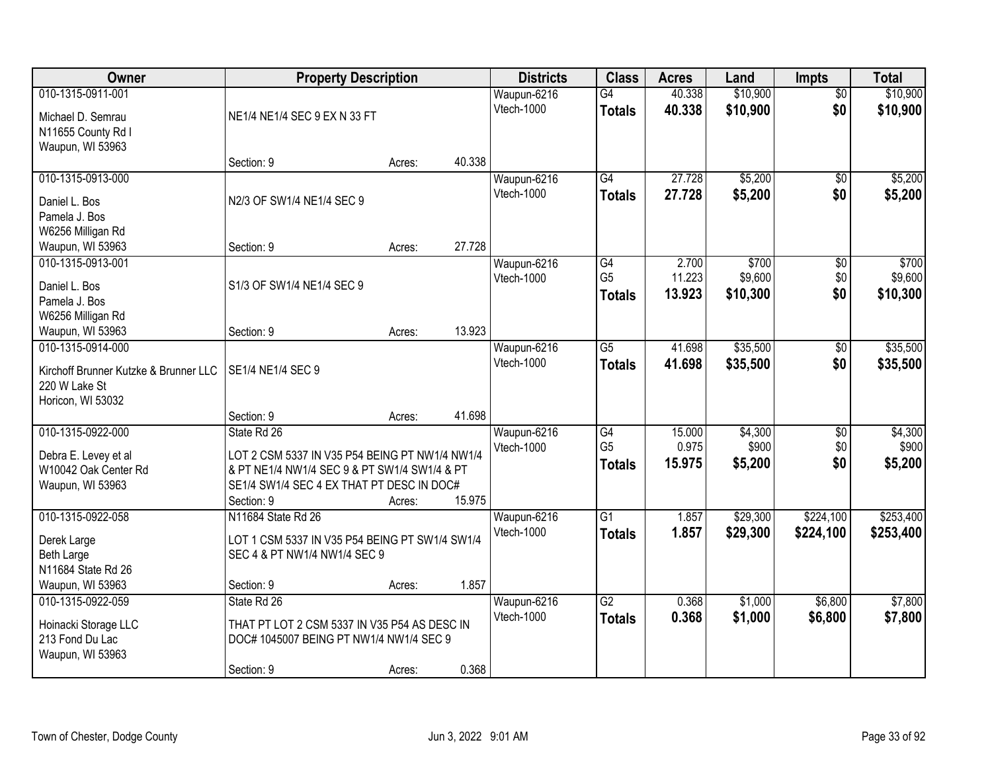| Owner                                 | <b>Property Description</b>                    | <b>Districts</b> | <b>Class</b>      | <b>Acres</b>    | Land   | <b>Impts</b> | <b>Total</b>    |           |
|---------------------------------------|------------------------------------------------|------------------|-------------------|-----------------|--------|--------------|-----------------|-----------|
| 010-1315-0911-001                     |                                                |                  | Waupun-6216       | $\overline{G4}$ | 40.338 | \$10,900     | $\overline{50}$ | \$10,900  |
| Michael D. Semrau                     | NE1/4 NE1/4 SEC 9 EX N 33 FT                   |                  | Vtech-1000        | <b>Totals</b>   | 40.338 | \$10,900     | \$0             | \$10,900  |
| N11655 County Rd I                    |                                                |                  |                   |                 |        |              |                 |           |
| Waupun, WI 53963                      |                                                |                  |                   |                 |        |              |                 |           |
|                                       | Section: 9                                     | Acres:           | 40.338            |                 |        |              |                 |           |
| 010-1315-0913-000                     |                                                |                  | Waupun-6216       | $\overline{G4}$ | 27.728 | \$5,200      | \$0             | \$5,200   |
| Daniel L. Bos                         | N2/3 OF SW1/4 NE1/4 SEC 9                      |                  | Vtech-1000        | <b>Totals</b>   | 27.728 | \$5,200      | \$0             | \$5,200   |
| Pamela J. Bos                         |                                                |                  |                   |                 |        |              |                 |           |
| W6256 Milligan Rd                     |                                                |                  |                   |                 |        |              |                 |           |
| Waupun, WI 53963                      | Section: 9                                     | Acres:           | 27.728            |                 |        |              |                 |           |
| 010-1315-0913-001                     |                                                |                  | Waupun-6216       | G4              | 2.700  | \$700        | \$0             | \$700     |
| Daniel L. Bos                         | S1/3 OF SW1/4 NE1/4 SEC 9                      |                  | Vtech-1000        | G <sub>5</sub>  | 11.223 | \$9,600      | \$0             | \$9,600   |
| Pamela J. Bos                         |                                                |                  |                   | <b>Totals</b>   | 13.923 | \$10,300     | \$0             | \$10,300  |
| W6256 Milligan Rd                     |                                                |                  |                   |                 |        |              |                 |           |
| Waupun, WI 53963                      | Section: 9                                     | Acres:           | 13.923            |                 |        |              |                 |           |
| 010-1315-0914-000                     |                                                |                  | Waupun-6216       | $\overline{G5}$ | 41.698 | \$35,500     | $\sqrt[6]{}$    | \$35,500  |
| Kirchoff Brunner Kutzke & Brunner LLC | SE1/4 NE1/4 SEC 9                              |                  | <b>Vtech-1000</b> | <b>Totals</b>   | 41.698 | \$35,500     | \$0             | \$35,500  |
| 220 W Lake St                         |                                                |                  |                   |                 |        |              |                 |           |
| Horicon, WI 53032                     |                                                |                  |                   |                 |        |              |                 |           |
|                                       | Section: 9                                     | Acres:           | 41.698            |                 |        |              |                 |           |
| 010-1315-0922-000                     | State Rd 26                                    |                  | Waupun-6216       | $\overline{G4}$ | 15.000 | \$4,300      | $\overline{50}$ | \$4,300   |
| Debra E. Levey et al                  | LOT 2 CSM 5337 IN V35 P54 BEING PT NW1/4 NW1/4 |                  | Vtech-1000        | G <sub>5</sub>  | 0.975  | \$900        | \$0             | \$900     |
| W10042 Oak Center Rd                  | & PT NE1/4 NW1/4 SEC 9 & PT SW1/4 SW1/4 & PT   |                  |                   | <b>Totals</b>   | 15.975 | \$5,200      | \$0             | \$5,200   |
| Waupun, WI 53963                      | SE1/4 SW1/4 SEC 4 EX THAT PT DESC IN DOC#      |                  |                   |                 |        |              |                 |           |
|                                       | Section: 9                                     | Acres:           | 15.975            |                 |        |              |                 |           |
| 010-1315-0922-058                     | N11684 State Rd 26                             |                  | Waupun-6216       | $\overline{G1}$ | 1.857  | \$29,300     | \$224,100       | \$253,400 |
| Derek Large                           | LOT 1 CSM 5337 IN V35 P54 BEING PT SW1/4 SW1/4 |                  | <b>Vtech-1000</b> | <b>Totals</b>   | 1.857  | \$29,300     | \$224,100       | \$253,400 |
| Beth Large                            | SEC 4 & PT NW1/4 NW1/4 SEC 9                   |                  |                   |                 |        |              |                 |           |
| N11684 State Rd 26                    |                                                |                  |                   |                 |        |              |                 |           |
| Waupun, WI 53963                      | Section: 9                                     | Acres:           | 1.857             |                 |        |              |                 |           |
| 010-1315-0922-059                     | State Rd 26                                    |                  | Waupun-6216       | $\overline{G2}$ | 0.368  | \$1,000      | \$6,800         | \$7,800   |
| Hoinacki Storage LLC                  | THAT PT LOT 2 CSM 5337 IN V35 P54 AS DESC IN   |                  | Vtech-1000        | <b>Totals</b>   | 0.368  | \$1,000      | \$6,800         | \$7,800   |
| 213 Fond Du Lac                       | DOC# 1045007 BEING PT NW1/4 NW1/4 SEC 9        |                  |                   |                 |        |              |                 |           |
| Waupun, WI 53963                      |                                                |                  |                   |                 |        |              |                 |           |
|                                       | Section: 9                                     | Acres:           | 0.368             |                 |        |              |                 |           |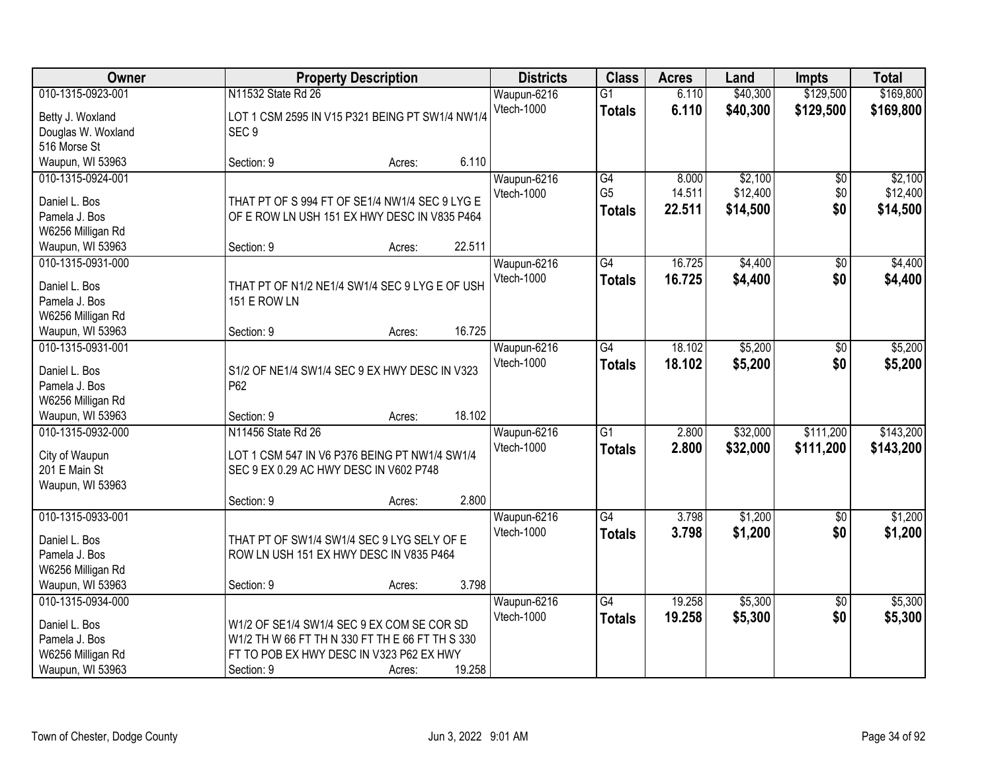| Owner                          | <b>Property Description</b>                          |        |        | <b>Districts</b>          | <b>Class</b>    | <b>Acres</b> | Land     | <b>Impts</b>    | <b>Total</b> |
|--------------------------------|------------------------------------------------------|--------|--------|---------------------------|-----------------|--------------|----------|-----------------|--------------|
| 010-1315-0923-001              | N11532 State Rd 26                                   |        |        | Waupun-6216               | $\overline{G1}$ | 6.110        | \$40,300 | \$129,500       | \$169,800    |
| Betty J. Woxland               | LOT 1 CSM 2595 IN V15 P321 BEING PT SW1/4 NW1/4      |        |        | <b>Vtech-1000</b>         | <b>Totals</b>   | 6.110        | \$40,300 | \$129,500       | \$169,800    |
| Douglas W. Woxland             | SEC <sub>9</sub>                                     |        |        |                           |                 |              |          |                 |              |
| 516 Morse St                   |                                                      |        |        |                           |                 |              |          |                 |              |
| Waupun, WI 53963               | Section: 9                                           | Acres: | 6.110  |                           |                 |              |          |                 |              |
| 010-1315-0924-001              |                                                      |        |        | Waupun-6216               | $\overline{G4}$ | 8.000        | \$2,100  | \$0             | \$2,100      |
|                                |                                                      |        |        | Vtech-1000                | G <sub>5</sub>  | 14.511       | \$12,400 | \$0             | \$12,400     |
| Daniel L. Bos                  | THAT PT OF S 994 FT OF SE1/4 NW1/4 SEC 9 LYG E       |        |        |                           | <b>Totals</b>   | 22.511       | \$14,500 | \$0             | \$14,500     |
| Pamela J. Bos                  | OF E ROW LN USH 151 EX HWY DESC IN V835 P464         |        |        |                           |                 |              |          |                 |              |
| W6256 Milligan Rd              |                                                      |        |        |                           |                 |              |          |                 |              |
| Waupun, WI 53963               | Section: 9                                           | Acres: | 22.511 |                           |                 |              |          |                 |              |
| 010-1315-0931-000              |                                                      |        |        | Waupun-6216               | G4              | 16.725       | \$4,400  | \$0             | \$4,400      |
| Daniel L. Bos                  | THAT PT OF N1/2 NE1/4 SW1/4 SEC 9 LYG E OF USH       |        |        | Vtech-1000                | <b>Totals</b>   | 16.725       | \$4,400  | \$0             | \$4,400      |
| Pamela J. Bos                  | <b>151 E ROW LN</b>                                  |        |        |                           |                 |              |          |                 |              |
| W6256 Milligan Rd              |                                                      |        |        |                           |                 |              |          |                 |              |
| Waupun, WI 53963               | Section: 9                                           | Acres: | 16.725 |                           |                 |              |          |                 |              |
| 010-1315-0931-001              |                                                      |        |        | Waupun-6216               | $\overline{G4}$ | 18.102       | \$5,200  | \$0             | \$5,200      |
|                                |                                                      |        |        | Vtech-1000                | <b>Totals</b>   | 18.102       | \$5,200  | \$0             | \$5,200      |
| Daniel L. Bos<br>Pamela J. Bos | S1/2 OF NE1/4 SW1/4 SEC 9 EX HWY DESC IN V323<br>P62 |        |        |                           |                 |              |          |                 |              |
| W6256 Milligan Rd              |                                                      |        |        |                           |                 |              |          |                 |              |
| Waupun, WI 53963               | Section: 9                                           | Acres: | 18.102 |                           |                 |              |          |                 |              |
| 010-1315-0932-000              | N11456 State Rd 26                                   |        |        |                           | $\overline{G1}$ | 2.800        | \$32,000 | \$111,200       | \$143,200    |
|                                |                                                      |        |        | Waupun-6216<br>Vtech-1000 |                 |              |          |                 |              |
| City of Waupun                 | LOT 1 CSM 547 IN V6 P376 BEING PT NW1/4 SW1/4        |        |        |                           | <b>Totals</b>   | 2.800        | \$32,000 | \$111,200       | \$143,200    |
| 201 E Main St                  | SEC 9 EX 0.29 AC HWY DESC IN V602 P748               |        |        |                           |                 |              |          |                 |              |
| Waupun, WI 53963               |                                                      |        |        |                           |                 |              |          |                 |              |
|                                | Section: 9                                           | Acres: | 2.800  |                           |                 |              |          |                 |              |
| 010-1315-0933-001              |                                                      |        |        | Waupun-6216               | $\overline{G4}$ | 3.798        | \$1,200  | $\overline{60}$ | \$1,200      |
| Daniel L. Bos                  | THAT PT OF SW1/4 SW1/4 SEC 9 LYG SELY OF E           |        |        | Vtech-1000                | <b>Totals</b>   | 3.798        | \$1,200  | \$0             | \$1,200      |
| Pamela J. Bos                  | ROW LN USH 151 EX HWY DESC IN V835 P464              |        |        |                           |                 |              |          |                 |              |
| W6256 Milligan Rd              |                                                      |        |        |                           |                 |              |          |                 |              |
| Waupun, WI 53963               | Section: 9                                           | Acres: | 3.798  |                           |                 |              |          |                 |              |
| 010-1315-0934-000              |                                                      |        |        | Waupun-6216               | $\overline{G4}$ | 19.258       | \$5,300  | $\overline{30}$ | \$5,300      |
|                                |                                                      |        |        | Vtech-1000                | <b>Totals</b>   | 19.258       | \$5,300  | \$0             | \$5,300      |
| Daniel L. Bos                  | W1/2 OF SE1/4 SW1/4 SEC 9 EX COM SE COR SD           |        |        |                           |                 |              |          |                 |              |
| Pamela J. Bos                  | W1/2 TH W 66 FT TH N 330 FT TH E 66 FT TH S 330      |        |        |                           |                 |              |          |                 |              |
| W6256 Milligan Rd              | FT TO POB EX HWY DESC IN V323 P62 EX HWY             |        |        |                           |                 |              |          |                 |              |
| Waupun, WI 53963               | Section: 9                                           | Acres: | 19.258 |                           |                 |              |          |                 |              |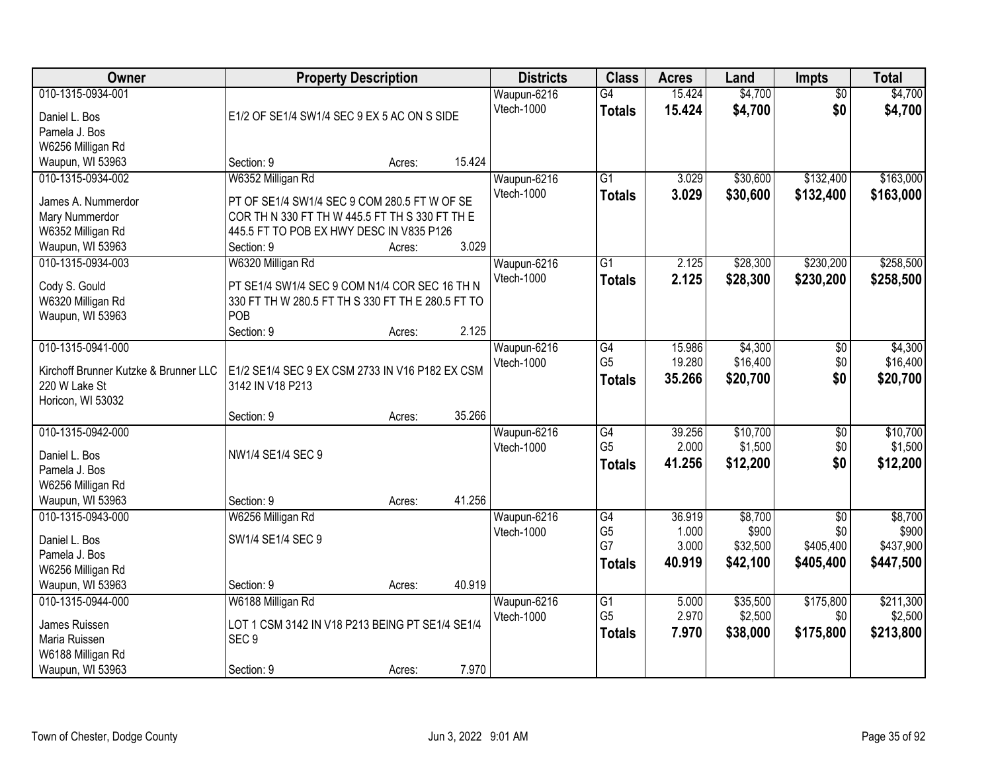| Owner                                 | <b>Property Description</b>                       |        |        | <b>Districts</b>          | <b>Class</b>    | <b>Acres</b> | Land     | <b>Impts</b>    | <b>Total</b> |
|---------------------------------------|---------------------------------------------------|--------|--------|---------------------------|-----------------|--------------|----------|-----------------|--------------|
| 010-1315-0934-001                     |                                                   |        |        | Waupun-6216               | G4              | 15.424       | \$4,700  | $\overline{50}$ | \$4,700      |
| Daniel L. Bos                         | E1/2 OF SE1/4 SW1/4 SEC 9 EX 5 AC ON S SIDE       |        |        | <b>Vtech-1000</b>         | <b>Totals</b>   | 15.424       | \$4,700  | \$0             | \$4,700      |
| Pamela J. Bos                         |                                                   |        |        |                           |                 |              |          |                 |              |
| W6256 Milligan Rd                     |                                                   |        |        |                           |                 |              |          |                 |              |
| Waupun, WI 53963                      | Section: 9                                        | Acres: | 15.424 |                           |                 |              |          |                 |              |
| 010-1315-0934-002                     | W6352 Milligan Rd                                 |        |        | Waupun-6216               | $\overline{G1}$ | 3.029        | \$30,600 | \$132,400       | \$163,000    |
| James A. Nummerdor                    | PT OF SE1/4 SW1/4 SEC 9 COM 280.5 FT W OF SE      |        |        | Vtech-1000                | <b>Totals</b>   | 3.029        | \$30,600 | \$132,400       | \$163,000    |
| Mary Nummerdor                        | COR TH N 330 FT TH W 445.5 FT TH S 330 FT TH E    |        |        |                           |                 |              |          |                 |              |
| W6352 Milligan Rd                     | 445.5 FT TO POB EX HWY DESC IN V835 P126          |        |        |                           |                 |              |          |                 |              |
| Waupun, WI 53963                      | Section: 9                                        | Acres: | 3.029  |                           |                 |              |          |                 |              |
| 010-1315-0934-003                     | W6320 Milligan Rd                                 |        |        | Waupun-6216               | $\overline{G1}$ | 2.125        | \$28,300 | \$230,200       | \$258,500    |
| Cody S. Gould                         | PT SE1/4 SW1/4 SEC 9 COM N1/4 COR SEC 16 TH N     |        |        | Vtech-1000                | <b>Totals</b>   | 2.125        | \$28,300 | \$230,200       | \$258,500    |
| W6320 Milligan Rd                     | 330 FT TH W 280.5 FT TH S 330 FT TH E 280.5 FT TO |        |        |                           |                 |              |          |                 |              |
| Waupun, WI 53963                      | POB                                               |        |        |                           |                 |              |          |                 |              |
|                                       | Section: 9                                        | Acres: | 2.125  |                           |                 |              |          |                 |              |
| 010-1315-0941-000                     |                                                   |        |        | Waupun-6216               | $\overline{G4}$ | 15.986       | \$4,300  | $\sqrt[6]{3}$   | \$4,300      |
|                                       |                                                   |        |        | <b>Vtech-1000</b>         | G <sub>5</sub>  | 19.280       | \$16,400 | \$0             | \$16,400     |
| Kirchoff Brunner Kutzke & Brunner LLC | E1/2 SE1/4 SEC 9 EX CSM 2733 IN V16 P182 EX CSM   |        |        |                           | <b>Totals</b>   | 35.266       | \$20,700 | \$0             | \$20,700     |
| 220 W Lake St                         | 3142 IN V18 P213                                  |        |        |                           |                 |              |          |                 |              |
| Horicon, WI 53032                     |                                                   |        | 35.266 |                           |                 |              |          |                 |              |
| 010-1315-0942-000                     | Section: 9                                        | Acres: |        |                           | $\overline{G4}$ | 39.256       | \$10,700 | $\overline{30}$ | \$10,700     |
|                                       |                                                   |        |        | Waupun-6216<br>Vtech-1000 | G <sub>5</sub>  | 2.000        | \$1,500  | \$0             | \$1,500      |
| Daniel L. Bos                         | NW1/4 SE1/4 SEC 9                                 |        |        |                           |                 | 41.256       | \$12,200 | \$0             | \$12,200     |
| Pamela J. Bos                         |                                                   |        |        |                           | <b>Totals</b>   |              |          |                 |              |
| W6256 Milligan Rd                     |                                                   |        |        |                           |                 |              |          |                 |              |
| Waupun, WI 53963                      | Section: 9                                        | Acres: | 41.256 |                           |                 |              |          |                 |              |
| 010-1315-0943-000                     | W6256 Milligan Rd                                 |        |        | Waupun-6216               | G4              | 36.919       | \$8,700  | $\sqrt{6}$      | \$8,700      |
| Daniel L. Bos                         | SW1/4 SE1/4 SEC 9                                 |        |        | Vtech-1000                | G <sub>5</sub>  | 1.000        | \$900    | \$0             | \$900        |
| Pamela J. Bos                         |                                                   |        |        |                           | G7              | 3.000        | \$32,500 | \$405,400       | \$437,900    |
| W6256 Milligan Rd                     |                                                   |        |        |                           | <b>Totals</b>   | 40.919       | \$42,100 | \$405,400       | \$447,500    |
| Waupun, WI 53963                      | Section: 9                                        | Acres: | 40.919 |                           |                 |              |          |                 |              |
| 010-1315-0944-000                     | W6188 Milligan Rd                                 |        |        | Waupun-6216               | $\overline{G1}$ | 5.000        | \$35,500 | \$175,800       | \$211,300    |
| James Ruissen                         | LOT 1 CSM 3142 IN V18 P213 BEING PT SE1/4 SE1/4   |        |        | Vtech-1000                | G <sub>5</sub>  | 2.970        | \$2,500  | \$0             | \$2,500      |
| Maria Ruissen                         | SEC <sub>9</sub>                                  |        |        |                           | <b>Totals</b>   | 7.970        | \$38,000 | \$175,800       | \$213,800    |
| W6188 Milligan Rd                     |                                                   |        |        |                           |                 |              |          |                 |              |
| Waupun, WI 53963                      | Section: 9                                        | Acres: | 7.970  |                           |                 |              |          |                 |              |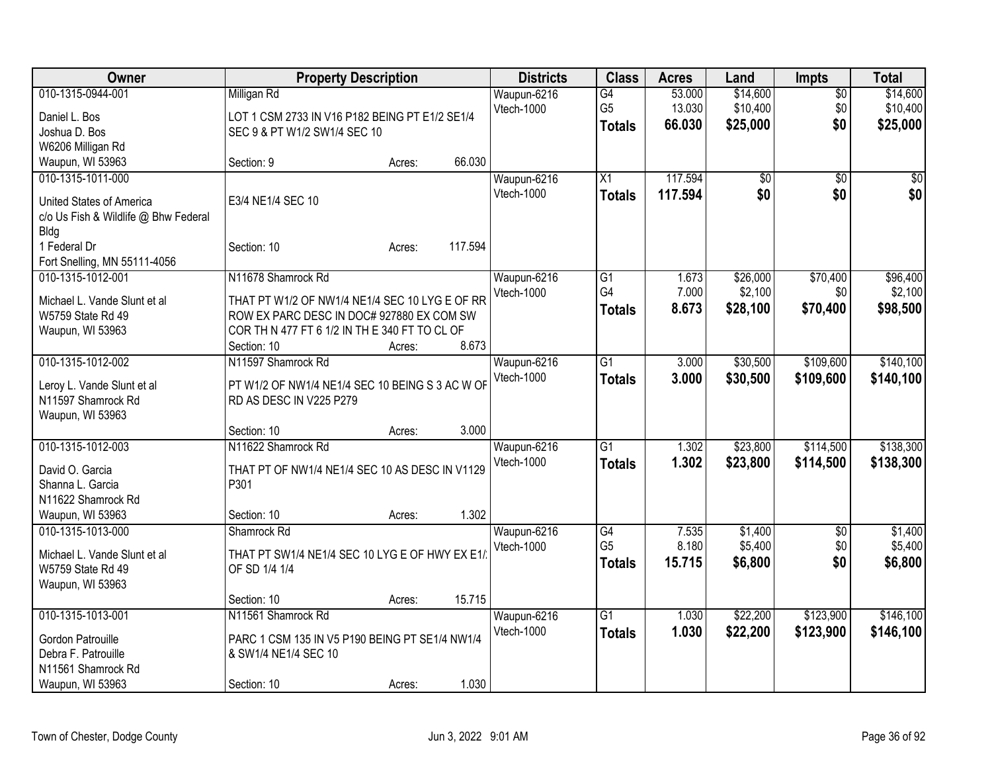| Owner                                                                                                                | <b>Property Description</b>                                                                                                                                                       |                  |         | <b>Districts</b>          | <b>Class</b>                                       | <b>Acres</b>               | Land                             | <b>Impts</b>                  | <b>Total</b>                     |
|----------------------------------------------------------------------------------------------------------------------|-----------------------------------------------------------------------------------------------------------------------------------------------------------------------------------|------------------|---------|---------------------------|----------------------------------------------------|----------------------------|----------------------------------|-------------------------------|----------------------------------|
| 010-1315-0944-001<br>Daniel L. Bos<br>Joshua D. Bos<br>W6206 Milligan Rd                                             | Milligan Rd<br>LOT 1 CSM 2733 IN V16 P182 BEING PT E1/2 SE1/4<br>SEC 9 & PT W1/2 SW1/4 SEC 10                                                                                     |                  |         | Waupun-6216<br>Vtech-1000 | $\overline{G4}$<br>G <sub>5</sub><br><b>Totals</b> | 53.000<br>13.030<br>66.030 | \$14,600<br>\$10,400<br>\$25,000 | $\overline{50}$<br>\$0<br>\$0 | \$14,600<br>\$10,400<br>\$25,000 |
| Waupun, WI 53963                                                                                                     | Section: 9                                                                                                                                                                        | Acres:           | 66.030  |                           |                                                    |                            |                                  |                               |                                  |
| 010-1315-1011-000<br>United States of America<br>c/o Us Fish & Wildlife @ Bhw Federal<br><b>Bldg</b><br>1 Federal Dr | E3/4 NE1/4 SEC 10<br>Section: 10                                                                                                                                                  | Acres:           | 117.594 | Waupun-6216<br>Vtech-1000 | X1<br><b>Totals</b>                                | 117.594<br>117.594         | \$0<br>\$0                       | \$0<br>\$0                    | \$0<br>\$0                       |
| Fort Snelling, MN 55111-4056                                                                                         |                                                                                                                                                                                   |                  |         |                           |                                                    |                            |                                  |                               |                                  |
| 010-1315-1012-001<br>Michael L. Vande Slunt et al<br>W5759 State Rd 49<br>Waupun, WI 53963                           | N11678 Shamrock Rd<br>THAT PT W1/2 OF NW1/4 NE1/4 SEC 10 LYG E OF RR<br>ROW EX PARC DESC IN DOC# 927880 EX COM SW<br>COR TH N 477 FT 6 1/2 IN TH E 340 FT TO CL OF<br>Section: 10 | Acres:           | 8.673   | Waupun-6216<br>Vtech-1000 | G1<br>G4<br><b>Totals</b>                          | 1.673<br>7.000<br>8.673    | \$26,000<br>\$2,100<br>\$28,100  | \$70,400<br>\$0<br>\$70,400   | \$96,400<br>\$2,100<br>\$98,500  |
| 010-1315-1012-002<br>Leroy L. Vande Slunt et al<br>N11597 Shamrock Rd<br>Waupun, WI 53963                            | N11597 Shamrock Rd<br>PT W1/2 OF NW1/4 NE1/4 SEC 10 BEING S 3 AC W OF<br>RD AS DESC IN V225 P279                                                                                  |                  | 3.000   | Waupun-6216<br>Vtech-1000 | G1<br><b>Totals</b>                                | 3.000<br>3.000             | \$30,500<br>\$30,500             | \$109,600<br>\$109,600        | \$140,100<br>\$140,100           |
| 010-1315-1012-003<br>David O. Garcia<br>Shanna L. Garcia<br>N11622 Shamrock Rd<br>Waupun, WI 53963                   | Section: 10<br>N11622 Shamrock Rd<br>THAT PT OF NW1/4 NE1/4 SEC 10 AS DESC IN V1129<br>P301<br>Section: 10                                                                        | Acres:<br>Acres: | 1.302   | Waupun-6216<br>Vtech-1000 | $\overline{G1}$<br><b>Totals</b>                   | 1.302<br>1.302             | \$23,800<br>\$23,800             | \$114,500<br>\$114,500        | \$138,300<br>\$138,300           |
| 010-1315-1013-000<br>Michael L. Vande Slunt et al<br>W5759 State Rd 49<br>Waupun, WI 53963                           | Shamrock Rd<br>THAT PT SW1/4 NE1/4 SEC 10 LYG E OF HWY EX E1/<br>OF SD 1/4 1/4<br>Section: 10                                                                                     | Acres:           | 15.715  | Waupun-6216<br>Vtech-1000 | G4<br>G <sub>5</sub><br><b>Totals</b>              | 7.535<br>8.180<br>15.715   | \$1,400<br>\$5,400<br>\$6,800    | $\overline{50}$<br>\$0<br>\$0 | \$1,400<br>\$5,400<br>\$6,800    |
| 010-1315-1013-001<br>Gordon Patrouille<br>Debra F. Patrouille<br>N11561 Shamrock Rd<br>Waupun, WI 53963              | N11561 Shamrock Rd<br>PARC 1 CSM 135 IN V5 P190 BEING PT SE1/4 NW1/4<br>& SW1/4 NE1/4 SEC 10<br>Section: 10                                                                       | Acres:           | 1.030   | Waupun-6216<br>Vtech-1000 | $\overline{G1}$<br><b>Totals</b>                   | 1.030<br>1.030             | \$22,200<br>\$22,200             | \$123,900<br>\$123,900        | \$146,100<br>\$146,100           |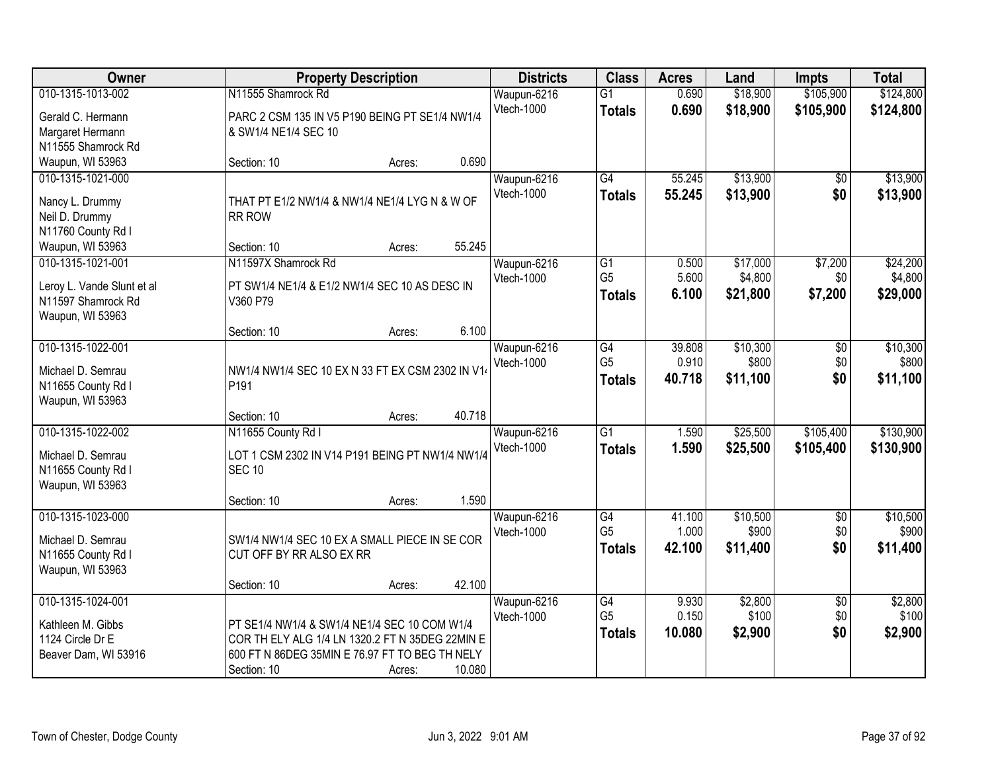| Owner                                            | <b>Property Description</b>                                          | <b>Districts</b> | <b>Class</b>    | <b>Acres</b> | Land     | <b>Impts</b>    | <b>Total</b> |
|--------------------------------------------------|----------------------------------------------------------------------|------------------|-----------------|--------------|----------|-----------------|--------------|
| 010-1315-1013-002                                | N11555 Shamrock Rd                                                   | Waupun-6216      | $\overline{G1}$ | 0.690        | \$18,900 | \$105,900       | \$124,800    |
| Gerald C. Hermann                                | PARC 2 CSM 135 IN V5 P190 BEING PT SE1/4 NW1/4                       | Vtech-1000       | <b>Totals</b>   | 0.690        | \$18,900 | \$105,900       | \$124,800    |
| Margaret Hermann                                 | & SW1/4 NE1/4 SEC 10                                                 |                  |                 |              |          |                 |              |
| N11555 Shamrock Rd                               |                                                                      |                  |                 |              |          |                 |              |
| Waupun, WI 53963                                 | 0.690<br>Section: 10<br>Acres:                                       |                  |                 |              |          |                 |              |
| 010-1315-1021-000                                |                                                                      | Waupun-6216      | G4              | 55.245       | \$13,900 | \$0             | \$13,900     |
| Nancy L. Drummy                                  | THAT PT E1/2 NW1/4 & NW1/4 NE1/4 LYG N & W OF                        | Vtech-1000       | <b>Totals</b>   | 55.245       | \$13,900 | \$0             | \$13,900     |
| Neil D. Drummy                                   | <b>RR ROW</b>                                                        |                  |                 |              |          |                 |              |
| N11760 County Rd I                               |                                                                      |                  |                 |              |          |                 |              |
| Waupun, WI 53963                                 | 55.245<br>Section: 10<br>Acres:                                      |                  |                 |              |          |                 |              |
| 010-1315-1021-001                                | N11597X Shamrock Rd                                                  | Waupun-6216      | G1              | 0.500        | \$17,000 | \$7,200         | \$24,200     |
|                                                  | PT SW1/4 NE1/4 & E1/2 NW1/4 SEC 10 AS DESC IN                        | Vtech-1000       | G <sub>5</sub>  | 5.600        | \$4,800  | \$0             | \$4,800      |
| Leroy L. Vande Slunt et al<br>N11597 Shamrock Rd | V360 P79                                                             |                  | <b>Totals</b>   | 6.100        | \$21,800 | \$7,200         | \$29,000     |
| Waupun, WI 53963                                 |                                                                      |                  |                 |              |          |                 |              |
|                                                  | 6.100<br>Section: 10<br>Acres:                                       |                  |                 |              |          |                 |              |
| 010-1315-1022-001                                |                                                                      | Waupun-6216      | $\overline{G4}$ | 39.808       | \$10,300 | $\overline{50}$ | \$10,300     |
|                                                  |                                                                      | Vtech-1000       | G <sub>5</sub>  | 0.910        | \$800    | \$0             | \$800        |
| Michael D. Semrau                                | NW1/4 NW1/4 SEC 10 EX N 33 FT EX CSM 2302 IN V14<br>P <sub>191</sub> |                  | <b>Totals</b>   | 40.718       | \$11,100 | \$0             | \$11,100     |
| N11655 County Rd I<br>Waupun, WI 53963           |                                                                      |                  |                 |              |          |                 |              |
|                                                  | 40.718<br>Section: 10<br>Acres:                                      |                  |                 |              |          |                 |              |
| 010-1315-1022-002                                | N11655 County Rd I                                                   | Waupun-6216      | $\overline{G1}$ | 1.590        | \$25,500 | \$105,400       | \$130,900    |
|                                                  |                                                                      | Vtech-1000       | <b>Totals</b>   | 1.590        | \$25,500 | \$105,400       | \$130,900    |
| Michael D. Semrau                                | LOT 1 CSM 2302 IN V14 P191 BEING PT NW1/4 NW1/4                      |                  |                 |              |          |                 |              |
| N11655 County Rd I<br>Waupun, WI 53963           | <b>SEC 10</b>                                                        |                  |                 |              |          |                 |              |
|                                                  | 1.590<br>Section: 10<br>Acres:                                       |                  |                 |              |          |                 |              |
| 010-1315-1023-000                                |                                                                      | Waupun-6216      | G4              | 41.100       | \$10,500 | $\overline{50}$ | \$10,500     |
|                                                  |                                                                      | Vtech-1000       | G <sub>5</sub>  | 1.000        | \$900    | \$0             | \$900        |
| Michael D. Semrau                                | SW1/4 NW1/4 SEC 10 EX A SMALL PIECE IN SE COR                        |                  | <b>Totals</b>   | 42.100       | \$11,400 | \$0             | \$11,400     |
| N11655 County Rd I                               | CUT OFF BY RR ALSO EX RR                                             |                  |                 |              |          |                 |              |
| Waupun, WI 53963                                 | 42.100<br>Section: 10                                                |                  |                 |              |          |                 |              |
| 010-1315-1024-001                                | Acres:                                                               | Waupun-6216      | G4              | 9.930        | \$2,800  | $\overline{50}$ | \$2,800      |
|                                                  |                                                                      | Vtech-1000       | G <sub>5</sub>  | 0.150        | \$100    | \$0             | \$100        |
| Kathleen M. Gibbs                                | PT SE1/4 NW1/4 & SW1/4 NE1/4 SEC 10 COM W1/4                         |                  | <b>Totals</b>   | 10.080       | \$2,900  | \$0             | \$2,900      |
| 1124 Circle Dr E                                 | COR TH ELY ALG 1/4 LN 1320.2 FT N 35DEG 22MIN E                      |                  |                 |              |          |                 |              |
| Beaver Dam, WI 53916                             | 600 FT N 86DEG 35MIN E 76.97 FT TO BEG TH NELY                       |                  |                 |              |          |                 |              |
|                                                  | 10.080<br>Section: 10<br>Acres:                                      |                  |                 |              |          |                 |              |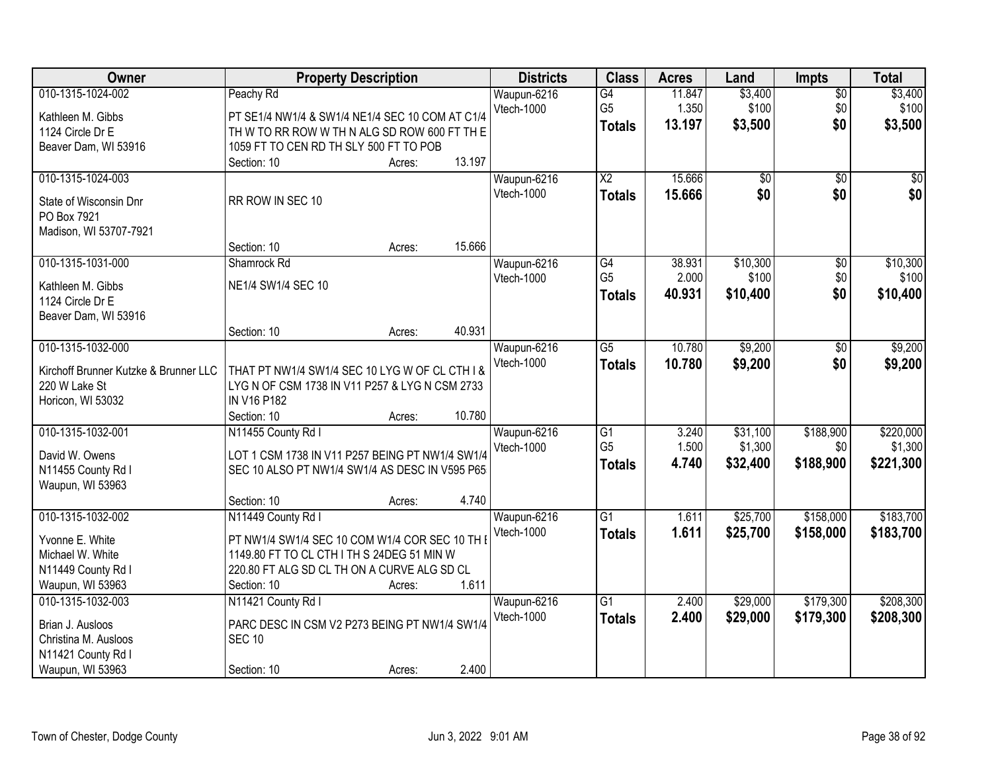| \$3,400<br>010-1315-1024-002<br>Peachy Rd<br>Waupun-6216<br>G4<br>11.847<br>$\overline{50}$<br><b>Vtech-1000</b><br>G <sub>5</sub><br>\$100<br>1.350<br>\$0 | \$3,400<br>\$100<br>\$3,500 |
|-------------------------------------------------------------------------------------------------------------------------------------------------------------|-----------------------------|
|                                                                                                                                                             |                             |
| Kathleen M. Gibbs<br>PT SE1/4 NW1/4 & SW1/4 NE1/4 SEC 10 COM AT C1/4                                                                                        |                             |
| \$0<br>13.197<br>\$3,500<br><b>Totals</b><br>1124 Circle Dr E<br>TH W TO RR ROW W TH N ALG SD ROW 600 FT TH E                                               |                             |
| 1059 FT TO CEN RD TH SLY 500 FT TO POB<br>Beaver Dam, WI 53916                                                                                              |                             |
| 13.197<br>Section: 10<br>Acres:                                                                                                                             |                             |
| $\overline{\text{X2}}$<br>15.666<br>010-1315-1024-003<br>$\overline{50}$<br>$\overline{50}$<br>Waupun-6216                                                  | $\sqrt{50}$                 |
| \$0<br>Vtech-1000<br>15.666<br>\$0<br><b>Totals</b>                                                                                                         | \$0                         |
| RR ROW IN SEC 10<br>State of Wisconsin Dnr                                                                                                                  |                             |
| PO Box 7921                                                                                                                                                 |                             |
| Madison, WI 53707-7921                                                                                                                                      |                             |
| 15.666<br>Section: 10<br>Acres:                                                                                                                             |                             |
| 010-1315-1031-000<br>\$10,300<br>Shamrock Rd<br>Waupun-6216<br>G4<br>38.931<br>$\overline{50}$                                                              | \$10,300                    |
| G <sub>5</sub><br>\$100<br>\$0<br>2.000<br>Vtech-1000<br>NE1/4 SW1/4 SEC 10<br>Kathleen M. Gibbs                                                            | \$100                       |
| 40.931<br>\$10,400<br>\$0<br><b>Totals</b><br>1124 Circle Dr E                                                                                              | \$10,400                    |
| Beaver Dam, WI 53916                                                                                                                                        |                             |
| 40.931<br>Section: 10<br>Acres:                                                                                                                             |                             |
| \$9,200<br>010-1315-1032-000<br>$\overline{G5}$<br>10.780<br>Waupun-6216<br>\$0                                                                             | \$9,200                     |
| Vtech-1000<br>\$9,200<br>\$0<br>10.780<br><b>Totals</b>                                                                                                     | \$9,200                     |
| Kirchoff Brunner Kutzke & Brunner LLC<br>THAT PT NW1/4 SW1/4 SEC 10 LYG W OF CL CTH I &                                                                     |                             |
| 220 W Lake St<br>LYG N OF CSM 1738 IN V11 P257 & LYG N CSM 2733                                                                                             |                             |
| IN V16 P182<br>Horicon, WI 53032                                                                                                                            |                             |
| 10.780<br>Section: 10<br>Acres:                                                                                                                             |                             |
| \$188,900<br>010-1315-1032-001<br>$\overline{G1}$<br>3.240<br>\$31,100<br>N11455 County Rd I<br>Waupun-6216                                                 | \$220,000                   |
| G <sub>5</sub><br>1.500<br>\$1,300<br>\$0<br>Vtech-1000<br>David W. Owens<br>LOT 1 CSM 1738 IN V11 P257 BEING PT NW1/4 SW1/4                                | \$1,300                     |
| \$188,900<br>4.740<br>\$32,400<br><b>Totals</b><br>N11455 County Rd I<br>SEC 10 ALSO PT NW1/4 SW1/4 AS DESC IN V595 P65                                     | \$221,300                   |
| Waupun, WI 53963                                                                                                                                            |                             |
| 4.740<br>Section: 10<br>Acres:                                                                                                                              |                             |
| $\overline{G1}$<br>\$25,700<br>\$158,000<br>010-1315-1032-002<br>N11449 County Rd I<br>Waupun-6216<br>1.611                                                 | \$183,700                   |
| \$25,700<br>Vtech-1000<br>1.611<br>\$158,000                                                                                                                | \$183,700                   |
| <b>Totals</b><br>Yvonne E. White<br>PT NW1/4 SW1/4 SEC 10 COM W1/4 COR SEC 10 TH I                                                                          |                             |
| 1149.80 FT TO CL CTH I TH S 24DEG 51 MIN W<br>Michael W. White                                                                                              |                             |
| 220.80 FT ALG SD CL TH ON A CURVE ALG SD CL<br>N11449 County Rd I                                                                                           |                             |
| Waupun, WI 53963<br>1.611<br>Section: 10<br>Acres:                                                                                                          |                             |
| \$179,300<br>010-1315-1032-003<br>N11421 County Rd I<br>$\overline{G1}$<br>\$29,000<br>Waupun-6216<br>2.400                                                 | \$208,300                   |
| Vtech-1000<br>2.400<br>\$29,000<br>\$179,300<br><b>Totals</b><br>PARC DESC IN CSM V2 P273 BEING PT NW1/4 SW1/4<br>Brian J. Ausloos                          | \$208,300                   |
| <b>SEC 10</b><br>Christina M. Ausloos                                                                                                                       |                             |
| N11421 County Rd I                                                                                                                                          |                             |
| Waupun, WI 53963<br>2.400<br>Section: 10<br>Acres:                                                                                                          |                             |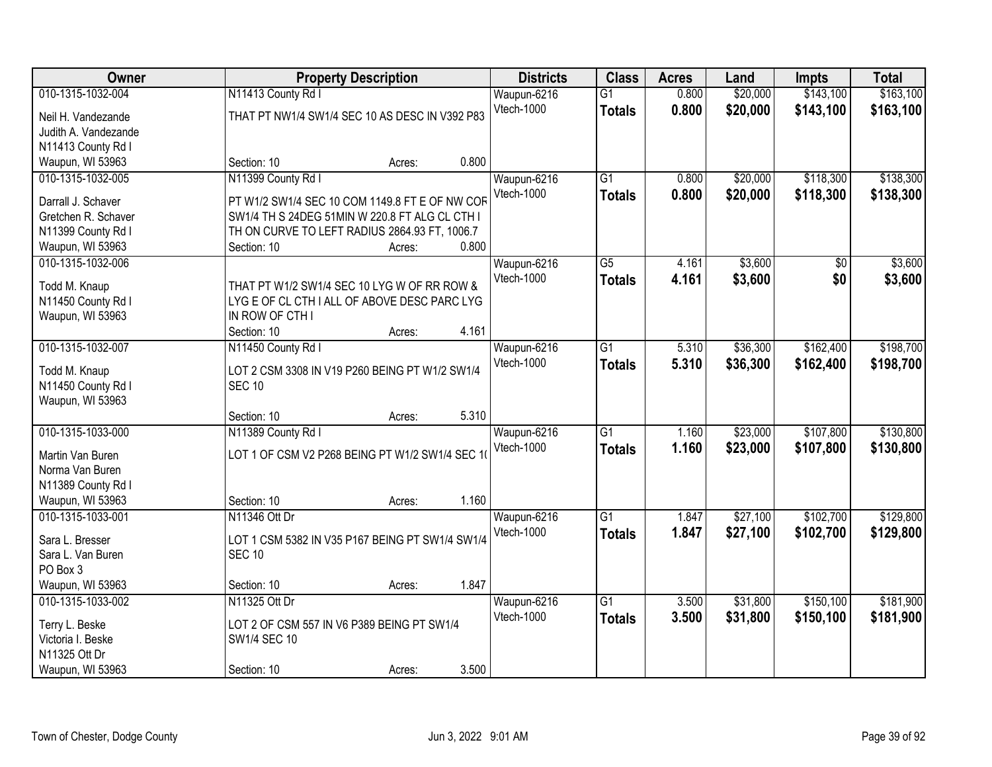| Owner                         | <b>Property Description</b>                                      |        |       | <b>Districts</b> | <b>Class</b>    | <b>Acres</b> | Land     | <b>Impts</b>    | <b>Total</b> |
|-------------------------------|------------------------------------------------------------------|--------|-------|------------------|-----------------|--------------|----------|-----------------|--------------|
| 010-1315-1032-004             | N11413 County Rd I                                               |        |       | Waupun-6216      | $\overline{G1}$ | 0.800        | \$20,000 | \$143,100       | \$163,100    |
| Neil H. Vandezande            | THAT PT NW1/4 SW1/4 SEC 10 AS DESC IN V392 P83                   |        |       | Vtech-1000       | <b>Totals</b>   | 0.800        | \$20,000 | \$143,100       | \$163,100    |
| Judith A. Vandezande          |                                                                  |        |       |                  |                 |              |          |                 |              |
| N11413 County Rd I            |                                                                  |        |       |                  |                 |              |          |                 |              |
| Waupun, WI 53963              | Section: 10                                                      | Acres: | 0.800 |                  |                 |              |          |                 |              |
| 010-1315-1032-005             | N11399 County Rd I                                               |        |       | Waupun-6216      | $\overline{G1}$ | 0.800        | \$20,000 | \$118,300       | \$138,300    |
|                               |                                                                  |        |       | Vtech-1000       | <b>Totals</b>   | 0.800        | \$20,000 | \$118,300       | \$138,300    |
| Darrall J. Schaver            | PT W1/2 SW1/4 SEC 10 COM 1149.8 FT E OF NW COF                   |        |       |                  |                 |              |          |                 |              |
| Gretchen R. Schaver           | SW1/4 TH S 24DEG 51MIN W 220.8 FT ALG CL CTH I                   |        |       |                  |                 |              |          |                 |              |
| N11399 County Rd I            | TH ON CURVE TO LEFT RADIUS 2864.93 FT, 1006.7                    |        |       |                  |                 |              |          |                 |              |
| Waupun, WI 53963              | Section: 10                                                      | Acres: | 0.800 |                  |                 |              |          |                 |              |
| 010-1315-1032-006             |                                                                  |        |       | Waupun-6216      | $\overline{G5}$ | 4.161        | \$3,600  | $\overline{50}$ | \$3,600      |
| Todd M. Knaup                 | THAT PT W1/2 SW1/4 SEC 10 LYG W OF RR ROW &                      |        |       | Vtech-1000       | <b>Totals</b>   | 4.161        | \$3,600  | \$0             | \$3,600      |
| N11450 County Rd I            | LYG E OF CL CTH I ALL OF ABOVE DESC PARC LYG                     |        |       |                  |                 |              |          |                 |              |
| Waupun, WI 53963              | IN ROW OF CTH I                                                  |        |       |                  |                 |              |          |                 |              |
|                               | Section: 10                                                      | Acres: | 4.161 |                  |                 |              |          |                 |              |
| 010-1315-1032-007             | N11450 County Rd I                                               |        |       | Waupun-6216      | $\overline{G1}$ | 5.310        | \$36,300 | \$162,400       | \$198,700    |
|                               |                                                                  |        |       | Vtech-1000       | <b>Totals</b>   | 5.310        | \$36,300 | \$162,400       | \$198,700    |
| Todd M. Knaup                 | LOT 2 CSM 3308 IN V19 P260 BEING PT W1/2 SW1/4                   |        |       |                  |                 |              |          |                 |              |
| N11450 County Rd I            | <b>SEC 10</b>                                                    |        |       |                  |                 |              |          |                 |              |
| Waupun, WI 53963              |                                                                  |        |       |                  |                 |              |          |                 |              |
|                               | Section: 10                                                      | Acres: | 5.310 |                  |                 |              |          |                 |              |
| 010-1315-1033-000             | N11389 County Rd I                                               |        |       | Waupun-6216      | $\overline{G1}$ | 1.160        | \$23,000 | \$107,800       | \$130,800    |
| Martin Van Buren              | LOT 1 OF CSM V2 P268 BEING PT W1/2 SW1/4 SEC 10                  |        |       | Vtech-1000       | <b>Totals</b>   | 1.160        | \$23,000 | \$107,800       | \$130,800    |
| Norma Van Buren               |                                                                  |        |       |                  |                 |              |          |                 |              |
| N11389 County Rd I            |                                                                  |        |       |                  |                 |              |          |                 |              |
| Waupun, WI 53963              | Section: 10                                                      | Acres: | 1.160 |                  |                 |              |          |                 |              |
| 010-1315-1033-001             | N11346 Ott Dr                                                    |        |       | Waupun-6216      | $\overline{G1}$ | 1.847        | \$27,100 | \$102,700       | \$129,800    |
|                               |                                                                  |        |       | Vtech-1000       | <b>Totals</b>   | 1.847        | \$27,100 | \$102,700       | \$129,800    |
| Sara L. Bresser               | LOT 1 CSM 5382 IN V35 P167 BEING PT SW1/4 SW1/4<br><b>SEC 10</b> |        |       |                  |                 |              |          |                 |              |
| Sara L. Van Buren<br>PO Box 3 |                                                                  |        |       |                  |                 |              |          |                 |              |
| Waupun, WI 53963              |                                                                  |        | 1.847 |                  |                 |              |          |                 |              |
| 010-1315-1033-002             | Section: 10                                                      | Acres: |       |                  | $\overline{G1}$ |              |          | \$150,100       | \$181,900    |
|                               | N11325 Ott Dr                                                    |        |       | Waupun-6216      |                 | 3.500        | \$31,800 |                 |              |
| Terry L. Beske                | LOT 2 OF CSM 557 IN V6 P389 BEING PT SW1/4                       |        |       | Vtech-1000       | <b>Totals</b>   | 3.500        | \$31,800 | \$150,100       | \$181,900    |
| Victoria I. Beske             | SW1/4 SEC 10                                                     |        |       |                  |                 |              |          |                 |              |
| N11325 Ott Dr                 |                                                                  |        |       |                  |                 |              |          |                 |              |
| Waupun, WI 53963              | Section: 10                                                      | Acres: | 3.500 |                  |                 |              |          |                 |              |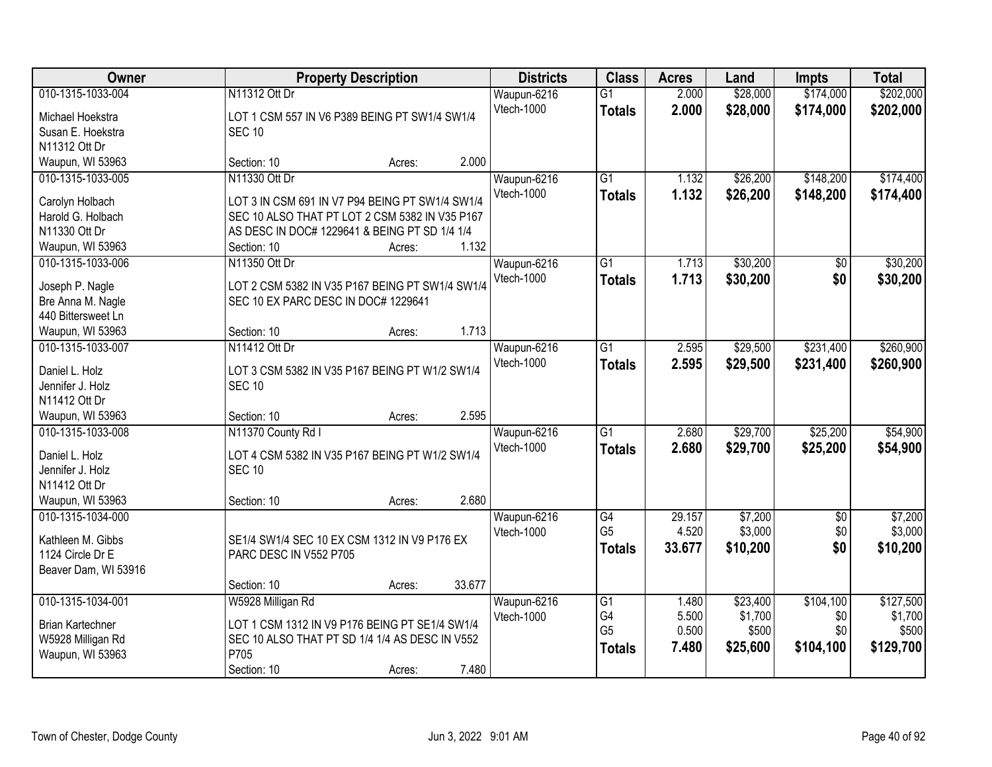| Owner                             |                                                              | <b>Property Description</b> |        | <b>Districts</b> | <b>Class</b>    | <b>Acres</b> | Land     | Impts      | <b>Total</b> |
|-----------------------------------|--------------------------------------------------------------|-----------------------------|--------|------------------|-----------------|--------------|----------|------------|--------------|
| 010-1315-1033-004                 | N11312 Ott Dr                                                |                             |        | Waupun-6216      | $\overline{G1}$ | 2.000        | \$28,000 | \$174,000  | \$202,000    |
| Michael Hoekstra                  | LOT 1 CSM 557 IN V6 P389 BEING PT SW1/4 SW1/4                |                             |        | Vtech-1000       | <b>Totals</b>   | 2.000        | \$28,000 | \$174,000  | \$202,000    |
| Susan E. Hoekstra                 | <b>SEC 10</b>                                                |                             |        |                  |                 |              |          |            |              |
| N11312 Ott Dr                     |                                                              |                             |        |                  |                 |              |          |            |              |
| Waupun, WI 53963                  | Section: 10                                                  | Acres:                      | 2.000  |                  |                 |              |          |            |              |
| 010-1315-1033-005                 | N11330 Ott Dr                                                |                             |        | Waupun-6216      | $\overline{G1}$ | 1.132        | \$26,200 | \$148,200  | \$174,400    |
|                                   |                                                              |                             |        | Vtech-1000       | <b>Totals</b>   | 1.132        | \$26,200 | \$148,200  | \$174,400    |
| Carolyn Holbach                   | LOT 3 IN CSM 691 IN V7 P94 BEING PT SW1/4 SW1/4              |                             |        |                  |                 |              |          |            |              |
| Harold G. Holbach                 | SEC 10 ALSO THAT PT LOT 2 CSM 5382 IN V35 P167               |                             |        |                  |                 |              |          |            |              |
| N11330 Ott Dr<br>Waupun, WI 53963 | AS DESC IN DOC# 1229641 & BEING PT SD 1/4 1/4<br>Section: 10 |                             | 1.132  |                  |                 |              |          |            |              |
| 010-1315-1033-006                 | N11350 Ott Dr                                                | Acres:                      |        | Waupun-6216      | $\overline{G1}$ | 1.713        | \$30,200 |            | \$30,200     |
|                                   |                                                              |                             |        | Vtech-1000       |                 |              |          | \$0        |              |
| Joseph P. Nagle                   | LOT 2 CSM 5382 IN V35 P167 BEING PT SW1/4 SW1/4              |                             |        |                  | <b>Totals</b>   | 1.713        | \$30,200 | \$0        | \$30,200     |
| Bre Anna M. Nagle                 | SEC 10 EX PARC DESC IN DOC# 1229641                          |                             |        |                  |                 |              |          |            |              |
| 440 Bittersweet Ln                |                                                              |                             |        |                  |                 |              |          |            |              |
| Waupun, WI 53963                  | Section: 10                                                  | Acres:                      | 1.713  |                  |                 |              |          |            |              |
| 010-1315-1033-007                 | N11412 Ott Dr                                                |                             |        | Waupun-6216      | $\overline{G1}$ | 2.595        | \$29,500 | \$231,400  | \$260,900    |
| Daniel L. Holz                    | LOT 3 CSM 5382 IN V35 P167 BEING PT W1/2 SW1/4               |                             |        | Vtech-1000       | <b>Totals</b>   | 2.595        | \$29,500 | \$231,400  | \$260,900    |
| Jennifer J. Holz                  | <b>SEC 10</b>                                                |                             |        |                  |                 |              |          |            |              |
| N11412 Ott Dr                     |                                                              |                             |        |                  |                 |              |          |            |              |
| Waupun, WI 53963                  | Section: 10                                                  | Acres:                      | 2.595  |                  |                 |              |          |            |              |
| 010-1315-1033-008                 | N11370 County Rd I                                           |                             |        | Waupun-6216      | $\overline{G1}$ | 2.680        | \$29,700 | \$25,200   | \$54,900     |
|                                   |                                                              |                             |        | Vtech-1000       | <b>Totals</b>   | 2.680        | \$29,700 | \$25,200   | \$54,900     |
| Daniel L. Holz                    | LOT 4 CSM 5382 IN V35 P167 BEING PT W1/2 SW1/4               |                             |        |                  |                 |              |          |            |              |
| Jennifer J. Holz                  | <b>SEC 10</b>                                                |                             |        |                  |                 |              |          |            |              |
| N11412 Ott Dr                     |                                                              |                             |        |                  |                 |              |          |            |              |
| Waupun, WI 53963                  | Section: 10                                                  | Acres:                      | 2.680  |                  |                 |              |          |            |              |
| 010-1315-1034-000                 |                                                              |                             |        | Waupun-6216      | G4              | 29.157       | \$7,200  | $\sqrt{6}$ | \$7,200      |
| Kathleen M. Gibbs                 | SE1/4 SW1/4 SEC 10 EX CSM 1312 IN V9 P176 EX                 |                             |        | Vtech-1000       | G <sub>5</sub>  | 4.520        | \$3,000  | \$0        | \$3,000      |
| 1124 Circle Dr E                  | PARC DESC IN V552 P705                                       |                             |        |                  | <b>Totals</b>   | 33.677       | \$10,200 | \$0        | \$10,200     |
| Beaver Dam, WI 53916              |                                                              |                             |        |                  |                 |              |          |            |              |
|                                   | Section: 10                                                  | Acres:                      | 33.677 |                  |                 |              |          |            |              |
| 010-1315-1034-001                 | W5928 Milligan Rd                                            |                             |        | Waupun-6216      | G1              | 1.480        | \$23,400 | \$104,100  | \$127,500    |
|                                   |                                                              |                             |        | Vtech-1000       | G4              | 5.500        | \$1,700  | \$0        | \$1,700      |
| <b>Brian Kartechner</b>           | LOT 1 CSM 1312 IN V9 P176 BEING PT SE1/4 SW1/4               |                             |        |                  | G <sub>5</sub>  | 0.500        | \$500    | \$0        | \$500        |
| W5928 Milligan Rd                 | SEC 10 ALSO THAT PT SD 1/4 1/4 AS DESC IN V552               |                             |        |                  | <b>Totals</b>   | 7.480        | \$25,600 | \$104,100  | \$129,700    |
| Waupun, WI 53963                  | P705                                                         |                             |        |                  |                 |              |          |            |              |
|                                   | Section: 10                                                  | Acres:                      | 7.480  |                  |                 |              |          |            |              |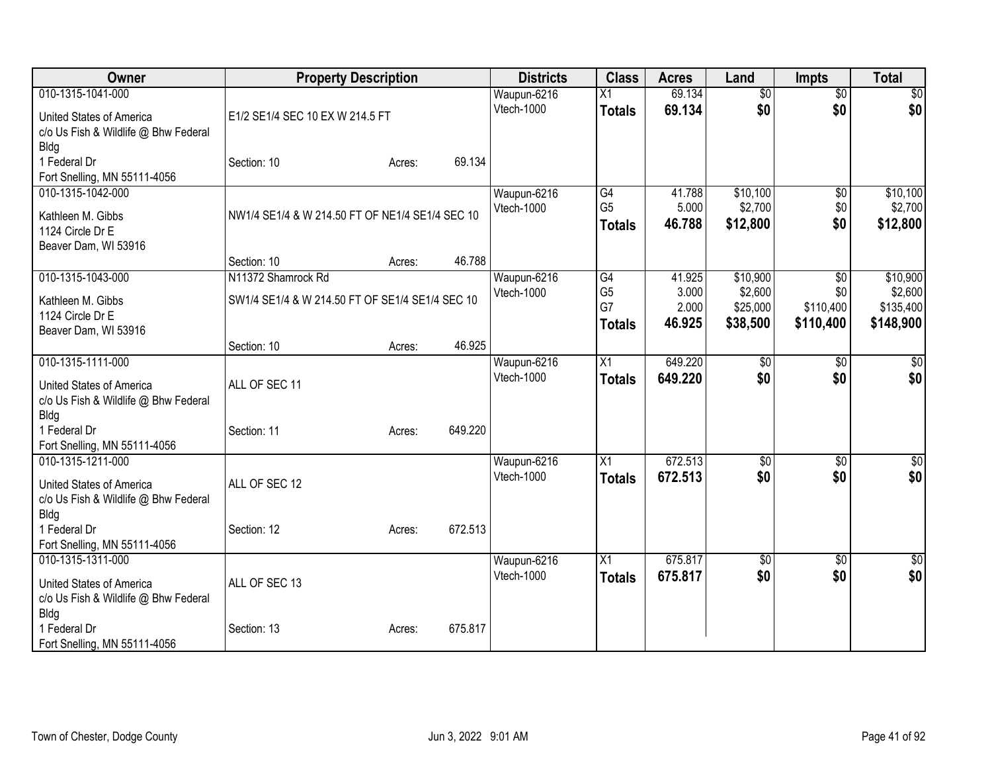| Owner                                                                                                       |                                                                       | <b>Property Description</b> |         | <b>Districts</b>          | <b>Class</b>                                             | <b>Acres</b>                       | Land                                        | <b>Impts</b>                         | <b>Total</b>                                  |
|-------------------------------------------------------------------------------------------------------------|-----------------------------------------------------------------------|-----------------------------|---------|---------------------------|----------------------------------------------------------|------------------------------------|---------------------------------------------|--------------------------------------|-----------------------------------------------|
| 010-1315-1041-000<br><b>United States of America</b><br>c/o Us Fish & Wildlife @ Bhw Federal<br><b>Bldg</b> | E1/2 SE1/4 SEC 10 EX W 214.5 FT                                       |                             |         | Waupun-6216<br>Vtech-1000 | X1<br><b>Totals</b>                                      | 69.134<br>69.134                   | $\overline{50}$<br>\$0                      | $\overline{50}$<br>\$0               | \$0<br>\$0                                    |
| 1 Federal Dr<br>Fort Snelling, MN 55111-4056                                                                | Section: 10                                                           | Acres:                      | 69.134  |                           |                                                          |                                    |                                             |                                      |                                               |
| 010-1315-1042-000<br>Kathleen M. Gibbs<br>1124 Circle Dr E<br>Beaver Dam, WI 53916                          | NW1/4 SE1/4 & W 214.50 FT OF NE1/4 SE1/4 SEC 10                       |                             |         | Waupun-6216<br>Vtech-1000 | G4<br>G <sub>5</sub><br><b>Totals</b>                    | 41.788<br>5.000<br>46.788          | \$10,100<br>\$2,700<br>\$12,800             | \$0<br>\$0<br>\$0                    | \$10,100<br>\$2,700<br>\$12,800               |
|                                                                                                             | Section: 10                                                           | Acres:                      | 46.788  |                           |                                                          |                                    |                                             |                                      |                                               |
| 010-1315-1043-000<br>Kathleen M. Gibbs<br>1124 Circle Dr E<br>Beaver Dam, WI 53916                          | N11372 Shamrock Rd<br>SW1/4 SE1/4 & W 214.50 FT OF SE1/4 SE1/4 SEC 10 |                             |         | Waupun-6216<br>Vtech-1000 | $\overline{G4}$<br>G <sub>5</sub><br>G7<br><b>Totals</b> | 41.925<br>3.000<br>2.000<br>46.925 | \$10,900<br>\$2,600<br>\$25,000<br>\$38,500 | \$0<br>\$0<br>\$110,400<br>\$110,400 | \$10,900<br>\$2,600<br>\$135,400<br>\$148,900 |
|                                                                                                             | Section: 10                                                           | Acres:                      | 46.925  |                           |                                                          |                                    |                                             |                                      |                                               |
| 010-1315-1111-000<br>United States of America<br>c/o Us Fish & Wildlife @ Bhw Federal<br><b>Bldg</b>        | ALL OF SEC 11                                                         |                             |         | Waupun-6216<br>Vtech-1000 | X1<br><b>Totals</b>                                      | 649.220<br>649.220                 | $\overline{50}$<br>\$0                      | \$0<br>\$0                           | \$0<br>\$0                                    |
| 1 Federal Dr<br>Fort Snelling, MN 55111-4056                                                                | Section: 11                                                           | Acres:                      | 649.220 |                           |                                                          |                                    |                                             |                                      |                                               |
| 010-1315-1211-000<br>United States of America<br>c/o Us Fish & Wildlife @ Bhw Federal<br><b>Bldg</b>        | ALL OF SEC 12                                                         |                             |         | Waupun-6216<br>Vtech-1000 | X1<br><b>Totals</b>                                      | 672.513<br>672.513                 | \$0<br>\$0                                  | \$0<br>\$0                           | $\sqrt{50}$<br>\$0                            |
| 1 Federal Dr<br>Fort Snelling, MN 55111-4056                                                                | Section: 12                                                           | Acres:                      | 672.513 |                           |                                                          |                                    |                                             |                                      |                                               |
| 010-1315-1311-000<br>United States of America<br>c/o Us Fish & Wildlife @ Bhw Federal<br><b>Bldg</b>        | ALL OF SEC 13                                                         |                             |         | Waupun-6216<br>Vtech-1000 | X1<br><b>Totals</b>                                      | 675.817<br>675.817                 | \$0<br>\$0                                  | \$0<br>\$0                           | $\overline{\$0}$<br>\$0                       |
| 1 Federal Dr<br>Fort Snelling, MN 55111-4056                                                                | Section: 13                                                           | Acres:                      | 675.817 |                           |                                                          |                                    |                                             |                                      |                                               |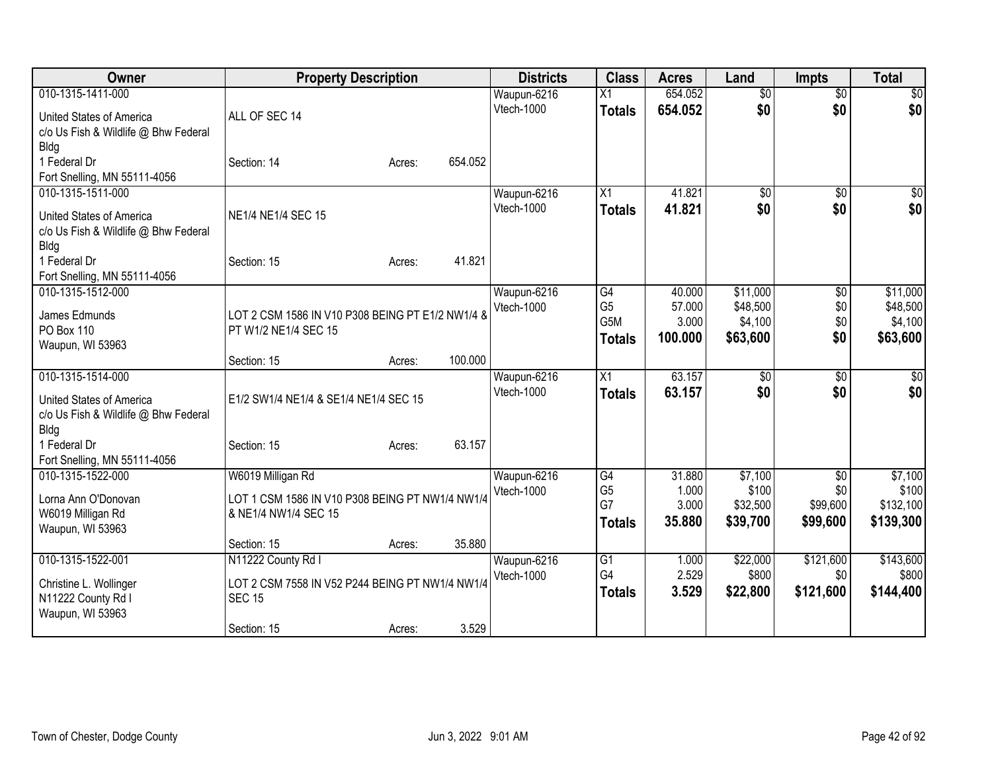| Owner                                        | <b>Property Description</b>                                      |        |         | <b>Districts</b>  | <b>Class</b>    | <b>Acres</b> | Land            | <b>Impts</b>    | <b>Total</b> |
|----------------------------------------------|------------------------------------------------------------------|--------|---------|-------------------|-----------------|--------------|-----------------|-----------------|--------------|
| 010-1315-1411-000                            |                                                                  |        |         | Waupun-6216       | Χ1              | 654.052      | $\overline{50}$ | $\overline{50}$ | \$0          |
| United States of America                     | ALL OF SEC 14                                                    |        |         | Vtech-1000        | <b>Totals</b>   | 654.052      | \$0             | \$0             | \$0          |
| c/o Us Fish & Wildlife @ Bhw Federal         |                                                                  |        |         |                   |                 |              |                 |                 |              |
| <b>Bldg</b>                                  |                                                                  |        |         |                   |                 |              |                 |                 |              |
| 1 Federal Dr                                 | Section: 14                                                      | Acres: | 654.052 |                   |                 |              |                 |                 |              |
| Fort Snelling, MN 55111-4056                 |                                                                  |        |         |                   |                 |              |                 |                 |              |
| 010-1315-1511-000                            |                                                                  |        |         | Waupun-6216       | $\overline{X1}$ | 41.821       | $\overline{50}$ | $\overline{50}$ | \$0          |
| United States of America                     | NE1/4 NE1/4 SEC 15                                               |        |         | Vtech-1000        | <b>Totals</b>   | 41.821       | \$0             | \$0             | \$0          |
| c/o Us Fish & Wildlife @ Bhw Federal         |                                                                  |        |         |                   |                 |              |                 |                 |              |
| <b>Bldg</b>                                  |                                                                  |        |         |                   |                 |              |                 |                 |              |
| 1 Federal Dr                                 | Section: 15                                                      | Acres: | 41.821  |                   |                 |              |                 |                 |              |
| Fort Snelling, MN 55111-4056                 |                                                                  |        |         |                   |                 |              |                 |                 |              |
| 010-1315-1512-000                            |                                                                  |        |         | Waupun-6216       | G4              | 40.000       | \$11,000        | $\overline{50}$ | \$11,000     |
| James Edmunds                                | LOT 2 CSM 1586 IN V10 P308 BEING PT E1/2 NW1/4 &                 |        |         | <b>Vtech-1000</b> | G <sub>5</sub>  | 57.000       | \$48,500        | \$0             | \$48,500     |
| PO Box 110                                   | PT W1/2 NE1/4 SEC 15                                             |        |         |                   | G5M             | 3.000        | \$4,100         | \$0             | \$4,100      |
| Waupun, WI 53963                             |                                                                  |        |         |                   | <b>Totals</b>   | 100.000      | \$63,600        | \$0             | \$63,600     |
|                                              | Section: 15                                                      | Acres: | 100.000 |                   |                 |              |                 |                 |              |
| 010-1315-1514-000                            |                                                                  |        |         | Waupun-6216       | X1              | 63.157       | $\overline{50}$ | \$0             | $\sqrt{50}$  |
| United States of America                     | E1/2 SW1/4 NE1/4 & SE1/4 NE1/4 SEC 15                            |        |         | Vtech-1000        | <b>Totals</b>   | 63.157       | \$0             | \$0             | \$0          |
| c/o Us Fish & Wildlife @ Bhw Federal         |                                                                  |        |         |                   |                 |              |                 |                 |              |
| Bldg                                         |                                                                  |        |         |                   |                 |              |                 |                 |              |
| 1 Federal Dr                                 | Section: 15                                                      | Acres: | 63.157  |                   |                 |              |                 |                 |              |
| Fort Snelling, MN 55111-4056                 |                                                                  |        |         |                   |                 |              |                 |                 |              |
| 010-1315-1522-000                            | W6019 Milligan Rd                                                |        |         | Waupun-6216       | G4              | 31.880       | \$7,100         | $\overline{50}$ | \$7,100      |
| Lorna Ann O'Donovan                          | LOT 1 CSM 1586 IN V10 P308 BEING PT NW1/4 NW1/4                  |        |         | Vtech-1000        | G <sub>5</sub>  | 1.000        | \$100           | \$0             | \$100        |
| W6019 Milligan Rd                            | & NE1/4 NW1/4 SEC 15                                             |        |         |                   | G7              | 3.000        | \$32,500        | \$99,600        | \$132,100    |
| Waupun, WI 53963                             |                                                                  |        |         |                   | <b>Totals</b>   | 35.880       | \$39,700        | \$99,600        | \$139,300    |
|                                              | Section: 15                                                      | Acres: | 35.880  |                   |                 |              |                 |                 |              |
| 010-1315-1522-001                            | N11222 County Rd I                                               |        |         | Waupun-6216       | $\overline{G1}$ | 1.000        | \$22,000        | \$121,600       | \$143,600    |
|                                              |                                                                  |        |         | Vtech-1000        | G4              | 2.529        | \$800           | \$0             | \$800        |
| Christine L. Wollinger<br>N11222 County Rd I | LOT 2 CSM 7558 IN V52 P244 BEING PT NW1/4 NW1/4<br><b>SEC 15</b> |        |         |                   | <b>Totals</b>   | 3.529        | \$22,800        | \$121,600       | \$144,400    |
| Waupun, WI 53963                             |                                                                  |        |         |                   |                 |              |                 |                 |              |
|                                              | Section: 15                                                      | Acres: | 3.529   |                   |                 |              |                 |                 |              |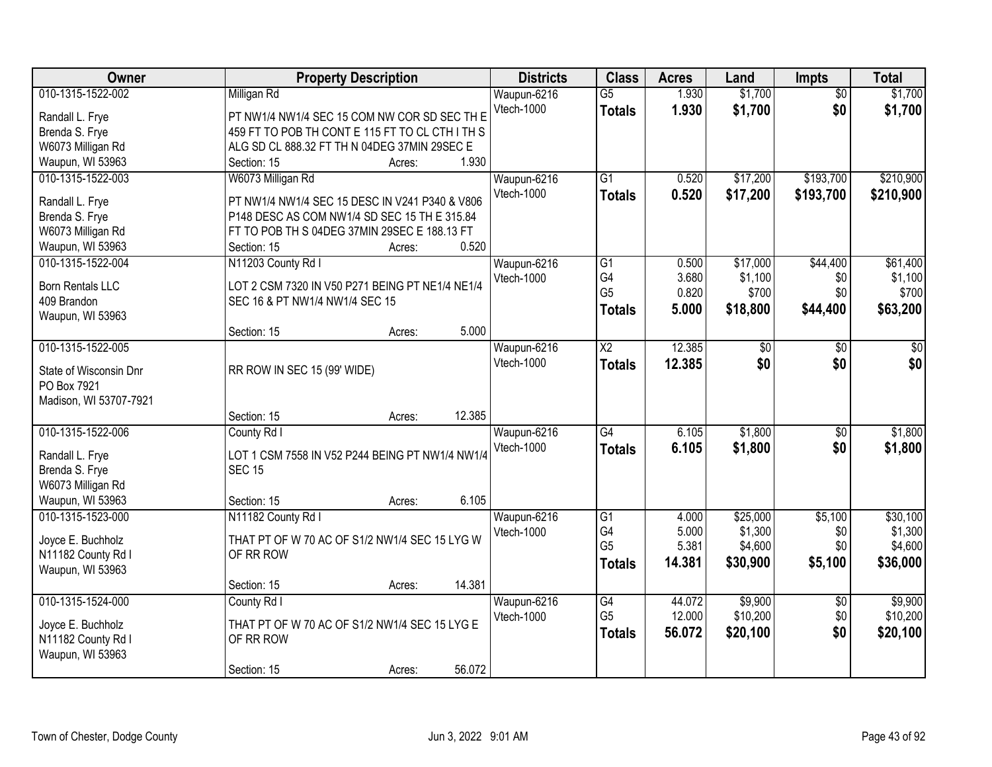| <b>Owner</b>                          | <b>Property Description</b>                                                    | <b>Districts</b>          | <b>Class</b>           | <b>Acres</b>   | Land                | <b>Impts</b>    | <b>Total</b>        |
|---------------------------------------|--------------------------------------------------------------------------------|---------------------------|------------------------|----------------|---------------------|-----------------|---------------------|
| 010-1315-1522-002                     | Milligan Rd                                                                    | Waupun-6216               | $\overline{G5}$        | 1.930          | \$1,700             | $\overline{50}$ | \$1,700             |
| Randall L. Frye                       | PT NW1/4 NW1/4 SEC 15 COM NW COR SD SEC TH E                                   | Vtech-1000                | <b>Totals</b>          | 1.930          | \$1,700             | \$0             | \$1,700             |
| Brenda S. Frye                        | 459 FT TO POB TH CONT E 115 FT TO CL CTH I TH S                                |                           |                        |                |                     |                 |                     |
| W6073 Milligan Rd                     | ALG SD CL 888.32 FT TH N 04DEG 37MIN 29SEC E                                   |                           |                        |                |                     |                 |                     |
| Waupun, WI 53963                      | 1.930<br>Section: 15<br>Acres:                                                 |                           |                        |                |                     |                 |                     |
| 010-1315-1522-003                     | W6073 Milligan Rd                                                              | Waupun-6216               | $\overline{G1}$        | 0.520          | \$17,200            | \$193,700       | \$210,900           |
|                                       |                                                                                | <b>Vtech-1000</b>         | <b>Totals</b>          | 0.520          | \$17,200            | \$193,700       | \$210,900           |
| Randall L. Frye                       | PT NW1/4 NW1/4 SEC 15 DESC IN V241 P340 & V806                                 |                           |                        |                |                     |                 |                     |
| Brenda S. Frye                        | P148 DESC AS COM NW1/4 SD SEC 15 TH E 315.84                                   |                           |                        |                |                     |                 |                     |
| W6073 Milligan Rd<br>Waupun, WI 53963 | FT TO POB TH S 04DEG 37MIN 29SEC E 188.13 FT<br>0.520<br>Section: 15<br>Acres: |                           |                        |                |                     |                 |                     |
| 010-1315-1522-004                     |                                                                                | Waupun-6216               | $\overline{G1}$        | 0.500          | \$17,000            | \$44,400        | \$61,400            |
|                                       | N11203 County Rd I                                                             | Vtech-1000                | G4                     | 3.680          | \$1,100             | \$0             | \$1,100             |
| <b>Born Rentals LLC</b>               | LOT 2 CSM 7320 IN V50 P271 BEING PT NE1/4 NE1/4                                |                           | G <sub>5</sub>         | 0.820          | \$700               | \$0             | \$700               |
| 409 Brandon                           | SEC 16 & PT NW1/4 NW1/4 SEC 15                                                 |                           | <b>Totals</b>          | 5.000          | \$18,800            | \$44,400        | \$63,200            |
| Waupun, WI 53963                      |                                                                                |                           |                        |                |                     |                 |                     |
|                                       | 5.000<br>Section: 15<br>Acres:                                                 |                           |                        |                |                     |                 |                     |
| 010-1315-1522-005                     |                                                                                | Waupun-6216               | $\overline{\text{X2}}$ | 12.385         | \$0                 | \$0             | \$0                 |
| State of Wisconsin Dnr                | RR ROW IN SEC 15 (99' WIDE)                                                    | Vtech-1000                | <b>Totals</b>          | 12.385         | \$0                 | \$0             | \$0                 |
| PO Box 7921                           |                                                                                |                           |                        |                |                     |                 |                     |
| Madison, WI 53707-7921                |                                                                                |                           |                        |                |                     |                 |                     |
|                                       | 12.385<br>Section: 15<br>Acres:                                                |                           |                        |                |                     |                 |                     |
| 010-1315-1522-006                     | County Rd I                                                                    | Waupun-6216               | $\overline{G4}$        | 6.105          | \$1,800             | \$0             | \$1,800             |
|                                       |                                                                                | Vtech-1000                | <b>Totals</b>          | 6.105          | \$1,800             | \$0             | \$1,800             |
| Randall L. Frye                       | LOT 1 CSM 7558 IN V52 P244 BEING PT NW1/4 NW1/4                                |                           |                        |                |                     |                 |                     |
| Brenda S. Frye                        | <b>SEC 15</b>                                                                  |                           |                        |                |                     |                 |                     |
| W6073 Milligan Rd                     | 6.105                                                                          |                           |                        |                |                     |                 |                     |
| Waupun, WI 53963<br>010-1315-1523-000 | Section: 15<br>Acres:                                                          |                           | $\overline{G1}$        |                |                     |                 |                     |
|                                       | N11182 County Rd I                                                             | Waupun-6216<br>Vtech-1000 | G4                     | 4.000<br>5.000 | \$25,000<br>\$1,300 | \$5,100<br>\$0  | \$30,100<br>\$1,300 |
| Joyce E. Buchholz                     | THAT PT OF W 70 AC OF S1/2 NW1/4 SEC 15 LYG W                                  |                           | G <sub>5</sub>         | 5.381          | \$4,600             | \$0             | \$4,600             |
| N11182 County Rd I                    | OF RR ROW                                                                      |                           | <b>Totals</b>          | 14.381         | \$30,900            | \$5,100         | \$36,000            |
| Waupun, WI 53963                      |                                                                                |                           |                        |                |                     |                 |                     |
|                                       | 14.381<br>Section: 15<br>Acres:                                                |                           |                        |                |                     |                 |                     |
| 010-1315-1524-000                     | County Rd I                                                                    | Waupun-6216               | $\overline{G4}$        | 44.072         | \$9,900             | $\overline{30}$ | \$9,900             |
| Joyce E. Buchholz                     | THAT PT OF W 70 AC OF S1/2 NW1/4 SEC 15 LYG E                                  | Vtech-1000                | G <sub>5</sub>         | 12.000         | \$10,200            | \$0             | \$10,200            |
| N11182 County Rd I                    | OF RR ROW                                                                      |                           | <b>Totals</b>          | 56.072         | \$20,100            | \$0             | \$20,100            |
| Waupun, WI 53963                      |                                                                                |                           |                        |                |                     |                 |                     |
|                                       | 56.072<br>Section: 15<br>Acres:                                                |                           |                        |                |                     |                 |                     |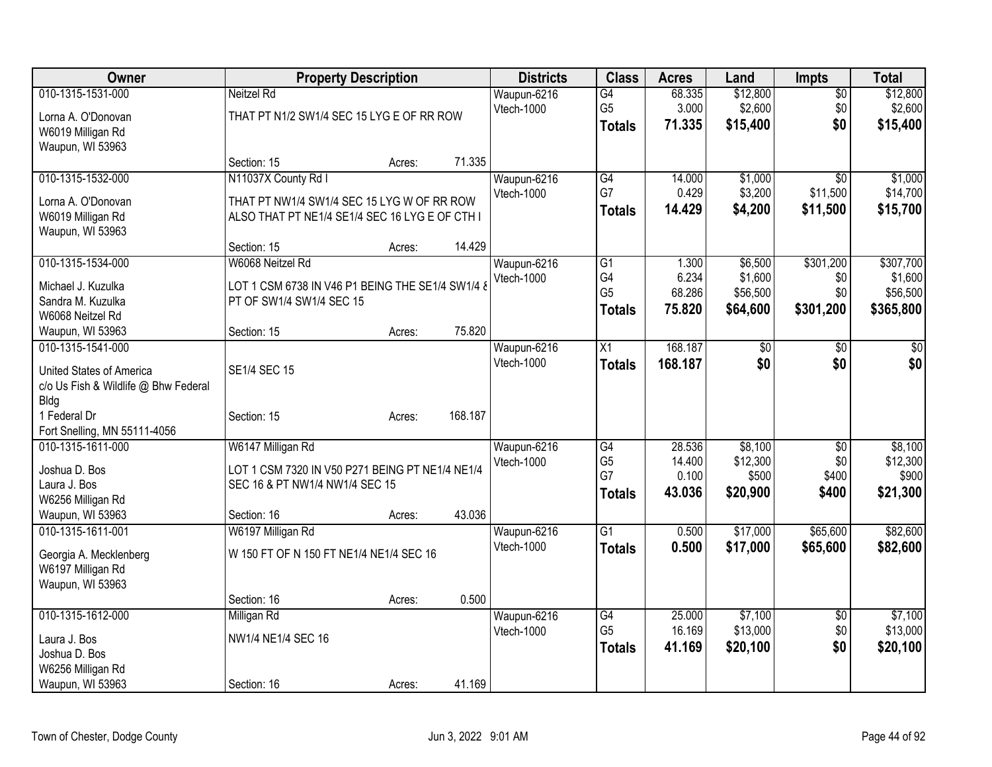| Owner                                |                                                  | <b>Property Description</b> |         | <b>Districts</b>          | <b>Class</b>    | <b>Acres</b> | Land            | <b>Impts</b>    | <b>Total</b>    |
|--------------------------------------|--------------------------------------------------|-----------------------------|---------|---------------------------|-----------------|--------------|-----------------|-----------------|-----------------|
| 010-1315-1531-000                    | Neitzel Rd                                       |                             |         | Waupun-6216               | G4              | 68.335       | \$12,800        | $\overline{50}$ | \$12,800        |
| Lorna A. O'Donovan                   | THAT PT N1/2 SW1/4 SEC 15 LYG E OF RR ROW        |                             |         | Vtech-1000                | G <sub>5</sub>  | 3.000        | \$2,600         | \$0             | \$2,600         |
| W6019 Milligan Rd                    |                                                  |                             |         |                           | <b>Totals</b>   | 71.335       | \$15,400        | \$0             | \$15,400        |
| Waupun, WI 53963                     |                                                  |                             |         |                           |                 |              |                 |                 |                 |
|                                      | Section: 15                                      | Acres:                      | 71.335  |                           |                 |              |                 |                 |                 |
| 010-1315-1532-000                    | N11037X County Rd I                              |                             |         | Waupun-6216               | G4              | 14.000       | \$1,000         | $\overline{30}$ | \$1,000         |
| Lorna A. O'Donovan                   | THAT PT NW1/4 SW1/4 SEC 15 LYG W OF RR ROW       |                             |         | Vtech-1000                | G7              | 0.429        | \$3,200         | \$11,500        | \$14,700        |
| W6019 Milligan Rd                    | ALSO THAT PT NE1/4 SE1/4 SEC 16 LYG E OF CTH I   |                             |         |                           | <b>Totals</b>   | 14.429       | \$4,200         | \$11,500        | \$15,700        |
| Waupun, WI 53963                     |                                                  |                             |         |                           |                 |              |                 |                 |                 |
|                                      | Section: 15                                      | Acres:                      | 14.429  |                           |                 |              |                 |                 |                 |
| 010-1315-1534-000                    | W6068 Neitzel Rd                                 |                             |         | Waupun-6216               | G1              | 1.300        | \$6,500         | \$301,200       | \$307,700       |
| Michael J. Kuzulka                   | LOT 1 CSM 6738 IN V46 P1 BEING THE SE1/4 SW1/4 & |                             |         | Vtech-1000                | G4              | 6.234        | \$1,600         | \$0             | \$1,600         |
| Sandra M. Kuzulka                    | PT OF SW1/4 SW1/4 SEC 15                         |                             |         |                           | G <sub>5</sub>  | 68.286       | \$56,500        | \$0             | \$56,500        |
| W6068 Neitzel Rd                     |                                                  |                             |         |                           | Totals          | 75.820       | \$64,600        | \$301,200       | \$365,800       |
| Waupun, WI 53963                     | Section: 15                                      | Acres:                      | 75.820  |                           |                 |              |                 |                 |                 |
| 010-1315-1541-000                    |                                                  |                             |         | Waupun-6216               | $\overline{X1}$ | 168.187      | $\overline{50}$ | \$0             | $\overline{30}$ |
|                                      |                                                  |                             |         | Vtech-1000                | <b>Totals</b>   | 168.187      | \$0             | \$0             | \$0             |
| United States of America             | <b>SE1/4 SEC 15</b>                              |                             |         |                           |                 |              |                 |                 |                 |
| c/o Us Fish & Wildlife @ Bhw Federal |                                                  |                             |         |                           |                 |              |                 |                 |                 |
| <b>Bldg</b><br>1 Federal Dr          | Section: 15                                      |                             | 168.187 |                           |                 |              |                 |                 |                 |
| Fort Snelling, MN 55111-4056         |                                                  | Acres:                      |         |                           |                 |              |                 |                 |                 |
| 010-1315-1611-000                    | W6147 Milligan Rd                                |                             |         | Waupun-6216               | G4              | 28.536       | \$8,100         | $\sqrt[6]{3}$   | \$8,100         |
|                                      |                                                  |                             |         | Vtech-1000                | G <sub>5</sub>  | 14.400       | \$12,300        | \$0             | \$12,300        |
| Joshua D. Bos                        | LOT 1 CSM 7320 IN V50 P271 BEING PT NE1/4 NE1/4  |                             |         |                           | G7              | 0.100        | \$500           | \$400           | \$900           |
| Laura J. Bos                         | SEC 16 & PT NW1/4 NW1/4 SEC 15                   |                             |         |                           | <b>Totals</b>   | 43.036       | \$20,900        | \$400           | \$21,300        |
| W6256 Milligan Rd                    |                                                  |                             |         |                           |                 |              |                 |                 |                 |
| Waupun, WI 53963                     | Section: 16                                      | Acres:                      | 43.036  |                           |                 |              |                 |                 |                 |
| 010-1315-1611-001                    | W6197 Milligan Rd                                |                             |         | Waupun-6216<br>Vtech-1000 | $\overline{G1}$ | 0.500        | \$17,000        | \$65,600        | \$82,600        |
| Georgia A. Mecklenberg               | W 150 FT OF N 150 FT NE1/4 NE1/4 SEC 16          |                             |         |                           | <b>Totals</b>   | 0.500        | \$17,000        | \$65,600        | \$82,600        |
| W6197 Milligan Rd                    |                                                  |                             |         |                           |                 |              |                 |                 |                 |
| Waupun, WI 53963                     |                                                  |                             |         |                           |                 |              |                 |                 |                 |
|                                      | Section: 16                                      | Acres:                      | 0.500   |                           |                 |              |                 |                 |                 |
| 010-1315-1612-000                    | Milligan Rd                                      |                             |         | Waupun-6216               | $\overline{G4}$ | 25.000       | \$7,100         | $\overline{50}$ | \$7,100         |
| Laura J. Bos                         | NW1/4 NE1/4 SEC 16                               |                             |         | Vtech-1000                | G <sub>5</sub>  | 16.169       | \$13,000        | \$0             | \$13,000        |
| Joshua D. Bos                        |                                                  |                             |         |                           | <b>Totals</b>   | 41.169       | \$20,100        | \$0             | \$20,100        |
| W6256 Milligan Rd                    |                                                  |                             |         |                           |                 |              |                 |                 |                 |
| Waupun, WI 53963                     | Section: 16                                      | Acres:                      | 41.169  |                           |                 |              |                 |                 |                 |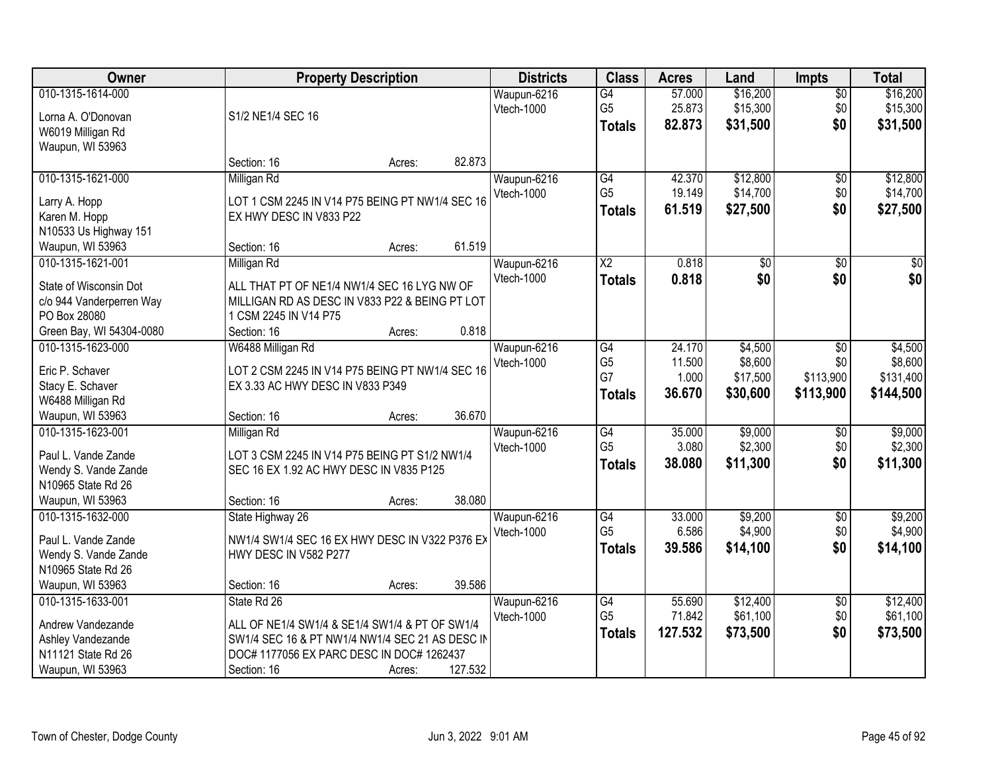| <b>Owner</b>                                                                                          |                                                                                                                                                                              | <b>Property Description</b> |         | <b>Districts</b>          | <b>Class</b>                                             | <b>Acres</b>                        | Land                                       | <b>Impts</b>                                     | <b>Total</b>                                 |
|-------------------------------------------------------------------------------------------------------|------------------------------------------------------------------------------------------------------------------------------------------------------------------------------|-----------------------------|---------|---------------------------|----------------------------------------------------------|-------------------------------------|--------------------------------------------|--------------------------------------------------|----------------------------------------------|
| 010-1315-1614-000<br>Lorna A. O'Donovan<br>W6019 Milligan Rd<br>Waupun, WI 53963                      | S1/2 NE1/4 SEC 16                                                                                                                                                            |                             |         | Waupun-6216<br>Vtech-1000 | G4<br>G <sub>5</sub><br><b>Totals</b>                    | 57.000<br>25.873<br>82.873          | \$16,200<br>\$15,300<br>\$31,500           | $\sqrt{$0}$<br>\$0<br>\$0                        | \$16,200<br>\$15,300<br>\$31,500             |
|                                                                                                       | Section: 16                                                                                                                                                                  | Acres:                      | 82.873  |                           |                                                          |                                     |                                            |                                                  |                                              |
| 010-1315-1621-000<br>Larry A. Hopp<br>Karen M. Hopp<br>N10533 Us Highway 151<br>Waupun, WI 53963      | Milligan Rd<br>LOT 1 CSM 2245 IN V14 P75 BEING PT NW1/4 SEC 16<br>EX HWY DESC IN V833 P22<br>Section: 16                                                                     | Acres:                      | 61.519  | Waupun-6216<br>Vtech-1000 | G4<br>G <sub>5</sub><br><b>Totals</b>                    | 42.370<br>19.149<br>61.519          | \$12,800<br>\$14,700<br>\$27,500           | $\overline{50}$<br>\$0<br>\$0                    | \$12,800<br>\$14,700<br>\$27,500             |
| 010-1315-1621-001                                                                                     | Milligan Rd                                                                                                                                                                  |                             |         | Waupun-6216               | $\overline{X2}$                                          | 0.818                               | \$0                                        | \$0                                              | $\sqrt{50}$                                  |
| State of Wisconsin Dot<br>c/o 944 Vanderperren Way<br>PO Box 28080<br>Green Bay, WI 54304-0080        | ALL THAT PT OF NE1/4 NW1/4 SEC 16 LYG NW OF<br>MILLIGAN RD AS DESC IN V833 P22 & BEING PT LOT<br>1 CSM 2245 IN V14 P75<br>Section: 16                                        | Acres:                      | 0.818   | Vtech-1000                | <b>Totals</b>                                            | 0.818                               | \$0                                        | \$0                                              | \$0                                          |
| 010-1315-1623-000<br>Eric P. Schaver<br>Stacy E. Schaver<br>W6488 Milligan Rd                         | W6488 Milligan Rd<br>LOT 2 CSM 2245 IN V14 P75 BEING PT NW1/4 SEC 16<br>EX 3.33 AC HWY DESC IN V833 P349                                                                     |                             |         | Waupun-6216<br>Vtech-1000 | $\overline{G4}$<br>G <sub>5</sub><br>G7<br><b>Totals</b> | 24.170<br>11.500<br>1.000<br>36.670 | \$4,500<br>\$8,600<br>\$17,500<br>\$30,600 | $\overline{50}$<br>\$0<br>\$113,900<br>\$113,900 | \$4,500<br>\$8,600<br>\$131,400<br>\$144,500 |
| Waupun, WI 53963<br>010-1315-1623-001                                                                 | Section: 16<br>Milligan Rd                                                                                                                                                   | Acres:                      | 36.670  | Waupun-6216               | $\overline{G4}$                                          | 35.000                              | \$9,000                                    | \$0                                              | \$9,000                                      |
| Paul L. Vande Zande<br>Wendy S. Vande Zande<br>N10965 State Rd 26<br>Waupun, WI 53963                 | LOT 3 CSM 2245 IN V14 P75 BEING PT S1/2 NW1/4<br>SEC 16 EX 1.92 AC HWY DESC IN V835 P125<br>Section: 16                                                                      | Acres:                      | 38.080  | Vtech-1000                | G <sub>5</sub><br>Totals                                 | 3.080<br>38.080                     | \$2,300<br>\$11,300                        | \$0<br>\$0                                       | \$2,300<br>\$11,300                          |
| 010-1315-1632-000                                                                                     | State Highway 26                                                                                                                                                             |                             |         | Waupun-6216               | G4                                                       | 33.000                              | \$9,200                                    | $\overline{60}$                                  | \$9,200                                      |
| Paul L. Vande Zande<br>Wendy S. Vande Zande<br>N10965 State Rd 26                                     | NW1/4 SW1/4 SEC 16 EX HWY DESC IN V322 P376 EX<br>HWY DESC IN V582 P277                                                                                                      |                             |         | Vtech-1000                | G <sub>5</sub><br><b>Totals</b>                          | 6.586<br>39.586                     | \$4,900<br>\$14,100                        | \$0<br>\$0                                       | \$4,900<br>\$14,100                          |
| Waupun, WI 53963                                                                                      | Section: 16                                                                                                                                                                  | Acres:                      | 39.586  |                           |                                                          |                                     |                                            |                                                  |                                              |
| 010-1315-1633-001<br>Andrew Vandezande<br>Ashley Vandezande<br>N11121 State Rd 26<br>Waupun, WI 53963 | State Rd 26<br>ALL OF NE1/4 SW1/4 & SE1/4 SW1/4 & PT OF SW1/4<br>SW1/4 SEC 16 & PT NW1/4 NW1/4 SEC 21 AS DESC IN<br>DOC# 1177056 EX PARC DESC IN DOC# 1262437<br>Section: 16 | Acres:                      | 127.532 | Waupun-6216<br>Vtech-1000 | G4<br>G <sub>5</sub><br><b>Totals</b>                    | 55.690<br>71.842<br>127.532         | \$12,400<br>\$61,100<br>\$73,500           | $\sqrt{6}$<br>\$0<br>\$0                         | \$12,400<br>\$61,100<br>\$73,500             |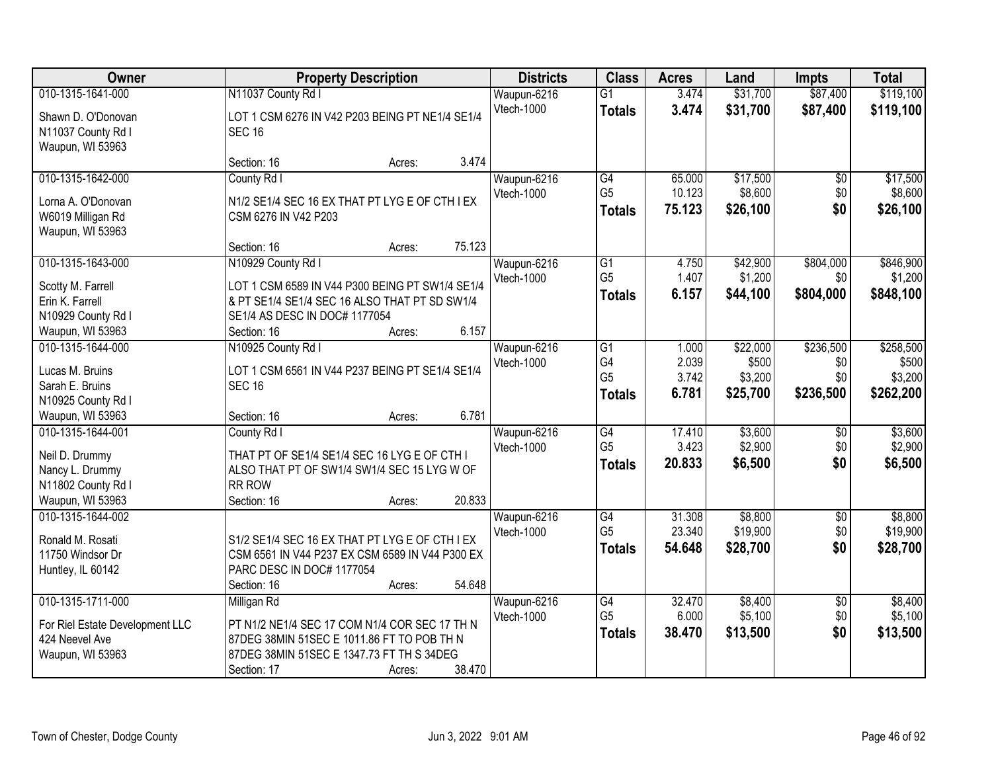| <b>Owner</b>                          | <b>Property Description</b>                     |        |        | <b>Districts</b>          | <b>Class</b>    | <b>Acres</b> | Land     | <b>Impts</b>           | <b>Total</b> |
|---------------------------------------|-------------------------------------------------|--------|--------|---------------------------|-----------------|--------------|----------|------------------------|--------------|
| 010-1315-1641-000                     | N11037 County Rd I                              |        |        | Waupun-6216               | $\overline{G1}$ | 3.474        | \$31,700 | \$87,400               | \$119,100    |
| Shawn D. O'Donovan                    | LOT 1 CSM 6276 IN V42 P203 BEING PT NE1/4 SE1/4 |        |        | Vtech-1000                | <b>Totals</b>   | 3.474        | \$31,700 | \$87,400               | \$119,100    |
| N11037 County Rd I                    | <b>SEC 16</b>                                   |        |        |                           |                 |              |          |                        |              |
| Waupun, WI 53963                      |                                                 |        |        |                           |                 |              |          |                        |              |
|                                       | Section: 16                                     | Acres: | 3.474  |                           |                 |              |          |                        |              |
| 010-1315-1642-000                     | County Rd I                                     |        |        | Waupun-6216               | G4              | 65.000       | \$17,500 | $\overline{50}$        | \$17,500     |
| Lorna A. O'Donovan                    | N1/2 SE1/4 SEC 16 EX THAT PT LYG E OF CTH I EX  |        |        | Vtech-1000                | G <sub>5</sub>  | 10.123       | \$8,600  | \$0                    | \$8,600      |
| W6019 Milligan Rd                     | CSM 6276 IN V42 P203                            |        |        |                           | <b>Totals</b>   | 75.123       | \$26,100 | \$0                    | \$26,100     |
| Waupun, WI 53963                      |                                                 |        |        |                           |                 |              |          |                        |              |
|                                       | Section: 16                                     | Acres: | 75.123 |                           |                 |              |          |                        |              |
| 010-1315-1643-000                     | N10929 County Rd I                              |        |        | Waupun-6216               | G1              | 4.750        | \$42,900 | \$804,000              | \$846,900    |
| Scotty M. Farrell                     | LOT 1 CSM 6589 IN V44 P300 BEING PT SW1/4 SE1/4 |        |        | Vtech-1000                | G <sub>5</sub>  | 1.407        | \$1,200  | \$0                    | \$1,200      |
| Erin K. Farrell                       | & PT SE1/4 SE1/4 SEC 16 ALSO THAT PT SD SW1/4   |        |        |                           | <b>Totals</b>   | 6.157        | \$44,100 | \$804,000              | \$848,100    |
| N10929 County Rd I                    | SE1/4 AS DESC IN DOC# 1177054                   |        |        |                           |                 |              |          |                        |              |
| Waupun, WI 53963                      | Section: 16                                     | Acres: | 6.157  |                           |                 |              |          |                        |              |
| 010-1315-1644-000                     | N10925 County Rd I                              |        |        | Waupun-6216               | $\overline{G1}$ | 1.000        | \$22,000 | \$236,500              | \$258,500    |
|                                       |                                                 |        |        | Vtech-1000                | G4              | 2.039        | \$500    | \$0                    | \$500        |
| Lucas M. Bruins                       | LOT 1 CSM 6561 IN V44 P237 BEING PT SE1/4 SE1/4 |        |        |                           | G <sub>5</sub>  | 3.742        | \$3,200  | \$0                    | \$3,200      |
| Sarah E. Bruins                       | <b>SEC 16</b>                                   |        |        |                           | <b>Totals</b>   | 6.781        | \$25,700 | \$236,500              | \$262,200    |
| N10925 County Rd I                    |                                                 |        | 6.781  |                           |                 |              |          |                        |              |
| Waupun, WI 53963<br>010-1315-1644-001 | Section: 16                                     | Acres: |        |                           | $\overline{G4}$ | 17.410       | \$3,600  |                        | \$3,600      |
|                                       | County Rd I                                     |        |        | Waupun-6216<br>Vtech-1000 | G <sub>5</sub>  | 3.423        | \$2,900  | $\overline{50}$<br>\$0 | \$2,900      |
| Neil D. Drummy                        | THAT PT OF SE1/4 SE1/4 SEC 16 LYG E OF CTH I    |        |        |                           | <b>Totals</b>   | 20.833       | \$6,500  | \$0                    | \$6,500      |
| Nancy L. Drummy                       | ALSO THAT PT OF SW1/4 SW1/4 SEC 15 LYG W OF     |        |        |                           |                 |              |          |                        |              |
| N11802 County Rd I                    | <b>RR ROW</b>                                   |        |        |                           |                 |              |          |                        |              |
| Waupun, WI 53963                      | Section: 16                                     | Acres: | 20.833 |                           |                 |              |          |                        |              |
| 010-1315-1644-002                     |                                                 |        |        | Waupun-6216               | $\overline{G4}$ | 31.308       | \$8,800  | $\overline{60}$        | \$8,800      |
| Ronald M. Rosati                      | S1/2 SE1/4 SEC 16 EX THAT PT LYG E OF CTH I EX  |        |        | Vtech-1000                | G <sub>5</sub>  | 23.340       | \$19,900 | \$0                    | \$19,900     |
| 11750 Windsor Dr                      | CSM 6561 IN V44 P237 EX CSM 6589 IN V44 P300 EX |        |        |                           | <b>Totals</b>   | 54.648       | \$28,700 | \$0                    | \$28,700     |
| Huntley, IL 60142                     | PARC DESC IN DOC# 1177054                       |        |        |                           |                 |              |          |                        |              |
|                                       | Section: 16                                     | Acres: | 54.648 |                           |                 |              |          |                        |              |
| 010-1315-1711-000                     | Milligan Rd                                     |        |        | Waupun-6216               | G4              | 32.470       | \$8,400  | $\overline{30}$        | \$8,400      |
| For Riel Estate Development LLC       | PT N1/2 NE1/4 SEC 17 COM N1/4 COR SEC 17 TH N   |        |        | Vtech-1000                | G <sub>5</sub>  | 6.000        | \$5,100  | \$0                    | \$5,100      |
| 424 Neevel Ave                        | 87DEG 38MIN 51SEC E 1011.86 FT TO POB TH N      |        |        |                           | <b>Totals</b>   | 38.470       | \$13,500 | \$0                    | \$13,500     |
| Waupun, WI 53963                      | 87DEG 38MIN 51SEC E 1347.73 FT TH S 34DEG       |        |        |                           |                 |              |          |                        |              |
|                                       | Section: 17                                     | Acres: | 38.470 |                           |                 |              |          |                        |              |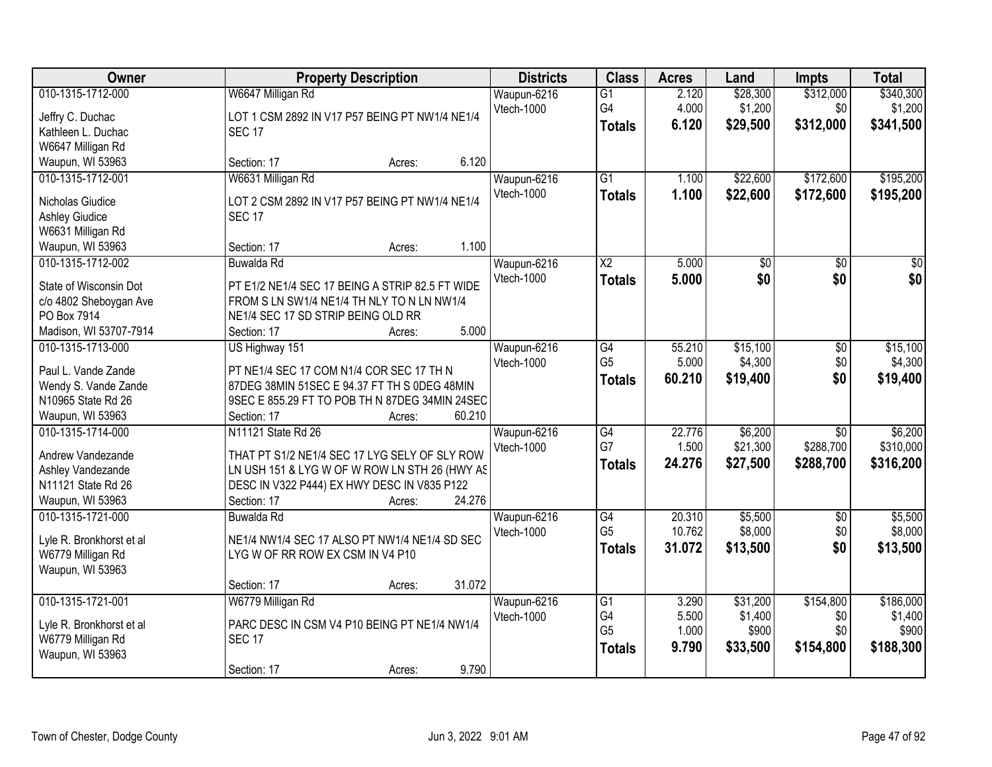| Owner                                                                                                          | <b>Property Description</b>                                                                                                                                                                            | <b>Districts</b>          | <b>Class</b>                                             | <b>Acres</b>                     | Land                                     | <b>Impts</b>                              | <b>Total</b>                               |
|----------------------------------------------------------------------------------------------------------------|--------------------------------------------------------------------------------------------------------------------------------------------------------------------------------------------------------|---------------------------|----------------------------------------------------------|----------------------------------|------------------------------------------|-------------------------------------------|--------------------------------------------|
| 010-1315-1712-000<br>Jeffry C. Duchac<br>Kathleen L. Duchac<br>W6647 Milligan Rd                               | W6647 Milligan Rd<br>LOT 1 CSM 2892 IN V17 P57 BEING PT NW1/4 NE1/4<br><b>SEC 17</b>                                                                                                                   | Waupun-6216<br>Vtech-1000 | $\overline{G1}$<br>G4<br><b>Totals</b>                   | 2.120<br>4.000<br>6.120          | \$28,300<br>\$1,200<br>\$29,500          | \$312,000<br>\$0<br>\$312,000             | \$340,300<br>\$1,200<br>\$341,500          |
| Waupun, WI 53963                                                                                               | 6.120<br>Section: 17<br>Acres:                                                                                                                                                                         |                           |                                                          |                                  |                                          |                                           |                                            |
| 010-1315-1712-001<br>Nicholas Giudice<br><b>Ashley Giudice</b><br>W6631 Milligan Rd<br>Waupun, WI 53963        | W6631 Milligan Rd<br>LOT 2 CSM 2892 IN V17 P57 BEING PT NW1/4 NE1/4<br><b>SEC 17</b><br>1.100<br>Section: 17<br>Acres:                                                                                 | Waupun-6216<br>Vtech-1000 | $\overline{G1}$<br><b>Totals</b>                         | 1.100<br>1.100                   | \$22,600<br>\$22,600                     | \$172,600<br>\$172,600                    | \$195,200<br>\$195,200                     |
| 010-1315-1712-002<br>State of Wisconsin Dot<br>c/o 4802 Sheboygan Ave<br>PO Box 7914<br>Madison, WI 53707-7914 | Buwalda Rd<br>PT E1/2 NE1/4 SEC 17 BEING A STRIP 82.5 FT WIDE<br>FROM S LN SW1/4 NE1/4 TH NLY TO N LN NW1/4<br>NE1/4 SEC 17 SD STRIP BEING OLD RR<br>5.000<br>Section: 17<br>Acres:                    | Waupun-6216<br>Vtech-1000 | $\overline{\text{X2}}$<br><b>Totals</b>                  | 5.000<br>5.000                   | \$0<br>\$0                               | $\overline{50}$<br>\$0                    | $\overline{50}$<br>\$0                     |
| 010-1315-1713-000<br>Paul L. Vande Zande<br>Wendy S. Vande Zande<br>N10965 State Rd 26<br>Waupun, WI 53963     | US Highway 151<br>PT NE1/4 SEC 17 COM N1/4 COR SEC 17 TH N<br>87DEG 38MIN 51SEC E 94.37 FT TH S 0DEG 48MIN<br>9SEC E 855.29 FT TO POB TH N 87DEG 34MIN 24SEC<br>60.210<br>Section: 17<br>Acres:        | Waupun-6216<br>Vtech-1000 | G4<br>G <sub>5</sub><br><b>Totals</b>                    | 55.210<br>5.000<br>60.210        | \$15,100<br>\$4,300<br>\$19,400          | $\overline{50}$<br>\$0<br>\$0             | \$15,100<br>\$4,300<br>\$19,400            |
| 010-1315-1714-000<br>Andrew Vandezande<br>Ashley Vandezande<br>N11121 State Rd 26<br>Waupun, WI 53963          | N11121 State Rd 26<br>THAT PT S1/2 NE1/4 SEC 17 LYG SELY OF SLY ROW<br>LN USH 151 & LYG W OF W ROW LN STH 26 (HWY AS<br>DESC IN V322 P444) EX HWY DESC IN V835 P122<br>24.276<br>Section: 17<br>Acres: | Waupun-6216<br>Vtech-1000 | G4<br>G7<br><b>Totals</b>                                | 22.776<br>1.500<br>24.276        | \$6,200<br>\$21,300<br>\$27,500          | $\overline{30}$<br>\$288,700<br>\$288,700 | \$6,200<br>\$310,000<br>\$316,200          |
| 010-1315-1721-000<br>Lyle R. Bronkhorst et al<br>W6779 Milligan Rd<br>Waupun, WI 53963                         | Buwalda Rd<br>NE1/4 NW1/4 SEC 17 ALSO PT NW1/4 NE1/4 SD SEC<br>LYG W OF RR ROW EX CSM IN V4 P10<br>31.072<br>Section: 17<br>Acres:                                                                     | Waupun-6216<br>Vtech-1000 | G4<br>G <sub>5</sub><br><b>Totals</b>                    | 20.310<br>10.762<br>31.072       | \$5,500<br>\$8,000<br>\$13,500           | $\overline{50}$<br>\$0<br>\$0             | \$5,500<br>\$8,000<br>\$13,500             |
| 010-1315-1721-001<br>Lyle R. Bronkhorst et al<br>W6779 Milligan Rd<br>Waupun, WI 53963                         | W6779 Milligan Rd<br>PARC DESC IN CSM V4 P10 BEING PT NE1/4 NW1/4<br><b>SEC 17</b><br>9.790<br>Section: 17<br>Acres:                                                                                   | Waupun-6216<br>Vtech-1000 | $\overline{G1}$<br>G4<br>G <sub>5</sub><br><b>Totals</b> | 3.290<br>5.500<br>1.000<br>9.790 | \$31,200<br>\$1,400<br>\$900<br>\$33,500 | \$154,800<br>\$0<br>\$0<br>\$154,800      | \$186,000<br>\$1,400<br>\$900<br>\$188,300 |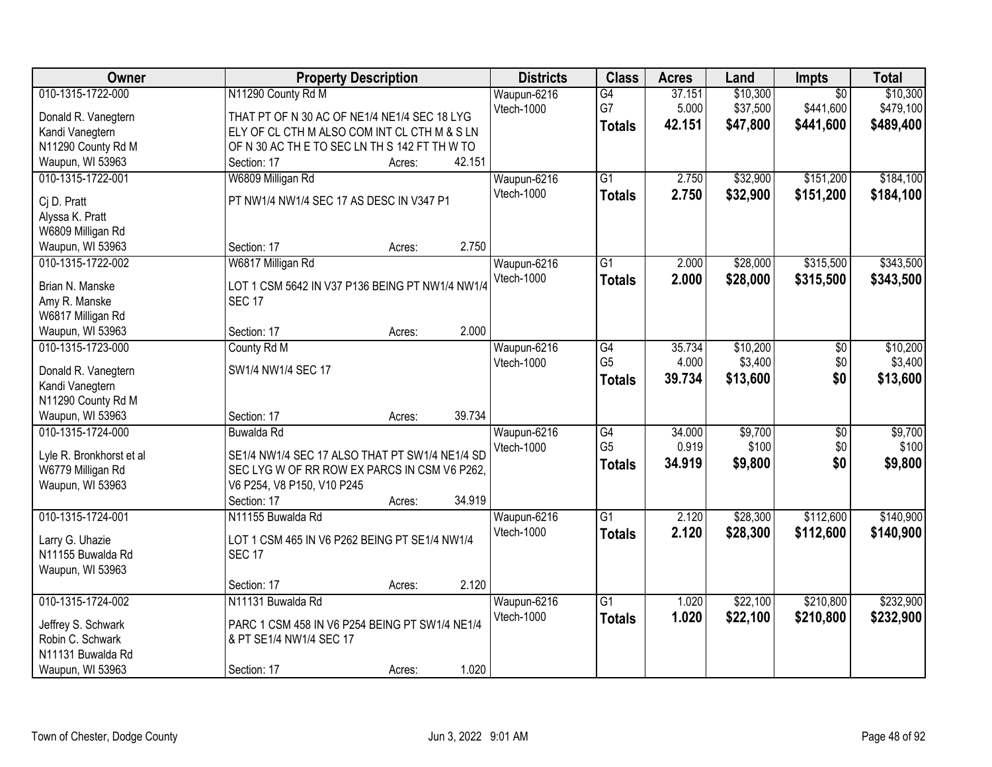| Owner                                  | <b>Property Description</b>                     | <b>Districts</b>  | <b>Class</b>    | <b>Acres</b> | Land     | Impts           | <b>Total</b> |
|----------------------------------------|-------------------------------------------------|-------------------|-----------------|--------------|----------|-----------------|--------------|
| 010-1315-1722-000                      | N11290 County Rd M                              | Waupun-6216       | G4              | 37.151       | \$10,300 | $\overline{50}$ | \$10,300     |
| Donald R. Vanegtern                    | THAT PT OF N 30 AC OF NE1/4 NE1/4 SEC 18 LYG    | Vtech-1000        | G7              | 5.000        | \$37,500 | \$441,600       | \$479,100    |
| Kandi Vanegtern                        | ELY OF CL CTH M ALSO COM INT CL CTH M & S LN    |                   | <b>Totals</b>   | 42.151       | \$47,800 | \$441,600       | \$489,400    |
| N11290 County Rd M                     | OF N 30 AC THE TO SEC LN TH S 142 FT TH W TO    |                   |                 |              |          |                 |              |
| Waupun, WI 53963                       | 42.151<br>Section: 17<br>Acres:                 |                   |                 |              |          |                 |              |
| 010-1315-1722-001                      | W6809 Milligan Rd                               | Waupun-6216       | $\overline{G1}$ | 2.750        | \$32,900 | \$151,200       | \$184,100    |
|                                        |                                                 | Vtech-1000        | <b>Totals</b>   | 2.750        | \$32,900 | \$151,200       | \$184,100    |
| Ci D. Pratt                            | PT NW1/4 NW1/4 SEC 17 AS DESC IN V347 P1        |                   |                 |              |          |                 |              |
| Alyssa K. Pratt                        |                                                 |                   |                 |              |          |                 |              |
| W6809 Milligan Rd                      | 2.750<br>Section: 17                            |                   |                 |              |          |                 |              |
| Waupun, WI 53963                       | Acres:                                          |                   |                 |              |          |                 |              |
| 010-1315-1722-002                      | W6817 Milligan Rd                               | Waupun-6216       | G1              | 2.000        | \$28,000 | \$315,500       | \$343,500    |
| Brian N. Manske                        | LOT 1 CSM 5642 IN V37 P136 BEING PT NW1/4 NW1/4 | Vtech-1000        | <b>Totals</b>   | 2.000        | \$28,000 | \$315,500       | \$343,500    |
| Amy R. Manske                          | <b>SEC 17</b>                                   |                   |                 |              |          |                 |              |
| W6817 Milligan Rd                      |                                                 |                   |                 |              |          |                 |              |
| Waupun, WI 53963                       | 2.000<br>Section: 17<br>Acres:                  |                   |                 |              |          |                 |              |
| 010-1315-1723-000                      | County Rd M                                     | Waupun-6216       | $\overline{G4}$ | 35.734       | \$10,200 | \$0             | \$10,200     |
|                                        | SW1/4 NW1/4 SEC 17                              | Vtech-1000        | G <sub>5</sub>  | 4.000        | \$3,400  | \$0             | \$3,400      |
| Donald R. Vanegtern<br>Kandi Vanegtern |                                                 |                   | <b>Totals</b>   | 39.734       | \$13,600 | \$0             | \$13,600     |
| N11290 County Rd M                     |                                                 |                   |                 |              |          |                 |              |
| Waupun, WI 53963                       | 39.734<br>Section: 17<br>Acres:                 |                   |                 |              |          |                 |              |
| 010-1315-1724-000                      | Buwalda Rd                                      | Waupun-6216       | G4              | 34.000       | \$9,700  | \$0             | \$9,700      |
|                                        |                                                 | <b>Vtech-1000</b> | G <sub>5</sub>  | 0.919        | \$100    | \$0             | \$100        |
| Lyle R. Bronkhorst et al               | SE1/4 NW1/4 SEC 17 ALSO THAT PT SW1/4 NE1/4 SD  |                   | <b>Totals</b>   | 34.919       | \$9,800  | \$0             | \$9,800      |
| W6779 Milligan Rd                      | SEC LYG W OF RR ROW EX PARCS IN CSM V6 P262,    |                   |                 |              |          |                 |              |
| Waupun, WI 53963                       | V6 P254, V8 P150, V10 P245                      |                   |                 |              |          |                 |              |
|                                        | 34.919<br>Section: 17<br>Acres:                 |                   |                 |              |          |                 |              |
| 010-1315-1724-001                      | N11155 Buwalda Rd                               | Waupun-6216       | $\overline{G1}$ | 2.120        | \$28,300 | \$112,600       | \$140,900    |
| Larry G. Uhazie                        | LOT 1 CSM 465 IN V6 P262 BEING PT SE1/4 NW1/4   | Vtech-1000        | <b>Totals</b>   | 2.120        | \$28,300 | \$112,600       | \$140,900    |
| N11155 Buwalda Rd                      | <b>SEC 17</b>                                   |                   |                 |              |          |                 |              |
| Waupun, WI 53963                       |                                                 |                   |                 |              |          |                 |              |
|                                        | 2.120<br>Section: 17<br>Acres:                  |                   |                 |              |          |                 |              |
| 010-1315-1724-002                      | N11131 Buwalda Rd                               | Waupun-6216       | $\overline{G1}$ | 1.020        | \$22,100 | \$210,800       | \$232,900    |
|                                        |                                                 | Vtech-1000        | <b>Totals</b>   | 1.020        | \$22,100 | \$210,800       | \$232,900    |
| Jeffrey S. Schwark                     | PARC 1 CSM 458 IN V6 P254 BEING PT SW1/4 NE1/4  |                   |                 |              |          |                 |              |
| Robin C. Schwark                       | & PT SE1/4 NW1/4 SEC 17                         |                   |                 |              |          |                 |              |
| N11131 Buwalda Rd                      |                                                 |                   |                 |              |          |                 |              |
| Waupun, WI 53963                       | 1.020<br>Section: 17<br>Acres:                  |                   |                 |              |          |                 |              |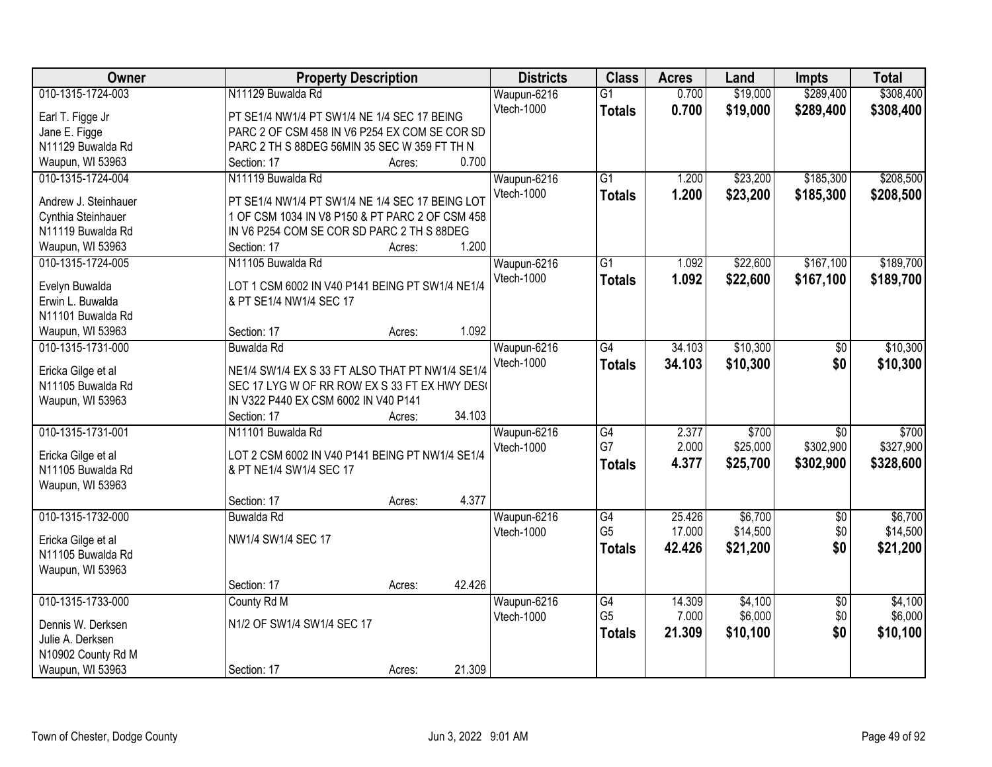| Owner                | <b>Property Description</b>                     | <b>Districts</b> | <b>Class</b>    | <b>Acres</b> | Land     | <b>Impts</b>    | <b>Total</b> |
|----------------------|-------------------------------------------------|------------------|-----------------|--------------|----------|-----------------|--------------|
| 010-1315-1724-003    | N11129 Buwalda Rd                               | Waupun-6216      | $\overline{G1}$ | 0.700        | \$19,000 | \$289,400       | \$308,400    |
| Earl T. Figge Jr     | PT SE1/4 NW1/4 PT SW1/4 NE 1/4 SEC 17 BEING     | Vtech-1000       | <b>Totals</b>   | 0.700        | \$19,000 | \$289,400       | \$308,400    |
| Jane E. Figge        | PARC 2 OF CSM 458 IN V6 P254 EX COM SE COR SD   |                  |                 |              |          |                 |              |
| N11129 Buwalda Rd    | PARC 2 TH S 88DEG 56MIN 35 SEC W 359 FT TH N    |                  |                 |              |          |                 |              |
| Waupun, WI 53963     | 0.700<br>Section: 17<br>Acres:                  |                  |                 |              |          |                 |              |
| 010-1315-1724-004    | N11119 Buwalda Rd                               | Waupun-6216      | $\overline{G1}$ | 1.200        | \$23,200 | \$185,300       | \$208,500    |
|                      |                                                 | Vtech-1000       | <b>Totals</b>   | 1.200        | \$23,200 | \$185,300       | \$208,500    |
| Andrew J. Steinhauer | PT SE1/4 NW1/4 PT SW1/4 NE 1/4 SEC 17 BEING LOT |                  |                 |              |          |                 |              |
| Cynthia Steinhauer   | 1 OF CSM 1034 IN V8 P150 & PT PARC 2 OF CSM 458 |                  |                 |              |          |                 |              |
| N11119 Buwalda Rd    | IN V6 P254 COM SE COR SD PARC 2 TH S 88DEG      |                  |                 |              |          |                 |              |
| Waupun, WI 53963     | 1.200<br>Section: 17<br>Acres:                  |                  |                 |              |          |                 |              |
| 010-1315-1724-005    | N11105 Buwalda Rd                               | Waupun-6216      | G1              | 1.092        | \$22,600 | \$167,100       | \$189,700    |
| Evelyn Buwalda       | LOT 1 CSM 6002 IN V40 P141 BEING PT SW1/4 NE1/4 | Vtech-1000       | <b>Totals</b>   | 1.092        | \$22,600 | \$167,100       | \$189,700    |
| Erwin L. Buwalda     | & PT SE1/4 NW1/4 SEC 17                         |                  |                 |              |          |                 |              |
| N11101 Buwalda Rd    |                                                 |                  |                 |              |          |                 |              |
| Waupun, WI 53963     | 1.092<br>Section: 17<br>Acres:                  |                  |                 |              |          |                 |              |
| 010-1315-1731-000    | Buwalda Rd                                      | Waupun-6216      | G4              | 34.103       | \$10,300 | \$0             | \$10,300     |
|                      |                                                 | Vtech-1000       | <b>Totals</b>   | 34.103       | \$10,300 | \$0             | \$10,300     |
| Ericka Gilge et al   | NE1/4 SW1/4 EX S 33 FT ALSO THAT PT NW1/4 SE1/4 |                  |                 |              |          |                 |              |
| N11105 Buwalda Rd    | SEC 17 LYG W OF RR ROW EX S 33 FT EX HWY DES(   |                  |                 |              |          |                 |              |
| Waupun, WI 53963     | IN V322 P440 EX CSM 6002 IN V40 P141            |                  |                 |              |          |                 |              |
|                      | 34.103<br>Section: 17<br>Acres:                 |                  |                 |              |          |                 |              |
| 010-1315-1731-001    | N11101 Buwalda Rd                               | Waupun-6216      | $\overline{G4}$ | 2.377        | \$700    | $\overline{30}$ | \$700        |
| Ericka Gilge et al   | LOT 2 CSM 6002 IN V40 P141 BEING PT NW1/4 SE1/4 | Vtech-1000       | G7              | 2.000        | \$25,000 | \$302,900       | \$327,900    |
| N11105 Buwalda Rd    | & PT NE1/4 SW1/4 SEC 17                         |                  | <b>Totals</b>   | 4.377        | \$25,700 | \$302,900       | \$328,600    |
| Waupun, WI 53963     |                                                 |                  |                 |              |          |                 |              |
|                      | 4.377<br>Section: 17<br>Acres:                  |                  |                 |              |          |                 |              |
| 010-1315-1732-000    | Buwalda Rd                                      | Waupun-6216      | $\overline{G4}$ | 25.426       | \$6,700  | $\overline{50}$ | \$6,700      |
|                      |                                                 | Vtech-1000       | G <sub>5</sub>  | 17.000       | \$14,500 | \$0             | \$14,500     |
| Ericka Gilge et al   | NW1/4 SW1/4 SEC 17                              |                  |                 |              |          | \$0             |              |
| N11105 Buwalda Rd    |                                                 |                  | <b>Totals</b>   | 42.426       | \$21,200 |                 | \$21,200     |
| Waupun, WI 53963     |                                                 |                  |                 |              |          |                 |              |
|                      | 42.426<br>Section: 17<br>Acres:                 |                  |                 |              |          |                 |              |
| 010-1315-1733-000    | County Rd M                                     | Waupun-6216      | G4              | 14.309       | \$4,100  | $\overline{50}$ | \$4,100      |
| Dennis W. Derksen    | N1/2 OF SW1/4 SW1/4 SEC 17                      | Vtech-1000       | G <sub>5</sub>  | 7.000        | \$6,000  | \$0             | \$6,000      |
| Julie A. Derksen     |                                                 |                  | <b>Totals</b>   | 21.309       | \$10,100 | \$0             | \$10,100     |
| N10902 County Rd M   |                                                 |                  |                 |              |          |                 |              |
| Waupun, WI 53963     | 21.309<br>Section: 17<br>Acres:                 |                  |                 |              |          |                 |              |
|                      |                                                 |                  |                 |              |          |                 |              |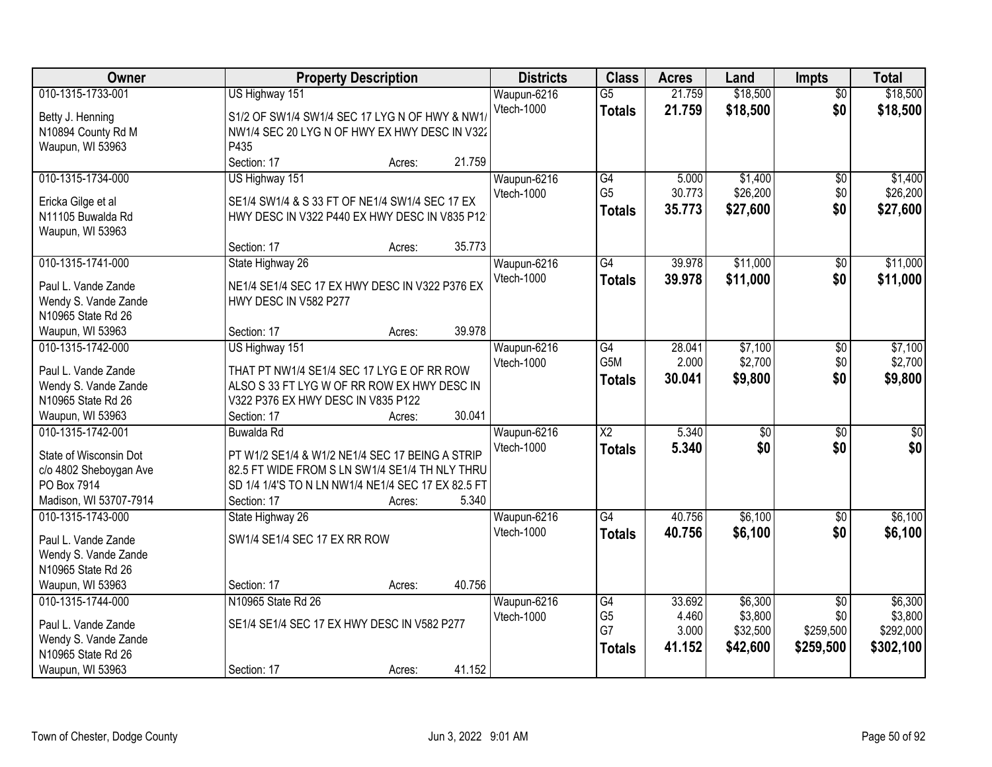| \$18,500<br>010-1315-1733-001<br>US Highway 151<br>$\overline{G5}$<br>21.759<br>Waupun-6216<br>$\overline{50}$                    | \$18,500    |
|-----------------------------------------------------------------------------------------------------------------------------------|-------------|
| Vtech-1000<br>\$0<br>21.759<br>\$18,500<br><b>Totals</b><br>S1/2 OF SW1/4 SW1/4 SEC 17 LYG N OF HWY & NW1/<br>Betty J. Henning    | \$18,500    |
| NW1/4 SEC 20 LYG N OF HWY EX HWY DESC IN V322<br>N10894 County Rd M                                                               |             |
| Waupun, WI 53963<br>P435                                                                                                          |             |
| 21.759<br>Section: 17<br>Acres:                                                                                                   |             |
| \$1,400<br>010-1315-1734-000<br>US Highway 151<br>G4<br>5.000<br>Waupun-6216<br>\$0                                               | \$1,400     |
| G <sub>5</sub><br>30.773<br>\$26,200<br>\$0<br>Vtech-1000<br>SE1/4 SW1/4 & S 33 FT OF NE1/4 SW1/4 SEC 17 EX<br>Ericka Gilge et al | \$26,200    |
| \$0<br>35.773<br>\$27,600<br><b>Totals</b><br>N11105 Buwalda Rd<br>HWY DESC IN V322 P440 EX HWY DESC IN V835 P12                  | \$27,600    |
| Waupun, WI 53963                                                                                                                  |             |
| 35.773<br>Section: 17<br>Acres:                                                                                                   |             |
| 010-1315-1741-000<br>\$11,000<br>State Highway 26<br>Waupun-6216<br>$\overline{G4}$<br>39.978<br>\$0                              | \$11,000    |
| Vtech-1000<br>\$11,000<br>\$0<br>39.978<br><b>Totals</b><br>NE1/4 SE1/4 SEC 17 EX HWY DESC IN V322 P376 EX                        | \$11,000    |
| Paul L. Vande Zande<br>HWY DESC IN V582 P277<br>Wendy S. Vande Zande                                                              |             |
| N10965 State Rd 26                                                                                                                |             |
| 39.978<br>Waupun, WI 53963<br>Section: 17<br>Acres:                                                                               |             |
| G4<br>28.041<br>\$7,100<br>010-1315-1742-000<br>US Highway 151<br>Waupun-6216<br>$\sqrt[6]{3}$                                    | \$7,100     |
| \$2,700<br>G5M<br>2.000<br>Vtech-1000<br>\$0                                                                                      | \$2,700     |
| Paul L. Vande Zande<br>THAT PT NW1/4 SE1/4 SEC 17 LYG E OF RR ROW<br>\$0<br>30.041<br>\$9,800<br><b>Totals</b>                    | \$9,800     |
| ALSO S 33 FT LYG W OF RR ROW EX HWY DESC IN<br>Wendy S. Vande Zande                                                               |             |
| N10965 State Rd 26<br>V322 P376 EX HWY DESC IN V835 P122                                                                          |             |
| 30.041<br>Waupun, WI 53963<br>Section: 17<br>Acres:                                                                               |             |
| $\overline{X2}$<br>5.340<br>010-1315-1742-001<br>$\overline{50}$<br>$\overline{50}$<br><b>Buwalda Rd</b><br>Waupun-6216           | $\sqrt{50}$ |
| \$0<br>5.340<br>Vtech-1000<br>\$0<br><b>Totals</b><br>State of Wisconsin Dot<br>PT W1/2 SE1/4 & W1/2 NE1/4 SEC 17 BEING A STRIP   | \$0         |
| c/o 4802 Sheboygan Ave<br>82.5 FT WIDE FROM S LN SW1/4 SE1/4 TH NLY THRU                                                          |             |
| PO Box 7914<br>SD 1/4 1/4'S TO N LN NW1/4 NE1/4 SEC 17 EX 82.5 FT                                                                 |             |
| Madison, WI 53707-7914<br>5.340<br>Section: 17<br>Acres:                                                                          |             |
| \$6,100<br>G4<br>40.756<br>010-1315-1743-000<br>State Highway 26<br>Waupun-6216<br>\$0                                            | \$6,100     |
| Vtech-1000<br>\$6,100<br>\$0<br>40.756<br><b>Totals</b><br>SW1/4 SE1/4 SEC 17 EX RR ROW<br>Paul L. Vande Zande                    | \$6,100     |
| Wendy S. Vande Zande                                                                                                              |             |
| N10965 State Rd 26                                                                                                                |             |
| 40.756<br>Waupun, WI 53963<br>Section: 17<br>Acres:                                                                               |             |
| 010-1315-1744-000<br>N10965 State Rd 26<br>33.692<br>\$6,300<br>Waupun-6216<br>G4<br>$\overline{50}$                              | \$6,300     |
| G <sub>5</sub><br>4.460<br>\$3,800<br>\$0<br>Vtech-1000<br>SE1/4 SE1/4 SEC 17 EX HWY DESC IN V582 P277<br>Paul L. Vande Zande     | \$3,800     |
| G7<br>3.000<br>\$32,500<br>\$259,500<br>Wendy S. Vande Zande                                                                      | \$292,000   |
| \$42,600<br>41.152<br>\$259,500<br><b>Totals</b><br>N10965 State Rd 26                                                            | \$302,100   |
| 41.152<br>Waupun, WI 53963<br>Section: 17<br>Acres:                                                                               |             |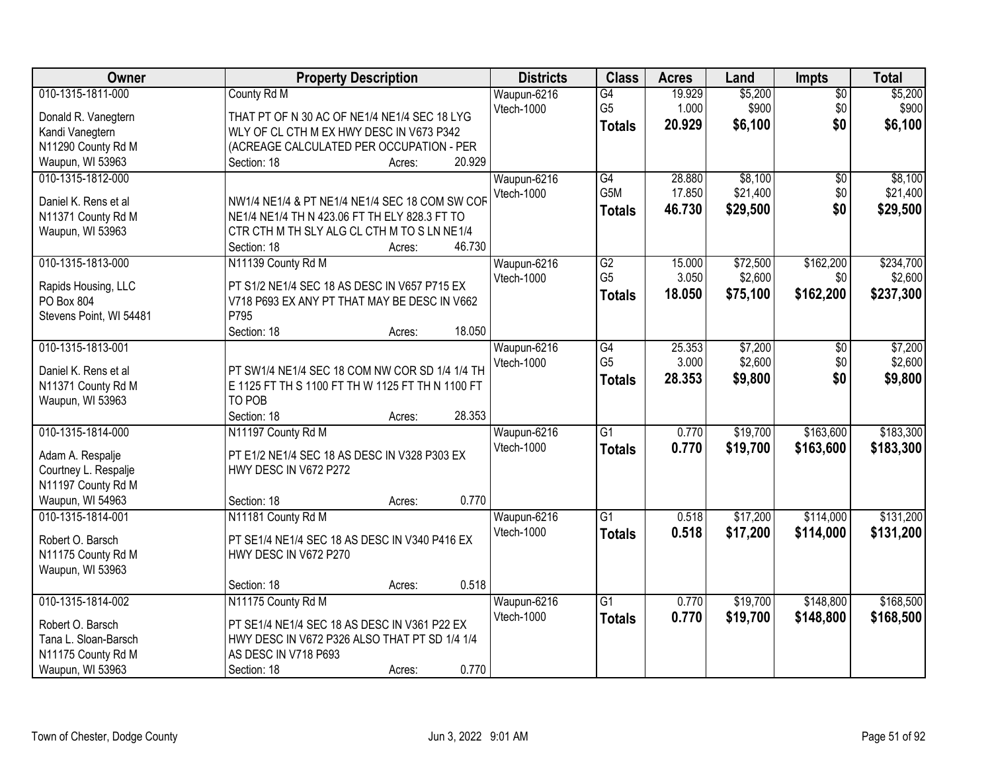| Owner                   |                                                  | <b>Property Description</b> |        | <b>Districts</b> | <b>Class</b>         | <b>Acres</b> | Land     | <b>Impts</b>  | <b>Total</b> |
|-------------------------|--------------------------------------------------|-----------------------------|--------|------------------|----------------------|--------------|----------|---------------|--------------|
| 010-1315-1811-000       | County Rd M                                      |                             |        | Waupun-6216      | G4                   | 19.929       | \$5,200  | $\sqrt{$0}$   | \$5,200      |
| Donald R. Vanegtern     | THAT PT OF N 30 AC OF NE1/4 NE1/4 SEC 18 LYG     |                             |        | Vtech-1000       | G <sub>5</sub>       | 1.000        | \$900    | \$0           | \$900        |
| Kandi Vanegtern         | WLY OF CL CTH M EX HWY DESC IN V673 P342         |                             |        |                  | <b>Totals</b>        | 20.929       | \$6,100  | \$0           | \$6,100      |
| N11290 County Rd M      | (ACREAGE CALCULATED PER OCCUPATION - PER         |                             |        |                  |                      |              |          |               |              |
| Waupun, WI 53963        | Section: 18                                      | Acres:                      | 20.929 |                  |                      |              |          |               |              |
| 010-1315-1812-000       |                                                  |                             |        | Waupun-6216      | $\overline{G4}$      | 28,880       | \$8,100  | \$0           | \$8,100      |
|                         |                                                  |                             |        | Vtech-1000       | G <sub>5</sub> M     | 17.850       | \$21,400 | \$0           | \$21,400     |
| Daniel K. Rens et al    | NW1/4 NE1/4 & PT NE1/4 NE1/4 SEC 18 COM SW COF   |                             |        |                  | <b>Totals</b>        | 46.730       | \$29,500 | \$0           | \$29,500     |
| N11371 County Rd M      | NE1/4 NE1/4 TH N 423.06 FT TH ELY 828.3 FT TO    |                             |        |                  |                      |              |          |               |              |
| Waupun, WI 53963        | CTR CTH M TH SLY ALG CL CTH M TO S LN NE1/4      |                             | 46.730 |                  |                      |              |          |               |              |
|                         | Section: 18                                      | Acres:                      |        |                  |                      |              |          |               |              |
| 010-1315-1813-000       | N11139 County Rd M                               |                             |        | Waupun-6216      | G2<br>G <sub>5</sub> | 15.000       | \$72,500 | \$162,200     | \$234,700    |
| Rapids Housing, LLC     | PT S1/2 NE1/4 SEC 18 AS DESC IN V657 P715 EX     |                             |        | Vtech-1000       |                      | 3.050        | \$2,600  | \$0           | \$2,600      |
| PO Box 804              | V718 P693 EX ANY PT THAT MAY BE DESC IN V662     |                             |        |                  | <b>Totals</b>        | 18.050       | \$75,100 | \$162,200     | \$237,300    |
| Stevens Point, WI 54481 | P795                                             |                             |        |                  |                      |              |          |               |              |
|                         | Section: 18                                      | Acres:                      | 18.050 |                  |                      |              |          |               |              |
| 010-1315-1813-001       |                                                  |                             |        | Waupun-6216      | G4                   | 25.353       | \$7,200  | $\sqrt[6]{3}$ | \$7,200      |
| Daniel K. Rens et al    | PT SW1/4 NE1/4 SEC 18 COM NW COR SD 1/4 1/4 TH   |                             |        | Vtech-1000       | G <sub>5</sub>       | 3.000        | \$2,600  | \$0           | \$2,600      |
| N11371 County Rd M      | E 1125 FT TH S 1100 FT TH W 1125 FT TH N 1100 FT |                             |        |                  | <b>Totals</b>        | 28.353       | \$9,800  | \$0           | \$9,800      |
| Waupun, WI 53963        | TO POB                                           |                             |        |                  |                      |              |          |               |              |
|                         | Section: 18                                      | Acres:                      | 28.353 |                  |                      |              |          |               |              |
| 010-1315-1814-000       | N11197 County Rd M                               |                             |        | Waupun-6216      | $\overline{G1}$      | 0.770        | \$19,700 | \$163,600     | \$183,300    |
|                         |                                                  |                             |        | Vtech-1000       | <b>Totals</b>        | 0.770        | \$19,700 | \$163,600     | \$183,300    |
| Adam A. Respalje        | PT E1/2 NE1/4 SEC 18 AS DESC IN V328 P303 EX     |                             |        |                  |                      |              |          |               |              |
| Courtney L. Respalje    | HWY DESC IN V672 P272                            |                             |        |                  |                      |              |          |               |              |
| N11197 County Rd M      |                                                  |                             |        |                  |                      |              |          |               |              |
| Waupun, WI 54963        | Section: 18                                      | Acres:                      | 0.770  |                  |                      |              |          |               |              |
| 010-1315-1814-001       | N11181 County Rd M                               |                             |        | Waupun-6216      | $\overline{G1}$      | 0.518        | \$17,200 | \$114,000     | \$131,200    |
| Robert O. Barsch        | PT SE1/4 NE1/4 SEC 18 AS DESC IN V340 P416 EX    |                             |        | Vtech-1000       | <b>Totals</b>        | 0.518        | \$17,200 | \$114,000     | \$131,200    |
| N11175 County Rd M      | HWY DESC IN V672 P270                            |                             |        |                  |                      |              |          |               |              |
| Waupun, WI 53963        |                                                  |                             |        |                  |                      |              |          |               |              |
|                         | Section: 18                                      | Acres:                      | 0.518  |                  |                      |              |          |               |              |
| 010-1315-1814-002       | N11175 County Rd M                               |                             |        | Waupun-6216      | $\overline{G1}$      | 0.770        | \$19,700 | \$148,800     | \$168,500    |
|                         |                                                  |                             |        | Vtech-1000       | <b>Totals</b>        | 0.770        | \$19,700 | \$148,800     | \$168,500    |
| Robert O. Barsch        | PT SE1/4 NE1/4 SEC 18 AS DESC IN V361 P22 EX     |                             |        |                  |                      |              |          |               |              |
| Tana L. Sloan-Barsch    | HWY DESC IN V672 P326 ALSO THAT PT SD 1/4 1/4    |                             |        |                  |                      |              |          |               |              |
| N11175 County Rd M      | AS DESC IN V718 P693                             |                             |        |                  |                      |              |          |               |              |
| Waupun, WI 53963        | Section: 18                                      | Acres:                      | 0.770  |                  |                      |              |          |               |              |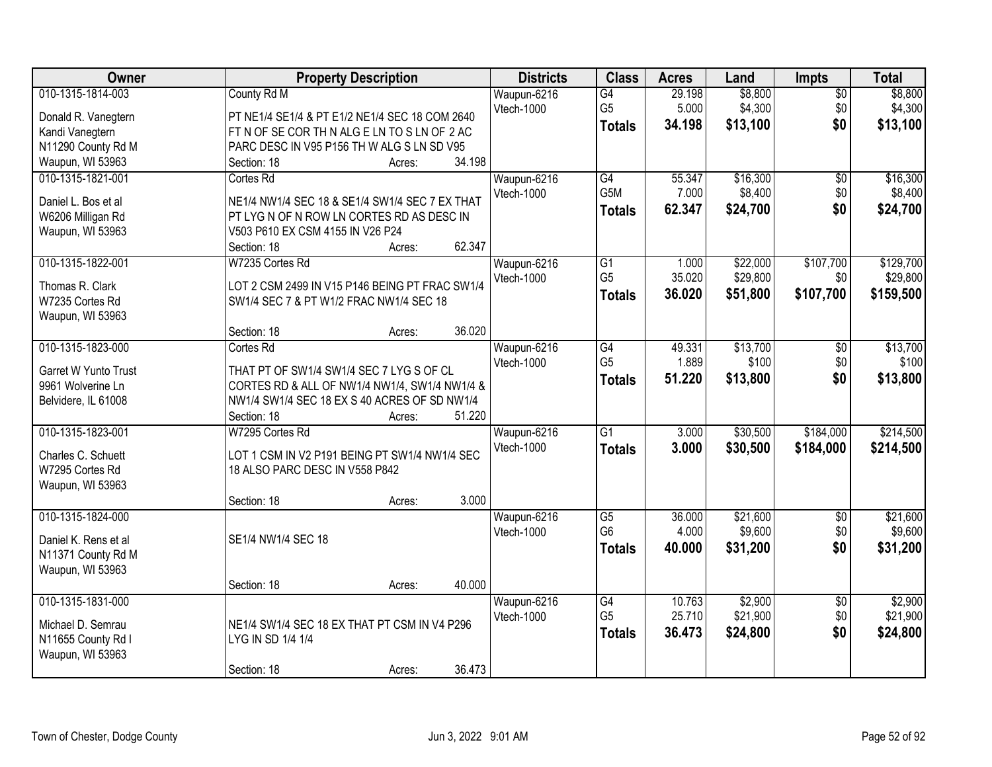| Owner                                     | <b>Property Description</b>                                                                   |        | <b>Districts</b> | <b>Class</b>    | <b>Acres</b> | Land     | <b>Impts</b>    | <b>Total</b> |
|-------------------------------------------|-----------------------------------------------------------------------------------------------|--------|------------------|-----------------|--------------|----------|-----------------|--------------|
| 010-1315-1814-003                         | County Rd M                                                                                   |        | Waupun-6216      | $\overline{G4}$ | 29.198       | \$8,800  | $\overline{50}$ | \$8,800      |
| Donald R. Vanegtern                       | PT NE1/4 SE1/4 & PT E1/2 NE1/4 SEC 18 COM 2640                                                |        | Vtech-1000       | G <sub>5</sub>  | 5.000        | \$4,300  | \$0             | \$4,300      |
| Kandi Vanegtern                           | FT N OF SE COR TH N ALG E LN TO S LN OF 2 AC                                                  |        |                  | <b>Totals</b>   | 34.198       | \$13,100 | \$0             | \$13,100     |
| N11290 County Rd M                        | PARC DESC IN V95 P156 TH W ALG S LN SD V95                                                    |        |                  |                 |              |          |                 |              |
| Waupun, WI 53963                          | Section: 18<br>Acres:                                                                         | 34.198 |                  |                 |              |          |                 |              |
| 010-1315-1821-001                         | Cortes Rd                                                                                     |        | Waupun-6216      | G4              | 55.347       | \$16,300 | $\overline{50}$ | \$16,300     |
|                                           |                                                                                               |        | Vtech-1000       | G5M             | 7.000        | \$8,400  | \$0             | \$8,400      |
| Daniel L. Bos et al                       | NE1/4 NW1/4 SEC 18 & SE1/4 SW1/4 SEC 7 EX THAT                                                |        |                  | <b>Totals</b>   | 62.347       | \$24,700 | \$0             | \$24,700     |
| W6206 Milligan Rd                         | PT LYG N OF N ROW LN CORTES RD AS DESC IN                                                     |        |                  |                 |              |          |                 |              |
| Waupun, WI 53963                          | V503 P610 EX CSM 4155 IN V26 P24                                                              |        |                  |                 |              |          |                 |              |
|                                           | Section: 18<br>Acres:                                                                         | 62.347 |                  |                 |              |          |                 |              |
| 010-1315-1822-001                         | W7235 Cortes Rd                                                                               |        | Waupun-6216      | G1              | 1.000        | \$22,000 | \$107,700       | \$129,700    |
| Thomas R. Clark                           | LOT 2 CSM 2499 IN V15 P146 BEING PT FRAC SW1/4                                                |        | Vtech-1000       | G <sub>5</sub>  | 35.020       | \$29,800 | \$0             | \$29,800     |
| W7235 Cortes Rd                           | SW1/4 SEC 7 & PT W1/2 FRAC NW1/4 SEC 18                                                       |        |                  | Totals          | 36.020       | \$51,800 | \$107,700       | \$159,500    |
| Waupun, WI 53963                          |                                                                                               |        |                  |                 |              |          |                 |              |
|                                           | Section: 18<br>Acres:                                                                         | 36.020 |                  |                 |              |          |                 |              |
| 010-1315-1823-000                         | Cortes Rd                                                                                     |        | Waupun-6216      | $\overline{G4}$ | 49.331       | \$13,700 | \$0             | \$13,700     |
|                                           |                                                                                               |        | Vtech-1000       | G <sub>5</sub>  | 1.889        | \$100    | \$0             | \$100        |
| Garret W Yunto Trust<br>9961 Wolverine Ln | THAT PT OF SW1/4 SW1/4 SEC 7 LYG S OF CL                                                      |        |                  | <b>Totals</b>   | 51.220       | \$13,800 | \$0             | \$13,800     |
| Belvidere, IL 61008                       | CORTES RD & ALL OF NW1/4 NW1/4, SW1/4 NW1/4 &<br>NW1/4 SW1/4 SEC 18 EX S 40 ACRES OF SD NW1/4 |        |                  |                 |              |          |                 |              |
|                                           | Section: 18<br>Acres:                                                                         | 51.220 |                  |                 |              |          |                 |              |
| 010-1315-1823-001                         | W7295 Cortes Rd                                                                               |        | Waupun-6216      | $\overline{G1}$ | 3.000        | \$30,500 | \$184,000       | \$214,500    |
|                                           |                                                                                               |        | Vtech-1000       |                 | 3.000        | \$30,500 |                 | \$214,500    |
| Charles C. Schuett                        | LOT 1 CSM IN V2 P191 BEING PT SW1/4 NW1/4 SEC                                                 |        |                  | <b>Totals</b>   |              |          | \$184,000       |              |
| W7295 Cortes Rd                           | 18 ALSO PARC DESC IN V558 P842                                                                |        |                  |                 |              |          |                 |              |
| Waupun, WI 53963                          |                                                                                               |        |                  |                 |              |          |                 |              |
|                                           | Section: 18<br>Acres:                                                                         | 3.000  |                  |                 |              |          |                 |              |
| 010-1315-1824-000                         |                                                                                               |        | Waupun-6216      | $\overline{G5}$ | 36.000       | \$21,600 | $\overline{60}$ | \$21,600     |
| Daniel K. Rens et al                      | SE1/4 NW1/4 SEC 18                                                                            |        | Vtech-1000       | G <sub>6</sub>  | 4.000        | \$9,600  | \$0             | \$9,600      |
| N11371 County Rd M                        |                                                                                               |        |                  | <b>Totals</b>   | 40.000       | \$31,200 | \$0             | \$31,200     |
| Waupun, WI 53963                          |                                                                                               |        |                  |                 |              |          |                 |              |
|                                           | Section: 18<br>Acres:                                                                         | 40.000 |                  |                 |              |          |                 |              |
| 010-1315-1831-000                         |                                                                                               |        | Waupun-6216      | G4              | 10.763       | \$2,900  | $\overline{50}$ | \$2,900      |
|                                           |                                                                                               |        | Vtech-1000       | G <sub>5</sub>  | 25.710       | \$21,900 | \$0             | \$21,900     |
| Michael D. Semrau                         | NE1/4 SW1/4 SEC 18 EX THAT PT CSM IN V4 P296                                                  |        |                  | <b>Totals</b>   | 36.473       | \$24,800 | \$0             | \$24,800     |
| N11655 County Rd I                        | LYG IN SD 1/4 1/4                                                                             |        |                  |                 |              |          |                 |              |
| Waupun, WI 53963                          |                                                                                               |        |                  |                 |              |          |                 |              |
|                                           | Section: 18<br>Acres:                                                                         | 36.473 |                  |                 |              |          |                 |              |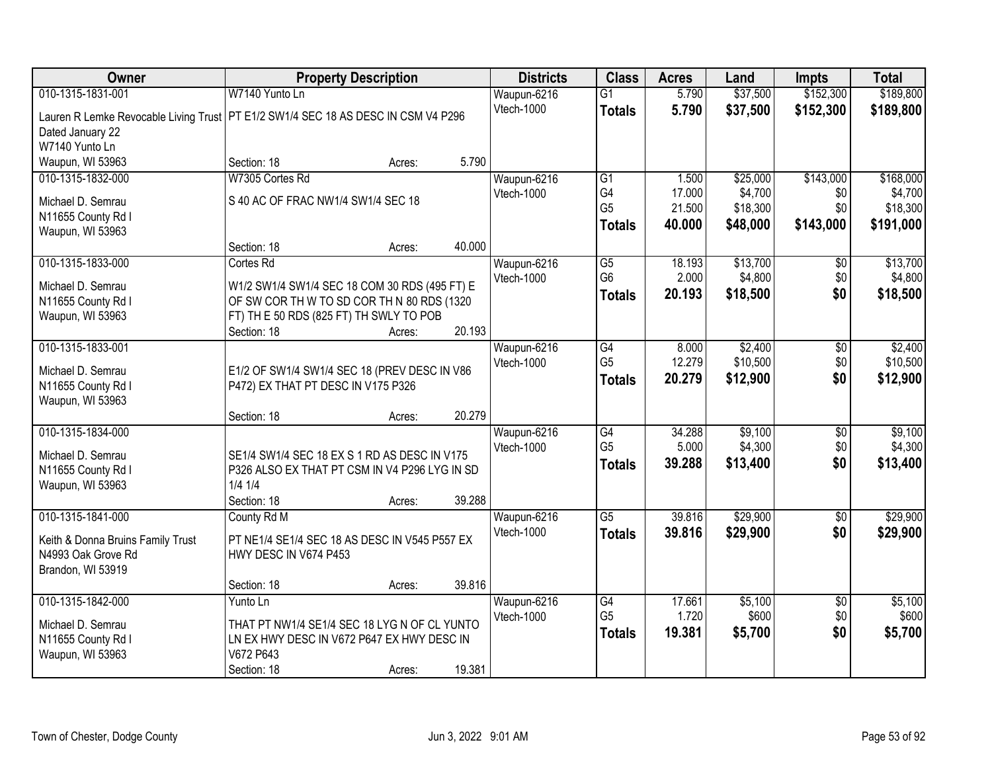| Owner                                                                               | <b>Property Description</b>                   |        |        | <b>Districts</b> | <b>Class</b>    | <b>Acres</b> | Land     | Impts           | <b>Total</b> |
|-------------------------------------------------------------------------------------|-----------------------------------------------|--------|--------|------------------|-----------------|--------------|----------|-----------------|--------------|
| 010-1315-1831-001                                                                   | W7140 Yunto Ln                                |        |        | Waupun-6216      | G1              | 5.790        | \$37,500 | \$152,300       | \$189,800    |
| Lauren R Lemke Revocable Living Trust   PT E1/2 SW1/4 SEC 18 AS DESC IN CSM V4 P296 |                                               |        |        | Vtech-1000       | <b>Totals</b>   | 5.790        | \$37,500 | \$152,300       | \$189,800    |
| Dated January 22                                                                    |                                               |        |        |                  |                 |              |          |                 |              |
| W7140 Yunto Ln                                                                      |                                               |        |        |                  |                 |              |          |                 |              |
| Waupun, WI 53963                                                                    | Section: 18                                   | Acres: | 5.790  |                  |                 |              |          |                 |              |
| 010-1315-1832-000                                                                   | W7305 Cortes Rd                               |        |        | Waupun-6216      | G1              | 1.500        | \$25,000 | \$143,000       | \$168,000    |
| Michael D. Semrau                                                                   | S 40 AC OF FRAC NW1/4 SW1/4 SEC 18            |        |        | Vtech-1000       | G4              | 17.000       | \$4,700  | \$0             | \$4,700      |
| N11655 County Rd I                                                                  |                                               |        |        |                  | G <sub>5</sub>  | 21.500       | \$18,300 | \$0             | \$18,300     |
| Waupun, WI 53963                                                                    |                                               |        |        |                  | <b>Totals</b>   | 40.000       | \$48,000 | \$143,000       | \$191,000    |
|                                                                                     | Section: 18                                   | Acres: | 40.000 |                  |                 |              |          |                 |              |
| 010-1315-1833-000                                                                   | Cortes Rd                                     |        |        | Waupun-6216      | $\overline{G5}$ | 18.193       | \$13,700 | $\overline{50}$ | \$13,700     |
| Michael D. Semrau                                                                   | W1/2 SW1/4 SW1/4 SEC 18 COM 30 RDS (495 FT) E |        |        | Vtech-1000       | G <sub>6</sub>  | 2.000        | \$4,800  | \$0             | \$4,800      |
| N11655 County Rd I                                                                  | OF SW COR TH W TO SD COR TH N 80 RDS (1320    |        |        |                  | Totals          | 20.193       | \$18,500 | \$0             | \$18,500     |
| Waupun, WI 53963                                                                    | FT) TH E 50 RDS (825 FT) TH SWLY TO POB       |        |        |                  |                 |              |          |                 |              |
|                                                                                     | Section: 18                                   | Acres: | 20.193 |                  |                 |              |          |                 |              |
| 010-1315-1833-001                                                                   |                                               |        |        | Waupun-6216      | G4              | 8.000        | \$2,400  | \$0             | \$2,400      |
| Michael D. Semrau                                                                   | E1/2 OF SW1/4 SW1/4 SEC 18 (PREV DESC IN V86  |        |        | Vtech-1000       | G <sub>5</sub>  | 12.279       | \$10,500 | \$0             | \$10,500     |
| N11655 County Rd I                                                                  | P472) EX THAT PT DESC IN V175 P326            |        |        |                  | <b>Totals</b>   | 20.279       | \$12,900 | \$0             | \$12,900     |
| Waupun, WI 53963                                                                    |                                               |        |        |                  |                 |              |          |                 |              |
|                                                                                     | Section: 18                                   | Acres: | 20.279 |                  |                 |              |          |                 |              |
| 010-1315-1834-000                                                                   |                                               |        |        | Waupun-6216      | $\overline{G4}$ | 34.288       | \$9,100  | $\overline{30}$ | \$9,100      |
| Michael D. Semrau                                                                   | SE1/4 SW1/4 SEC 18 EX S 1 RD AS DESC IN V175  |        |        | Vtech-1000       | G <sub>5</sub>  | 5.000        | \$4,300  | \$0             | \$4,300      |
| N11655 County Rd I                                                                  | P326 ALSO EX THAT PT CSM IN V4 P296 LYG IN SD |        |        |                  | <b>Totals</b>   | 39.288       | \$13,400 | \$0             | \$13,400     |
| Waupun, WI 53963                                                                    | $1/4$ $1/4$                                   |        |        |                  |                 |              |          |                 |              |
|                                                                                     | Section: 18                                   | Acres: | 39.288 |                  |                 |              |          |                 |              |
| 010-1315-1841-000                                                                   | County Rd M                                   |        |        | Waupun-6216      | $\overline{G5}$ | 39.816       | \$29,900 | \$0             | \$29,900     |
| Keith & Donna Bruins Family Trust                                                   | PT NE1/4 SE1/4 SEC 18 AS DESC IN V545 P557 EX |        |        | Vtech-1000       | <b>Totals</b>   | 39.816       | \$29,900 | \$0             | \$29,900     |
| N4993 Oak Grove Rd                                                                  | HWY DESC IN V674 P453                         |        |        |                  |                 |              |          |                 |              |
| Brandon, WI 53919                                                                   |                                               |        |        |                  |                 |              |          |                 |              |
|                                                                                     | Section: 18                                   | Acres: | 39.816 |                  |                 |              |          |                 |              |
| 010-1315-1842-000                                                                   | Yunto Ln                                      |        |        | Waupun-6216      | G4              | 17.661       | \$5,100  | $\overline{50}$ | \$5,100      |
| Michael D. Semrau                                                                   | THAT PT NW1/4 SE1/4 SEC 18 LYG N OF CL YUNTO  |        |        | Vtech-1000       | G <sub>5</sub>  | 1.720        | \$600    | \$0             | \$600        |
| N11655 County Rd I                                                                  | LN EX HWY DESC IN V672 P647 EX HWY DESC IN    |        |        |                  | <b>Totals</b>   | 19.381       | \$5,700  | \$0             | \$5,700      |
| Waupun, WI 53963                                                                    | V672 P643                                     |        |        |                  |                 |              |          |                 |              |
|                                                                                     | Section: 18                                   | Acres: | 19.381 |                  |                 |              |          |                 |              |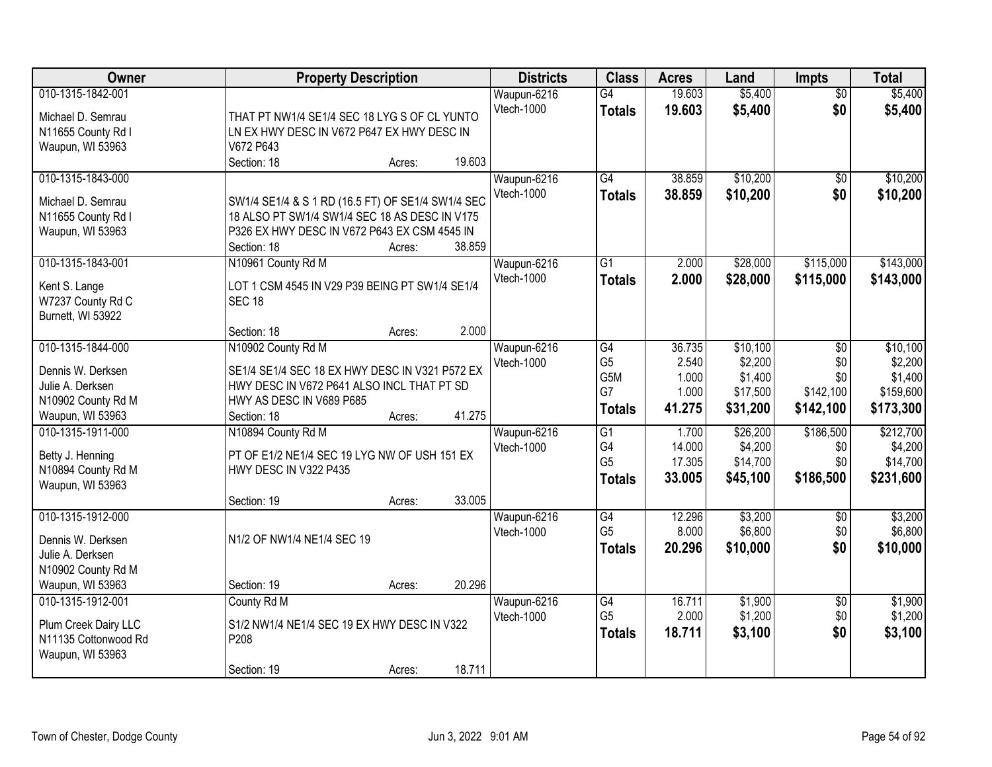| Owner                |                                                                                                    | <b>Property Description</b> |        | <b>Districts</b> | <b>Class</b>    | <b>Acres</b> | Land     | <b>Impts</b>    | <b>Total</b> |
|----------------------|----------------------------------------------------------------------------------------------------|-----------------------------|--------|------------------|-----------------|--------------|----------|-----------------|--------------|
| 010-1315-1842-001    |                                                                                                    |                             |        | Waupun-6216      | $\overline{G4}$ | 19.603       | \$5,400  | $\overline{50}$ | \$5,400      |
| Michael D. Semrau    | THAT PT NW1/4 SE1/4 SEC 18 LYG S OF CL YUNTO                                                       |                             |        | Vtech-1000       | <b>Totals</b>   | 19.603       | \$5,400  | \$0             | \$5,400      |
| N11655 County Rd I   | LN EX HWY DESC IN V672 P647 EX HWY DESC IN                                                         |                             |        |                  |                 |              |          |                 |              |
| Waupun, WI 53963     | V672 P643                                                                                          |                             |        |                  |                 |              |          |                 |              |
|                      | Section: 18                                                                                        | Acres:                      | 19.603 |                  |                 |              |          |                 |              |
| 010-1315-1843-000    |                                                                                                    |                             |        | Waupun-6216      | $\overline{G4}$ | 38.859       | \$10,200 | \$0             | \$10,200     |
|                      |                                                                                                    |                             |        | Vtech-1000       | <b>Totals</b>   | 38.859       | \$10,200 | \$0             | \$10,200     |
| Michael D. Semrau    | SW1/4 SE1/4 & S 1 RD (16.5 FT) OF SE1/4 SW1/4 SEC<br>18 ALSO PT SW1/4 SW1/4 SEC 18 AS DESC IN V175 |                             |        |                  |                 |              |          |                 |              |
| N11655 County Rd I   | P326 EX HWY DESC IN V672 P643 EX CSM 4545 IN                                                       |                             |        |                  |                 |              |          |                 |              |
| Waupun, WI 53963     | Section: 18                                                                                        | Acres:                      | 38.859 |                  |                 |              |          |                 |              |
| 010-1315-1843-001    | N10961 County Rd M                                                                                 |                             |        | Waupun-6216      | $\overline{G1}$ | 2.000        | \$28,000 | \$115,000       | \$143,000    |
|                      |                                                                                                    |                             |        | Vtech-1000       |                 |              |          |                 |              |
| Kent S. Lange        | LOT 1 CSM 4545 IN V29 P39 BEING PT SW1/4 SE1/4                                                     |                             |        |                  | <b>Totals</b>   | 2.000        | \$28,000 | \$115,000       | \$143,000    |
| W7237 County Rd C    | <b>SEC 18</b>                                                                                      |                             |        |                  |                 |              |          |                 |              |
| Burnett, WI 53922    |                                                                                                    |                             |        |                  |                 |              |          |                 |              |
|                      | Section: 18                                                                                        | Acres:                      | 2.000  |                  |                 |              |          |                 |              |
| 010-1315-1844-000    | N10902 County Rd M                                                                                 |                             |        | Waupun-6216      | G4              | 36.735       | \$10,100 | \$0             | \$10,100     |
| Dennis W. Derksen    | SE1/4 SE1/4 SEC 18 EX HWY DESC IN V321 P572 EX                                                     |                             |        | Vtech-1000       | G <sub>5</sub>  | 2.540        | \$2,200  | \$0             | \$2,200      |
| Julie A. Derksen     | HWY DESC IN V672 P641 ALSO INCL THAT PT SD                                                         |                             |        |                  | G5M             | 1.000        | \$1,400  | \$0             | \$1,400      |
| N10902 County Rd M   | HWY AS DESC IN V689 P685                                                                           |                             |        |                  | G7              | 1.000        | \$17,500 | \$142,100       | \$159,600    |
| Waupun, WI 53963     | Section: 18                                                                                        | Acres:                      | 41.275 |                  | <b>Totals</b>   | 41.275       | \$31,200 | \$142,100       | \$173,300    |
| 010-1315-1911-000    | N10894 County Rd M                                                                                 |                             |        | Waupun-6216      | $\overline{G1}$ | 1.700        | \$26,200 | \$186,500       | \$212,700    |
|                      |                                                                                                    |                             |        | Vtech-1000       | G4              | 14.000       | \$4,200  | \$0             | \$4,200      |
| Betty J. Henning     | PT OF E1/2 NE1/4 SEC 19 LYG NW OF USH 151 EX                                                       |                             |        |                  | G <sub>5</sub>  | 17.305       | \$14,700 | \$0             | \$14,700     |
| N10894 County Rd M   | HWY DESC IN V322 P435                                                                              |                             |        |                  | <b>Totals</b>   | 33.005       | \$45,100 | \$186,500       | \$231,600    |
| Waupun, WI 53963     |                                                                                                    |                             |        |                  |                 |              |          |                 |              |
|                      | Section: 19                                                                                        | Acres:                      | 33.005 |                  |                 |              |          |                 |              |
| 010-1315-1912-000    |                                                                                                    |                             |        | Waupun-6216      | G4              | 12.296       | \$3,200  | $\sqrt{6}$      | \$3,200      |
| Dennis W. Derksen    | N1/2 OF NW1/4 NE1/4 SEC 19                                                                         |                             |        | Vtech-1000       | G <sub>5</sub>  | 8.000        | \$6,800  | \$0             | \$6,800      |
| Julie A. Derksen     |                                                                                                    |                             |        |                  | <b>Totals</b>   | 20.296       | \$10,000 | \$0             | \$10,000     |
| N10902 County Rd M   |                                                                                                    |                             |        |                  |                 |              |          |                 |              |
| Waupun, WI 53963     | Section: 19                                                                                        | Acres:                      | 20.296 |                  |                 |              |          |                 |              |
| 010-1315-1912-001    | County Rd M                                                                                        |                             |        | Waupun-6216      | G4              | 16.711       | \$1,900  | $\overline{30}$ | \$1,900      |
|                      |                                                                                                    |                             |        | Vtech-1000       | G <sub>5</sub>  | 2.000        | \$1,200  | \$0             | \$1,200      |
| Plum Creek Dairy LLC | S1/2 NW1/4 NE1/4 SEC 19 EX HWY DESC IN V322                                                        |                             |        |                  | <b>Totals</b>   | 18.711       | \$3,100  | \$0             | \$3,100      |
| N11135 Cottonwood Rd | P208                                                                                               |                             |        |                  |                 |              |          |                 |              |
| Waupun, WI 53963     |                                                                                                    |                             |        |                  |                 |              |          |                 |              |
|                      | Section: 19                                                                                        | Acres:                      | 18.711 |                  |                 |              |          |                 |              |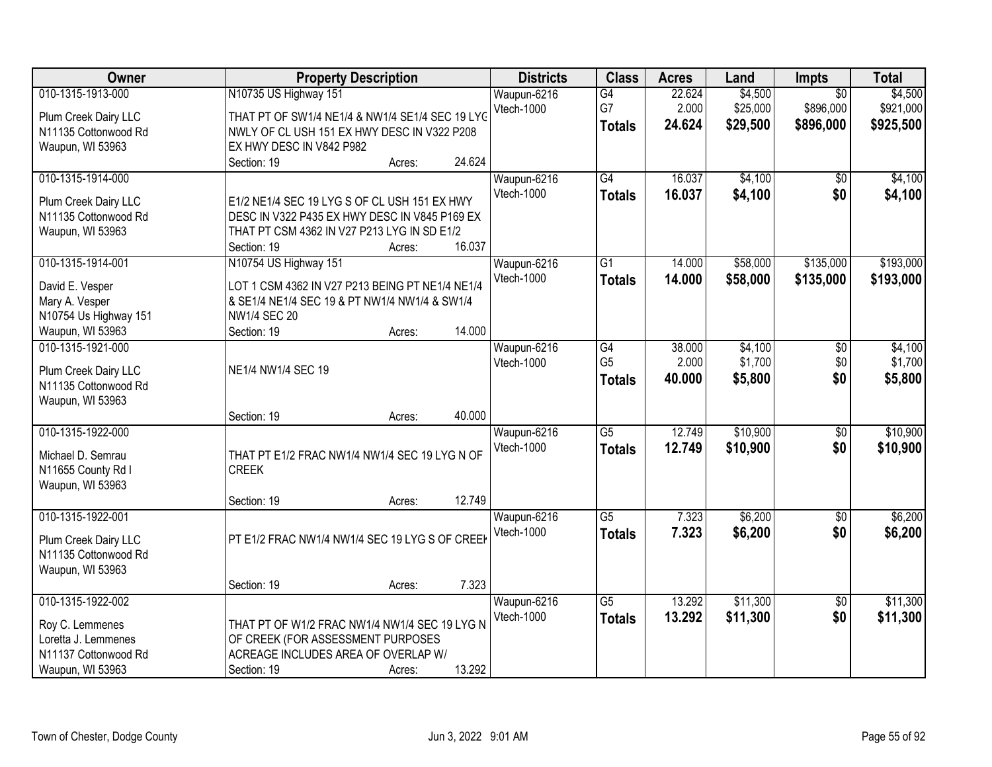| Owner                                                                                                   | <b>Property Description</b>                                                                                                                                                                                        | <b>Districts</b>                 | <b>Class</b>                          | <b>Acres</b>              | Land                            | Impts                                     | <b>Total</b>                      |
|---------------------------------------------------------------------------------------------------------|--------------------------------------------------------------------------------------------------------------------------------------------------------------------------------------------------------------------|----------------------------------|---------------------------------------|---------------------------|---------------------------------|-------------------------------------------|-----------------------------------|
| 010-1315-1913-000<br>Plum Creek Dairy LLC<br>N11135 Cottonwood Rd<br>Waupun, WI 53963                   | N10735 US Highway 151<br>THAT PT OF SW1/4 NE1/4 & NW1/4 SE1/4 SEC 19 LYC<br>NWLY OF CL USH 151 EX HWY DESC IN V322 P208<br>EX HWY DESC IN V842 P982                                                                | Waupun-6216<br>Vtech-1000        | G4<br>G7<br><b>Totals</b>             | 22.624<br>2.000<br>24.624 | \$4,500<br>\$25,000<br>\$29,500 | $\overline{50}$<br>\$896,000<br>\$896,000 | \$4,500<br>\$921,000<br>\$925,500 |
| 010-1315-1914-000<br>Plum Creek Dairy LLC<br>N11135 Cottonwood Rd<br>Waupun, WI 53963                   | 24.624<br>Section: 19<br>Acres:<br>E1/2 NE1/4 SEC 19 LYG S OF CL USH 151 EX HWY<br>DESC IN V322 P435 EX HWY DESC IN V845 P169 EX<br>THAT PT CSM 4362 IN V27 P213 LYG IN SD E1/2<br>16.037<br>Section: 19<br>Acres: | Waupun-6216<br>Vtech-1000        | G4<br><b>Totals</b>                   | 16.037<br>16.037          | \$4,100<br>\$4,100              | \$0<br>\$0                                | \$4,100<br>\$4,100                |
| 010-1315-1914-001<br>David E. Vesper<br>Mary A. Vesper<br>N10754 Us Highway 151<br>Waupun, WI 53963     | N10754 US Highway 151<br>LOT 1 CSM 4362 IN V27 P213 BEING PT NE1/4 NE1/4<br>& SE1/4 NE1/4 SEC 19 & PT NW1/4 NW1/4 & SW1/4<br><b>NW1/4 SEC 20</b><br>14.000<br>Section: 19<br>Acres:                                | Waupun-6216<br>Vtech-1000        | $\overline{G1}$<br><b>Totals</b>      | 14.000<br>14.000          | \$58,000<br>\$58,000            | \$135,000<br>\$135,000                    | \$193,000<br>\$193,000            |
| 010-1315-1921-000<br>Plum Creek Dairy LLC<br>N11135 Cottonwood Rd<br>Waupun, WI 53963                   | NE1/4 NW1/4 SEC 19<br>40.000<br>Section: 19<br>Acres:                                                                                                                                                              | Waupun-6216<br><b>Vtech-1000</b> | G4<br>G <sub>5</sub><br><b>Totals</b> | 38.000<br>2.000<br>40.000 | \$4,100<br>\$1,700<br>\$5,800   | \$0<br>\$0<br>\$0                         | \$4,100<br>\$1,700<br>\$5,800     |
| 010-1315-1922-000<br>Michael D. Semrau<br>N11655 County Rd I<br>Waupun, WI 53963                        | THAT PT E1/2 FRAC NW1/4 NW1/4 SEC 19 LYG N OF<br><b>CREEK</b><br>12.749<br>Section: 19<br>Acres:                                                                                                                   | Waupun-6216<br>Vtech-1000        | $\overline{G5}$<br><b>Totals</b>      | 12.749<br>12.749          | \$10,900<br>\$10,900            | $\overline{50}$<br>\$0                    | \$10,900<br>\$10,900              |
| 010-1315-1922-001<br>Plum Creek Dairy LLC<br>N11135 Cottonwood Rd<br>Waupun, WI 53963                   | PT E1/2 FRAC NW1/4 NW1/4 SEC 19 LYG S OF CREE                                                                                                                                                                      | Waupun-6216<br><b>Vtech-1000</b> | $\overline{G5}$<br><b>Totals</b>      | 7.323<br>7.323            | \$6,200<br>\$6,200              | $\overline{50}$<br>\$0                    | \$6,200<br>\$6,200                |
| 010-1315-1922-002<br>Roy C. Lemmenes<br>Loretta J. Lemmenes<br>N11137 Cottonwood Rd<br>Waupun, WI 53963 | 7.323<br>Section: 19<br>Acres:<br>THAT PT OF W1/2 FRAC NW1/4 NW1/4 SEC 19 LYG N<br>OF CREEK (FOR ASSESSMENT PURPOSES<br>ACREAGE INCLUDES AREA OF OVERLAP W/<br>13.292<br>Section: 19<br>Acres:                     | Waupun-6216<br><b>Vtech-1000</b> | $\overline{G5}$<br><b>Totals</b>      | 13.292<br>13.292          | \$11,300<br>\$11,300            | $\overline{50}$<br>\$0                    | \$11,300<br>\$11,300              |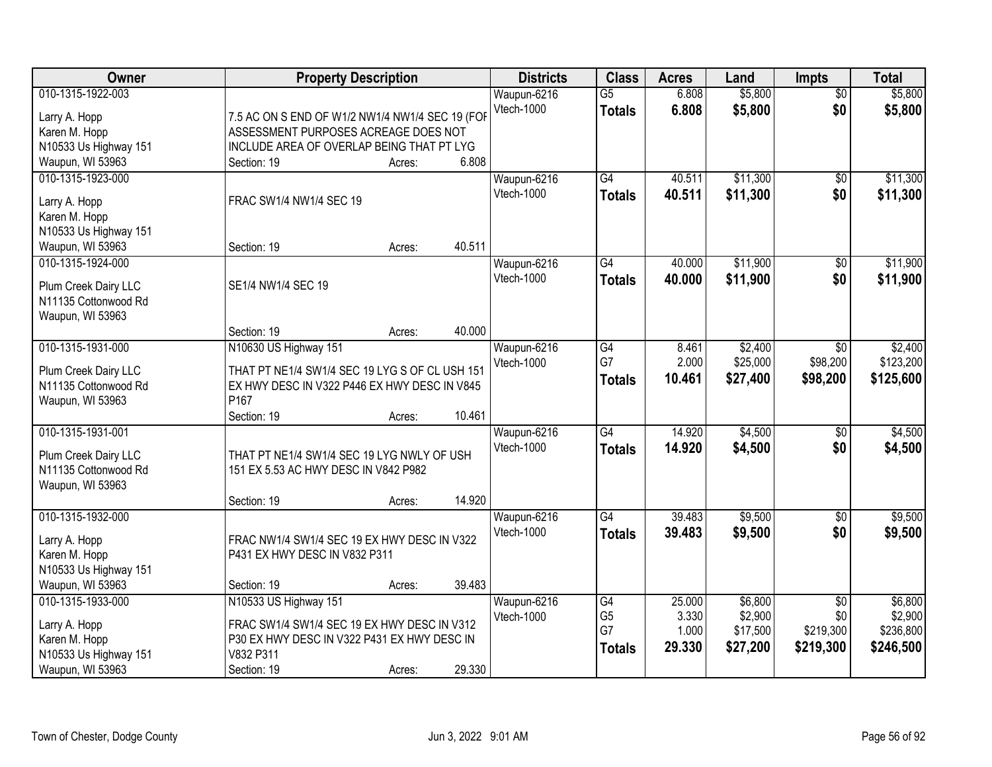| Owner                                                                                            | <b>Property Description</b>                                                                                                                         |        |        | <b>Districts</b>                 | <b>Class</b>                                | <b>Acres</b>                       | Land                                       | <b>Impts</b>                                     | <b>Total</b>                                 |
|--------------------------------------------------------------------------------------------------|-----------------------------------------------------------------------------------------------------------------------------------------------------|--------|--------|----------------------------------|---------------------------------------------|------------------------------------|--------------------------------------------|--------------------------------------------------|----------------------------------------------|
| 010-1315-1922-003<br>Larry A. Hopp<br>Karen M. Hopp<br>N10533 Us Highway 151<br>Waupun, WI 53963 | 7.5 AC ON S END OF W1/2 NW1/4 NW1/4 SEC 19 (FOR<br>ASSESSMENT PURPOSES ACREAGE DOES NOT<br>INCLUDE AREA OF OVERLAP BEING THAT PT LYG<br>Section: 19 | Acres: | 6.808  | Waupun-6216<br>Vtech-1000        | $\overline{G5}$<br><b>Totals</b>            | 6.808<br>6.808                     | \$5,800<br>\$5,800                         | $\overline{50}$<br>\$0                           | \$5,800<br>\$5,800                           |
| 010-1315-1923-000<br>Larry A. Hopp<br>Karen M. Hopp<br>N10533 Us Highway 151<br>Waupun, WI 53963 | FRAC SW1/4 NW1/4 SEC 19<br>Section: 19                                                                                                              | Acres: | 40.511 | Waupun-6216<br>Vtech-1000        | $\overline{G4}$<br><b>Totals</b>            | 40.511<br>40.511                   | \$11,300<br>\$11,300                       | \$0<br>\$0                                       | \$11,300<br>\$11,300                         |
| 010-1315-1924-000<br>Plum Creek Dairy LLC<br>N11135 Cottonwood Rd<br>Waupun, WI 53963            | SE1/4 NW1/4 SEC 19<br>Section: 19                                                                                                                   | Acres: | 40.000 | Waupun-6216<br>Vtech-1000        | $\overline{G4}$<br><b>Totals</b>            | 40.000<br>40.000                   | \$11,900<br>\$11,900                       | \$0<br>\$0                                       | \$11,900<br>\$11,900                         |
| 010-1315-1931-000<br>Plum Creek Dairy LLC<br>N11135 Cottonwood Rd<br>Waupun, WI 53963            | N10630 US Highway 151<br>THAT PT NE1/4 SW1/4 SEC 19 LYG S OF CL USH 151<br>EX HWY DESC IN V322 P446 EX HWY DESC IN V845<br>P167<br>Section: 19      | Acres: | 10.461 | Waupun-6216<br>Vtech-1000        | $\overline{G4}$<br>G7<br><b>Totals</b>      | 8.461<br>2.000<br>10.461           | \$2,400<br>\$25,000<br>\$27,400            | $\sqrt[6]{}$<br>\$98,200<br>\$98,200             | \$2,400<br>\$123,200<br>\$125,600            |
| 010-1315-1931-001<br>Plum Creek Dairy LLC<br>N11135 Cottonwood Rd<br>Waupun, WI 53963            | THAT PT NE1/4 SW1/4 SEC 19 LYG NWLY OF USH<br>151 EX 5.53 AC HWY DESC IN V842 P982<br>Section: 19                                                   | Acres: | 14.920 | Waupun-6216<br>Vtech-1000        | $\overline{G4}$<br><b>Totals</b>            | 14.920<br>14.920                   | \$4,500<br>\$4,500                         | \$0<br>\$0                                       | \$4,500<br>\$4,500                           |
| 010-1315-1932-000<br>Larry A. Hopp<br>Karen M. Hopp<br>N10533 Us Highway 151<br>Waupun, WI 53963 | FRAC NW1/4 SW1/4 SEC 19 EX HWY DESC IN V322<br>P431 EX HWY DESC IN V832 P311<br>Section: 19                                                         | Acres: | 39.483 | Waupun-6216<br><b>Vtech-1000</b> | G4<br><b>Totals</b>                         | 39.483<br>39.483                   | \$9,500<br>\$9,500                         | \$0<br>\$0                                       | \$9,500<br>\$9,500                           |
| 010-1315-1933-000<br>Larry A. Hopp<br>Karen M. Hopp<br>N10533 Us Highway 151<br>Waupun, WI 53963 | N10533 US Highway 151<br>FRAC SW1/4 SW1/4 SEC 19 EX HWY DESC IN V312<br>P30 EX HWY DESC IN V322 P431 EX HWY DESC IN<br>V832 P311<br>Section: 19     | Acres: | 29.330 | Waupun-6216<br><b>Vtech-1000</b> | G4<br>G <sub>5</sub><br>G7<br><b>Totals</b> | 25.000<br>3.330<br>1.000<br>29.330 | \$6,800<br>\$2,900<br>\$17,500<br>\$27,200 | $\overline{50}$<br>\$0<br>\$219,300<br>\$219,300 | \$6,800<br>\$2,900<br>\$236,800<br>\$246,500 |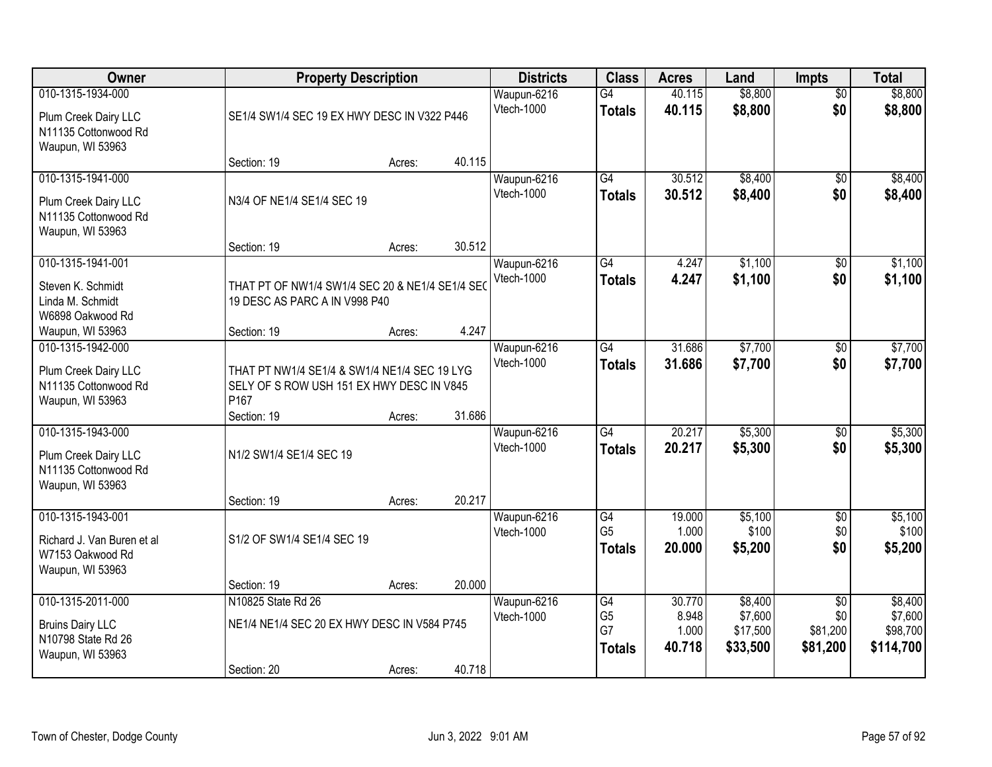| Owner                                                                                  |                                                                                                               | <b>Property Description</b> |        | <b>Districts</b>          | <b>Class</b>                                             | <b>Acres</b>                       | Land                                       | <b>Impts</b>                                   | <b>Total</b>                                |
|----------------------------------------------------------------------------------------|---------------------------------------------------------------------------------------------------------------|-----------------------------|--------|---------------------------|----------------------------------------------------------|------------------------------------|--------------------------------------------|------------------------------------------------|---------------------------------------------|
| 010-1315-1934-000<br>Plum Creek Dairy LLC<br>N11135 Cottonwood Rd<br>Waupun, WI 53963  | SE1/4 SW1/4 SEC 19 EX HWY DESC IN V322 P446                                                                   |                             |        | Waupun-6216<br>Vtech-1000 | G4<br><b>Totals</b>                                      | 40.115<br>40.115                   | \$8,800<br>\$8,800                         | $\overline{50}$<br>\$0                         | \$8,800<br>\$8,800                          |
|                                                                                        | Section: 19                                                                                                   | Acres:                      | 40.115 |                           |                                                          |                                    |                                            |                                                |                                             |
| 010-1315-1941-000<br>Plum Creek Dairy LLC<br>N11135 Cottonwood Rd<br>Waupun, WI 53963  | N3/4 OF NE1/4 SE1/4 SEC 19                                                                                    |                             | 30.512 | Waupun-6216<br>Vtech-1000 | G4<br><b>Totals</b>                                      | 30.512<br>30.512                   | \$8,400<br>\$8,400                         | $\overline{50}$<br>\$0                         | \$8,400<br>\$8,400                          |
| 010-1315-1941-001                                                                      | Section: 19                                                                                                   | Acres:                      |        | Waupun-6216               | G4                                                       | 4.247                              | \$1,100                                    | $\overline{50}$                                | \$1,100                                     |
| Steven K. Schmidt<br>Linda M. Schmidt<br>W6898 Oakwood Rd                              | THAT PT OF NW1/4 SW1/4 SEC 20 & NE1/4 SE1/4 SEC<br>19 DESC AS PARC A IN V998 P40                              |                             |        | Vtech-1000                | <b>Totals</b>                                            | 4.247                              | \$1,100                                    | \$0                                            | \$1,100                                     |
| Waupun, WI 53963                                                                       | Section: 19                                                                                                   | Acres:                      | 4.247  |                           |                                                          |                                    |                                            |                                                |                                             |
| 010-1315-1942-000<br>Plum Creek Dairy LLC<br>N11135 Cottonwood Rd<br>Waupun, WI 53963  | THAT PT NW1/4 SE1/4 & SW1/4 NE1/4 SEC 19 LYG<br>SELY OF S ROW USH 151 EX HWY DESC IN V845<br>P <sub>167</sub> |                             | 31.686 | Waupun-6216<br>Vtech-1000 | $\overline{G4}$<br><b>Totals</b>                         | 31.686<br>31.686                   | \$7,700<br>\$7,700                         | \$0<br>\$0                                     | \$7,700<br>\$7,700                          |
| 010-1315-1943-000                                                                      | Section: 19                                                                                                   | Acres:                      |        | Waupun-6216               | $\overline{G4}$                                          | 20.217                             | \$5,300                                    | \$0                                            | \$5,300                                     |
| Plum Creek Dairy LLC<br>N11135 Cottonwood Rd<br>Waupun, WI 53963                       | N1/2 SW1/4 SE1/4 SEC 19<br>Section: 19                                                                        | Acres:                      | 20.217 | Vtech-1000                | <b>Totals</b>                                            | 20.217                             | \$5,300                                    | \$0                                            | \$5,300                                     |
| 010-1315-1943-001                                                                      |                                                                                                               |                             |        | Waupun-6216               | G4                                                       | 19.000                             | \$5,100                                    | $\overline{50}$                                | \$5,100                                     |
| Richard J. Van Buren et al<br>W7153 Oakwood Rd<br>Waupun, WI 53963                     | S1/2 OF SW1/4 SE1/4 SEC 19                                                                                    |                             |        | Vtech-1000                | G <sub>5</sub><br><b>Totals</b>                          | 1.000<br>20.000                    | \$100<br>\$5,200                           | \$0<br>\$0                                     | \$100<br>\$5,200                            |
|                                                                                        | Section: 19                                                                                                   | Acres:                      | 20.000 |                           |                                                          |                                    |                                            |                                                |                                             |
| 010-1315-2011-000<br><b>Bruins Dairy LLC</b><br>N10798 State Rd 26<br>Waupun, WI 53963 | N10825 State Rd 26<br>NE1/4 NE1/4 SEC 20 EX HWY DESC IN V584 P745<br>Section: 20                              | Acres:                      | 40.718 | Waupun-6216<br>Vtech-1000 | $\overline{G4}$<br>G <sub>5</sub><br>G7<br><b>Totals</b> | 30.770<br>8.948<br>1.000<br>40.718 | \$8,400<br>\$7,600<br>\$17,500<br>\$33,500 | $\overline{50}$<br>\$0<br>\$81,200<br>\$81,200 | \$8,400<br>\$7,600<br>\$98,700<br>\$114,700 |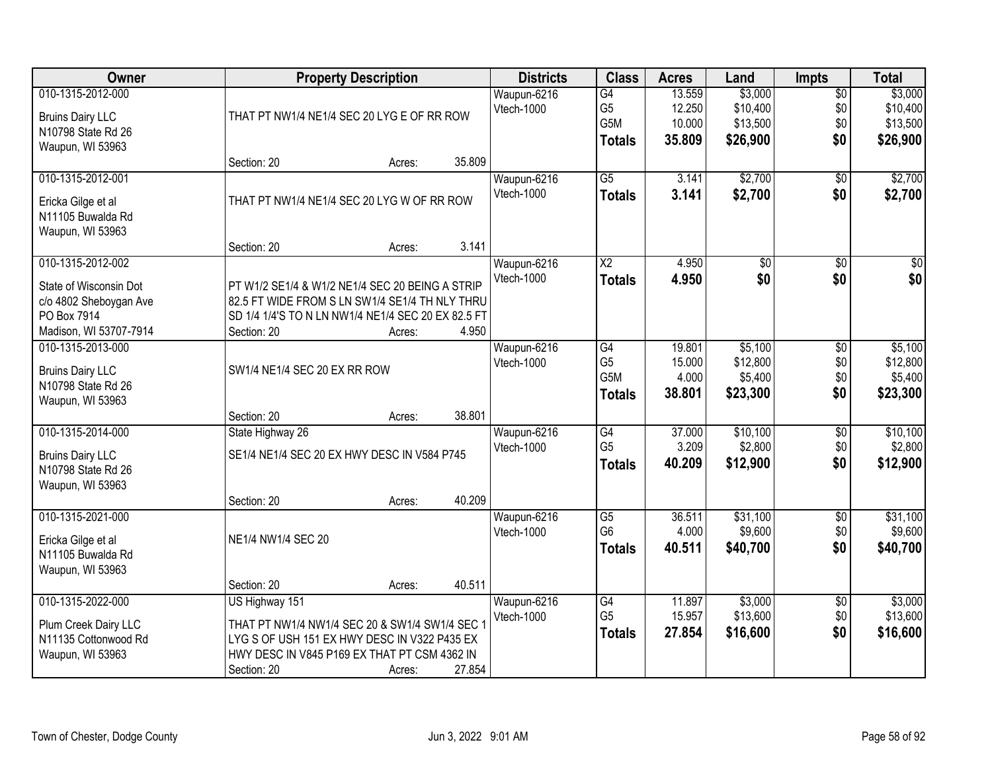| Owner                   |                                                    | <b>Property Description</b> |        | <b>Districts</b>          | <b>Class</b>                       | <b>Acres</b>     | Land                 | <b>Impts</b>           | <b>Total</b>         |
|-------------------------|----------------------------------------------------|-----------------------------|--------|---------------------------|------------------------------------|------------------|----------------------|------------------------|----------------------|
| 010-1315-2012-000       |                                                    |                             |        | Waupun-6216               | G4                                 | 13.559           | \$3,000              | $\overline{$0}$        | \$3,000              |
| <b>Bruins Dairy LLC</b> | THAT PT NW1/4 NE1/4 SEC 20 LYG E OF RR ROW         |                             |        | Vtech-1000                | G <sub>5</sub><br>G5M              | 12.250<br>10.000 | \$10,400<br>\$13,500 | \$0<br>\$0             | \$10,400<br>\$13,500 |
| N10798 State Rd 26      |                                                    |                             |        |                           |                                    | 35.809           | \$26,900             | \$0                    | \$26,900             |
| Waupun, WI 53963        |                                                    |                             |        |                           | <b>Totals</b>                      |                  |                      |                        |                      |
|                         | Section: 20                                        | Acres:                      | 35.809 |                           |                                    |                  |                      |                        |                      |
| 010-1315-2012-001       |                                                    |                             |        | Waupun-6216               | $\overline{G5}$                    | 3.141            | \$2,700              | \$0                    | \$2,700              |
| Ericka Gilge et al      | THAT PT NW1/4 NE1/4 SEC 20 LYG W OF RR ROW         |                             |        | Vtech-1000                | <b>Totals</b>                      | 3.141            | \$2,700              | \$0                    | \$2,700              |
| N11105 Buwalda Rd       |                                                    |                             |        |                           |                                    |                  |                      |                        |                      |
| Waupun, WI 53963        |                                                    |                             |        |                           |                                    |                  |                      |                        |                      |
|                         | Section: 20                                        | Acres:                      | 3.141  |                           |                                    |                  |                      |                        |                      |
| 010-1315-2012-002       |                                                    |                             |        | Waupun-6216               | X2                                 | 4.950            | \$0                  | \$0                    | $\sqrt{50}$          |
| State of Wisconsin Dot  | PT W1/2 SE1/4 & W1/2 NE1/4 SEC 20 BEING A STRIP    |                             |        | Vtech-1000                | <b>Totals</b>                      | 4.950            | \$0                  | \$0                    | \$0                  |
| c/o 4802 Sheboygan Ave  | 82.5 FT WIDE FROM S LN SW1/4 SE1/4 TH NLY THRU     |                             |        |                           |                                    |                  |                      |                        |                      |
| PO Box 7914             | SD 1/4 1/4'S TO N LN NW1/4 NE1/4 SEC 20 EX 82.5 FT |                             |        |                           |                                    |                  |                      |                        |                      |
| Madison, WI 53707-7914  | Section: 20                                        | Acres:                      | 4.950  |                           |                                    |                  |                      |                        |                      |
| 010-1315-2013-000       |                                                    |                             |        | Waupun-6216               | G4                                 | 19.801           | \$5,100              | \$0                    | \$5,100              |
| <b>Bruins Dairy LLC</b> | SW1/4 NE1/4 SEC 20 EX RR ROW                       |                             |        | Vtech-1000                | G <sub>5</sub><br>G <sub>5</sub> M | 15.000<br>4.000  | \$12,800<br>\$5,400  | \$0<br>\$0             | \$12,800<br>\$5,400  |
| N10798 State Rd 26      |                                                    |                             |        |                           | <b>Totals</b>                      | 38.801           | \$23,300             | \$0                    | \$23,300             |
| Waupun, WI 53963        |                                                    |                             |        |                           |                                    |                  |                      |                        |                      |
|                         | Section: 20                                        | Acres:                      | 38.801 |                           |                                    |                  |                      |                        |                      |
| 010-1315-2014-000       | State Highway 26                                   |                             |        | Waupun-6216<br>Vtech-1000 | $\overline{G4}$<br>G <sub>5</sub>  | 37.000<br>3.209  | \$10,100<br>\$2,800  | $\overline{50}$<br>\$0 | \$10,100<br>\$2,800  |
| <b>Bruins Dairy LLC</b> | SE1/4 NE1/4 SEC 20 EX HWY DESC IN V584 P745        |                             |        |                           | <b>Totals</b>                      | 40.209           | \$12,900             | \$0                    | \$12,900             |
| N10798 State Rd 26      |                                                    |                             |        |                           |                                    |                  |                      |                        |                      |
| Waupun, WI 53963        |                                                    |                             |        |                           |                                    |                  |                      |                        |                      |
|                         | Section: 20                                        | Acres:                      | 40.209 |                           |                                    |                  |                      |                        |                      |
| 010-1315-2021-000       |                                                    |                             |        | Waupun-6216<br>Vtech-1000 | $\overline{G5}$<br>G <sub>6</sub>  | 36.511<br>4.000  | \$31,100<br>\$9,600  | $\overline{$0}$<br>\$0 | \$31,100<br>\$9,600  |
| Ericka Gilge et al      | NE1/4 NW1/4 SEC 20                                 |                             |        |                           | <b>Totals</b>                      | 40.511           | \$40,700             | \$0                    | \$40,700             |
| N11105 Buwalda Rd       |                                                    |                             |        |                           |                                    |                  |                      |                        |                      |
| Waupun, WI 53963        |                                                    |                             |        |                           |                                    |                  |                      |                        |                      |
| 010-1315-2022-000       | Section: 20                                        | Acres:                      | 40.511 |                           |                                    |                  |                      |                        |                      |
|                         | US Highway 151                                     |                             |        | Waupun-6216<br>Vtech-1000 | G4<br>G <sub>5</sub>               | 11.897<br>15.957 | \$3,000<br>\$13,600  | $\overline{60}$<br>\$0 | \$3,000<br>\$13,600  |
| Plum Creek Dairy LLC    | THAT PT NW1/4 NW1/4 SEC 20 & SW1/4 SW1/4 SEC 1     |                             |        |                           | <b>Totals</b>                      | 27.854           | \$16,600             | \$0                    | \$16,600             |
| N11135 Cottonwood Rd    | LYG S OF USH 151 EX HWY DESC IN V322 P435 EX       |                             |        |                           |                                    |                  |                      |                        |                      |
| Waupun, WI 53963        | HWY DESC IN V845 P169 EX THAT PT CSM 4362 IN       |                             |        |                           |                                    |                  |                      |                        |                      |
|                         | Section: 20                                        | Acres:                      | 27.854 |                           |                                    |                  |                      |                        |                      |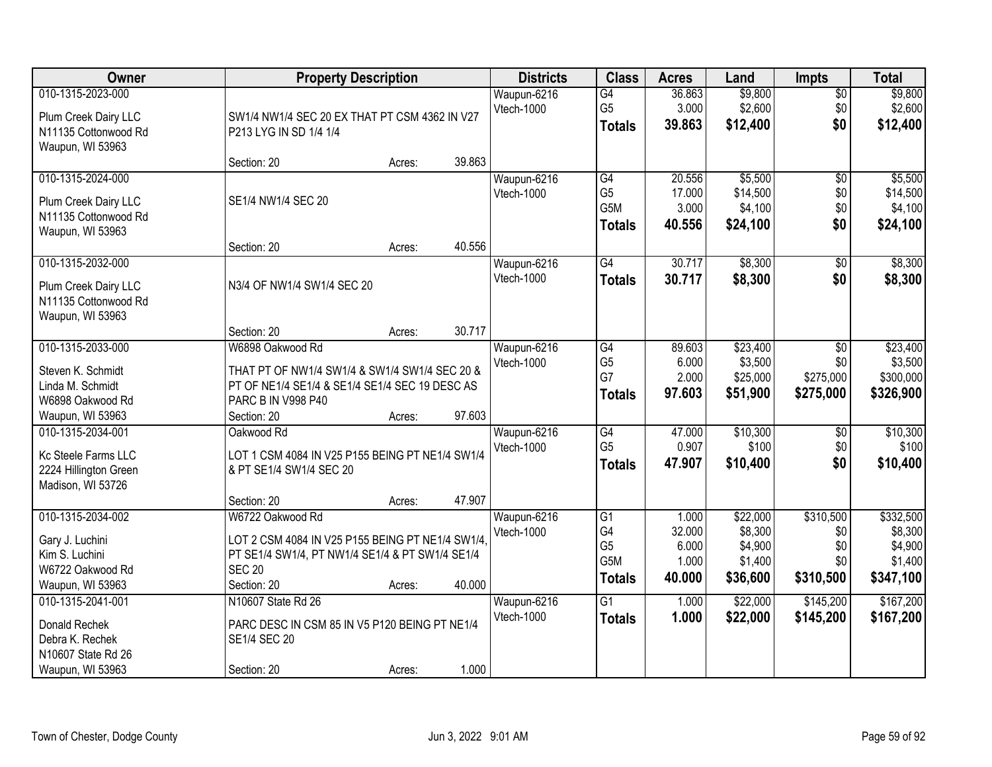| Owner                                                                                              |                                                                                                                                                                        | <b>Property Description</b> |                  | <b>Districts</b>          | <b>Class</b>                                                                 | <b>Acres</b>                                | Land                                                  | <b>Impts</b>                                | <b>Total</b>                                            |
|----------------------------------------------------------------------------------------------------|------------------------------------------------------------------------------------------------------------------------------------------------------------------------|-----------------------------|------------------|---------------------------|------------------------------------------------------------------------------|---------------------------------------------|-------------------------------------------------------|---------------------------------------------|---------------------------------------------------------|
| 010-1315-2023-000<br>Plum Creek Dairy LLC<br>N11135 Cottonwood Rd<br>Waupun, WI 53963              | SW1/4 NW1/4 SEC 20 EX THAT PT CSM 4362 IN V27<br>P213 LYG IN SD 1/4 1/4                                                                                                |                             |                  | Waupun-6216<br>Vtech-1000 | $\overline{G4}$<br>G <sub>5</sub><br><b>Totals</b>                           | 36.863<br>3.000<br>39.863                   | \$9,800<br>\$2,600<br>\$12,400                        | $\sqrt{$0}$<br>\$0<br>\$0                   | \$9,800<br>\$2,600<br>\$12,400                          |
|                                                                                                    | Section: 20                                                                                                                                                            | Acres:                      | 39.863           |                           |                                                                              |                                             |                                                       |                                             |                                                         |
| 010-1315-2024-000<br>Plum Creek Dairy LLC<br>N11135 Cottonwood Rd<br>Waupun, WI 53963              | SE1/4 NW1/4 SEC 20<br>Section: 20                                                                                                                                      | Acres:                      | 40.556           | Waupun-6216<br>Vtech-1000 | G4<br>G <sub>5</sub><br>G5M<br><b>Totals</b>                                 | 20.556<br>17.000<br>3.000<br>40.556         | \$5,500<br>\$14,500<br>\$4,100<br>\$24,100            | $\overline{50}$<br>\$0<br>\$0<br>\$0        | \$5,500<br>\$14,500<br>\$4,100<br>\$24,100              |
| 010-1315-2032-000                                                                                  |                                                                                                                                                                        |                             |                  | Waupun-6216               | $\overline{G4}$                                                              | 30.717                                      | \$8,300                                               | \$0                                         | \$8,300                                                 |
| Plum Creek Dairy LLC<br>N11135 Cottonwood Rd<br>Waupun, WI 53963                                   | N3/4 OF NW1/4 SW1/4 SEC 20                                                                                                                                             |                             |                  | Vtech-1000                | <b>Totals</b>                                                                | 30.717                                      | \$8,300                                               | \$0                                         | \$8,300                                                 |
|                                                                                                    | Section: 20                                                                                                                                                            | Acres:                      | 30.717           |                           |                                                                              |                                             |                                                       |                                             |                                                         |
| 010-1315-2033-000<br>Steven K. Schmidt<br>Linda M. Schmidt<br>W6898 Oakwood Rd<br>Waupun, WI 53963 | W6898 Oakwood Rd<br>THAT PT OF NW1/4 SW1/4 & SW1/4 SW1/4 SEC 20 &<br>PT OF NE1/4 SE1/4 & SE1/4 SE1/4 SEC 19 DESC AS<br>PARC B IN V998 P40<br>Section: 20               | Acres:                      | 97.603           | Waupun-6216<br>Vtech-1000 | G4<br>G <sub>5</sub><br>G7<br><b>Totals</b>                                  | 89.603<br>6.000<br>2.000<br>97.603          | \$23,400<br>\$3,500<br>\$25,000<br>\$51,900           | \$0<br>\$0<br>\$275,000<br>\$275,000        | \$23,400<br>\$3,500<br>\$300,000<br>\$326,900           |
| 010-1315-2034-001<br>Kc Steele Farms LLC<br>2224 Hillington Green<br>Madison, WI 53726             | Oakwood Rd<br>LOT 1 CSM 4084 IN V25 P155 BEING PT NE1/4 SW1/4<br>& PT SE1/4 SW1/4 SEC 20                                                                               |                             |                  | Waupun-6216<br>Vtech-1000 | G4<br>G <sub>5</sub><br><b>Totals</b>                                        | 47.000<br>0.907<br>47.907                   | \$10,300<br>\$100<br>\$10,400                         | $\overline{50}$<br>\$0<br>\$0               | \$10,300<br>\$100<br>\$10,400                           |
| 010-1315-2034-002<br>Gary J. Luchini<br>Kim S. Luchini<br>W6722 Oakwood Rd<br>Waupun, WI 53963     | Section: 20<br>W6722 Oakwood Rd<br>LOT 2 CSM 4084 IN V25 P155 BEING PT NE1/4 SW1/4.<br>PT SE1/4 SW1/4, PT NW1/4 SE1/4 & PT SW1/4 SE1/4<br><b>SEC 20</b><br>Section: 20 | Acres:<br>Acres:            | 47.907<br>40.000 | Waupun-6216<br>Vtech-1000 | $\overline{G1}$<br>G4<br>G <sub>5</sub><br>G <sub>5</sub> M<br><b>Totals</b> | 1.000<br>32.000<br>6.000<br>1.000<br>40.000 | \$22,000<br>\$8,300<br>\$4,900<br>\$1,400<br>\$36,600 | \$310,500<br>\$0<br>\$0<br>\$0<br>\$310,500 | \$332,500<br>\$8,300<br>\$4,900<br>\$1,400<br>\$347,100 |
| 010-1315-2041-001<br>Donald Rechek<br>Debra K. Rechek<br>N10607 State Rd 26<br>Waupun, WI 53963    | N10607 State Rd 26<br>PARC DESC IN CSM 85 IN V5 P120 BEING PT NE1/4<br>SE1/4 SEC 20<br>Section: 20                                                                     | Acres:                      | 1.000            | Waupun-6216<br>Vtech-1000 | $\overline{G1}$<br><b>Totals</b>                                             | 1.000<br>1.000                              | \$22,000<br>\$22,000                                  | \$145,200<br>\$145,200                      | \$167,200<br>\$167,200                                  |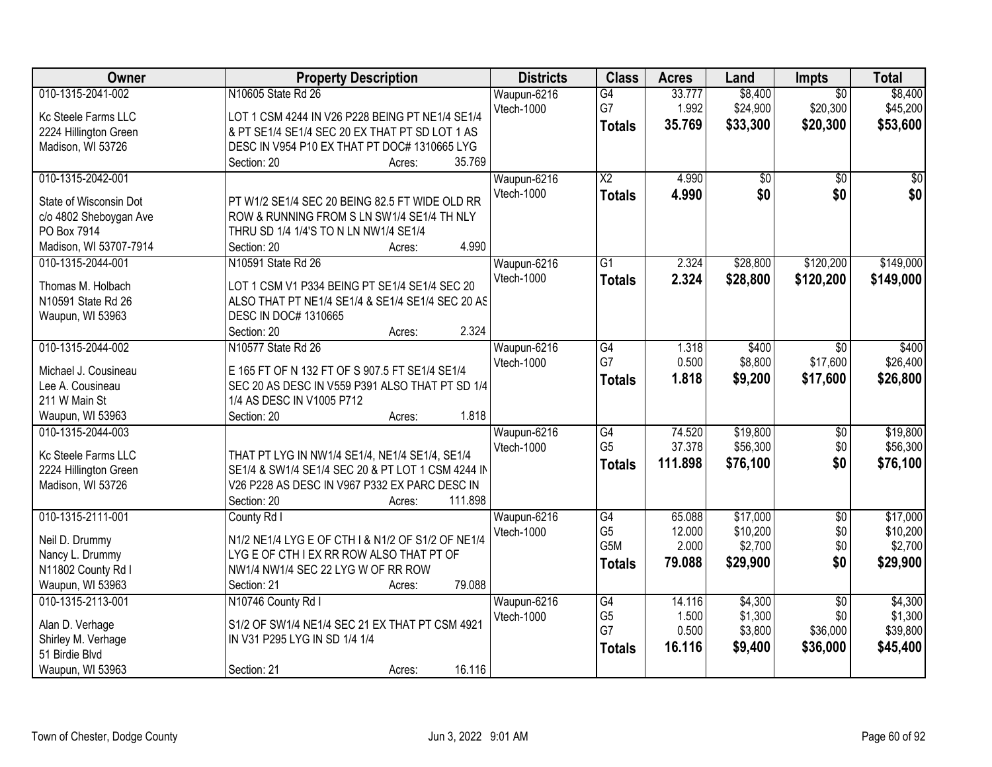| Owner                  | <b>Property Description</b>                       | <b>Districts</b> | <b>Class</b>    | <b>Acres</b> | Land            | <b>Impts</b>    | <b>Total</b>    |
|------------------------|---------------------------------------------------|------------------|-----------------|--------------|-----------------|-----------------|-----------------|
| 010-1315-2041-002      | N10605 State Rd 26                                | Waupun-6216      | G4              | 33.777       | \$8,400         | $\overline{50}$ | \$8,400         |
| Kc Steele Farms LLC    | LOT 1 CSM 4244 IN V26 P228 BEING PT NE1/4 SE1/4   | Vtech-1000       | G7              | 1.992        | \$24,900        | \$20,300        | \$45,200        |
| 2224 Hillington Green  | & PT SE1/4 SE1/4 SEC 20 EX THAT PT SD LOT 1 AS    |                  | <b>Totals</b>   | 35.769       | \$33,300        | \$20,300        | \$53,600        |
| Madison, WI 53726      | DESC IN V954 P10 EX THAT PT DOC# 1310665 LYG      |                  |                 |              |                 |                 |                 |
|                        | 35.769<br>Section: 20<br>Acres:                   |                  |                 |              |                 |                 |                 |
| 010-1315-2042-001      |                                                   | Waupun-6216      | $\overline{X2}$ | 4.990        | $\overline{50}$ | $\overline{30}$ | $\overline{50}$ |
|                        |                                                   | Vtech-1000       | <b>Totals</b>   | 4.990        | \$0             | \$0             | \$0             |
| State of Wisconsin Dot | PT W1/2 SE1/4 SEC 20 BEING 82.5 FT WIDE OLD RR    |                  |                 |              |                 |                 |                 |
| c/o 4802 Sheboygan Ave | ROW & RUNNING FROM S LN SW1/4 SE1/4 TH NLY        |                  |                 |              |                 |                 |                 |
| PO Box 7914            | THRU SD 1/4 1/4'S TO N LN NW1/4 SE1/4             |                  |                 |              |                 |                 |                 |
| Madison, WI 53707-7914 | 4.990<br>Section: 20<br>Acres:                    |                  |                 |              |                 |                 |                 |
| 010-1315-2044-001      | N10591 State Rd 26                                | Waupun-6216      | $\overline{G1}$ | 2.324        | \$28,800        | \$120,200       | \$149,000       |
| Thomas M. Holbach      | LOT 1 CSM V1 P334 BEING PT SE1/4 SE1/4 SEC 20     | Vtech-1000       | <b>Totals</b>   | 2.324        | \$28,800        | \$120,200       | \$149,000       |
| N10591 State Rd 26     | ALSO THAT PT NE1/4 SE1/4 & SE1/4 SE1/4 SEC 20 AS  |                  |                 |              |                 |                 |                 |
| Waupun, WI 53963       | DESC IN DOC# 1310665                              |                  |                 |              |                 |                 |                 |
|                        | 2.324<br>Section: 20<br>Acres:                    |                  |                 |              |                 |                 |                 |
| 010-1315-2044-002      | N10577 State Rd 26                                | Waupun-6216      | $\overline{G4}$ | 1.318        | \$400           | $\sqrt{6}$      | \$400           |
|                        |                                                   | Vtech-1000       | G7              | 0.500        | \$8,800         | \$17,600        | \$26,400        |
| Michael J. Cousineau   | E 165 FT OF N 132 FT OF S 907.5 FT SE1/4 SE1/4    |                  | <b>Totals</b>   | 1.818        | \$9,200         | \$17,600        | \$26,800        |
| Lee A. Cousineau       | SEC 20 AS DESC IN V559 P391 ALSO THAT PT SD 1/4   |                  |                 |              |                 |                 |                 |
| 211 W Main St          | 1/4 AS DESC IN V1005 P712                         |                  |                 |              |                 |                 |                 |
| Waupun, WI 53963       | 1.818<br>Section: 20<br>Acres:                    |                  |                 |              |                 |                 |                 |
| 010-1315-2044-003      |                                                   | Waupun-6216      | G4              | 74.520       | \$19,800        | $\overline{50}$ | \$19,800        |
| Kc Steele Farms LLC    | THAT PT LYG IN NW1/4 SE1/4, NE1/4 SE1/4, SE1/4    | Vtech-1000       | G <sub>5</sub>  | 37.378       | \$56,300        | \$0             | \$56,300        |
| 2224 Hillington Green  | SE1/4 & SW1/4 SE1/4 SEC 20 & PT LOT 1 CSM 4244 IN |                  | <b>Totals</b>   | 111.898      | \$76,100        | \$0             | \$76,100        |
| Madison, WI 53726      | V26 P228 AS DESC IN V967 P332 EX PARC DESC IN     |                  |                 |              |                 |                 |                 |
|                        | 111.898<br>Section: 20<br>Acres:                  |                  |                 |              |                 |                 |                 |
| 010-1315-2111-001      | County Rd I                                       | Waupun-6216      | G4              | 65.088       | \$17,000        | $\sqrt{6}$      | \$17,000        |
|                        |                                                   | Vtech-1000       | G <sub>5</sub>  | 12.000       | \$10,200        | \$0             | \$10,200        |
| Neil D. Drummy         | N1/2 NE1/4 LYG E OF CTH I & N1/2 OF S1/2 OF NE1/4 |                  | G5M             | 2.000        | \$2,700         | \$0             | \$2,700         |
| Nancy L. Drummy        | LYG E OF CTH I EX RR ROW ALSO THAT PT OF          |                  | Totals          | 79.088       | \$29,900        | \$0             | \$29,900        |
| N11802 County Rd I     | NW1/4 NW1/4 SEC 22 LYG W OF RR ROW                |                  |                 |              |                 |                 |                 |
| Waupun, WI 53963       | 79.088<br>Section: 21<br>Acres:                   |                  |                 |              |                 |                 |                 |
| 010-1315-2113-001      | N10746 County Rd I                                | Waupun-6216      | $\overline{G4}$ | 14.116       | \$4,300         | $\overline{50}$ | \$4,300         |
| Alan D. Verhage        | S1/2 OF SW1/4 NE1/4 SEC 21 EX THAT PT CSM 4921    | Vtech-1000       | G <sub>5</sub>  | 1.500        | \$1,300         | \$0             | \$1,300         |
| Shirley M. Verhage     | IN V31 P295 LYG IN SD 1/4 1/4                     |                  | G7              | 0.500        | \$3,800         | \$36,000        | \$39,800        |
| 51 Birdie Blvd         |                                                   |                  | <b>Totals</b>   | 16.116       | \$9,400         | \$36,000        | \$45,400        |
| Waupun, WI 53963       | 16.116<br>Section: 21<br>Acres:                   |                  |                 |              |                 |                 |                 |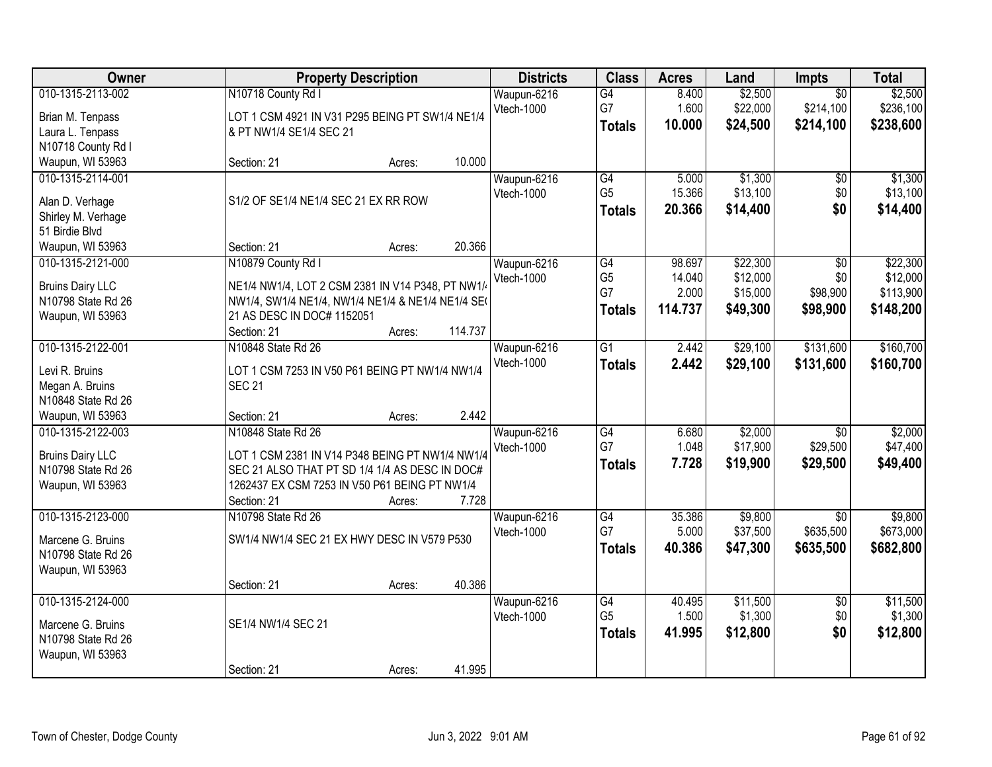| Owner                                                                                                      | <b>Property Description</b>                                                                                                                                                                                                                  | <b>Districts</b>          | <b>Class</b>                                | <b>Acres</b>                         | Land                                         | Impts                                     | <b>Total</b>                                   |
|------------------------------------------------------------------------------------------------------------|----------------------------------------------------------------------------------------------------------------------------------------------------------------------------------------------------------------------------------------------|---------------------------|---------------------------------------------|--------------------------------------|----------------------------------------------|-------------------------------------------|------------------------------------------------|
| 010-1315-2113-002<br>Brian M. Tenpass<br>Laura L. Tenpass                                                  | N10718 County Rd I<br>LOT 1 CSM 4921 IN V31 P295 BEING PT SW1/4 NE1/4<br>& PT NW1/4 SE1/4 SEC 21                                                                                                                                             | Waupun-6216<br>Vtech-1000 | G4<br>G7<br><b>Totals</b>                   | 8.400<br>1.600<br>10.000             | \$2,500<br>\$22,000<br>\$24,500              | $\overline{50}$<br>\$214,100<br>\$214,100 | \$2,500<br>\$236,100<br>\$238,600              |
| N10718 County Rd I<br>Waupun, WI 53963                                                                     | 10.000<br>Section: 21<br>Acres:                                                                                                                                                                                                              |                           |                                             |                                      |                                              |                                           |                                                |
| 010-1315-2114-001<br>Alan D. Verhage<br>Shirley M. Verhage<br>51 Birdie Blvd                               | S1/2 OF SE1/4 NE1/4 SEC 21 EX RR ROW                                                                                                                                                                                                         | Waupun-6216<br>Vtech-1000 | G4<br>G <sub>5</sub><br><b>Totals</b>       | 5.000<br>15.366<br>20,366            | \$1,300<br>\$13,100<br>\$14,400              | \$0<br>\$0<br>\$0                         | \$1,300<br>\$13,100<br>\$14,400                |
| Waupun, WI 53963<br>010-1315-2121-000<br><b>Bruins Dairy LLC</b><br>N10798 State Rd 26<br>Waupun, WI 53963 | 20.366<br>Section: 21<br>Acres:<br>N10879 County Rd I<br>NE1/4 NW1/4, LOT 2 CSM 2381 IN V14 P348, PT NW1/<br>NW1/4, SW1/4 NE1/4, NW1/4 NE1/4 & NE1/4 NE1/4 SE(<br>21 AS DESC IN DOC# 1152051<br>114.737<br>Section: 21<br>Acres:             | Waupun-6216<br>Vtech-1000 | G4<br>G <sub>5</sub><br>G7<br><b>Totals</b> | 98.697<br>14.040<br>2.000<br>114.737 | \$22,300<br>\$12,000<br>\$15,000<br>\$49,300 | \$0<br>\$0<br>\$98,900<br>\$98,900        | \$22,300<br>\$12,000<br>\$113,900<br>\$148,200 |
| 010-1315-2122-001<br>Levi R. Bruins<br>Megan A. Bruins<br>N10848 State Rd 26                               | N10848 State Rd 26<br>LOT 1 CSM 7253 IN V50 P61 BEING PT NW1/4 NW1/4<br><b>SEC 21</b>                                                                                                                                                        | Waupun-6216<br>Vtech-1000 | G1<br><b>Totals</b>                         | 2.442<br>2.442                       | \$29,100<br>\$29,100                         | \$131,600<br>\$131,600                    | \$160,700<br>\$160,700                         |
| Waupun, WI 53963<br>010-1315-2122-003<br><b>Bruins Dairy LLC</b><br>N10798 State Rd 26<br>Waupun, WI 53963 | 2.442<br>Section: 21<br>Acres:<br>N10848 State Rd 26<br>LOT 1 CSM 2381 IN V14 P348 BEING PT NW1/4 NW1/4<br>SEC 21 ALSO THAT PT SD 1/4 1/4 AS DESC IN DOC#<br>1262437 EX CSM 7253 IN V50 P61 BEING PT NW1/4<br>Section: 21<br>7.728<br>Acres: | Waupun-6216<br>Vtech-1000 | $\overline{G4}$<br>G7<br><b>Totals</b>      | 6.680<br>1.048<br>7.728              | \$2,000<br>\$17,900<br>\$19,900              | $\overline{30}$<br>\$29,500<br>\$29,500   | \$2,000<br>\$47,400<br>\$49,400                |
| 010-1315-2123-000<br>Marcene G. Bruins<br>N10798 State Rd 26<br>Waupun, WI 53963                           | N10798 State Rd 26<br>SW1/4 NW1/4 SEC 21 EX HWY DESC IN V579 P530<br>40.386<br>Section: 21<br>Acres:                                                                                                                                         | Waupun-6216<br>Vtech-1000 | $\overline{G4}$<br>G7<br><b>Totals</b>      | 35.386<br>5.000<br>40.386            | \$9,800<br>\$37,500<br>\$47,300              | $\overline{50}$<br>\$635,500<br>\$635,500 | \$9,800<br>\$673,000<br>\$682,800              |
| 010-1315-2124-000<br>Marcene G. Bruins<br>N10798 State Rd 26<br>Waupun, WI 53963                           | SE1/4 NW1/4 SEC 21<br>41.995<br>Section: 21<br>Acres:                                                                                                                                                                                        | Waupun-6216<br>Vtech-1000 | G4<br>G <sub>5</sub><br><b>Totals</b>       | 40.495<br>1.500<br>41.995            | \$11,500<br>\$1,300<br>\$12,800              | $\overline{50}$<br>\$0<br>\$0             | \$11,500<br>\$1,300<br>\$12,800                |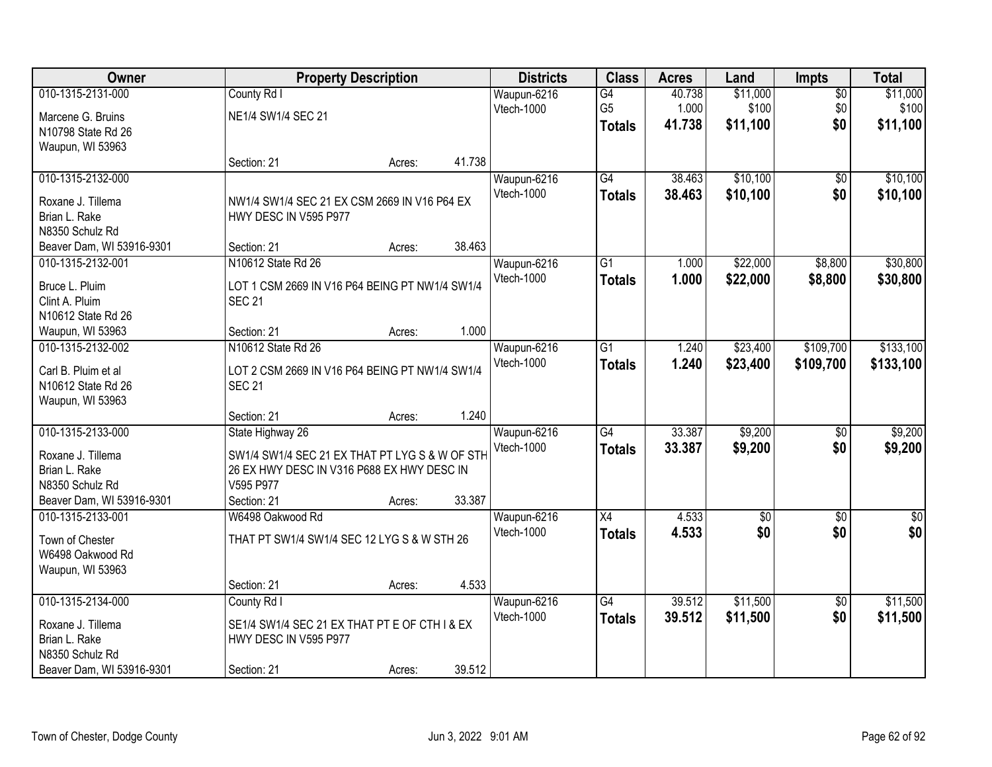| Owner                     |                                                | <b>Property Description</b> |        | <b>Districts</b> | <b>Class</b>    | <b>Acres</b> | Land            | <b>Impts</b>    | <b>Total</b> |
|---------------------------|------------------------------------------------|-----------------------------|--------|------------------|-----------------|--------------|-----------------|-----------------|--------------|
| 010-1315-2131-000         | County Rd I                                    |                             |        | Waupun-6216      | $\overline{G4}$ | 40.738       | \$11,000        | $\overline{50}$ | \$11,000     |
| Marcene G. Bruins         | NE1/4 SW1/4 SEC 21                             |                             |        | Vtech-1000       | G <sub>5</sub>  | 1.000        | \$100           | \$0             | \$100        |
| N10798 State Rd 26        |                                                |                             |        |                  | <b>Totals</b>   | 41.738       | \$11,100        | \$0             | \$11,100     |
| Waupun, WI 53963          |                                                |                             |        |                  |                 |              |                 |                 |              |
|                           | Section: 21                                    | Acres:                      | 41.738 |                  |                 |              |                 |                 |              |
| 010-1315-2132-000         |                                                |                             |        | Waupun-6216      | G4              | 38.463       | \$10,100        | $\overline{50}$ | \$10,100     |
| Roxane J. Tillema         | NW1/4 SW1/4 SEC 21 EX CSM 2669 IN V16 P64 EX   |                             |        | Vtech-1000       | <b>Totals</b>   | 38.463       | \$10,100        | \$0             | \$10,100     |
| Brian L. Rake             | HWY DESC IN V595 P977                          |                             |        |                  |                 |              |                 |                 |              |
| N8350 Schulz Rd           |                                                |                             |        |                  |                 |              |                 |                 |              |
| Beaver Dam, WI 53916-9301 | Section: 21                                    | Acres:                      | 38.463 |                  |                 |              |                 |                 |              |
| 010-1315-2132-001         | N10612 State Rd 26                             |                             |        | Waupun-6216      | G1              | 1.000        | \$22,000        | \$8,800         | \$30,800     |
|                           |                                                |                             |        | Vtech-1000       | <b>Totals</b>   | 1.000        | \$22,000        | \$8,800         | \$30,800     |
| Bruce L. Pluim            | LOT 1 CSM 2669 IN V16 P64 BEING PT NW1/4 SW1/4 |                             |        |                  |                 |              |                 |                 |              |
| Clint A. Pluim            | <b>SEC 21</b>                                  |                             |        |                  |                 |              |                 |                 |              |
| N10612 State Rd 26        |                                                |                             |        |                  |                 |              |                 |                 |              |
| Waupun, WI 53963          | Section: 21                                    | Acres:                      | 1.000  |                  |                 |              |                 |                 |              |
| 010-1315-2132-002         | N10612 State Rd 26                             |                             |        | Waupun-6216      | $\overline{G1}$ | 1.240        | \$23,400        | \$109,700       | \$133,100    |
| Carl B. Pluim et al       | LOT 2 CSM 2669 IN V16 P64 BEING PT NW1/4 SW1/4 |                             |        | Vtech-1000       | <b>Totals</b>   | 1.240        | \$23,400        | \$109,700       | \$133,100    |
| N10612 State Rd 26        | <b>SEC 21</b>                                  |                             |        |                  |                 |              |                 |                 |              |
| Waupun, WI 53963          |                                                |                             |        |                  |                 |              |                 |                 |              |
|                           | Section: 21                                    | Acres:                      | 1.240  |                  |                 |              |                 |                 |              |
| 010-1315-2133-000         | State Highway 26                               |                             |        | Waupun-6216      | $\overline{G4}$ | 33.387       | \$9,200         | \$0             | \$9,200      |
| Roxane J. Tillema         | SW1/4 SW1/4 SEC 21 EX THAT PT LYG S & W OF STH |                             |        | Vtech-1000       | <b>Totals</b>   | 33.387       | \$9,200         | \$0             | \$9,200      |
| Brian L. Rake             | 26 EX HWY DESC IN V316 P688 EX HWY DESC IN     |                             |        |                  |                 |              |                 |                 |              |
| N8350 Schulz Rd           | V595 P977                                      |                             |        |                  |                 |              |                 |                 |              |
| Beaver Dam, WI 53916-9301 | Section: 21                                    | Acres:                      | 33.387 |                  |                 |              |                 |                 |              |
| 010-1315-2133-001         | W6498 Oakwood Rd                               |                             |        | Waupun-6216      | X4              | 4.533        | $\overline{60}$ | $\sqrt{6}$      | $\sqrt{50}$  |
|                           |                                                |                             |        | Vtech-1000       | <b>Totals</b>   | 4.533        | \$0             | \$0             | \$0          |
| Town of Chester           | THAT PT SW1/4 SW1/4 SEC 12 LYG S & W STH 26    |                             |        |                  |                 |              |                 |                 |              |
| W6498 Oakwood Rd          |                                                |                             |        |                  |                 |              |                 |                 |              |
| Waupun, WI 53963          |                                                |                             |        |                  |                 |              |                 |                 |              |
|                           | Section: 21                                    | Acres:                      | 4.533  |                  |                 |              |                 |                 |              |
| 010-1315-2134-000         | County Rd I                                    |                             |        | Waupun-6216      | G4              | 39.512       | \$11,500        | $\overline{50}$ | \$11,500     |
| Roxane J. Tillema         | SE1/4 SW1/4 SEC 21 EX THAT PT E OF CTH I & EX  |                             |        | Vtech-1000       | <b>Totals</b>   | 39.512       | \$11,500        | \$0             | \$11,500     |
| Brian L. Rake             | HWY DESC IN V595 P977                          |                             |        |                  |                 |              |                 |                 |              |
| N8350 Schulz Rd           |                                                |                             |        |                  |                 |              |                 |                 |              |
| Beaver Dam, WI 53916-9301 | Section: 21                                    | Acres:                      | 39.512 |                  |                 |              |                 |                 |              |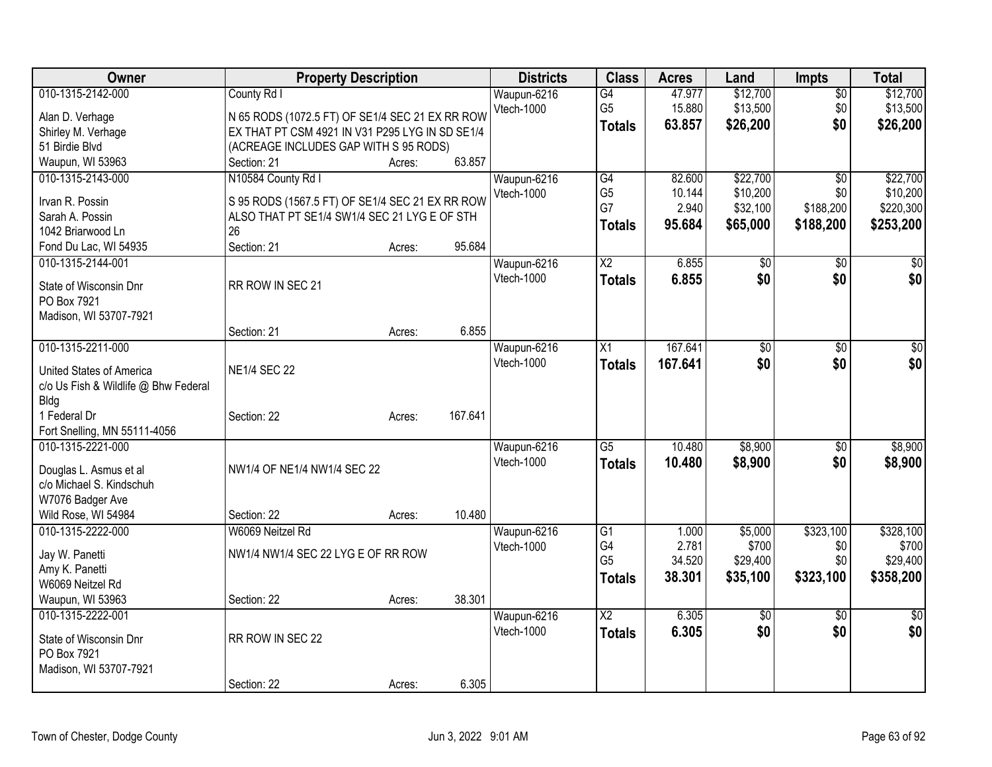| Owner                                 | <b>Property Description</b>                        |        |         | <b>Districts</b> | <b>Class</b>         | <b>Acres</b> | Land            | <b>Impts</b>    | <b>Total</b> |
|---------------------------------------|----------------------------------------------------|--------|---------|------------------|----------------------|--------------|-----------------|-----------------|--------------|
| 010-1315-2142-000                     | County Rd I                                        |        |         | Waupun-6216      | $\overline{G4}$      | 47.977       | \$12,700        | $\overline{50}$ | \$12,700     |
| Alan D. Verhage                       | N 65 RODS (1072.5 FT) OF SE1/4 SEC 21 EX RR ROW    |        |         | Vtech-1000       | G <sub>5</sub>       | 15.880       | \$13,500        | \$0             | \$13,500     |
| Shirley M. Verhage                    | EX THAT PT CSM 4921 IN V31 P295 LYG IN SD SE1/4    |        |         |                  | <b>Totals</b>        | 63.857       | \$26,200        | \$0             | \$26,200     |
| 51 Birdie Blvd                        | (ACREAGE INCLUDES GAP WITH S 95 RODS)              |        |         |                  |                      |              |                 |                 |              |
| Waupun, WI 53963                      | Section: 21                                        | Acres: | 63.857  |                  |                      |              |                 |                 |              |
| 010-1315-2143-000                     | N10584 County Rd I                                 |        |         | Waupun-6216      | G4                   | 82.600       | \$22,700        | \$0             | \$22,700     |
|                                       |                                                    |        |         | Vtech-1000       | G <sub>5</sub>       | 10.144       | \$10,200        | \$0             | \$10,200     |
| Irvan R. Possin                       | S 95 RODS (1567.5 FT) OF SE1/4 SEC 21 EX RR ROW    |        |         |                  | G7                   | 2.940        | \$32,100        | \$188,200       | \$220,300    |
| Sarah A. Possin<br>1042 Briarwood Ln  | ALSO THAT PT SE1/4 SW1/4 SEC 21 LYG E OF STH<br>26 |        |         |                  | <b>Totals</b>        | 95.684       | \$65,000        | \$188,200       | \$253,200    |
| Fond Du Lac, WI 54935                 | Section: 21                                        | Acres: | 95.684  |                  |                      |              |                 |                 |              |
| 010-1315-2144-001                     |                                                    |        |         | Waupun-6216      | $\overline{X2}$      | 6.855        | $\overline{50}$ |                 | $\sqrt{30}$  |
|                                       |                                                    |        |         | Vtech-1000       |                      |              |                 | \$0<br>\$0      |              |
| State of Wisconsin Dnr                | RR ROW IN SEC 21                                   |        |         |                  | <b>Totals</b>        | 6.855        | \$0             |                 | \$0          |
| PO Box 7921                           |                                                    |        |         |                  |                      |              |                 |                 |              |
| Madison, WI 53707-7921                |                                                    |        |         |                  |                      |              |                 |                 |              |
|                                       | Section: 21                                        | Acres: | 6.855   |                  |                      |              |                 |                 |              |
| 010-1315-2211-000                     |                                                    |        |         | Waupun-6216      | X1                   | 167.641      | \$0             | \$0             | $\sqrt{50}$  |
| United States of America              | <b>NE1/4 SEC 22</b>                                |        |         | Vtech-1000       | <b>Totals</b>        | 167.641      | \$0             | \$0             | \$0          |
| c/o Us Fish & Wildlife @ Bhw Federal  |                                                    |        |         |                  |                      |              |                 |                 |              |
| <b>Bldg</b>                           |                                                    |        |         |                  |                      |              |                 |                 |              |
| 1 Federal Dr                          | Section: 22                                        | Acres: | 167.641 |                  |                      |              |                 |                 |              |
| Fort Snelling, MN 55111-4056          |                                                    |        |         |                  |                      |              |                 |                 |              |
| 010-1315-2221-000                     |                                                    |        |         | Waupun-6216      | $\overline{G5}$      | 10.480       | \$8,900         | $\frac{1}{20}$  | \$8,900      |
|                                       |                                                    |        |         | Vtech-1000       | <b>Totals</b>        | 10.480       | \$8,900         | \$0             | \$8,900      |
| Douglas L. Asmus et al                | NW1/4 OF NE1/4 NW1/4 SEC 22                        |        |         |                  |                      |              |                 |                 |              |
| c/o Michael S. Kindschuh              |                                                    |        |         |                  |                      |              |                 |                 |              |
| W7076 Badger Ave                      |                                                    |        |         |                  |                      |              |                 |                 |              |
| Wild Rose, WI 54984                   | Section: 22                                        | Acres: | 10.480  |                  |                      |              |                 |                 |              |
| 010-1315-2222-000                     | W6069 Neitzel Rd                                   |        |         | Waupun-6216      | $\overline{G1}$      | 1.000        | \$5,000         | \$323,100       | \$328,100    |
| Jay W. Panetti                        | NW1/4 NW1/4 SEC 22 LYG E OF RR ROW                 |        |         | Vtech-1000       | G4<br>G <sub>5</sub> | 2.781        | \$700           | \$0             | \$700        |
| Amy K. Panetti                        |                                                    |        |         |                  |                      | 34.520       | \$29,400        | \$0             | \$29,400     |
| W6069 Neitzel Rd                      |                                                    |        |         |                  | <b>Totals</b>        | 38.301       | \$35,100        | \$323,100       | \$358,200    |
| Waupun, WI 53963                      | Section: 22                                        | Acres: | 38.301  |                  |                      |              |                 |                 |              |
| 010-1315-2222-001                     |                                                    |        |         | Waupun-6216      | $\overline{X2}$      | 6.305        | $\overline{50}$ | $\overline{30}$ | $\sqrt{50}$  |
|                                       | RR ROW IN SEC 22                                   |        |         | Vtech-1000       | <b>Totals</b>        | 6.305        | \$0             | \$0             | \$0          |
| State of Wisconsin Dnr<br>PO Box 7921 |                                                    |        |         |                  |                      |              |                 |                 |              |
| Madison, WI 53707-7921                |                                                    |        |         |                  |                      |              |                 |                 |              |
|                                       | Section: 22                                        |        | 6.305   |                  |                      |              |                 |                 |              |
|                                       |                                                    | Acres: |         |                  |                      |              |                 |                 |              |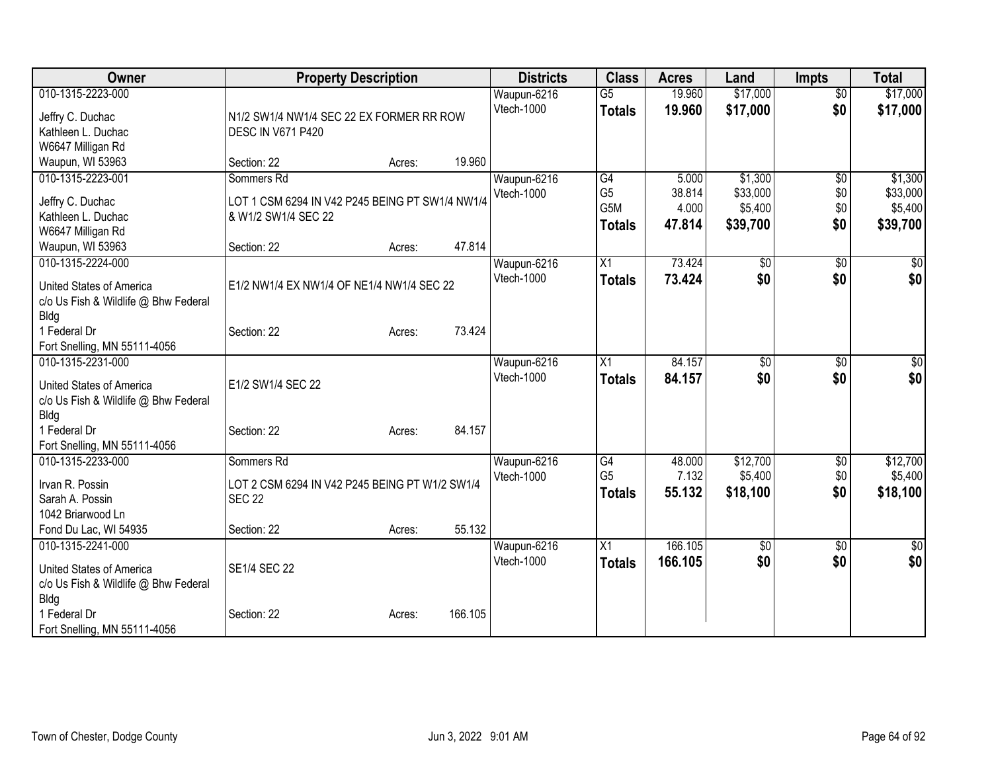| Owner                                             | <b>Property Description</b>                     |        |         | <b>Districts</b>          | <b>Class</b>    | <b>Acres</b>     | Land                 | <b>Impts</b>           | <b>Total</b>         |
|---------------------------------------------------|-------------------------------------------------|--------|---------|---------------------------|-----------------|------------------|----------------------|------------------------|----------------------|
| 010-1315-2223-000                                 |                                                 |        |         | Waupun-6216<br>Vtech-1000 | $\overline{G5}$ | 19.960<br>19.960 | \$17,000<br>\$17,000 | $\overline{50}$<br>\$0 | \$17,000<br>\$17,000 |
| Jeffry C. Duchac                                  | N1/2 SW1/4 NW1/4 SEC 22 EX FORMER RR ROW        |        |         |                           | <b>Totals</b>   |                  |                      |                        |                      |
| Kathleen L. Duchac                                | <b>DESC IN V671 P420</b>                        |        |         |                           |                 |                  |                      |                        |                      |
| W6647 Milligan Rd                                 |                                                 |        |         |                           |                 |                  |                      |                        |                      |
| Waupun, WI 53963                                  | Section: 22                                     | Acres: | 19.960  |                           |                 |                  |                      |                        |                      |
| 010-1315-2223-001                                 | Sommers Rd                                      |        |         | Waupun-6216               | G4              | 5.000            | \$1,300              | \$0                    | \$1,300              |
| Jeffry C. Duchac                                  | LOT 1 CSM 6294 IN V42 P245 BEING PT SW1/4 NW1/4 |        |         | Vtech-1000                | G <sub>5</sub>  | 38.814           | \$33,000             | \$0                    | \$33,000             |
| Kathleen L. Duchac                                | & W1/2 SW1/4 SEC 22                             |        |         |                           | G5M             | 4.000            | \$5,400              | \$0                    | \$5,400              |
| W6647 Milligan Rd                                 |                                                 |        |         |                           | <b>Totals</b>   | 47.814           | \$39,700             | \$0                    | \$39,700             |
| Waupun, WI 53963                                  | Section: 22                                     | Acres: | 47.814  |                           |                 |                  |                      |                        |                      |
| 010-1315-2224-000                                 |                                                 |        |         | Waupun-6216               | $\overline{X1}$ | 73.424           | \$0                  | \$0                    | $\sqrt{50}$          |
| United States of America                          | E1/2 NW1/4 EX NW1/4 OF NE1/4 NW1/4 SEC 22       |        |         | Vtech-1000                | <b>Totals</b>   | 73.424           | \$0                  | \$0                    | \$0                  |
| c/o Us Fish & Wildlife @ Bhw Federal              |                                                 |        |         |                           |                 |                  |                      |                        |                      |
| Bldg                                              |                                                 |        |         |                           |                 |                  |                      |                        |                      |
| 1 Federal Dr                                      | Section: 22                                     | Acres: | 73.424  |                           |                 |                  |                      |                        |                      |
| Fort Snelling, MN 55111-4056                      |                                                 |        |         |                           |                 |                  |                      |                        |                      |
| 010-1315-2231-000                                 |                                                 |        |         | Waupun-6216               | $\overline{X1}$ | 84.157           | $\overline{50}$      | \$0                    | \$0                  |
|                                                   |                                                 |        |         | Vtech-1000                | <b>Totals</b>   | 84.157           | \$0                  | \$0                    | \$0                  |
| United States of America                          | E1/2 SW1/4 SEC 22                               |        |         |                           |                 |                  |                      |                        |                      |
| c/o Us Fish & Wildlife @ Bhw Federal              |                                                 |        |         |                           |                 |                  |                      |                        |                      |
| Bldg<br>1 Federal Dr                              |                                                 |        | 84.157  |                           |                 |                  |                      |                        |                      |
|                                                   | Section: 22                                     | Acres: |         |                           |                 |                  |                      |                        |                      |
| Fort Snelling, MN 55111-4056<br>010-1315-2233-000 | Sommers Rd                                      |        |         | Waupun-6216               | G4              | 48.000           | \$12,700             | \$0                    | \$12,700             |
|                                                   |                                                 |        |         | Vtech-1000                | G <sub>5</sub>  | 7.132            | \$5,400              | \$0                    | \$5,400              |
| Irvan R. Possin                                   | LOT 2 CSM 6294 IN V42 P245 BEING PT W1/2 SW1/4  |        |         |                           | <b>Totals</b>   | 55.132           | \$18,100             | \$0                    | \$18,100             |
| Sarah A. Possin                                   | <b>SEC 22</b>                                   |        |         |                           |                 |                  |                      |                        |                      |
| 1042 Briarwood Ln                                 |                                                 |        |         |                           |                 |                  |                      |                        |                      |
| Fond Du Lac, WI 54935                             | Section: 22                                     | Acres: | 55.132  |                           |                 |                  |                      |                        |                      |
| 010-1315-2241-000                                 |                                                 |        |         | Waupun-6216               | X1              | 166.105          | \$0                  | \$0                    | $\overline{50}$      |
| United States of America                          | SE1/4 SEC 22                                    |        |         | Vtech-1000                | <b>Totals</b>   | 166.105          | \$0                  | \$0                    | \$0                  |
| c/o Us Fish & Wildlife @ Bhw Federal              |                                                 |        |         |                           |                 |                  |                      |                        |                      |
| Bldg                                              |                                                 |        |         |                           |                 |                  |                      |                        |                      |
| 1 Federal Dr                                      | Section: 22                                     | Acres: | 166.105 |                           |                 |                  |                      |                        |                      |
| Fort Snelling, MN 55111-4056                      |                                                 |        |         |                           |                 |                  |                      |                        |                      |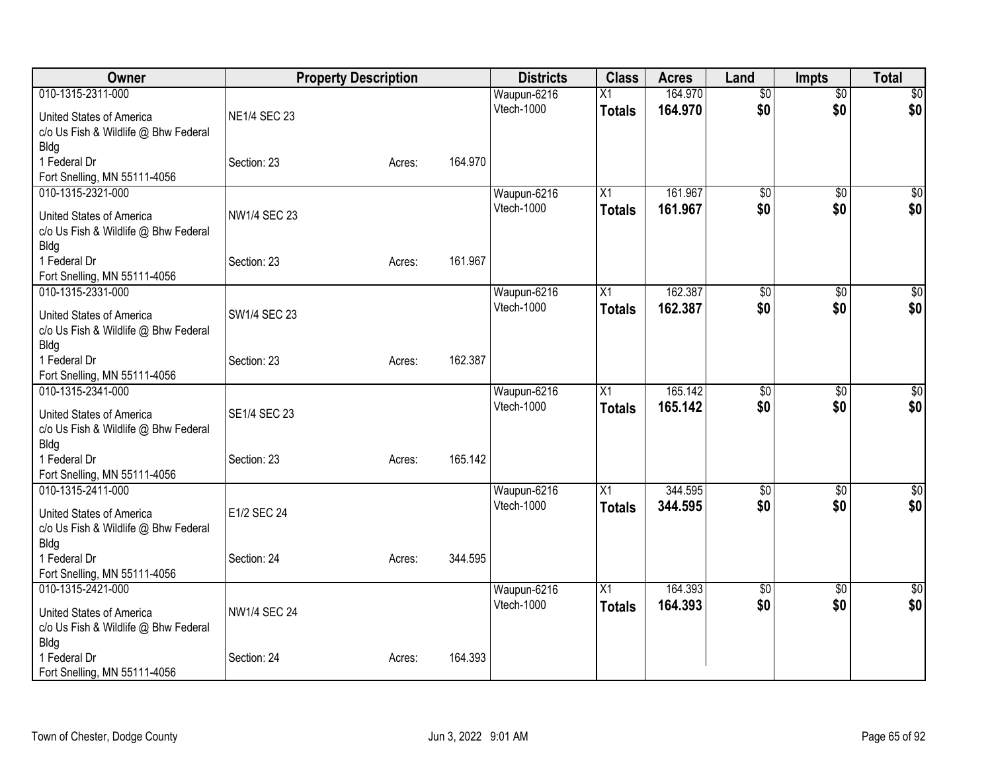| <b>Owner</b>                         |                     | <b>Property Description</b> |         | <b>Districts</b> | <b>Class</b>    | <b>Acres</b> | Land            | <b>Impts</b>    | <b>Total</b> |
|--------------------------------------|---------------------|-----------------------------|---------|------------------|-----------------|--------------|-----------------|-----------------|--------------|
| 010-1315-2311-000                    |                     |                             |         | Waupun-6216      | $\overline{X1}$ | 164.970      | $\overline{50}$ | $\overline{30}$ | \$0          |
| United States of America             | <b>NE1/4 SEC 23</b> |                             |         | Vtech-1000       | <b>Totals</b>   | 164.970      | \$0             | \$0             | \$0          |
| c/o Us Fish & Wildlife @ Bhw Federal |                     |                             |         |                  |                 |              |                 |                 |              |
| <b>Bldg</b>                          |                     |                             |         |                  |                 |              |                 |                 |              |
| 1 Federal Dr                         | Section: 23         | Acres:                      | 164.970 |                  |                 |              |                 |                 |              |
| Fort Snelling, MN 55111-4056         |                     |                             |         |                  |                 |              |                 |                 |              |
| 010-1315-2321-000                    |                     |                             |         | Waupun-6216      | X1              | 161.967      | \$0             | $\sqrt{6}$      | \$0          |
| United States of America             | <b>NW1/4 SEC 23</b> |                             |         | Vtech-1000       | <b>Totals</b>   | 161.967      | \$0             | \$0             | \$0          |
| c/o Us Fish & Wildlife @ Bhw Federal |                     |                             |         |                  |                 |              |                 |                 |              |
| <b>Bldg</b>                          |                     |                             |         |                  |                 |              |                 |                 |              |
| 1 Federal Dr                         | Section: 23         | Acres:                      | 161.967 |                  |                 |              |                 |                 |              |
| Fort Snelling, MN 55111-4056         |                     |                             |         |                  |                 |              |                 |                 |              |
| 010-1315-2331-000                    |                     |                             |         | Waupun-6216      | X1              | 162.387      | \$0             | $\overline{30}$ | \$0          |
| United States of America             | SW1/4 SEC 23        |                             |         | Vtech-1000       | <b>Totals</b>   | 162.387      | \$0             | \$0             | \$0          |
| c/o Us Fish & Wildlife @ Bhw Federal |                     |                             |         |                  |                 |              |                 |                 |              |
| <b>Bldg</b>                          |                     |                             |         |                  |                 |              |                 |                 |              |
| 1 Federal Dr                         | Section: 23         | Acres:                      | 162.387 |                  |                 |              |                 |                 |              |
| Fort Snelling, MN 55111-4056         |                     |                             |         |                  |                 |              |                 |                 |              |
| 010-1315-2341-000                    |                     |                             |         | Waupun-6216      | X1              | 165.142      | $\overline{50}$ | \$0             | \$0          |
| United States of America             | <b>SE1/4 SEC 23</b> |                             |         | Vtech-1000       | <b>Totals</b>   | 165.142      | \$0             | \$0             | \$0          |
| c/o Us Fish & Wildlife @ Bhw Federal |                     |                             |         |                  |                 |              |                 |                 |              |
| <b>Bldg</b>                          |                     |                             |         |                  |                 |              |                 |                 |              |
| 1 Federal Dr                         | Section: 23         | Acres:                      | 165.142 |                  |                 |              |                 |                 |              |
| Fort Snelling, MN 55111-4056         |                     |                             |         |                  |                 |              |                 |                 |              |
| 010-1315-2411-000                    |                     |                             |         | Waupun-6216      | X1              | 344.595      | $\overline{50}$ | \$0             | \$0          |
| United States of America             | E1/2 SEC 24         |                             |         | Vtech-1000       | <b>Totals</b>   | 344.595      | \$0             | \$0             | \$0          |
| c/o Us Fish & Wildlife @ Bhw Federal |                     |                             |         |                  |                 |              |                 |                 |              |
| <b>Bldg</b>                          |                     |                             |         |                  |                 |              |                 |                 |              |
| 1 Federal Dr                         | Section: 24         | Acres:                      | 344.595 |                  |                 |              |                 |                 |              |
| Fort Snelling, MN 55111-4056         |                     |                             |         |                  |                 |              |                 |                 |              |
| 010-1315-2421-000                    |                     |                             |         | Waupun-6216      | X1              | 164.393      | $\overline{50}$ | \$0             | $\sqrt{50}$  |
| United States of America             | <b>NW1/4 SEC 24</b> |                             |         | Vtech-1000       | <b>Totals</b>   | 164.393      | \$0             | \$0             | \$0          |
| c/o Us Fish & Wildlife @ Bhw Federal |                     |                             |         |                  |                 |              |                 |                 |              |
| <b>Bldg</b>                          |                     |                             |         |                  |                 |              |                 |                 |              |
| 1 Federal Dr                         | Section: 24         | Acres:                      | 164.393 |                  |                 |              |                 |                 |              |
| Fort Snelling, MN 55111-4056         |                     |                             |         |                  |                 |              |                 |                 |              |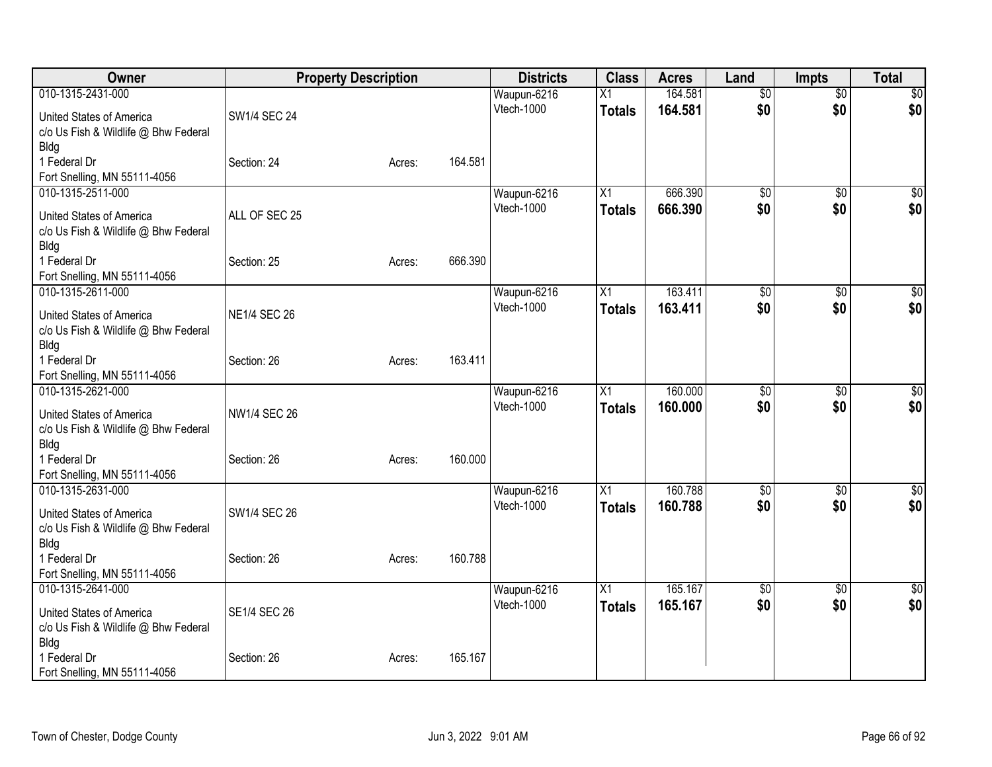| Owner                                               |                     | <b>Property Description</b> |         | <b>Districts</b> | <b>Class</b>    | <b>Acres</b> | Land            | <b>Impts</b>    | <b>Total</b>    |
|-----------------------------------------------------|---------------------|-----------------------------|---------|------------------|-----------------|--------------|-----------------|-----------------|-----------------|
| 010-1315-2431-000                                   |                     |                             |         | Waupun-6216      | X1              | 164.581      | $\overline{50}$ | $\overline{50}$ | \$0             |
| United States of America                            | SW1/4 SEC 24        |                             |         | Vtech-1000       | <b>Totals</b>   | 164.581      | \$0             | \$0             | \$0             |
| c/o Us Fish & Wildlife @ Bhw Federal                |                     |                             |         |                  |                 |              |                 |                 |                 |
| <b>Bldg</b>                                         |                     |                             |         |                  |                 |              |                 |                 |                 |
| 1 Federal Dr                                        | Section: 24         | Acres:                      | 164.581 |                  |                 |              |                 |                 |                 |
| Fort Snelling, MN 55111-4056                        |                     |                             |         |                  |                 |              |                 |                 |                 |
| 010-1315-2511-000                                   |                     |                             |         | Waupun-6216      | X1              | 666.390      | \$0             | $\sqrt{6}$      | \$0             |
| United States of America                            | ALL OF SEC 25       |                             |         | Vtech-1000       | <b>Totals</b>   | 666.390      | \$0             | \$0             | \$0             |
| c/o Us Fish & Wildlife @ Bhw Federal                |                     |                             |         |                  |                 |              |                 |                 |                 |
| <b>Bldg</b>                                         |                     |                             |         |                  |                 |              |                 |                 |                 |
| 1 Federal Dr                                        | Section: 25         | Acres:                      | 666.390 |                  |                 |              |                 |                 |                 |
| Fort Snelling, MN 55111-4056<br>010-1315-2611-000   |                     |                             |         | Waupun-6216      | X1              | 163.411      | \$0             | $\overline{30}$ | \$0             |
|                                                     |                     |                             |         | Vtech-1000       | <b>Totals</b>   | 163.411      | \$0             | \$0             | \$0             |
| United States of America                            | <b>NE1/4 SEC 26</b> |                             |         |                  |                 |              |                 |                 |                 |
| c/o Us Fish & Wildlife @ Bhw Federal                |                     |                             |         |                  |                 |              |                 |                 |                 |
| <b>Bldg</b><br>1 Federal Dr                         | Section: 26         |                             | 163.411 |                  |                 |              |                 |                 |                 |
| Fort Snelling, MN 55111-4056                        |                     | Acres:                      |         |                  |                 |              |                 |                 |                 |
| 010-1315-2621-000                                   |                     |                             |         | Waupun-6216      | X1              | 160.000      | \$0             | \$0             | \$0             |
|                                                     |                     |                             |         | Vtech-1000       | <b>Totals</b>   | 160.000      | \$0             | \$0             | \$0             |
| United States of America                            | NW1/4 SEC 26        |                             |         |                  |                 |              |                 |                 |                 |
| c/o Us Fish & Wildlife @ Bhw Federal<br><b>Bldg</b> |                     |                             |         |                  |                 |              |                 |                 |                 |
| 1 Federal Dr                                        | Section: 26         | Acres:                      | 160.000 |                  |                 |              |                 |                 |                 |
| Fort Snelling, MN 55111-4056                        |                     |                             |         |                  |                 |              |                 |                 |                 |
| 010-1315-2631-000                                   |                     |                             |         | Waupun-6216      | $\overline{X1}$ | 160.788      | $\overline{50}$ | $\overline{50}$ | $\overline{50}$ |
| United States of America                            | SW1/4 SEC 26        |                             |         | Vtech-1000       | <b>Totals</b>   | 160.788      | \$0             | \$0             | \$0             |
| c/o Us Fish & Wildlife @ Bhw Federal                |                     |                             |         |                  |                 |              |                 |                 |                 |
| Bldg                                                |                     |                             |         |                  |                 |              |                 |                 |                 |
| 1 Federal Dr                                        | Section: 26         | Acres:                      | 160.788 |                  |                 |              |                 |                 |                 |
| Fort Snelling, MN 55111-4056                        |                     |                             |         |                  |                 |              |                 |                 |                 |
| 010-1315-2641-000                                   |                     |                             |         | Waupun-6216      | $\overline{X1}$ | 165.167      | \$0             | \$0             | \$0             |
| United States of America                            | <b>SE1/4 SEC 26</b> |                             |         | Vtech-1000       | <b>Totals</b>   | 165.167      | \$0             | \$0             | \$0             |
| c/o Us Fish & Wildlife @ Bhw Federal                |                     |                             |         |                  |                 |              |                 |                 |                 |
| <b>Bldg</b>                                         |                     |                             |         |                  |                 |              |                 |                 |                 |
| 1 Federal Dr                                        | Section: 26         | Acres:                      | 165.167 |                  |                 |              |                 |                 |                 |
| Fort Snelling, MN 55111-4056                        |                     |                             |         |                  |                 |              |                 |                 |                 |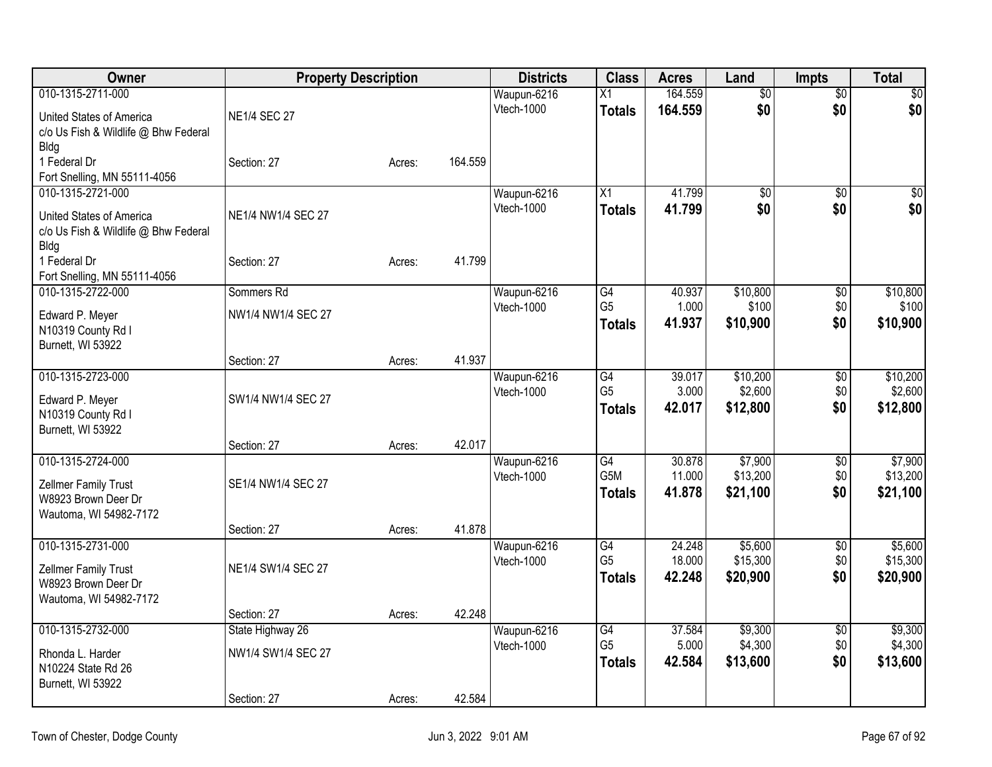| Owner                                             | <b>Property Description</b> |        |         | <b>Districts</b>          | <b>Class</b>                        | <b>Acres</b>     | Land                | <b>Impts</b>           | <b>Total</b>    |
|---------------------------------------------------|-----------------------------|--------|---------|---------------------------|-------------------------------------|------------------|---------------------|------------------------|-----------------|
| 010-1315-2711-000                                 |                             |        |         | Waupun-6216               | $\overline{X1}$                     | 164.559          | $\overline{60}$     | $\overline{50}$        | $\overline{50}$ |
| United States of America                          | <b>NE1/4 SEC 27</b>         |        |         | Vtech-1000                | <b>Totals</b>                       | 164.559          | \$0                 | \$0                    | \$0             |
| c/o Us Fish & Wildlife @ Bhw Federal              |                             |        |         |                           |                                     |                  |                     |                        |                 |
| Bldg                                              |                             |        |         |                           |                                     |                  |                     |                        |                 |
| 1 Federal Dr                                      | Section: 27                 | Acres: | 164.559 |                           |                                     |                  |                     |                        |                 |
| Fort Snelling, MN 55111-4056<br>010-1315-2721-000 |                             |        |         | Waupun-6216               | $\overline{X1}$                     | 41.799           | $\overline{50}$     | $\overline{30}$        | $\sqrt{50}$     |
|                                                   |                             |        |         | Vtech-1000                | <b>Totals</b>                       | 41.799           | \$0                 | \$0                    | \$0             |
| United States of America                          | NE1/4 NW1/4 SEC 27          |        |         |                           |                                     |                  |                     |                        |                 |
| c/o Us Fish & Wildlife @ Bhw Federal              |                             |        |         |                           |                                     |                  |                     |                        |                 |
| <b>Bldg</b><br>1 Federal Dr                       | Section: 27                 | Acres: | 41.799  |                           |                                     |                  |                     |                        |                 |
| Fort Snelling, MN 55111-4056                      |                             |        |         |                           |                                     |                  |                     |                        |                 |
| 010-1315-2722-000                                 | Sommers Rd                  |        |         | Waupun-6216               | G4                                  | 40.937           | \$10,800            | \$0                    | \$10,800        |
| Edward P. Meyer                                   | NW1/4 NW1/4 SEC 27          |        |         | Vtech-1000                | G <sub>5</sub>                      | 1.000            | \$100               | \$0                    | \$100           |
| N10319 County Rd I                                |                             |        |         |                           | <b>Totals</b>                       | 41.937           | \$10,900            | \$0                    | \$10,900        |
| Burnett, WI 53922                                 |                             |        |         |                           |                                     |                  |                     |                        |                 |
|                                                   | Section: 27                 | Acres: | 41.937  |                           |                                     |                  |                     |                        |                 |
| 010-1315-2723-000                                 |                             |        |         | Waupun-6216               | G4                                  | 39.017           | \$10,200            | $\overline{50}$        | \$10,200        |
| Edward P. Meyer                                   | SW1/4 NW1/4 SEC 27          |        |         | Vtech-1000                | G <sub>5</sub>                      | 3.000<br>42.017  | \$2,600<br>\$12,800 | \$0<br>\$0             | \$2,600         |
| N10319 County Rd I                                |                             |        |         |                           | <b>Totals</b>                       |                  |                     |                        | \$12,800        |
| Burnett, WI 53922                                 |                             |        |         |                           |                                     |                  |                     |                        |                 |
| 010-1315-2724-000                                 | Section: 27                 | Acres: | 42.017  |                           |                                     |                  | \$7,900             |                        | \$7,900         |
|                                                   |                             |        |         | Waupun-6216<br>Vtech-1000 | $\overline{G4}$<br>G <sub>5</sub> M | 30.878<br>11.000 | \$13,200            | $\overline{50}$<br>\$0 | \$13,200        |
| Zellmer Family Trust                              | SE1/4 NW1/4 SEC 27          |        |         |                           | <b>Totals</b>                       | 41.878           | \$21,100            | \$0                    | \$21,100        |
| W8923 Brown Deer Dr                               |                             |        |         |                           |                                     |                  |                     |                        |                 |
| Wautoma, WI 54982-7172                            | Section: 27                 | Acres: | 41.878  |                           |                                     |                  |                     |                        |                 |
| 010-1315-2731-000                                 |                             |        |         | Waupun-6216               | G4                                  | 24.248           | \$5,600             | $\sqrt[6]{}$           | \$5,600         |
|                                                   |                             |        |         | Vtech-1000                | G <sub>5</sub>                      | 18.000           | \$15,300            | \$0                    | \$15,300        |
| Zellmer Family Trust<br>W8923 Brown Deer Dr       | NE1/4 SW1/4 SEC 27          |        |         |                           | <b>Totals</b>                       | 42.248           | \$20,900            | \$0                    | \$20,900        |
| Wautoma, WI 54982-7172                            |                             |        |         |                           |                                     |                  |                     |                        |                 |
|                                                   | Section: 27                 | Acres: | 42.248  |                           |                                     |                  |                     |                        |                 |
| 010-1315-2732-000                                 | State Highway 26            |        |         | Waupun-6216               | $\overline{G4}$                     | 37.584           | \$9,300             | $\overline{50}$        | \$9,300         |
| Rhonda L. Harder                                  | NW1/4 SW1/4 SEC 27          |        |         | Vtech-1000                | G <sub>5</sub>                      | 5.000            | \$4,300             | \$0                    | \$4,300         |
| N10224 State Rd 26                                |                             |        |         |                           | <b>Totals</b>                       | 42.584           | \$13,600            | \$0                    | \$13,600        |
| Burnett, WI 53922                                 |                             |        |         |                           |                                     |                  |                     |                        |                 |
|                                                   | Section: 27                 | Acres: | 42.584  |                           |                                     |                  |                     |                        |                 |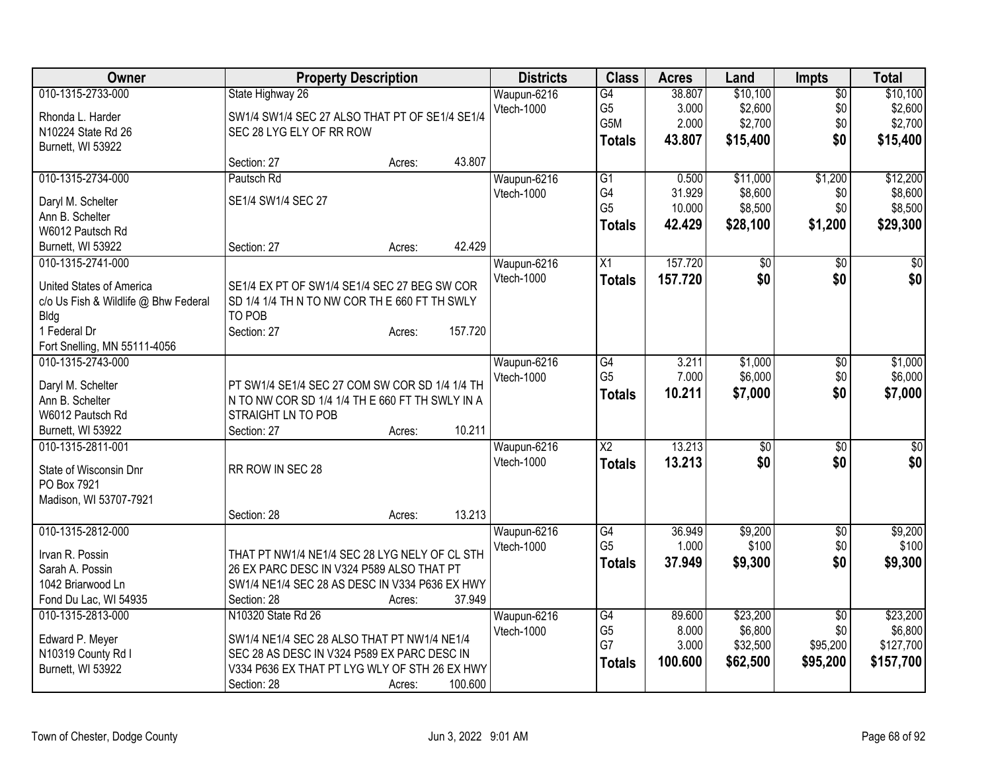| Owner                                        |                                                        | <b>Property Description</b> |         | <b>Districts</b> | <b>Class</b>           | <b>Acres</b> | Land            | <b>Impts</b>    | <b>Total</b> |
|----------------------------------------------|--------------------------------------------------------|-----------------------------|---------|------------------|------------------------|--------------|-----------------|-----------------|--------------|
| 010-1315-2733-000                            | State Highway 26                                       |                             |         | Waupun-6216      | G4                     | 38.807       | \$10,100        | $\overline{50}$ | \$10,100     |
| Rhonda L. Harder                             | SW1/4 SW1/4 SEC 27 ALSO THAT PT OF SE1/4 SE1/4         |                             |         | Vtech-1000       | G <sub>5</sub>         | 3.000        | \$2,600         | \$0             | \$2,600      |
| N10224 State Rd 26                           | SEC 28 LYG ELY OF RR ROW                               |                             |         |                  | G5M                    | 2.000        | \$2,700         | \$0             | \$2,700      |
| Burnett, WI 53922                            |                                                        |                             |         |                  | <b>Totals</b>          | 43.807       | \$15,400        | \$0             | \$15,400     |
|                                              | Section: 27                                            | Acres:                      | 43.807  |                  |                        |              |                 |                 |              |
| 010-1315-2734-000                            | Pautsch Rd                                             |                             |         | Waupun-6216      | G1                     | 0.500        | \$11,000        | \$1,200         | \$12,200     |
| Daryl M. Schelter                            | SE1/4 SW1/4 SEC 27                                     |                             |         | Vtech-1000       | G4                     | 31.929       | \$8,600         | \$0             | \$8,600      |
| Ann B. Schelter                              |                                                        |                             |         |                  | G <sub>5</sub>         | 10.000       | \$8,500         | \$0             | \$8,500      |
| W6012 Pautsch Rd                             |                                                        |                             |         |                  | <b>Totals</b>          | 42.429       | \$28,100        | \$1,200         | \$29,300     |
| Burnett, WI 53922                            | Section: 27                                            | Acres:                      | 42.429  |                  |                        |              |                 |                 |              |
| 010-1315-2741-000                            |                                                        |                             |         | Waupun-6216      | X1                     | 157.720      | $\overline{50}$ | \$0             | $\sqrt{50}$  |
|                                              |                                                        |                             |         | Vtech-1000       | <b>Totals</b>          | 157.720      | \$0             | \$0             | \$0          |
| United States of America                     | SE1/4 EX PT OF SW1/4 SE1/4 SEC 27 BEG SW COR           |                             |         |                  |                        |              |                 |                 |              |
| c/o Us Fish & Wildlife @ Bhw Federal<br>Bldg | SD 1/4 1/4 TH N TO NW COR THE 660 FT TH SWLY<br>TO POB |                             |         |                  |                        |              |                 |                 |              |
| 1 Federal Dr                                 | Section: 27                                            | Acres:                      | 157.720 |                  |                        |              |                 |                 |              |
| Fort Snelling, MN 55111-4056                 |                                                        |                             |         |                  |                        |              |                 |                 |              |
| 010-1315-2743-000                            |                                                        |                             |         | Waupun-6216      | G4                     | 3.211        | \$1,000         | \$0             | \$1,000      |
|                                              |                                                        |                             |         | Vtech-1000       | G <sub>5</sub>         | 7.000        | \$6,000         | \$0             | \$6,000      |
| Daryl M. Schelter                            | PT SW1/4 SE1/4 SEC 27 COM SW COR SD 1/4 1/4 TH         |                             |         |                  | <b>Totals</b>          | 10.211       | \$7,000         | \$0             | \$7,000      |
| Ann B. Schelter                              | N TO NW COR SD 1/4 1/4 TH E 660 FT TH SWLY IN A        |                             |         |                  |                        |              |                 |                 |              |
| W6012 Pautsch Rd                             | STRAIGHT LN TO POB                                     |                             |         |                  |                        |              |                 |                 |              |
| Burnett, WI 53922                            | Section: 27                                            | Acres:                      | 10.211  |                  |                        |              |                 |                 |              |
| 010-1315-2811-001                            |                                                        |                             |         | Waupun-6216      | $\overline{\text{X2}}$ | 13.213       | \$0             | $\sqrt[6]{}$    | $\sqrt{50}$  |
| State of Wisconsin Dnr                       | RR ROW IN SEC 28                                       |                             |         | Vtech-1000       | <b>Totals</b>          | 13.213       | \$0             | \$0             | \$0          |
| PO Box 7921                                  |                                                        |                             |         |                  |                        |              |                 |                 |              |
| Madison, WI 53707-7921                       |                                                        |                             |         |                  |                        |              |                 |                 |              |
|                                              | Section: 28                                            | Acres:                      | 13.213  |                  |                        |              |                 |                 |              |
| 010-1315-2812-000                            |                                                        |                             |         | Waupun-6216      | G4                     | 36.949       | \$9,200         | $\overline{60}$ | \$9,200      |
| Irvan R. Possin                              | THAT PT NW1/4 NE1/4 SEC 28 LYG NELY OF CL STH          |                             |         | Vtech-1000       | G <sub>5</sub>         | 1.000        | \$100           | \$0             | \$100        |
| Sarah A. Possin                              | 26 EX PARC DESC IN V324 P589 ALSO THAT PT              |                             |         |                  | <b>Totals</b>          | 37.949       | \$9,300         | \$0             | \$9,300      |
| 1042 Briarwood Ln                            | SW1/4 NE1/4 SEC 28 AS DESC IN V334 P636 EX HWY         |                             |         |                  |                        |              |                 |                 |              |
| Fond Du Lac, WI 54935                        | Section: 28                                            | Acres:                      | 37.949  |                  |                        |              |                 |                 |              |
| 010-1315-2813-000                            | N10320 State Rd 26                                     |                             |         | Waupun-6216      | G4                     | 89.600       | \$23,200        | $\overline{50}$ | \$23,200     |
|                                              |                                                        |                             |         | Vtech-1000       | G <sub>5</sub>         | 8.000        | \$6,800         | \$0             | \$6,800      |
| Edward P. Meyer                              | SW1/4 NE1/4 SEC 28 ALSO THAT PT NW1/4 NE1/4            |                             |         |                  | G7                     | 3.000        | \$32,500        | \$95,200        | \$127,700    |
| N10319 County Rd I                           | SEC 28 AS DESC IN V324 P589 EX PARC DESC IN            |                             |         |                  | <b>Totals</b>          | 100.600      | \$62,500        | \$95,200        | \$157,700    |
| Burnett, WI 53922                            | V334 P636 EX THAT PT LYG WLY OF STH 26 EX HWY          |                             |         |                  |                        |              |                 |                 |              |
|                                              | Section: 28                                            | Acres:                      | 100.600 |                  |                        |              |                 |                 |              |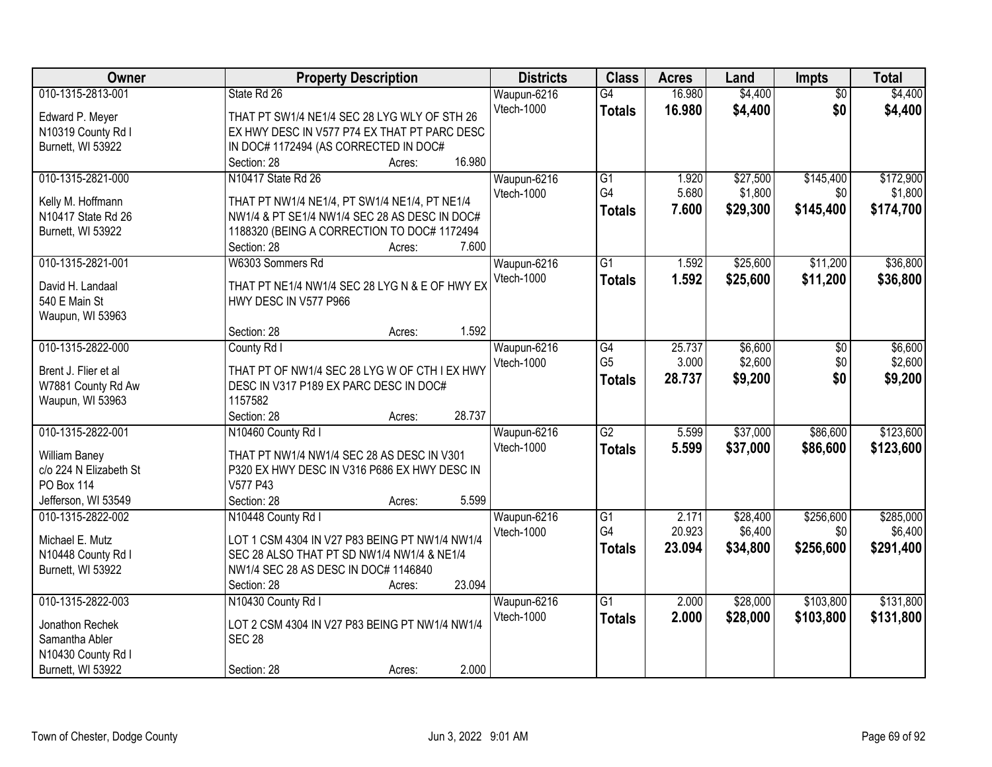| Owner                  | <b>Property Description</b>                    | <b>Districts</b> | <b>Class</b>    | <b>Acres</b> | Land     | Impts           | <b>Total</b> |
|------------------------|------------------------------------------------|------------------|-----------------|--------------|----------|-----------------|--------------|
| 010-1315-2813-001      | State Rd 26                                    | Waupun-6216      | G4              | 16.980       | \$4,400  | $\overline{50}$ | \$4,400      |
| Edward P. Meyer        | THAT PT SW1/4 NE1/4 SEC 28 LYG WLY OF STH 26   | Vtech-1000       | <b>Totals</b>   | 16.980       | \$4,400  | \$0             | \$4,400      |
| N10319 County Rd I     | EX HWY DESC IN V577 P74 EX THAT PT PARC DESC   |                  |                 |              |          |                 |              |
| Burnett, WI 53922      | IN DOC# 1172494 (AS CORRECTED IN DOC#          |                  |                 |              |          |                 |              |
|                        | 16.980<br>Section: 28<br>Acres:                |                  |                 |              |          |                 |              |
| 010-1315-2821-000      | N10417 State Rd 26                             | Waupun-6216      | $\overline{G1}$ | 1.920        | \$27,500 | \$145,400       | \$172,900    |
|                        |                                                | Vtech-1000       | G4              | 5.680        | \$1,800  | \$0             | \$1,800      |
| Kelly M. Hoffmann      | THAT PT NW1/4 NE1/4, PT SW1/4 NE1/4, PT NE1/4  |                  | <b>Totals</b>   | 7.600        | \$29,300 | \$145,400       | \$174,700    |
| N10417 State Rd 26     | NW1/4 & PT SE1/4 NW1/4 SEC 28 AS DESC IN DOC#  |                  |                 |              |          |                 |              |
| Burnett, WI 53922      | 1188320 (BEING A CORRECTION TO DOC# 1172494    |                  |                 |              |          |                 |              |
|                        | 7.600<br>Section: 28<br>Acres:                 |                  |                 |              |          |                 |              |
| 010-1315-2821-001      | W6303 Sommers Rd                               | Waupun-6216      | $\overline{G1}$ | 1.592        | \$25,600 | \$11,200        | \$36,800     |
| David H. Landaal       | THAT PT NE1/4 NW1/4 SEC 28 LYG N & E OF HWY EX | Vtech-1000       | <b>Totals</b>   | 1.592        | \$25,600 | \$11,200        | \$36,800     |
| 540 E Main St          | HWY DESC IN V577 P966                          |                  |                 |              |          |                 |              |
| Waupun, WI 53963       |                                                |                  |                 |              |          |                 |              |
|                        | 1.592<br>Section: 28<br>Acres:                 |                  |                 |              |          |                 |              |
| 010-1315-2822-000      | County Rd I                                    | Waupun-6216      | G4              | 25.737       | \$6,600  | \$0             | \$6,600      |
|                        |                                                | Vtech-1000       | G <sub>5</sub>  | 3.000        | \$2,600  | \$0             | \$2,600      |
| Brent J. Flier et al   | THAT PT OF NW1/4 SEC 28 LYG W OF CTH I EX HWY  |                  | <b>Totals</b>   | 28.737       | \$9,200  | \$0             | \$9,200      |
| W7881 County Rd Aw     | DESC IN V317 P189 EX PARC DESC IN DOC#         |                  |                 |              |          |                 |              |
| Waupun, WI 53963       | 1157582                                        |                  |                 |              |          |                 |              |
|                        | 28.737<br>Section: 28<br>Acres:                |                  |                 |              |          |                 |              |
| 010-1315-2822-001      | N10460 County Rd I                             | Waupun-6216      | $\overline{G2}$ | 5.599        | \$37,000 | \$86,600        | \$123,600    |
| William Baney          | THAT PT NW1/4 NW1/4 SEC 28 AS DESC IN V301     | Vtech-1000       | <b>Totals</b>   | 5.599        | \$37,000 | \$86,600        | \$123,600    |
| c/o 224 N Elizabeth St | P320 EX HWY DESC IN V316 P686 EX HWY DESC IN   |                  |                 |              |          |                 |              |
| PO Box 114             | V577 P43                                       |                  |                 |              |          |                 |              |
| Jefferson, WI 53549    | 5.599<br>Section: 28<br>Acres:                 |                  |                 |              |          |                 |              |
| 010-1315-2822-002      | N10448 County Rd I                             | Waupun-6216      | G1              | 2.171        | \$28,400 | \$256,600       | \$285,000    |
|                        |                                                | Vtech-1000       | G4              | 20.923       | \$6,400  | \$0             | \$6,400      |
| Michael E. Mutz        | LOT 1 CSM 4304 IN V27 P83 BEING PT NW1/4 NW1/4 |                  | <b>Totals</b>   | 23.094       | \$34,800 | \$256,600       | \$291,400    |
| N10448 County Rd I     | SEC 28 ALSO THAT PT SD NW1/4 NW1/4 & NE1/4     |                  |                 |              |          |                 |              |
| Burnett, WI 53922      | NW1/4 SEC 28 AS DESC IN DOC# 1146840<br>23.094 |                  |                 |              |          |                 |              |
|                        | Section: 28<br>Acres:                          |                  |                 |              |          |                 |              |
| 010-1315-2822-003      | N10430 County Rd I                             | Waupun-6216      | $\overline{G1}$ | 2.000        | \$28,000 | \$103,800       | \$131,800    |
| Jonathon Rechek        | LOT 2 CSM 4304 IN V27 P83 BEING PT NW1/4 NW1/4 | Vtech-1000       | <b>Totals</b>   | 2.000        | \$28,000 | \$103,800       | \$131,800    |
| Samantha Abler         | <b>SEC 28</b>                                  |                  |                 |              |          |                 |              |
| N10430 County Rd I     |                                                |                  |                 |              |          |                 |              |
| Burnett, WI 53922      | 2.000<br>Section: 28<br>Acres:                 |                  |                 |              |          |                 |              |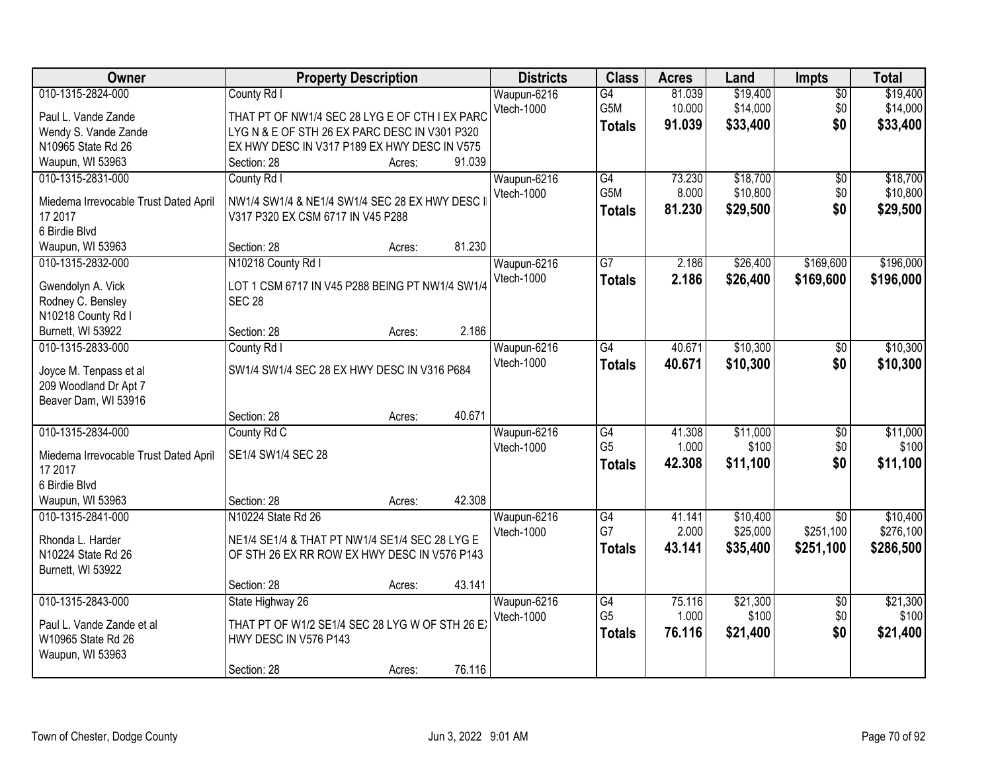| 010-1315-2824-000<br>81.039<br>\$19,400<br>\$19,400<br>County Rd I<br>Waupun-6216<br>G4<br>$\overline{50}$<br><b>Vtech-1000</b><br>G5M<br>\$14,000<br>\$0<br>\$14,000<br>10.000<br>Paul L. Vande Zande<br>THAT PT OF NW1/4 SEC 28 LYG E OF CTH I EX PARC<br>\$0<br>91.039<br>\$33,400<br>\$33,400<br><b>Totals</b><br>Wendy S. Vande Zande<br>LYGN & E OF STH 26 EX PARC DESC IN V301 P320<br>EX HWY DESC IN V317 P189 EX HWY DESC IN V575<br>N10965 State Rd 26<br>91.039<br>Waupun, WI 53963<br>Section: 28<br>Acres:<br>\$18,700<br>\$18,700<br>010-1315-2831-000<br>$\overline{G4}$<br>73.230<br>County Rd I<br>Waupun-6216<br>\$0<br>G5M<br>8.000<br>\$10,800<br>\$0<br>\$10,800<br>Vtech-1000<br>Miedema Irrevocable Trust Dated April<br>NW1/4 SW1/4 & NE1/4 SW1/4 SEC 28 EX HWY DESC |
|----------------------------------------------------------------------------------------------------------------------------------------------------------------------------------------------------------------------------------------------------------------------------------------------------------------------------------------------------------------------------------------------------------------------------------------------------------------------------------------------------------------------------------------------------------------------------------------------------------------------------------------------------------------------------------------------------------------------------------------------------------------------------------------------|
|                                                                                                                                                                                                                                                                                                                                                                                                                                                                                                                                                                                                                                                                                                                                                                                              |
|                                                                                                                                                                                                                                                                                                                                                                                                                                                                                                                                                                                                                                                                                                                                                                                              |
|                                                                                                                                                                                                                                                                                                                                                                                                                                                                                                                                                                                                                                                                                                                                                                                              |
|                                                                                                                                                                                                                                                                                                                                                                                                                                                                                                                                                                                                                                                                                                                                                                                              |
|                                                                                                                                                                                                                                                                                                                                                                                                                                                                                                                                                                                                                                                                                                                                                                                              |
|                                                                                                                                                                                                                                                                                                                                                                                                                                                                                                                                                                                                                                                                                                                                                                                              |
|                                                                                                                                                                                                                                                                                                                                                                                                                                                                                                                                                                                                                                                                                                                                                                                              |
| \$0<br>81.230<br>\$29,500<br>\$29,500<br><b>Totals</b><br>17 2017<br>V317 P320 EX CSM 6717 IN V45 P288                                                                                                                                                                                                                                                                                                                                                                                                                                                                                                                                                                                                                                                                                       |
| 6 Birdie Blvd                                                                                                                                                                                                                                                                                                                                                                                                                                                                                                                                                                                                                                                                                                                                                                                |
| 81.230<br>Section: 28<br>Waupun, WI 53963<br>Acres:                                                                                                                                                                                                                                                                                                                                                                                                                                                                                                                                                                                                                                                                                                                                          |
| $\overline{G7}$<br>\$26,400<br>\$169,600<br>\$196,000<br>010-1315-2832-000<br>N10218 County Rd I<br>Waupun-6216<br>2.186                                                                                                                                                                                                                                                                                                                                                                                                                                                                                                                                                                                                                                                                     |
| Vtech-1000<br>2.186<br>\$26,400<br>\$169,600<br>\$196,000                                                                                                                                                                                                                                                                                                                                                                                                                                                                                                                                                                                                                                                                                                                                    |
| <b>Totals</b><br>LOT 1 CSM 6717 IN V45 P288 BEING PT NW1/4 SW1/4<br>Gwendolyn A. Vick                                                                                                                                                                                                                                                                                                                                                                                                                                                                                                                                                                                                                                                                                                        |
| Rodney C. Bensley<br><b>SEC 28</b>                                                                                                                                                                                                                                                                                                                                                                                                                                                                                                                                                                                                                                                                                                                                                           |
| N10218 County Rd I                                                                                                                                                                                                                                                                                                                                                                                                                                                                                                                                                                                                                                                                                                                                                                           |
| 2.186<br>Burnett, WI 53922<br>Section: 28<br>Acres:                                                                                                                                                                                                                                                                                                                                                                                                                                                                                                                                                                                                                                                                                                                                          |
| 010-1315-2833-000<br>$\overline{G4}$<br>\$10,300<br>\$10,300<br>County Rd I<br>Waupun-6216<br>40.671<br>\$0                                                                                                                                                                                                                                                                                                                                                                                                                                                                                                                                                                                                                                                                                  |
| <b>Vtech-1000</b><br>\$0<br>40.671<br>\$10,300<br>\$10,300<br><b>Totals</b><br>SW1/4 SW1/4 SEC 28 EX HWY DESC IN V316 P684<br>Joyce M. Tenpass et al                                                                                                                                                                                                                                                                                                                                                                                                                                                                                                                                                                                                                                         |
| 209 Woodland Dr Apt 7                                                                                                                                                                                                                                                                                                                                                                                                                                                                                                                                                                                                                                                                                                                                                                        |
| Beaver Dam, WI 53916                                                                                                                                                                                                                                                                                                                                                                                                                                                                                                                                                                                                                                                                                                                                                                         |
| 40.671<br>Section: 28<br>Acres:                                                                                                                                                                                                                                                                                                                                                                                                                                                                                                                                                                                                                                                                                                                                                              |
| 010-1315-2834-000<br>\$11,000<br>\$11,000<br>$\overline{G4}$<br>41.308<br>$\overline{50}$<br>County Rd C<br>Waupun-6216                                                                                                                                                                                                                                                                                                                                                                                                                                                                                                                                                                                                                                                                      |
| G <sub>5</sub><br>1.000<br>\$100<br>\$0<br>\$100<br>Vtech-1000                                                                                                                                                                                                                                                                                                                                                                                                                                                                                                                                                                                                                                                                                                                               |
| SE1/4 SW1/4 SEC 28<br>Miedema Irrevocable Trust Dated April<br>\$0<br>\$11,100<br>42.308<br>\$11,100<br><b>Totals</b>                                                                                                                                                                                                                                                                                                                                                                                                                                                                                                                                                                                                                                                                        |
| 17 2017                                                                                                                                                                                                                                                                                                                                                                                                                                                                                                                                                                                                                                                                                                                                                                                      |
| 6 Birdie Blvd                                                                                                                                                                                                                                                                                                                                                                                                                                                                                                                                                                                                                                                                                                                                                                                |
| 42.308<br>Waupun, WI 53963<br>Section: 28<br>Acres:                                                                                                                                                                                                                                                                                                                                                                                                                                                                                                                                                                                                                                                                                                                                          |
| G4<br>\$10,400<br>$\overline{50}$<br>010-1315-2841-000<br>N10224 State Rd 26<br>Waupun-6216<br>41.141<br>\$10,400                                                                                                                                                                                                                                                                                                                                                                                                                                                                                                                                                                                                                                                                            |
| G7<br>\$25,000<br>\$251,100<br>2.000<br>\$276,100<br><b>Vtech-1000</b><br>NE1/4 SE1/4 & THAT PT NW1/4 SE1/4 SEC 28 LYG E<br>Rhonda L. Harder                                                                                                                                                                                                                                                                                                                                                                                                                                                                                                                                                                                                                                                 |
| \$35,400<br>\$251,100<br>\$286,500<br>43.141<br><b>Totals</b><br>N10224 State Rd 26<br>OF STH 26 EX RR ROW EX HWY DESC IN V576 P143                                                                                                                                                                                                                                                                                                                                                                                                                                                                                                                                                                                                                                                          |
| Burnett, WI 53922                                                                                                                                                                                                                                                                                                                                                                                                                                                                                                                                                                                                                                                                                                                                                                            |
| 43.141<br>Section: 28<br>Acres:                                                                                                                                                                                                                                                                                                                                                                                                                                                                                                                                                                                                                                                                                                                                                              |
| 010-1315-2843-000<br>State Highway 26<br>Waupun-6216<br>\$21,300<br>\$21,300<br>G4<br>75.116<br>$\overline{50}$                                                                                                                                                                                                                                                                                                                                                                                                                                                                                                                                                                                                                                                                              |
| G <sub>5</sub><br>1.000<br>\$100<br>\$0<br>\$100<br>Vtech-1000<br>THAT PT OF W1/2 SE1/4 SEC 28 LYG W OF STH 26 EX<br>Paul L. Vande Zande et al                                                                                                                                                                                                                                                                                                                                                                                                                                                                                                                                                                                                                                               |
| \$0<br>\$21,400<br>76.116<br>\$21,400<br><b>Totals</b><br>HWY DESC IN V576 P143<br>W10965 State Rd 26                                                                                                                                                                                                                                                                                                                                                                                                                                                                                                                                                                                                                                                                                        |
| Waupun, WI 53963                                                                                                                                                                                                                                                                                                                                                                                                                                                                                                                                                                                                                                                                                                                                                                             |
| 76.116<br>Section: 28<br>Acres:                                                                                                                                                                                                                                                                                                                                                                                                                                                                                                                                                                                                                                                                                                                                                              |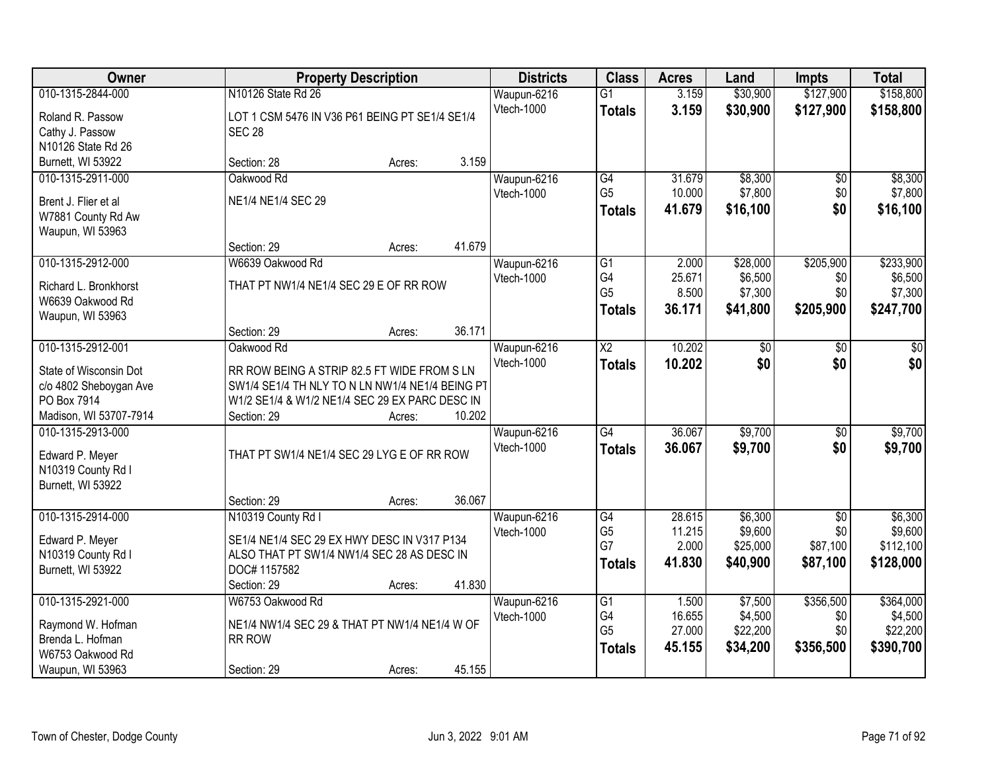| Owner                                 | <b>Property Description</b>                     |        |        | <b>Districts</b> | <b>Class</b>           | <b>Acres</b>    | Land                | <b>Impts</b>    | <b>Total</b>       |
|---------------------------------------|-------------------------------------------------|--------|--------|------------------|------------------------|-----------------|---------------------|-----------------|--------------------|
| 010-1315-2844-000                     | N10126 State Rd 26                              |        |        | Waupun-6216      | $\overline{G1}$        | 3.159           | \$30,900            | \$127,900       | \$158,800          |
| Roland R. Passow                      | LOT 1 CSM 5476 IN V36 P61 BEING PT SE1/4 SE1/4  |        |        | Vtech-1000       | <b>Totals</b>          | 3.159           | \$30,900            | \$127,900       | \$158,800          |
| Cathy J. Passow                       | <b>SEC 28</b>                                   |        |        |                  |                        |                 |                     |                 |                    |
| N10126 State Rd 26                    |                                                 |        |        |                  |                        |                 |                     |                 |                    |
| Burnett, WI 53922                     | Section: 28                                     | Acres: | 3.159  |                  |                        |                 |                     |                 |                    |
| 010-1315-2911-000                     | Oakwood Rd                                      |        |        | Waupun-6216      | G4                     | 31.679          | \$8,300             | $\overline{50}$ | \$8,300            |
|                                       |                                                 |        |        | Vtech-1000       | G <sub>5</sub>         | 10.000          | \$7,800             | \$0             | \$7,800            |
| Brent J. Flier et al                  | NE1/4 NE1/4 SEC 29                              |        |        |                  | <b>Totals</b>          | 41.679          | \$16,100            | \$0             | \$16,100           |
| W7881 County Rd Aw                    |                                                 |        |        |                  |                        |                 |                     |                 |                    |
| Waupun, WI 53963                      |                                                 |        | 41.679 |                  |                        |                 |                     |                 |                    |
| 010-1315-2912-000                     | Section: 29                                     | Acres: |        |                  |                        |                 |                     |                 |                    |
|                                       | W6639 Oakwood Rd                                |        |        | Waupun-6216      | G1<br>G4               | 2.000           | \$28,000<br>\$6,500 | \$205,900       | \$233,900          |
| Richard L. Bronkhorst                 | THAT PT NW1/4 NE1/4 SEC 29 E OF RR ROW          |        |        | Vtech-1000       | G <sub>5</sub>         | 25.671<br>8.500 | \$7,300             | \$0<br>\$0      | \$6,500<br>\$7,300 |
| W6639 Oakwood Rd                      |                                                 |        |        |                  |                        | 36.171          |                     |                 |                    |
| Waupun, WI 53963                      |                                                 |        |        |                  | <b>Totals</b>          |                 | \$41,800            | \$205,900       | \$247,700          |
|                                       | Section: 29                                     | Acres: | 36.171 |                  |                        |                 |                     |                 |                    |
| 010-1315-2912-001                     | Oakwood Rd                                      |        |        | Waupun-6216      | $\overline{\text{X2}}$ | 10.202          | $\overline{50}$     | $\sqrt[6]{}$    | $\sqrt{50}$        |
| State of Wisconsin Dot                | RR ROW BEING A STRIP 82.5 FT WIDE FROM S LN     |        |        | Vtech-1000       | <b>Totals</b>          | 10.202          | \$0                 | \$0             | \$0                |
| c/o 4802 Sheboygan Ave                | SW1/4 SE1/4 TH NLY TO N LN NW1/4 NE1/4 BEING PT |        |        |                  |                        |                 |                     |                 |                    |
| PO Box 7914                           | W1/2 SE1/4 & W1/2 NE1/4 SEC 29 EX PARC DESC IN  |        |        |                  |                        |                 |                     |                 |                    |
| Madison, WI 53707-7914                | Section: 29                                     | Acres: | 10.202 |                  |                        |                 |                     |                 |                    |
| 010-1315-2913-000                     |                                                 |        |        | Waupun-6216      | $\overline{G4}$        | 36.067          | \$9,700             | \$0             | \$9,700            |
|                                       |                                                 |        |        | Vtech-1000       | <b>Totals</b>          | 36.067          | \$9,700             | \$0             | \$9,700            |
| Edward P. Meyer                       | THAT PT SW1/4 NE1/4 SEC 29 LYG E OF RR ROW      |        |        |                  |                        |                 |                     |                 |                    |
| N10319 County Rd I                    |                                                 |        |        |                  |                        |                 |                     |                 |                    |
| Burnett, WI 53922                     |                                                 |        |        |                  |                        |                 |                     |                 |                    |
|                                       | Section: 29                                     | Acres: | 36.067 |                  |                        |                 |                     |                 |                    |
| 010-1315-2914-000                     | N10319 County Rd I                              |        |        | Waupun-6216      | $\overline{G4}$        | 28.615          | \$6,300             | $\overline{50}$ | \$6,300            |
| Edward P. Meyer                       | SE1/4 NE1/4 SEC 29 EX HWY DESC IN V317 P134     |        |        | Vtech-1000       | G <sub>5</sub><br>G7   | 11.215<br>2.000 | \$9,600<br>\$25,000 | \$0             | \$9,600            |
| N10319 County Rd I                    | ALSO THAT PT SW1/4 NW1/4 SEC 28 AS DESC IN      |        |        |                  |                        |                 |                     | \$87,100        | \$112,100          |
| Burnett, WI 53922                     | DOC# 1157582                                    |        |        |                  | <b>Totals</b>          | 41.830          | \$40,900            | \$87,100        | \$128,000          |
|                                       | Section: 29                                     | Acres: | 41.830 |                  |                        |                 |                     |                 |                    |
| 010-1315-2921-000                     | W6753 Oakwood Rd                                |        |        | Waupun-6216      | $\overline{G1}$        | 1.500           | \$7,500             | \$356,500       | \$364,000          |
|                                       | NE1/4 NW1/4 SEC 29 & THAT PT NW1/4 NE1/4 W OF   |        |        | Vtech-1000       | G4                     | 16.655          | \$4,500             | \$0             | \$4,500            |
| Raymond W. Hofman<br>Brenda L. Hofman | RR ROW                                          |        |        |                  | G <sub>5</sub>         | 27.000          | \$22,200            | \$0             | \$22,200           |
| W6753 Oakwood Rd                      |                                                 |        |        |                  | <b>Totals</b>          | 45.155          | \$34,200            | \$356,500       | \$390,700          |
| Waupun, WI 53963                      | Section: 29                                     | Acres: | 45.155 |                  |                        |                 |                     |                 |                    |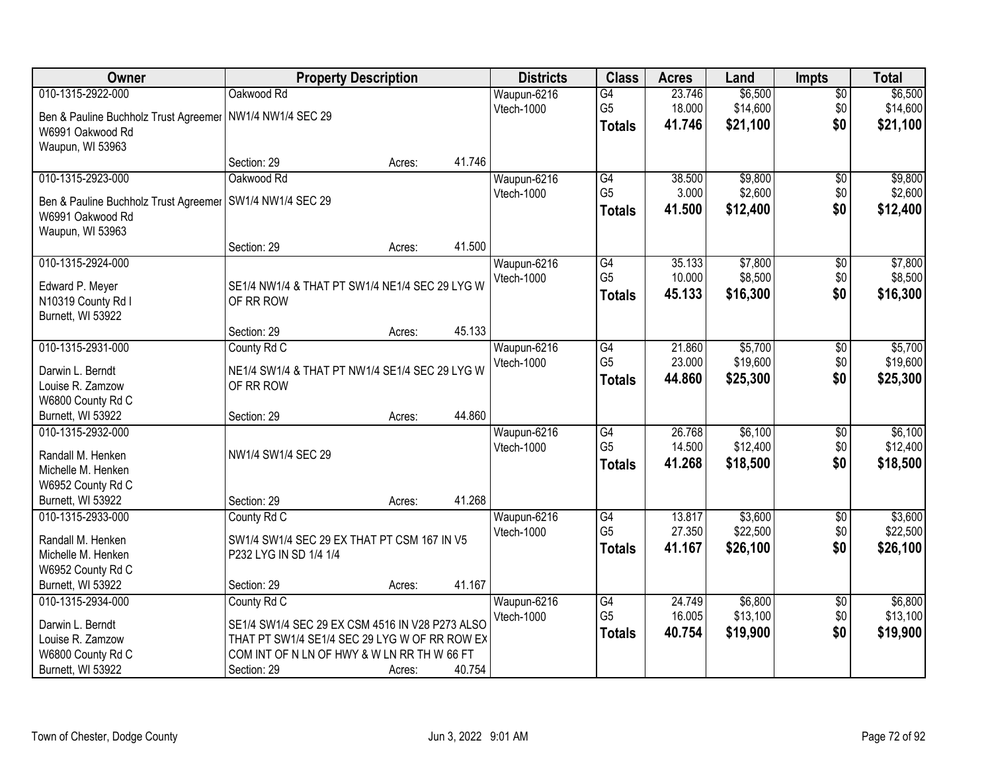| Owner                                 |                                                                                                  | <b>Property Description</b> |        | <b>Districts</b> | <b>Class</b>    | <b>Acres</b> | Land     | <b>Impts</b>    | <b>Total</b> |
|---------------------------------------|--------------------------------------------------------------------------------------------------|-----------------------------|--------|------------------|-----------------|--------------|----------|-----------------|--------------|
| 010-1315-2922-000                     | Oakwood Rd                                                                                       |                             |        | Waupun-6216      | $\overline{G4}$ | 23.746       | \$6,500  | \$0             | \$6,500      |
| Ben & Pauline Buchholz Trust Agreemer | NW1/4 NW1/4 SEC 29                                                                               |                             |        | Vtech-1000       | G <sub>5</sub>  | 18.000       | \$14,600 | \$0             | \$14,600     |
| W6991 Oakwood Rd                      |                                                                                                  |                             |        |                  | <b>Totals</b>   | 41.746       | \$21,100 | \$0             | \$21,100     |
| Waupun, WI 53963                      |                                                                                                  |                             |        |                  |                 |              |          |                 |              |
|                                       | Section: 29                                                                                      | Acres:                      | 41.746 |                  |                 |              |          |                 |              |
| 010-1315-2923-000                     | Oakwood Rd                                                                                       |                             |        | Waupun-6216      | G4              | 38.500       | \$9,800  | $\overline{50}$ | \$9,800      |
| Ben & Pauline Buchholz Trust Agreemer | SW1/4 NW1/4 SEC 29                                                                               |                             |        | Vtech-1000       | G <sub>5</sub>  | 3.000        | \$2,600  | \$0             | \$2,600      |
| W6991 Oakwood Rd                      |                                                                                                  |                             |        |                  | <b>Totals</b>   | 41.500       | \$12,400 | \$0             | \$12,400     |
| Waupun, WI 53963                      |                                                                                                  |                             |        |                  |                 |              |          |                 |              |
|                                       | Section: 29                                                                                      | Acres:                      | 41.500 |                  |                 |              |          |                 |              |
| 010-1315-2924-000                     |                                                                                                  |                             |        | Waupun-6216      | G4              | 35.133       | \$7,800  | $\overline{50}$ | \$7,800      |
| Edward P. Meyer                       | SE1/4 NW1/4 & THAT PT SW1/4 NE1/4 SEC 29 LYG W                                                   |                             |        | Vtech-1000       | G <sub>5</sub>  | 10.000       | \$8,500  | \$0             | \$8,500      |
| N10319 County Rd I                    | OF RR ROW                                                                                        |                             |        |                  | <b>Totals</b>   | 45.133       | \$16,300 | \$0             | \$16,300     |
| Burnett, WI 53922                     |                                                                                                  |                             |        |                  |                 |              |          |                 |              |
|                                       | Section: 29                                                                                      | Acres:                      | 45.133 |                  |                 |              |          |                 |              |
| 010-1315-2931-000                     | County Rd C                                                                                      |                             |        | Waupun-6216      | G4              | 21.860       | \$5,700  | \$0             | \$5,700      |
| Darwin L. Berndt                      | NE1/4 SW1/4 & THAT PT NW1/4 SE1/4 SEC 29 LYG W                                                   |                             |        | Vtech-1000       | G <sub>5</sub>  | 23.000       | \$19,600 | \$0             | \$19,600     |
| Louise R. Zamzow                      | OF RR ROW                                                                                        |                             |        |                  | <b>Totals</b>   | 44.860       | \$25,300 | \$0             | \$25,300     |
| W6800 County Rd C                     |                                                                                                  |                             |        |                  |                 |              |          |                 |              |
| Burnett, WI 53922                     | Section: 29                                                                                      | Acres:                      | 44.860 |                  |                 |              |          |                 |              |
| 010-1315-2932-000                     |                                                                                                  |                             |        | Waupun-6216      | G4              | 26.768       | \$6,100  | \$0             | \$6,100      |
| Randall M. Henken                     | NW1/4 SW1/4 SEC 29                                                                               |                             |        | Vtech-1000       | G <sub>5</sub>  | 14.500       | \$12,400 | \$0             | \$12,400     |
| Michelle M. Henken                    |                                                                                                  |                             |        |                  | <b>Totals</b>   | 41.268       | \$18,500 | \$0             | \$18,500     |
| W6952 County Rd C                     |                                                                                                  |                             |        |                  |                 |              |          |                 |              |
| Burnett, WI 53922                     | Section: 29                                                                                      | Acres:                      | 41.268 |                  |                 |              |          |                 |              |
| 010-1315-2933-000                     | County Rd C                                                                                      |                             |        | Waupun-6216      | $\overline{G4}$ | 13.817       | \$3,600  | $\overline{$0}$ | \$3,600      |
| Randall M. Henken                     | SW1/4 SW1/4 SEC 29 EX THAT PT CSM 167 IN V5                                                      |                             |        | Vtech-1000       | G <sub>5</sub>  | 27.350       | \$22,500 | \$0             | \$22,500     |
| Michelle M. Henken                    | P232 LYG IN SD 1/4 1/4                                                                           |                             |        |                  | <b>Totals</b>   | 41.167       | \$26,100 | \$0             | \$26,100     |
| W6952 County Rd C                     |                                                                                                  |                             |        |                  |                 |              |          |                 |              |
| Burnett, WI 53922                     | Section: 29                                                                                      | Acres:                      | 41.167 |                  |                 |              |          |                 |              |
| 010-1315-2934-000                     | County Rd C                                                                                      |                             |        | Waupun-6216      | G4              | 24.749       | \$6,800  | $\overline{60}$ | \$6,800      |
|                                       |                                                                                                  |                             |        | Vtech-1000       | G <sub>5</sub>  | 16.005       | \$13,100 | \$0             | \$13,100     |
| Darwin L. Berndt<br>Louise R. Zamzow  | SE1/4 SW1/4 SEC 29 EX CSM 4516 IN V28 P273 ALSO<br>THAT PT SW1/4 SE1/4 SEC 29 LYG W OF RR ROW EX |                             |        |                  | <b>Totals</b>   | 40.754       | \$19,900 | \$0             | \$19,900     |
| W6800 County Rd C                     | COM INT OF N LN OF HWY & W LN RR TH W 66 FT                                                      |                             |        |                  |                 |              |          |                 |              |
| Burnett, WI 53922                     | Section: 29                                                                                      | Acres:                      | 40.754 |                  |                 |              |          |                 |              |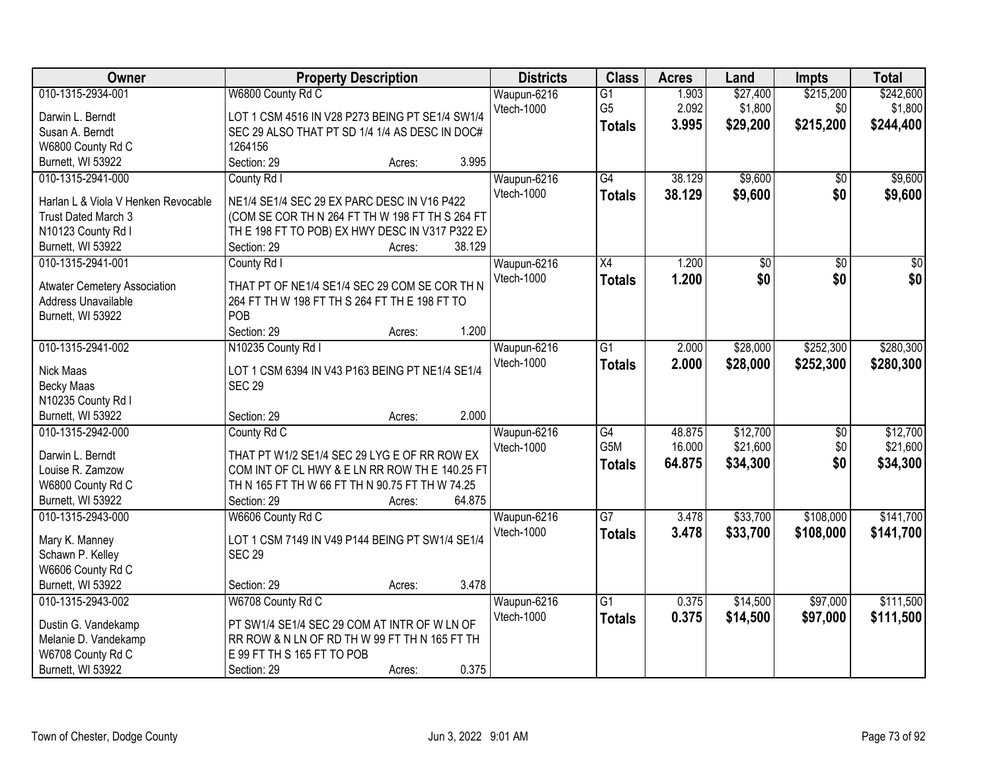| Owner                               | <b>Property Description</b>                                              | <b>Districts</b>  | <b>Class</b>    | <b>Acres</b> | Land            | Impts           | <b>Total</b>    |
|-------------------------------------|--------------------------------------------------------------------------|-------------------|-----------------|--------------|-----------------|-----------------|-----------------|
| 010-1315-2934-001                   | W6800 County Rd C                                                        | Waupun-6216       | $\overline{G1}$ | 1.903        | \$27,400        | \$215,200       | \$242,600       |
| Darwin L. Berndt                    | LOT 1 CSM 4516 IN V28 P273 BEING PT SE1/4 SW1/4                          | Vtech-1000        | G <sub>5</sub>  | 2.092        | \$1,800         | \$0             | \$1,800         |
| Susan A. Berndt                     | SEC 29 ALSO THAT PT SD 1/4 1/4 AS DESC IN DOC#                           |                   | <b>Totals</b>   | 3.995        | \$29,200        | \$215,200       | \$244,400       |
| W6800 County Rd C                   | 1264156                                                                  |                   |                 |              |                 |                 |                 |
| Burnett, WI 53922                   | 3.995<br>Section: 29<br>Acres:                                           |                   |                 |              |                 |                 |                 |
| 010-1315-2941-000                   | County Rd I                                                              | Waupun-6216       | $\overline{G4}$ | 38.129       | \$9,600         | $\overline{50}$ | \$9,600         |
|                                     |                                                                          | Vtech-1000        | <b>Totals</b>   | 38.129       | \$9,600         | \$0             | \$9,600         |
| Harlan L & Viola V Henken Revocable | NE1/4 SE1/4 SEC 29 EX PARC DESC IN V16 P422                              |                   |                 |              |                 |                 |                 |
| Trust Dated March 3                 | (COM SE COR TH N 264 FT TH W 198 FT TH S 264 FT                          |                   |                 |              |                 |                 |                 |
| N10123 County Rd I                  | TH E 198 FT TO POB) EX HWY DESC IN V317 P322 EX<br>38.129<br>Section: 29 |                   |                 |              |                 |                 |                 |
| Burnett, WI 53922                   | Acres:                                                                   |                   |                 |              |                 |                 |                 |
| 010-1315-2941-001                   | County Rd I                                                              | Waupun-6216       | $\overline{X4}$ | 1.200        | $\overline{50}$ | $\overline{50}$ | $\overline{50}$ |
| <b>Atwater Cemetery Association</b> | THAT PT OF NE1/4 SE1/4 SEC 29 COM SE COR TH N                            | Vtech-1000        | <b>Totals</b>   | 1.200        | \$0             | \$0             | \$0             |
| Address Unavailable                 | 264 FT TH W 198 FT TH S 264 FT TH E 198 FT TO                            |                   |                 |              |                 |                 |                 |
| Burnett, WI 53922                   | POB                                                                      |                   |                 |              |                 |                 |                 |
|                                     | 1.200<br>Section: 29<br>Acres:                                           |                   |                 |              |                 |                 |                 |
| 010-1315-2941-002                   | N10235 County Rd I                                                       | Waupun-6216       | G1              | 2.000        | \$28,000        | \$252,300       | \$280,300       |
| Nick Maas                           | LOT 1 CSM 6394 IN V43 P163 BEING PT NE1/4 SE1/4                          | Vtech-1000        | <b>Totals</b>   | 2.000        | \$28,000        | \$252,300       | \$280,300       |
| Becky Maas                          | <b>SEC 29</b>                                                            |                   |                 |              |                 |                 |                 |
| N10235 County Rd I                  |                                                                          |                   |                 |              |                 |                 |                 |
| Burnett, WI 53922                   | 2.000<br>Section: 29<br>Acres:                                           |                   |                 |              |                 |                 |                 |
| 010-1315-2942-000                   | County Rd C                                                              | Waupun-6216       | $\overline{G4}$ | 48.875       | \$12,700        | $\overline{50}$ | \$12,700        |
|                                     |                                                                          | Vtech-1000        | G5M             | 16.000       | \$21,600        | \$0             | \$21,600        |
| Darwin L. Berndt                    | THAT PT W1/2 SE1/4 SEC 29 LYG E OF RR ROW EX                             |                   |                 | 64.875       | \$34,300        | \$0             | \$34,300        |
| Louise R. Zamzow                    | COM INT OF CL HWY & E LN RR ROW TH E 140.25 FT                           |                   | <b>Totals</b>   |              |                 |                 |                 |
| W6800 County Rd C                   | TH N 165 FT TH W 66 FT TH N 90.75 FT TH W 74.25                          |                   |                 |              |                 |                 |                 |
| Burnett, WI 53922                   | 64.875<br>Section: 29<br>Acres:                                          |                   |                 |              |                 |                 |                 |
| 010-1315-2943-000                   | W6606 County Rd C                                                        | Waupun-6216       | $\overline{G7}$ | 3.478        | \$33,700        | \$108,000       | \$141,700       |
| Mary K. Manney                      | LOT 1 CSM 7149 IN V49 P144 BEING PT SW1/4 SE1/4                          | <b>Vtech-1000</b> | <b>Totals</b>   | 3.478        | \$33,700        | \$108,000       | \$141,700       |
| Schawn P. Kelley                    | <b>SEC 29</b>                                                            |                   |                 |              |                 |                 |                 |
| W6606 County Rd C                   |                                                                          |                   |                 |              |                 |                 |                 |
| Burnett, WI 53922                   | 3.478<br>Section: 29<br>Acres:                                           |                   |                 |              |                 |                 |                 |
| 010-1315-2943-002                   | W6708 County Rd C                                                        | Waupun-6216       | $\overline{G1}$ | 0.375        | \$14,500        | \$97,000        | \$111,500       |
|                                     |                                                                          | <b>Vtech-1000</b> | <b>Totals</b>   | 0.375        | \$14,500        | \$97,000        | \$111,500       |
| Dustin G. Vandekamp                 | PT SW1/4 SE1/4 SEC 29 COM AT INTR OF W LN OF                             |                   |                 |              |                 |                 |                 |
| Melanie D. Vandekamp                | RR ROW & N LN OF RD TH W 99 FT TH N 165 FT TH                            |                   |                 |              |                 |                 |                 |
| W6708 County Rd C                   | E 99 FT TH S 165 FT TO POB                                               |                   |                 |              |                 |                 |                 |
| Burnett, WI 53922                   | 0.375<br>Section: 29<br>Acres:                                           |                   |                 |              |                 |                 |                 |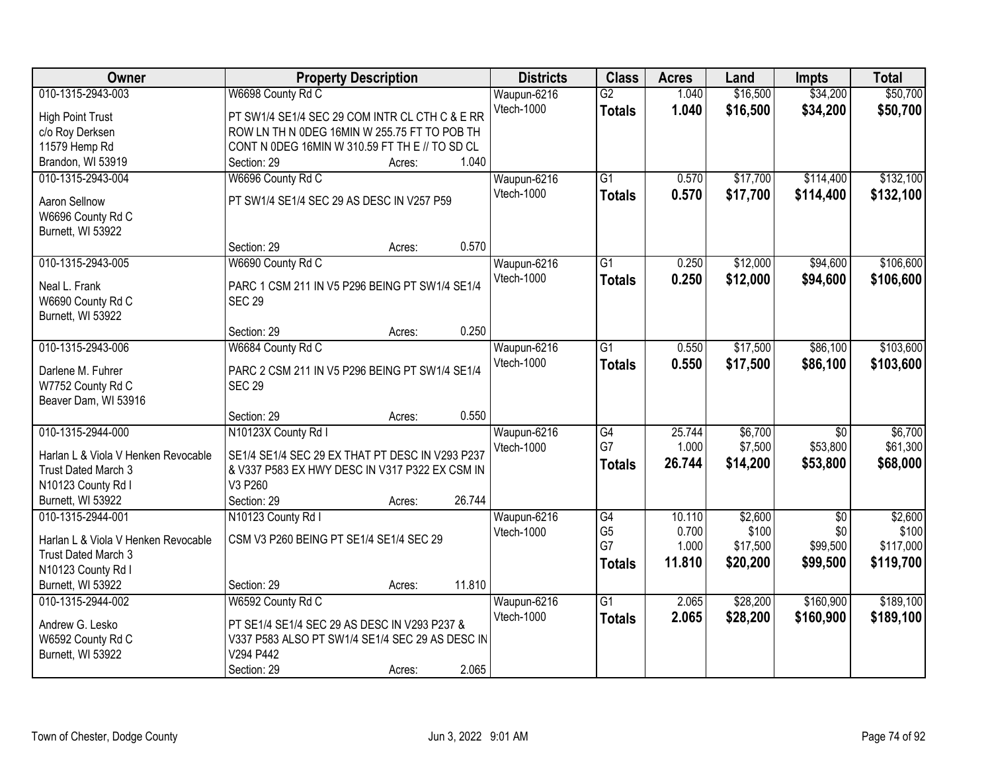| Owner                                   | <b>Property Description</b>                     |        |        | <b>Districts</b> | <b>Class</b>    | <b>Acres</b> | Land     | <b>Impts</b>    | <b>Total</b> |
|-----------------------------------------|-------------------------------------------------|--------|--------|------------------|-----------------|--------------|----------|-----------------|--------------|
| 010-1315-2943-003                       | W6698 County Rd C                               |        |        | Waupun-6216      | $\overline{G2}$ | 1.040        | \$16,500 | \$34,200        | \$50,700     |
| <b>High Point Trust</b>                 | PT SW1/4 SE1/4 SEC 29 COM INTR CL CTH C & E RR  |        |        | Vtech-1000       | <b>Totals</b>   | 1.040        | \$16,500 | \$34,200        | \$50,700     |
| c/o Roy Derksen                         | ROW LN TH N ODEG 16MIN W 255.75 FT TO POB TH    |        |        |                  |                 |              |          |                 |              |
| 11579 Hemp Rd                           | CONT N 0DEG 16MIN W 310.59 FT TH E // TO SD CL  |        |        |                  |                 |              |          |                 |              |
| Brandon, WI 53919                       | Section: 29                                     | Acres: | 1.040  |                  |                 |              |          |                 |              |
| 010-1315-2943-004                       | W6696 County Rd C                               |        |        | Waupun-6216      | $\overline{G1}$ | 0.570        | \$17,700 | \$114,400       | \$132,100    |
|                                         |                                                 |        |        | Vtech-1000       | Totals          | 0.570        | \$17,700 | \$114,400       | \$132,100    |
| Aaron Sellnow                           | PT SW1/4 SE1/4 SEC 29 AS DESC IN V257 P59       |        |        |                  |                 |              |          |                 |              |
| W6696 County Rd C<br>Burnett, WI 53922  |                                                 |        |        |                  |                 |              |          |                 |              |
|                                         | Section: 29                                     | Acres: | 0.570  |                  |                 |              |          |                 |              |
| 010-1315-2943-005                       | W6690 County Rd C                               |        |        | Waupun-6216      | G1              | 0.250        | \$12,000 | \$94,600        | \$106,600    |
|                                         |                                                 |        |        | Vtech-1000       | <b>Totals</b>   | 0.250        | \$12,000 | \$94,600        | \$106,600    |
| Neal L. Frank                           | PARC 1 CSM 211 IN V5 P296 BEING PT SW1/4 SE1/4  |        |        |                  |                 |              |          |                 |              |
| W6690 County Rd C                       | <b>SEC 29</b>                                   |        |        |                  |                 |              |          |                 |              |
| Burnett, WI 53922                       |                                                 |        |        |                  |                 |              |          |                 |              |
|                                         | Section: 29                                     | Acres: | 0.250  |                  |                 |              |          |                 |              |
| 010-1315-2943-006                       | W6684 County Rd C                               |        |        | Waupun-6216      | $\overline{G1}$ | 0.550        | \$17,500 | \$86,100        | \$103,600    |
| Darlene M. Fuhrer                       | PARC 2 CSM 211 IN V5 P296 BEING PT SW1/4 SE1/4  |        |        | Vtech-1000       | <b>Totals</b>   | 0.550        | \$17,500 | \$86,100        | \$103,600    |
| W7752 County Rd C                       | <b>SEC 29</b>                                   |        |        |                  |                 |              |          |                 |              |
| Beaver Dam, WI 53916                    |                                                 |        |        |                  |                 |              |          |                 |              |
|                                         | Section: 29                                     | Acres: | 0.550  |                  |                 |              |          |                 |              |
| 010-1315-2944-000                       | N10123X County Rd I                             |        |        | Waupun-6216      | G4              | 25.744       | \$6,700  | $\overline{50}$ | \$6,700      |
| Harlan L & Viola V Henken Revocable     | SE1/4 SE1/4 SEC 29 EX THAT PT DESC IN V293 P237 |        |        | Vtech-1000       | G7              | 1.000        | \$7,500  | \$53,800        | \$61,300     |
| Trust Dated March 3                     | & V337 P583 EX HWY DESC IN V317 P322 EX CSM IN  |        |        |                  | <b>Totals</b>   | 26.744       | \$14,200 | \$53,800        | \$68,000     |
| N10123 County Rd I                      | V3 P260                                         |        |        |                  |                 |              |          |                 |              |
| Burnett, WI 53922                       | Section: 29                                     | Acres: | 26.744 |                  |                 |              |          |                 |              |
| 010-1315-2944-001                       | N10123 County Rd I                              |        |        | Waupun-6216      | $\overline{G4}$ | 10.110       | \$2,600  | $\overline{50}$ | \$2,600      |
|                                         |                                                 |        |        | Vtech-1000       | G <sub>5</sub>  | 0.700        | \$100    | \$0             | \$100        |
| Harlan L & Viola V Henken Revocable     | CSM V3 P260 BEING PT SE1/4 SE1/4 SEC 29         |        |        |                  | G7              | 1.000        | \$17,500 | \$99,500        | \$117,000    |
| Trust Dated March 3                     |                                                 |        |        |                  | <b>Totals</b>   | 11.810       | \$20,200 | \$99,500        | \$119,700    |
| N10123 County Rd I<br>Burnett, WI 53922 | Section: 29                                     |        | 11.810 |                  |                 |              |          |                 |              |
| 010-1315-2944-002                       | W6592 County Rd C                               | Acres: |        | Waupun-6216      | $\overline{G1}$ | 2.065        | \$28,200 | \$160,900       | \$189,100    |
|                                         |                                                 |        |        | Vtech-1000       |                 | 2.065        | \$28,200 | \$160,900       | \$189,100    |
| Andrew G. Lesko                         | PT SE1/4 SE1/4 SEC 29 AS DESC IN V293 P237 &    |        |        |                  | <b>Totals</b>   |              |          |                 |              |
| W6592 County Rd C                       | V337 P583 ALSO PT SW1/4 SE1/4 SEC 29 AS DESC IN |        |        |                  |                 |              |          |                 |              |
| Burnett, WI 53922                       | V294 P442                                       |        |        |                  |                 |              |          |                 |              |
|                                         | Section: 29                                     | Acres: | 2.065  |                  |                 |              |          |                 |              |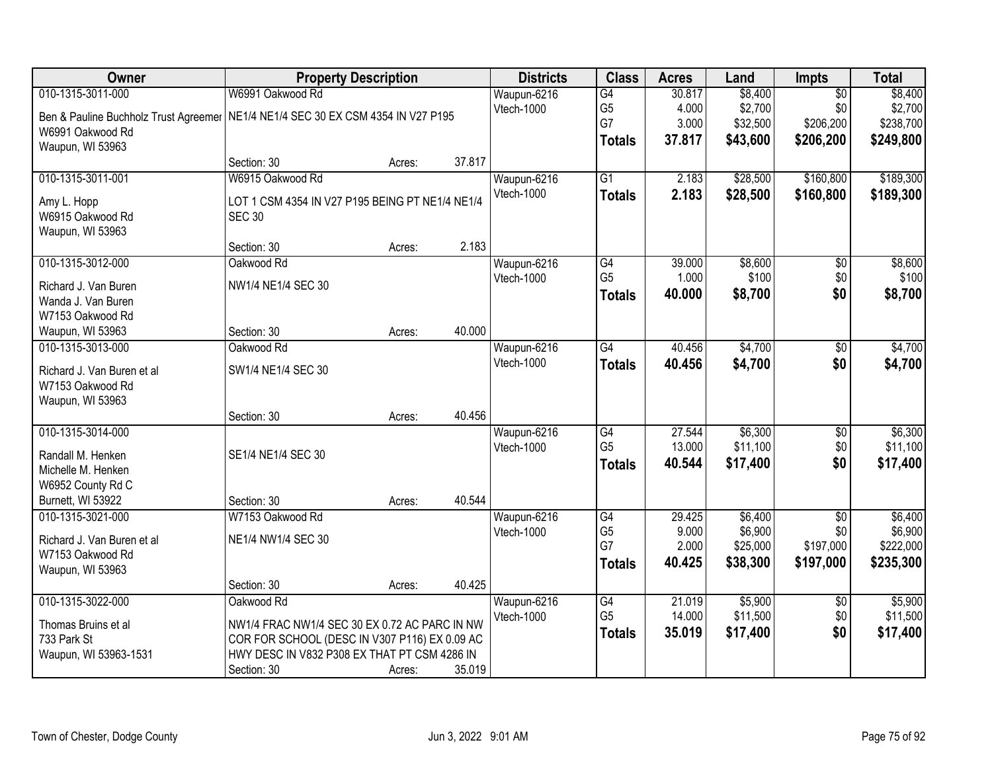| Owner                                 |                                                 | <b>Property Description</b> |        | <b>Districts</b> | <b>Class</b>    | <b>Acres</b>   | Land                | <b>Impts</b>     | <b>Total</b>         |
|---------------------------------------|-------------------------------------------------|-----------------------------|--------|------------------|-----------------|----------------|---------------------|------------------|----------------------|
| 010-1315-3011-000                     | W6991 Oakwood Rd                                |                             |        | Waupun-6216      | $\overline{G4}$ | 30.817         | \$8,400             | $\overline{50}$  | \$8,400              |
| Ben & Pauline Buchholz Trust Agreemer | NE1/4 NE1/4 SEC 30 EX CSM 4354 IN V27 P195      |                             |        | Vtech-1000       | G <sub>5</sub>  | 4.000          | \$2,700             | \$0              | \$2,700              |
| W6991 Oakwood Rd                      |                                                 |                             |        |                  | G7              | 3.000          | \$32,500            | \$206,200        | \$238,700            |
| Waupun, WI 53963                      |                                                 |                             |        |                  | <b>Totals</b>   | 37.817         | \$43,600            | \$206,200        | \$249,800            |
|                                       | Section: 30                                     | Acres:                      | 37.817 |                  |                 |                |                     |                  |                      |
| 010-1315-3011-001                     | W6915 Oakwood Rd                                |                             |        | Waupun-6216      | $\overline{G1}$ | 2.183          | \$28,500            | \$160,800        | \$189,300            |
| Amy L. Hopp                           | LOT 1 CSM 4354 IN V27 P195 BEING PT NE1/4 NE1/4 |                             |        | Vtech-1000       | <b>Totals</b>   | 2.183          | \$28,500            | \$160,800        | \$189,300            |
| W6915 Oakwood Rd                      | <b>SEC 30</b>                                   |                             |        |                  |                 |                |                     |                  |                      |
| Waupun, WI 53963                      |                                                 |                             |        |                  |                 |                |                     |                  |                      |
|                                       | Section: 30                                     | Acres:                      | 2.183  |                  |                 |                |                     |                  |                      |
| 010-1315-3012-000                     | Oakwood Rd                                      |                             |        | Waupun-6216      | G4              | 39.000         | \$8,600             | $\overline{50}$  | \$8,600              |
| Richard J. Van Buren                  | NW1/4 NE1/4 SEC 30                              |                             |        | Vtech-1000       | G <sub>5</sub>  | 1.000          | \$100               | \$0              | \$100                |
| Wanda J. Van Buren                    |                                                 |                             |        |                  | <b>Totals</b>   | 40.000         | \$8,700             | \$0              | \$8,700              |
| W7153 Oakwood Rd                      |                                                 |                             |        |                  |                 |                |                     |                  |                      |
| Waupun, WI 53963                      | Section: 30                                     | Acres:                      | 40.000 |                  |                 |                |                     |                  |                      |
| 010-1315-3013-000                     | Oakwood Rd                                      |                             |        | Waupun-6216      | G4              | 40.456         | \$4,700             | \$0              | \$4,700              |
|                                       |                                                 |                             |        | Vtech-1000       | <b>Totals</b>   | 40.456         | \$4,700             | \$0              | \$4,700              |
| Richard J. Van Buren et al            | SW1/4 NE1/4 SEC 30                              |                             |        |                  |                 |                |                     |                  |                      |
| W7153 Oakwood Rd                      |                                                 |                             |        |                  |                 |                |                     |                  |                      |
| Waupun, WI 53963                      | Section: 30                                     | Acres:                      | 40.456 |                  |                 |                |                     |                  |                      |
| 010-1315-3014-000                     |                                                 |                             |        | Waupun-6216      | $\overline{G4}$ | 27.544         | \$6,300             | $\overline{50}$  | \$6,300              |
|                                       |                                                 |                             |        | Vtech-1000       | G <sub>5</sub>  | 13.000         | \$11,100            | \$0              | \$11,100             |
| Randall M. Henken                     | SE1/4 NE1/4 SEC 30                              |                             |        |                  | <b>Totals</b>   | 40.544         | \$17,400            | \$0              | \$17,400             |
| Michelle M. Henken                    |                                                 |                             |        |                  |                 |                |                     |                  |                      |
| W6952 County Rd C                     |                                                 |                             |        |                  |                 |                |                     |                  |                      |
| Burnett, WI 53922                     | Section: 30                                     | Acres:                      | 40.544 |                  |                 |                |                     |                  |                      |
| 010-1315-3021-000                     | W7153 Oakwood Rd                                |                             |        | Waupun-6216      | G4              | 29.425         | \$6,400             | $\overline{50}$  | \$6,400              |
| Richard J. Van Buren et al            | NE1/4 NW1/4 SEC 30                              |                             |        | Vtech-1000       | G5<br>G7        | 9.000<br>2.000 | \$6,900<br>\$25,000 | \$0<br>\$197,000 | \$6,900<br>\$222,000 |
| W7153 Oakwood Rd                      |                                                 |                             |        |                  |                 | 40.425         | \$38,300            | \$197,000        | \$235,300            |
| Waupun, WI 53963                      |                                                 |                             |        |                  | <b>Totals</b>   |                |                     |                  |                      |
|                                       | Section: 30                                     | Acres:                      | 40.425 |                  |                 |                |                     |                  |                      |
| 010-1315-3022-000                     | Oakwood Rd                                      |                             |        | Waupun-6216      | G4              | 21.019         | \$5,900             | $\sqrt{6}$       | \$5,900              |
| Thomas Bruins et al                   | NW1/4 FRAC NW1/4 SEC 30 EX 0.72 AC PARC IN NW   |                             |        | Vtech-1000       | G <sub>5</sub>  | 14.000         | \$11,500            | \$0              | \$11,500             |
| 733 Park St                           | COR FOR SCHOOL (DESC IN V307 P116) EX 0.09 AC   |                             |        |                  | <b>Totals</b>   | 35.019         | \$17,400            | \$0              | \$17,400             |
| Waupun, WI 53963-1531                 | HWY DESC IN V832 P308 EX THAT PT CSM 4286 IN    |                             |        |                  |                 |                |                     |                  |                      |
|                                       | Section: 30                                     | Acres:                      | 35.019 |                  |                 |                |                     |                  |                      |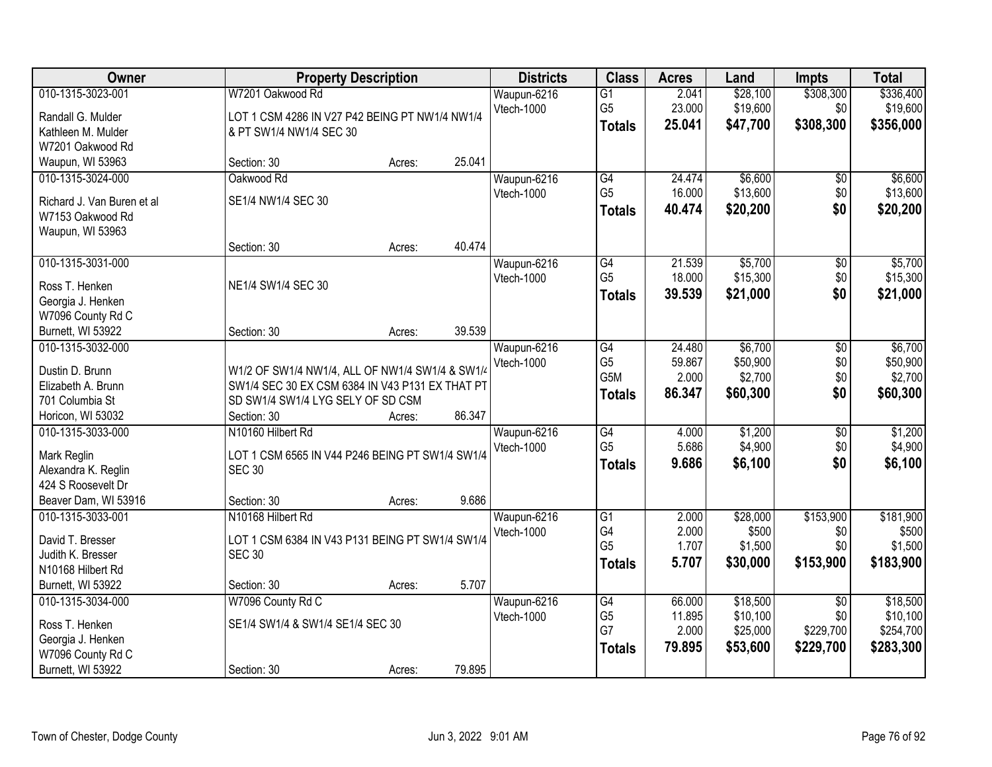| Owner                                  |                                                 | <b>Property Description</b> |        | <b>Districts</b> | <b>Class</b>    | <b>Acres</b> | Land     | <b>Impts</b>    | <b>Total</b> |
|----------------------------------------|-------------------------------------------------|-----------------------------|--------|------------------|-----------------|--------------|----------|-----------------|--------------|
| 010-1315-3023-001                      | W7201 Oakwood Rd                                |                             |        | Waupun-6216      | $\overline{G1}$ | 2.041        | \$28,100 | \$308,300       | \$336,400    |
| Randall G. Mulder                      | LOT 1 CSM 4286 IN V27 P42 BEING PT NW1/4 NW1/4  |                             |        | Vtech-1000       | G <sub>5</sub>  | 23.000       | \$19,600 | \$0             | \$19,600     |
| Kathleen M. Mulder                     | & PT SW1/4 NW1/4 SEC 30                         |                             |        |                  | <b>Totals</b>   | 25.041       | \$47,700 | \$308,300       | \$356,000    |
| W7201 Oakwood Rd                       |                                                 |                             |        |                  |                 |              |          |                 |              |
| Waupun, WI 53963                       | Section: 30                                     | Acres:                      | 25.041 |                  |                 |              |          |                 |              |
| 010-1315-3024-000                      | Oakwood Rd                                      |                             |        | Waupun-6216      | G4              | 24.474       | \$6,600  | \$0             | \$6,600      |
| Richard J. Van Buren et al             | SE1/4 NW1/4 SEC 30                              |                             |        | Vtech-1000       | G <sub>5</sub>  | 16.000       | \$13,600 | \$0             | \$13,600     |
| W7153 Oakwood Rd                       |                                                 |                             |        |                  | <b>Totals</b>   | 40.474       | \$20,200 | \$0             | \$20,200     |
| Waupun, WI 53963                       |                                                 |                             |        |                  |                 |              |          |                 |              |
|                                        | Section: 30                                     | Acres:                      | 40.474 |                  |                 |              |          |                 |              |
| 010-1315-3031-000                      |                                                 |                             |        | Waupun-6216      | $\overline{G4}$ | 21.539       | \$5,700  | \$0             | \$5,700      |
|                                        |                                                 |                             |        | Vtech-1000       | G <sub>5</sub>  | 18.000       | \$15,300 | \$0             | \$15,300     |
| Ross T. Henken                         | NE1/4 SW1/4 SEC 30                              |                             |        |                  | <b>Totals</b>   | 39.539       | \$21,000 | \$0             | \$21,000     |
| Georgia J. Henken<br>W7096 County Rd C |                                                 |                             |        |                  |                 |              |          |                 |              |
| Burnett, WI 53922                      | Section: 30                                     | Acres:                      | 39.539 |                  |                 |              |          |                 |              |
| 010-1315-3032-000                      |                                                 |                             |        | Waupun-6216      | G4              | 24.480       | \$6,700  | \$0             | \$6,700      |
|                                        |                                                 |                             |        | Vtech-1000       | G <sub>5</sub>  | 59.867       | \$50,900 | \$0             | \$50,900     |
| Dustin D. Brunn                        | W1/2 OF SW1/4 NW1/4, ALL OF NW1/4 SW1/4 & SW1/4 |                             |        |                  | G5M             | 2.000        | \$2,700  | \$0             | \$2,700      |
| Elizabeth A. Brunn                     | SW1/4 SEC 30 EX CSM 6384 IN V43 P131 EX THAT PT |                             |        |                  | <b>Totals</b>   | 86.347       | \$60,300 | \$0             | \$60,300     |
| 701 Columbia St                        | SD SW1/4 SW1/4 LYG SELY OF SD CSM               |                             |        |                  |                 |              |          |                 |              |
| Horicon, WI 53032                      | Section: 30                                     | Acres:                      | 86.347 |                  |                 |              |          |                 |              |
| 010-1315-3033-000                      | N10160 Hilbert Rd                               |                             |        | Waupun-6216      | G4              | 4.000        | \$1,200  | $\overline{30}$ | \$1,200      |
| Mark Reglin                            | LOT 1 CSM 6565 IN V44 P246 BEING PT SW1/4 SW1/4 |                             |        | Vtech-1000       | G <sub>5</sub>  | 5.686        | \$4,900  | \$0             | \$4,900      |
| Alexandra K. Reglin                    | <b>SEC 30</b>                                   |                             |        |                  | <b>Totals</b>   | 9.686        | \$6,100  | \$0             | \$6,100      |
| 424 S Roosevelt Dr                     |                                                 |                             |        |                  |                 |              |          |                 |              |
| Beaver Dam, WI 53916                   | Section: 30                                     | Acres:                      | 9.686  |                  |                 |              |          |                 |              |
| 010-1315-3033-001                      | N10168 Hilbert Rd                               |                             |        | Waupun-6216      | $\overline{G1}$ | 2.000        | \$28,000 | \$153,900       | \$181,900    |
| David T. Bresser                       | LOT 1 CSM 6384 IN V43 P131 BEING PT SW1/4 SW1/4 |                             |        | Vtech-1000       | G4              | 2.000        | \$500    | \$0             | \$500        |
| Judith K. Bresser                      | <b>SEC 30</b>                                   |                             |        |                  | G <sub>5</sub>  | 1.707        | \$1,500  | \$0             | \$1,500      |
| N10168 Hilbert Rd                      |                                                 |                             |        |                  | <b>Totals</b>   | 5.707        | \$30,000 | \$153,900       | \$183,900    |
| Burnett, WI 53922                      | Section: 30                                     | Acres:                      | 5.707  |                  |                 |              |          |                 |              |
| 010-1315-3034-000                      | W7096 County Rd C                               |                             |        | Waupun-6216      | G4              | 66.000       | \$18,500 | $\overline{30}$ | \$18,500     |
|                                        |                                                 |                             |        | Vtech-1000       | G <sub>5</sub>  | 11.895       | \$10,100 | \$0             | \$10,100     |
| Ross T. Henken                         | SE1/4 SW1/4 & SW1/4 SE1/4 SEC 30                |                             |        |                  | G7              | 2.000        | \$25,000 | \$229,700       | \$254,700    |
| Georgia J. Henken                      |                                                 |                             |        |                  | <b>Totals</b>   | 79.895       | \$53,600 | \$229,700       | \$283,300    |
| W7096 County Rd C                      |                                                 |                             |        |                  |                 |              |          |                 |              |
| Burnett, WI 53922                      | Section: 30                                     | Acres:                      | 79.895 |                  |                 |              |          |                 |              |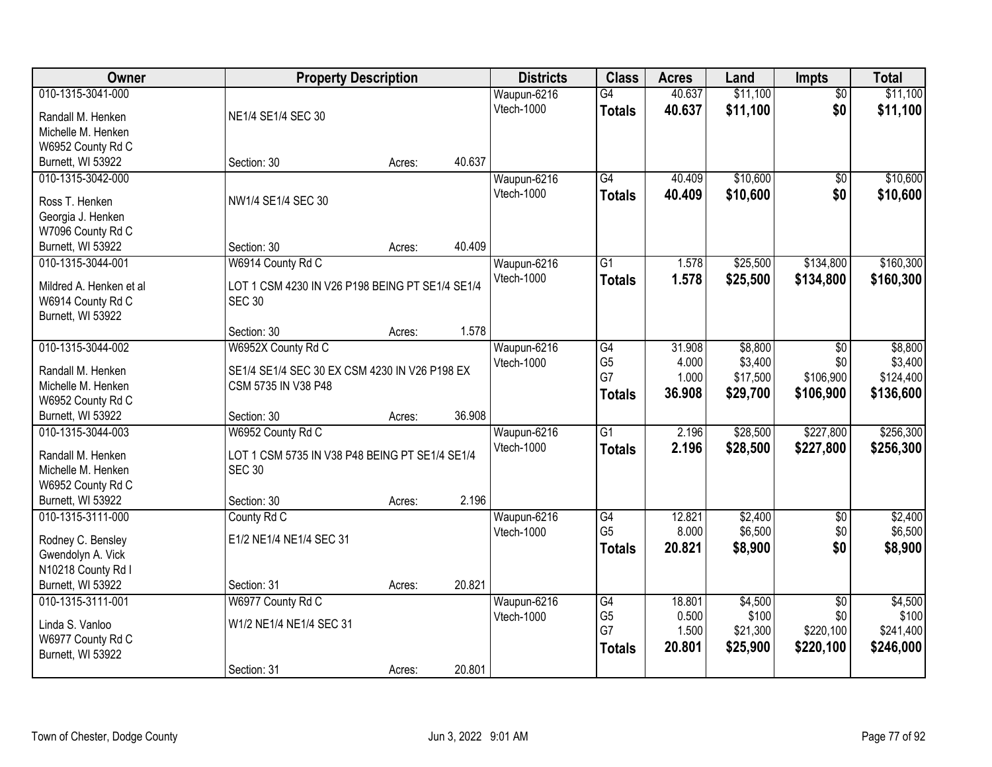| Owner                                   | <b>Property Description</b>                                          |        |        | <b>Districts</b>          | <b>Class</b>         | <b>Acres</b> | Land             | Impts                  | <b>Total</b>     |
|-----------------------------------------|----------------------------------------------------------------------|--------|--------|---------------------------|----------------------|--------------|------------------|------------------------|------------------|
| 010-1315-3041-000                       |                                                                      |        |        | Waupun-6216               | G4                   | 40.637       | \$11,100         | $\overline{50}$        | \$11,100         |
| Randall M. Henken                       | NE1/4 SE1/4 SEC 30                                                   |        |        | Vtech-1000                | <b>Totals</b>        | 40.637       | \$11,100         | \$0                    | \$11,100         |
| Michelle M. Henken                      |                                                                      |        |        |                           |                      |              |                  |                        |                  |
| W6952 County Rd C                       |                                                                      |        |        |                           |                      |              |                  |                        |                  |
| Burnett, WI 53922                       | Section: 30                                                          | Acres: | 40.637 |                           |                      |              |                  |                        |                  |
| 010-1315-3042-000                       |                                                                      |        |        | Waupun-6216               | G4                   | 40.409       | \$10,600         | $\overline{50}$        | \$10,600         |
| Ross T. Henken                          | NW1/4 SE1/4 SEC 30                                                   |        |        | Vtech-1000                | <b>Totals</b>        | 40.409       | \$10,600         | \$0                    | \$10,600         |
| Georgia J. Henken                       |                                                                      |        |        |                           |                      |              |                  |                        |                  |
| W7096 County Rd C                       |                                                                      |        |        |                           |                      |              |                  |                        |                  |
| Burnett, WI 53922                       | Section: 30                                                          | Acres: | 40.409 |                           |                      |              |                  |                        |                  |
| 010-1315-3044-001                       | W6914 County Rd C                                                    |        |        | Waupun-6216               | G1                   | 1.578        | \$25,500         | \$134,800              | \$160,300        |
| Mildred A. Henken et al                 | LOT 1 CSM 4230 IN V26 P198 BEING PT SE1/4 SE1/4                      |        |        | Vtech-1000                | <b>Totals</b>        | 1.578        | \$25,500         | \$134,800              | \$160,300        |
| W6914 County Rd C                       | <b>SEC 30</b>                                                        |        |        |                           |                      |              |                  |                        |                  |
| Burnett, WI 53922                       |                                                                      |        |        |                           |                      |              |                  |                        |                  |
|                                         | Section: 30                                                          | Acres: | 1.578  |                           |                      |              |                  |                        |                  |
| 010-1315-3044-002                       | W6952X County Rd C                                                   |        |        | Waupun-6216               | G4                   | 31.908       | \$8,800          | \$0                    | \$8,800          |
|                                         |                                                                      |        |        | Vtech-1000                | G <sub>5</sub>       | 4.000        | \$3,400          | \$0                    | \$3,400          |
| Randall M. Henken<br>Michelle M. Henken | SE1/4 SE1/4 SEC 30 EX CSM 4230 IN V26 P198 EX<br>CSM 5735 IN V38 P48 |        |        |                           | G7                   | 1.000        | \$17,500         | \$106,900              | \$124,400        |
| W6952 County Rd C                       |                                                                      |        |        |                           | <b>Totals</b>        | 36.908       | \$29,700         | \$106,900              | \$136,600        |
| Burnett, WI 53922                       | Section: 30                                                          | Acres: | 36.908 |                           |                      |              |                  |                        |                  |
| 010-1315-3044-003                       | W6952 County Rd C                                                    |        |        | Waupun-6216               | $\overline{G1}$      | 2.196        | \$28,500         | \$227,800              | \$256,300        |
|                                         |                                                                      |        |        | Vtech-1000                | <b>Totals</b>        | 2.196        | \$28,500         | \$227,800              | \$256,300        |
| Randall M. Henken                       | LOT 1 CSM 5735 IN V38 P48 BEING PT SE1/4 SE1/4                       |        |        |                           |                      |              |                  |                        |                  |
| Michelle M. Henken                      | <b>SEC 30</b>                                                        |        |        |                           |                      |              |                  |                        |                  |
| W6952 County Rd C<br>Burnett, WI 53922  | Section: 30                                                          | Acres: | 2.196  |                           |                      |              |                  |                        |                  |
| 010-1315-3111-000                       | County Rd C                                                          |        |        | Waupun-6216               | G4                   | 12.821       | \$2,400          | $\overline{50}$        | \$2,400          |
|                                         |                                                                      |        |        | Vtech-1000                | G <sub>5</sub>       | 8.000        | \$6,500          | \$0                    | \$6,500          |
| Rodney C. Bensley                       | E1/2 NE1/4 NE1/4 SEC 31                                              |        |        |                           | <b>Totals</b>        | 20.821       | \$8,900          | \$0                    | \$8,900          |
| Gwendolyn A. Vick                       |                                                                      |        |        |                           |                      |              |                  |                        |                  |
| N10218 County Rd I                      |                                                                      |        |        |                           |                      |              |                  |                        |                  |
| Burnett, WI 53922                       | Section: 31                                                          | Acres: | 20.821 |                           |                      | 18.801       |                  |                        |                  |
| 010-1315-3111-001                       | W6977 County Rd C                                                    |        |        | Waupun-6216<br>Vtech-1000 | G4<br>G <sub>5</sub> | 0.500        | \$4,500<br>\$100 | $\overline{50}$<br>\$0 | \$4,500<br>\$100 |
| Linda S. Vanloo                         | W1/2 NE1/4 NE1/4 SEC 31                                              |        |        |                           | G7                   | 1.500        | \$21,300         | \$220,100              | \$241,400        |
| W6977 County Rd C                       |                                                                      |        |        |                           | <b>Totals</b>        | 20.801       | \$25,900         | \$220,100              | \$246,000        |
| Burnett, WI 53922                       |                                                                      |        |        |                           |                      |              |                  |                        |                  |
|                                         | Section: 31                                                          | Acres: | 20.801 |                           |                      |              |                  |                        |                  |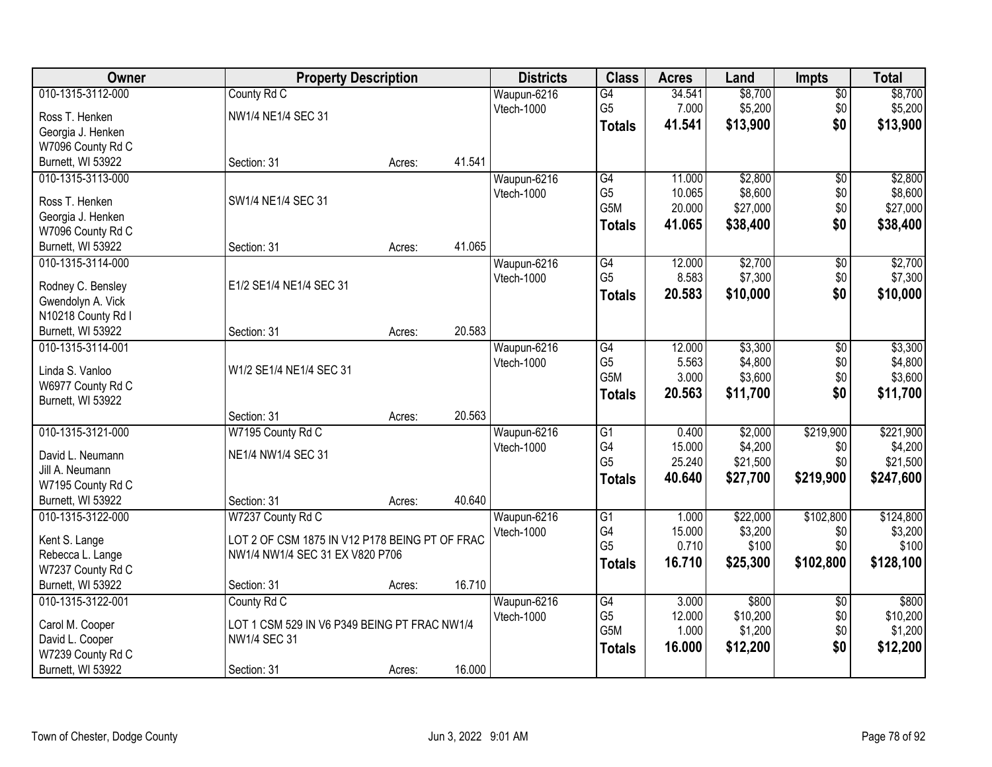| Owner              | <b>Property Description</b>                    |        |        | <b>Districts</b> | <b>Class</b>     | <b>Acres</b> | Land     | <b>Impts</b>    | <b>Total</b> |
|--------------------|------------------------------------------------|--------|--------|------------------|------------------|--------------|----------|-----------------|--------------|
| 010-1315-3112-000  | County Rd C                                    |        |        | Waupun-6216      | G4               | 34.541       | \$8,700  | $\sqrt{$0}$     | \$8,700      |
| Ross T. Henken     | NW1/4 NE1/4 SEC 31                             |        |        | Vtech-1000       | G <sub>5</sub>   | 7.000        | \$5,200  | \$0             | \$5,200      |
| Georgia J. Henken  |                                                |        |        |                  | <b>Totals</b>    | 41.541       | \$13,900 | \$0             | \$13,900     |
| W7096 County Rd C  |                                                |        |        |                  |                  |              |          |                 |              |
| Burnett, WI 53922  | Section: 31                                    | Acres: | 41.541 |                  |                  |              |          |                 |              |
| 010-1315-3113-000  |                                                |        |        | Waupun-6216      | G4               | 11.000       | \$2,800  | $\overline{50}$ | \$2,800      |
|                    |                                                |        |        | Vtech-1000       | G <sub>5</sub>   | 10.065       | \$8,600  | \$0             | \$8,600      |
| Ross T. Henken     | SW1/4 NE1/4 SEC 31                             |        |        |                  | G <sub>5</sub> M | 20.000       | \$27,000 | \$0             | \$27,000     |
| Georgia J. Henken  |                                                |        |        |                  | <b>Totals</b>    | 41.065       | \$38,400 | \$0             | \$38,400     |
| W7096 County Rd C  |                                                |        |        |                  |                  |              |          |                 |              |
| Burnett, WI 53922  | Section: 31                                    | Acres: | 41.065 |                  |                  |              |          |                 |              |
| 010-1315-3114-000  |                                                |        |        | Waupun-6216      | $\overline{G4}$  | 12.000       | \$2,700  | $\overline{60}$ | \$2,700      |
| Rodney C. Bensley  | E1/2 SE1/4 NE1/4 SEC 31                        |        |        | Vtech-1000       | G <sub>5</sub>   | 8.583        | \$7,300  | \$0             | \$7,300      |
| Gwendolyn A. Vick  |                                                |        |        |                  | <b>Totals</b>    | 20.583       | \$10,000 | \$0             | \$10,000     |
| N10218 County Rd I |                                                |        |        |                  |                  |              |          |                 |              |
| Burnett, WI 53922  | Section: 31                                    | Acres: | 20.583 |                  |                  |              |          |                 |              |
| 010-1315-3114-001  |                                                |        |        | Waupun-6216      | $\overline{G4}$  | 12.000       | \$3,300  | \$0             | \$3,300      |
|                    |                                                |        |        | Vtech-1000       | G <sub>5</sub>   | 5.563        | \$4,800  | \$0             | \$4,800      |
| Linda S. Vanloo    | W1/2 SE1/4 NE1/4 SEC 31                        |        |        |                  | G <sub>5</sub> M | 3.000        | \$3,600  | \$0             | \$3,600      |
| W6977 County Rd C  |                                                |        |        |                  | <b>Totals</b>    | 20.563       | \$11,700 | \$0             | \$11,700     |
| Burnett, WI 53922  |                                                |        |        |                  |                  |              |          |                 |              |
|                    | Section: 31                                    | Acres: | 20.563 |                  |                  |              |          |                 |              |
| 010-1315-3121-000  | W7195 County Rd C                              |        |        | Waupun-6216      | $\overline{G1}$  | 0.400        | \$2,000  | \$219,900       | \$221,900    |
| David L. Neumann   | NE1/4 NW1/4 SEC 31                             |        |        | Vtech-1000       | G4               | 15.000       | \$4,200  | \$0             | \$4,200      |
| Jill A. Neumann    |                                                |        |        |                  | G <sub>5</sub>   | 25.240       | \$21,500 | \$0             | \$21,500     |
| W7195 County Rd C  |                                                |        |        |                  | <b>Totals</b>    | 40.640       | \$27,700 | \$219,900       | \$247,600    |
| Burnett, WI 53922  | Section: 31                                    | Acres: | 40.640 |                  |                  |              |          |                 |              |
| 010-1315-3122-000  | W7237 County Rd C                              |        |        | Waupun-6216      | $\overline{G1}$  | 1.000        | \$22,000 | \$102,800       | \$124,800    |
|                    |                                                |        |        | Vtech-1000       | G4               | 15.000       | \$3,200  | \$0             | \$3,200      |
| Kent S. Lange      | LOT 2 OF CSM 1875 IN V12 P178 BEING PT OF FRAC |        |        |                  | G <sub>5</sub>   | 0.710        | \$100    | \$0             | \$100        |
| Rebecca L. Lange   | NW1/4 NW1/4 SEC 31 EX V820 P706                |        |        |                  | <b>Totals</b>    | 16.710       | \$25,300 | \$102,800       | \$128,100    |
| W7237 County Rd C  |                                                |        |        |                  |                  |              |          |                 |              |
| Burnett, WI 53922  | Section: 31                                    | Acres: | 16.710 |                  |                  |              |          |                 |              |
| 010-1315-3122-001  | County Rd C                                    |        |        | Waupun-6216      | G4               | 3.000        | \$800    | $\overline{60}$ | \$800        |
| Carol M. Cooper    | LOT 1 CSM 529 IN V6 P349 BEING PT FRAC NW1/4   |        |        | Vtech-1000       | G <sub>5</sub>   | 12.000       | \$10,200 | \$0             | \$10,200     |
| David L. Cooper    | NW1/4 SEC 31                                   |        |        |                  | G <sub>5</sub> M | 1.000        | \$1,200  | \$0             | \$1,200      |
| W7239 County Rd C  |                                                |        |        |                  | <b>Totals</b>    | 16.000       | \$12,200 | \$0             | \$12,200     |
| Burnett, WI 53922  | Section: 31                                    | Acres: | 16.000 |                  |                  |              |          |                 |              |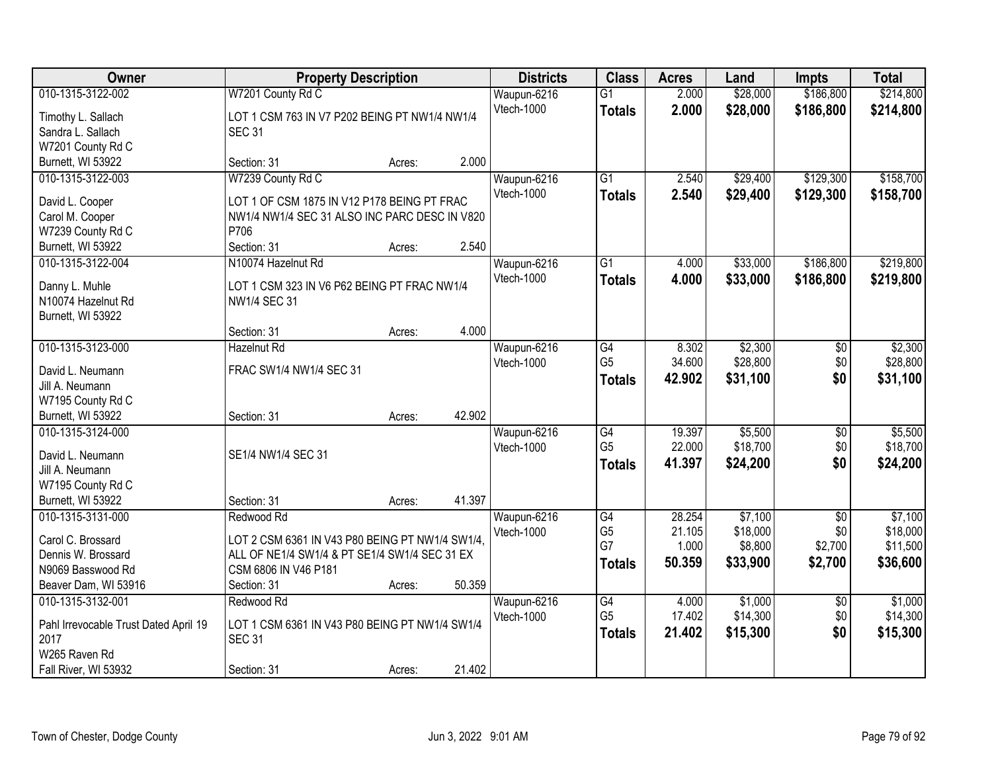| Owner                                  | <b>Property Description</b>                     |        |        | <b>Districts</b> | <b>Class</b>    | <b>Acres</b> | Land     | <b>Impts</b>    | <b>Total</b> |
|----------------------------------------|-------------------------------------------------|--------|--------|------------------|-----------------|--------------|----------|-----------------|--------------|
| 010-1315-3122-002                      | W7201 County Rd C                               |        |        | Waupun-6216      | $\overline{G1}$ | 2.000        | \$28,000 | \$186,800       | \$214,800    |
| Timothy L. Sallach                     | LOT 1 CSM 763 IN V7 P202 BEING PT NW1/4 NW1/4   |        |        | Vtech-1000       | <b>Totals</b>   | 2.000        | \$28,000 | \$186,800       | \$214,800    |
| Sandra L. Sallach                      | <b>SEC 31</b>                                   |        |        |                  |                 |              |          |                 |              |
| W7201 County Rd C                      |                                                 |        |        |                  |                 |              |          |                 |              |
| Burnett, WI 53922                      | Section: 31                                     | Acres: | 2.000  |                  |                 |              |          |                 |              |
| 010-1315-3122-003                      | W7239 County Rd C                               |        |        | Waupun-6216      | $\overline{G1}$ | 2.540        | \$29,400 | \$129,300       | \$158,700    |
|                                        |                                                 |        |        | Vtech-1000       | <b>Totals</b>   | 2.540        | \$29,400 | \$129,300       | \$158,700    |
| David L. Cooper                        | LOT 1 OF CSM 1875 IN V12 P178 BEING PT FRAC     |        |        |                  |                 |              |          |                 |              |
| Carol M. Cooper                        | NW1/4 NW1/4 SEC 31 ALSO INC PARC DESC IN V820   |        |        |                  |                 |              |          |                 |              |
| W7239 County Rd C                      | P706                                            |        |        |                  |                 |              |          |                 |              |
| Burnett, WI 53922                      | Section: 31                                     | Acres: | 2.540  |                  |                 |              |          |                 |              |
| 010-1315-3122-004                      | N10074 Hazelnut Rd                              |        |        | Waupun-6216      | G1              | 4.000        | \$33,000 | \$186,800       | \$219,800    |
| Danny L. Muhle                         | LOT 1 CSM 323 IN V6 P62 BEING PT FRAC NW1/4     |        |        | Vtech-1000       | <b>Totals</b>   | 4.000        | \$33,000 | \$186,800       | \$219,800    |
| N10074 Hazelnut Rd                     | NW1/4 SEC 31                                    |        |        |                  |                 |              |          |                 |              |
| Burnett, WI 53922                      |                                                 |        |        |                  |                 |              |          |                 |              |
|                                        | Section: 31                                     | Acres: | 4.000  |                  |                 |              |          |                 |              |
| 010-1315-3123-000                      | <b>Hazelnut Rd</b>                              |        |        | Waupun-6216      | G4              | 8.302        | \$2,300  | $\sqrt[6]{3}$   | \$2,300      |
|                                        |                                                 |        |        | Vtech-1000       | G <sub>5</sub>  | 34.600       | \$28,800 | \$0             | \$28,800     |
| David L. Neumann                       | FRAC SW1/4 NW1/4 SEC 31                         |        |        |                  | <b>Totals</b>   | 42.902       | \$31,100 | \$0             | \$31,100     |
| Jill A. Neumann                        |                                                 |        |        |                  |                 |              |          |                 |              |
| W7195 County Rd C<br>Burnett, WI 53922 | Section: 31                                     |        | 42.902 |                  |                 |              |          |                 |              |
| 010-1315-3124-000                      |                                                 | Acres: |        |                  | $\overline{G4}$ | 19.397       | \$5,500  |                 | \$5,500      |
|                                        |                                                 |        |        | Waupun-6216      | G <sub>5</sub>  | 22.000       | \$18,700 | \$0<br>\$0      | \$18,700     |
| David L. Neumann                       | SE1/4 NW1/4 SEC 31                              |        |        | Vtech-1000       |                 | 41.397       |          | \$0             |              |
| Jill A. Neumann                        |                                                 |        |        |                  | <b>Totals</b>   |              | \$24,200 |                 | \$24,200     |
| W7195 County Rd C                      |                                                 |        |        |                  |                 |              |          |                 |              |
| Burnett, WI 53922                      | Section: 31                                     | Acres: | 41.397 |                  |                 |              |          |                 |              |
| 010-1315-3131-000                      | Redwood Rd                                      |        |        | Waupun-6216      | $\overline{G4}$ | 28.254       | \$7,100  | $\overline{50}$ | \$7,100      |
| Carol C. Brossard                      | LOT 2 CSM 6361 IN V43 P80 BEING PT NW1/4 SW1/4, |        |        | Vtech-1000       | G <sub>5</sub>  | 21.105       | \$18,000 | \$0             | \$18,000     |
| Dennis W. Brossard                     | ALL OF NE1/4 SW1/4 & PT SE1/4 SW1/4 SEC 31 EX   |        |        |                  | G7              | 1.000        | \$8,800  | \$2,700         | \$11,500     |
| N9069 Basswood Rd                      | CSM 6806 IN V46 P181                            |        |        |                  | <b>Totals</b>   | 50.359       | \$33,900 | \$2,700         | \$36,600     |
| Beaver Dam, WI 53916                   | Section: 31                                     | Acres: | 50.359 |                  |                 |              |          |                 |              |
| 010-1315-3132-001                      | Redwood Rd                                      |        |        | Waupun-6216      | G4              | 4.000        | \$1,000  | $\overline{60}$ | \$1,000      |
|                                        |                                                 |        |        | Vtech-1000       | G <sub>5</sub>  | 17.402       | \$14,300 | \$0             | \$14,300     |
| Pahl Irrevocable Trust Dated April 19  | LOT 1 CSM 6361 IN V43 P80 BEING PT NW1/4 SW1/4  |        |        |                  | <b>Totals</b>   | 21.402       | \$15,300 | \$0             | \$15,300     |
| 2017                                   | <b>SEC 31</b>                                   |        |        |                  |                 |              |          |                 |              |
| W265 Raven Rd                          |                                                 |        |        |                  |                 |              |          |                 |              |
| Fall River, WI 53932                   | Section: 31                                     | Acres: | 21.402 |                  |                 |              |          |                 |              |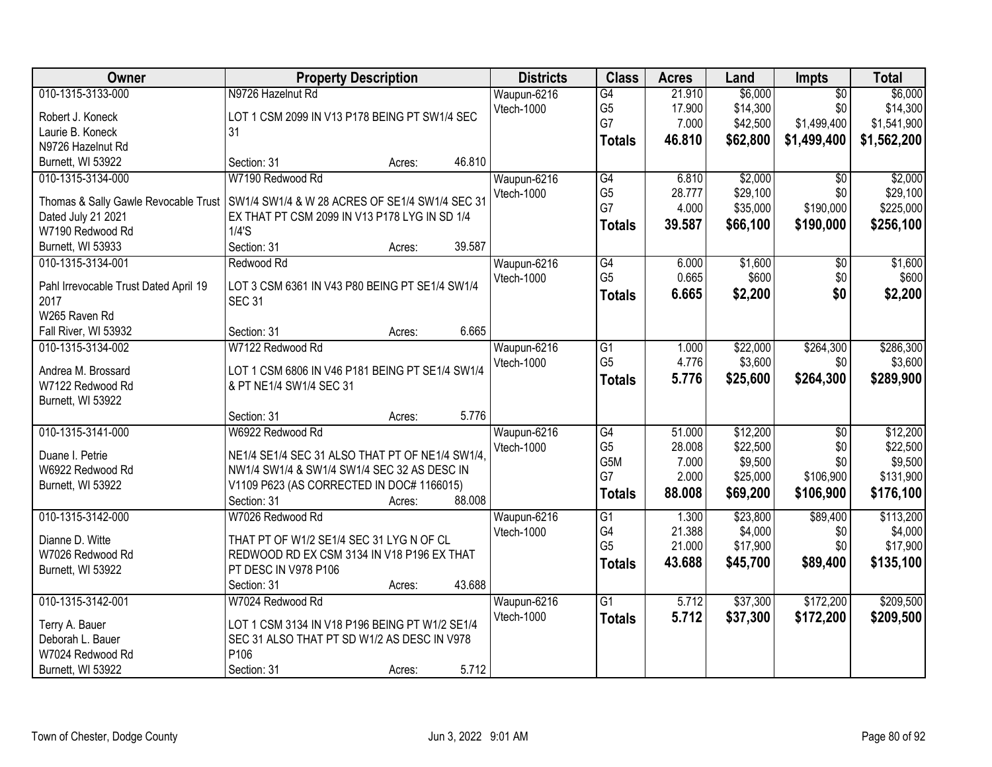| Owner                                 | <b>Property Description</b>                     | <b>Districts</b> | <b>Class</b>    | <b>Acres</b> | Land     | Impts           | <b>Total</b> |
|---------------------------------------|-------------------------------------------------|------------------|-----------------|--------------|----------|-----------------|--------------|
| 010-1315-3133-000                     | N9726 Hazelnut Rd                               | Waupun-6216      | $\overline{G4}$ | 21.910       | \$6,000  | $\overline{50}$ | \$6,000      |
| Robert J. Koneck                      | LOT 1 CSM 2099 IN V13 P178 BEING PT SW1/4 SEC   | Vtech-1000       | G <sub>5</sub>  | 17.900       | \$14,300 | \$0             | \$14,300     |
| Laurie B. Koneck                      | 31                                              |                  | G7              | 7.000        | \$42,500 | \$1,499,400     | \$1,541,900  |
| N9726 Hazelnut Rd                     |                                                 |                  | <b>Totals</b>   | 46.810       | \$62,800 | \$1,499,400     | \$1,562,200  |
| Burnett, WI 53922                     | 46.810<br>Section: 31<br>Acres:                 |                  |                 |              |          |                 |              |
| 010-1315-3134-000                     | W7190 Redwood Rd                                | Waupun-6216      | G4              | 6.810        | \$2,000  | $\overline{50}$ | \$2,000      |
|                                       |                                                 | Vtech-1000       | G <sub>5</sub>  | 28.777       | \$29,100 | \$0             | \$29,100     |
| Thomas & Sally Gawle Revocable Trust  | SW1/4 SW1/4 & W 28 ACRES OF SE1/4 SW1/4 SEC 31  |                  | G7              | 4.000        | \$35,000 | \$190,000       | \$225,000    |
| Dated July 21 2021                    | EX THAT PT CSM 2099 IN V13 P178 LYG IN SD 1/4   |                  | <b>Totals</b>   | 39.587       | \$66,100 | \$190,000       | \$256,100    |
| W7190 Redwood Rd                      | 1/4'S                                           |                  |                 |              |          |                 |              |
| Burnett, WI 53933                     | Section: 31<br>39.587<br>Acres:                 |                  |                 |              |          |                 |              |
| 010-1315-3134-001                     | Redwood Rd                                      | Waupun-6216      | G4              | 6.000        | \$1,600  | $\overline{50}$ | \$1,600      |
| Pahl Irrevocable Trust Dated April 19 | LOT 3 CSM 6361 IN V43 P80 BEING PT SE1/4 SW1/4  | Vtech-1000       | G <sub>5</sub>  | 0.665        | \$600    | \$0             | \$600        |
| 2017                                  | <b>SEC 31</b>                                   |                  | <b>Totals</b>   | 6.665        | \$2,200  | \$0             | \$2,200      |
| W265 Raven Rd                         |                                                 |                  |                 |              |          |                 |              |
| Fall River, WI 53932                  | 6.665<br>Section: 31<br>Acres:                  |                  |                 |              |          |                 |              |
| 010-1315-3134-002                     | W7122 Redwood Rd                                | Waupun-6216      | $\overline{G1}$ | 1.000        | \$22,000 | \$264,300       | \$286,300    |
|                                       |                                                 | Vtech-1000       | G <sub>5</sub>  | 4.776        | \$3,600  | \$0             | \$3,600      |
| Andrea M. Brossard                    | LOT 1 CSM 6806 IN V46 P181 BEING PT SE1/4 SW1/4 |                  | <b>Totals</b>   | 5.776        | \$25,600 | \$264,300       | \$289,900    |
| W7122 Redwood Rd                      | & PT NE1/4 SW1/4 SEC 31                         |                  |                 |              |          |                 |              |
| Burnett, WI 53922                     |                                                 |                  |                 |              |          |                 |              |
|                                       | 5.776<br>Section: 31<br>Acres:                  |                  |                 |              |          |                 |              |
| 010-1315-3141-000                     | W6922 Redwood Rd                                | Waupun-6216      | $\overline{G4}$ | 51.000       | \$12,200 | \$0             | \$12,200     |
| Duane I. Petrie                       | NE1/4 SE1/4 SEC 31 ALSO THAT PT OF NE1/4 SW1/4. | Vtech-1000       | G <sub>5</sub>  | 28.008       | \$22,500 | \$0             | \$22,500     |
| W6922 Redwood Rd                      | NW1/4 SW1/4 & SW1/4 SW1/4 SEC 32 AS DESC IN     |                  | G5M<br>G7       | 7.000        | \$9,500  | \$0             | \$9,500      |
| Burnett, WI 53922                     | V1109 P623 (AS CORRECTED IN DOC# 1166015)       |                  |                 | 2.000        | \$25,000 | \$106,900       | \$131,900    |
|                                       | 88.008<br>Section: 31<br>Acres:                 |                  | <b>Totals</b>   | 88.008       | \$69,200 | \$106,900       | \$176,100    |
| 010-1315-3142-000                     | W7026 Redwood Rd                                | Waupun-6216      | $\overline{G1}$ | 1.300        | \$23,800 | \$89,400        | \$113,200    |
| Dianne D. Witte                       | THAT PT OF W1/2 SE1/4 SEC 31 LYG N OF CL        | Vtech-1000       | G4              | 21.388       | \$4,000  | \$0             | \$4,000      |
| W7026 Redwood Rd                      | REDWOOD RD EX CSM 3134 IN V18 P196 EX THAT      |                  | G <sub>5</sub>  | 21.000       | \$17,900 | \$0             | \$17,900     |
| Burnett, WI 53922                     | PT DESC IN V978 P106                            |                  | <b>Totals</b>   | 43.688       | \$45,700 | \$89,400        | \$135,100    |
|                                       | 43.688<br>Section: 31<br>Acres:                 |                  |                 |              |          |                 |              |
| 010-1315-3142-001                     | W7024 Redwood Rd                                | Waupun-6216      | $\overline{G1}$ | 5.712        | \$37,300 | \$172,200       | \$209,500    |
|                                       |                                                 | Vtech-1000       | <b>Totals</b>   | 5.712        | \$37,300 | \$172,200       | \$209,500    |
| Terry A. Bauer                        | LOT 1 CSM 3134 IN V18 P196 BEING PT W1/2 SE1/4  |                  |                 |              |          |                 |              |
| Deborah L. Bauer                      | SEC 31 ALSO THAT PT SD W1/2 AS DESC IN V978     |                  |                 |              |          |                 |              |
| W7024 Redwood Rd                      | P106                                            |                  |                 |              |          |                 |              |
| Burnett, WI 53922                     | 5.712<br>Section: 31<br>Acres:                  |                  |                 |              |          |                 |              |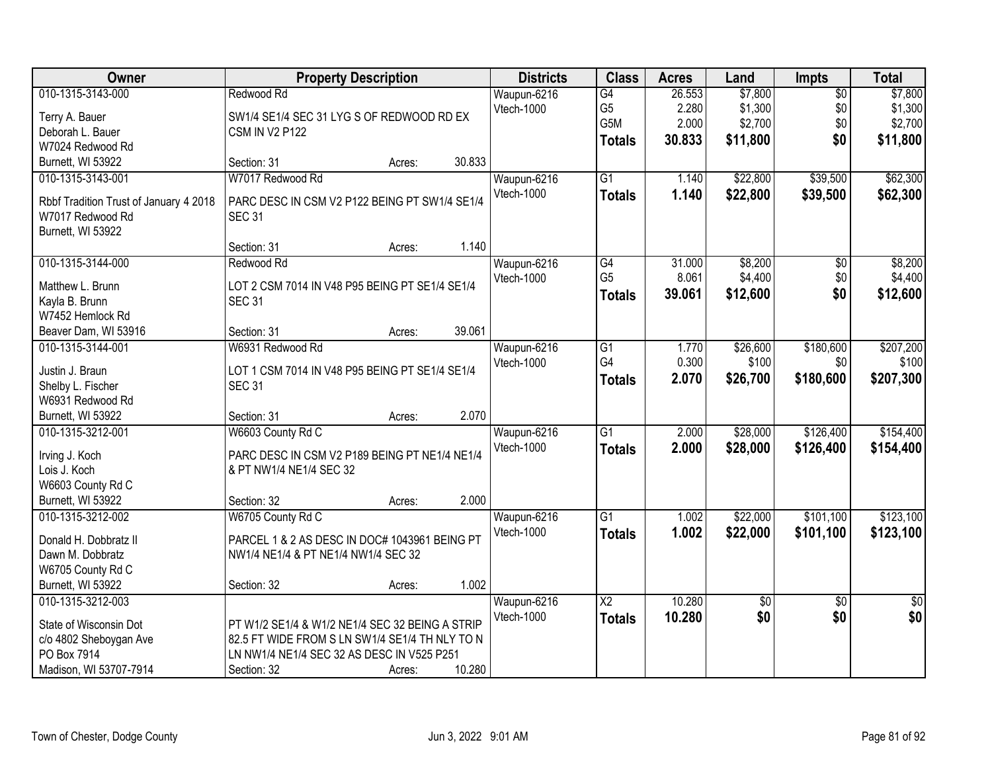| <b>Owner</b>                           | <b>Property Description</b>                     |        |        | <b>Districts</b> | <b>Class</b>    | <b>Acres</b> | Land            | Impts           | <b>Total</b> |
|----------------------------------------|-------------------------------------------------|--------|--------|------------------|-----------------|--------------|-----------------|-----------------|--------------|
| 010-1315-3143-000                      | Redwood Rd                                      |        |        | Waupun-6216      | $\overline{G4}$ | 26.553       | \$7,800         | $\overline{50}$ | \$7,800      |
| Terry A. Bauer                         | SW1/4 SE1/4 SEC 31 LYG S OF REDWOOD RD EX       |        |        | Vtech-1000       | G <sub>5</sub>  | 2.280        | \$1,300         | \$0             | \$1,300      |
| Deborah L. Bauer                       | <b>CSM IN V2 P122</b>                           |        |        |                  | G5M             | 2.000        | \$2,700         | \$0             | \$2,700      |
| W7024 Redwood Rd                       |                                                 |        |        |                  | <b>Totals</b>   | 30.833       | \$11,800        | \$0             | \$11,800     |
| Burnett, WI 53922                      | Section: 31                                     | Acres: | 30.833 |                  |                 |              |                 |                 |              |
| 010-1315-3143-001                      | W7017 Redwood Rd                                |        |        | Waupun-6216      | $\overline{G1}$ | 1.140        | \$22,800        | \$39,500        | \$62,300     |
|                                        |                                                 |        |        | Vtech-1000       | <b>Totals</b>   | 1.140        | \$22,800        | \$39,500        | \$62,300     |
| Rbbf Tradition Trust of January 4 2018 | PARC DESC IN CSM V2 P122 BEING PT SW1/4 SE1/4   |        |        |                  |                 |              |                 |                 |              |
| W7017 Redwood Rd                       | <b>SEC 31</b>                                   |        |        |                  |                 |              |                 |                 |              |
| Burnett, WI 53922                      | Section: 31                                     | Acres: | 1.140  |                  |                 |              |                 |                 |              |
| 010-1315-3144-000                      | Redwood Rd                                      |        |        | Waupun-6216      | $\overline{G4}$ | 31.000       | \$8,200         | $\overline{50}$ | \$8,200      |
|                                        |                                                 |        |        | Vtech-1000       | G <sub>5</sub>  | 8.061        | \$4,400         | \$0             | \$4,400      |
| Matthew L. Brunn                       | LOT 2 CSM 7014 IN V48 P95 BEING PT SE1/4 SE1/4  |        |        |                  |                 | 39.061       | \$12,600        | \$0             |              |
| Kayla B. Brunn                         | <b>SEC 31</b>                                   |        |        |                  | <b>Totals</b>   |              |                 |                 | \$12,600     |
| W7452 Hemlock Rd                       |                                                 |        |        |                  |                 |              |                 |                 |              |
| Beaver Dam, WI 53916                   | Section: 31                                     | Acres: | 39.061 |                  |                 |              |                 |                 |              |
| 010-1315-3144-001                      | W6931 Redwood Rd                                |        |        | Waupun-6216      | $\overline{G1}$ | 1.770        | \$26,600        | \$180,600       | \$207,200    |
| Justin J. Braun                        | LOT 1 CSM 7014 IN V48 P95 BEING PT SE1/4 SE1/4  |        |        | Vtech-1000       | G4              | 0.300        | \$100           | \$0             | \$100        |
| Shelby L. Fischer                      | <b>SEC 31</b>                                   |        |        |                  | <b>Totals</b>   | 2.070        | \$26,700        | \$180,600       | \$207,300    |
| W6931 Redwood Rd                       |                                                 |        |        |                  |                 |              |                 |                 |              |
| Burnett, WI 53922                      | Section: 31                                     | Acres: | 2.070  |                  |                 |              |                 |                 |              |
| 010-1315-3212-001                      | W6603 County Rd C                               |        |        | Waupun-6216      | $\overline{G1}$ | 2.000        | \$28,000        | \$126,400       | \$154,400    |
|                                        |                                                 |        |        | Vtech-1000       | <b>Totals</b>   | 2.000        | \$28,000        | \$126,400       | \$154,400    |
| Irving J. Koch                         | PARC DESC IN CSM V2 P189 BEING PT NE1/4 NE1/4   |        |        |                  |                 |              |                 |                 |              |
| Lois J. Koch                           | & PT NW1/4 NE1/4 SEC 32                         |        |        |                  |                 |              |                 |                 |              |
| W6603 County Rd C                      |                                                 |        |        |                  |                 |              |                 |                 |              |
| Burnett, WI 53922                      | Section: 32                                     | Acres: | 2.000  |                  |                 |              |                 |                 |              |
| 010-1315-3212-002                      | W6705 County Rd C                               |        |        | Waupun-6216      | $\overline{G1}$ | 1.002        | \$22,000        | \$101,100       | \$123,100    |
| Donald H. Dobbratz II                  | PARCEL 1 & 2 AS DESC IN DOC# 1043961 BEING PT   |        |        | Vtech-1000       | <b>Totals</b>   | 1.002        | \$22,000        | \$101,100       | \$123,100    |
| Dawn M. Dobbratz                       | NW1/4 NE1/4 & PT NE1/4 NW1/4 SEC 32             |        |        |                  |                 |              |                 |                 |              |
| W6705 County Rd C                      |                                                 |        |        |                  |                 |              |                 |                 |              |
| Burnett, WI 53922                      | Section: 32                                     | Acres: | 1.002  |                  |                 |              |                 |                 |              |
| 010-1315-3212-003                      |                                                 |        |        | Waupun-6216      | $\overline{X2}$ | 10.280       | $\overline{50}$ | $\overline{30}$ | $\sqrt{50}$  |
|                                        |                                                 |        |        | Vtech-1000       | <b>Totals</b>   | 10.280       | \$0             | \$0             | \$0          |
| State of Wisconsin Dot                 | PT W1/2 SE1/4 & W1/2 NE1/4 SEC 32 BEING A STRIP |        |        |                  |                 |              |                 |                 |              |
| c/o 4802 Sheboygan Ave                 | 82.5 FT WIDE FROM S LN SW1/4 SE1/4 TH NLY TO N  |        |        |                  |                 |              |                 |                 |              |
| PO Box 7914                            | LN NW1/4 NE1/4 SEC 32 AS DESC IN V525 P251      |        |        |                  |                 |              |                 |                 |              |
| Madison, WI 53707-7914                 | Section: 32                                     | Acres: | 10.280 |                  |                 |              |                 |                 |              |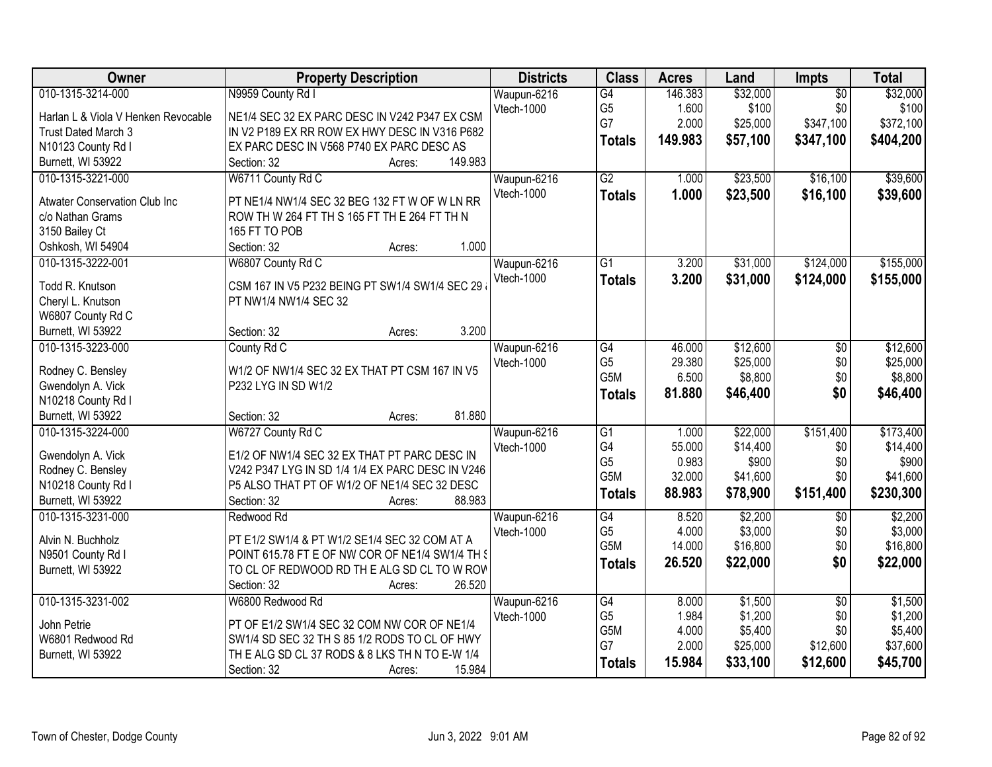| Owner                                | <b>Property Description</b>                      | <b>Districts</b> | <b>Class</b>     | <b>Acres</b> | Land     | Impts           | <b>Total</b> |
|--------------------------------------|--------------------------------------------------|------------------|------------------|--------------|----------|-----------------|--------------|
| 010-1315-3214-000                    | N9959 County Rd I                                | Waupun-6216      | $\overline{G4}$  | 146.383      | \$32,000 | $\overline{30}$ | \$32,000     |
| Harlan L & Viola V Henken Revocable  | NE1/4 SEC 32 EX PARC DESC IN V242 P347 EX CSM    | Vtech-1000       | G <sub>5</sub>   | 1.600        | \$100    | \$0             | \$100        |
| Trust Dated March 3                  | IN V2 P189 EX RR ROW EX HWY DESC IN V316 P682    |                  | G7               | 2.000        | \$25,000 | \$347,100       | \$372,100    |
| N10123 County Rd I                   | EX PARC DESC IN V568 P740 EX PARC DESC AS        |                  | <b>Totals</b>    | 149.983      | \$57,100 | \$347,100       | \$404,200    |
| Burnett, WI 53922                    | 149.983<br>Section: 32<br>Acres:                 |                  |                  |              |          |                 |              |
| 010-1315-3221-000                    | W6711 County Rd C                                | Waupun-6216      | $\overline{G2}$  | 1.000        | \$23,500 | \$16,100        | \$39,600     |
| <b>Atwater Conservation Club Inc</b> | PT NE1/4 NW1/4 SEC 32 BEG 132 FT W OF W LN RR    | Vtech-1000       | <b>Totals</b>    | 1.000        | \$23,500 | \$16,100        | \$39,600     |
| c/o Nathan Grams                     | ROW TH W 264 FT TH S 165 FT TH E 264 FT TH N     |                  |                  |              |          |                 |              |
| 3150 Bailey Ct                       | 165 FT TO POB                                    |                  |                  |              |          |                 |              |
| Oshkosh, WI 54904                    | 1.000<br>Section: 32<br>Acres:                   |                  |                  |              |          |                 |              |
| 010-1315-3222-001                    | W6807 County Rd C                                | Waupun-6216      | $\overline{G1}$  | 3.200        | \$31,000 | \$124,000       | \$155,000    |
|                                      |                                                  | Vtech-1000       | <b>Totals</b>    | 3.200        | \$31,000 | \$124,000       | \$155,000    |
| Todd R. Knutson                      | CSM 167 IN V5 P232 BEING PT SW1/4 SW1/4 SEC 29   |                  |                  |              |          |                 |              |
| Cheryl L. Knutson                    | PT NW1/4 NW1/4 SEC 32                            |                  |                  |              |          |                 |              |
| W6807 County Rd C                    |                                                  |                  |                  |              |          |                 |              |
| Burnett, WI 53922                    | 3.200<br>Section: 32<br>Acres:                   |                  |                  |              |          |                 |              |
| 010-1315-3223-000                    | County Rd C                                      | Waupun-6216      | $\overline{G4}$  | 46.000       | \$12,600 | \$0             | \$12,600     |
| Rodney C. Bensley                    | W1/2 OF NW1/4 SEC 32 EX THAT PT CSM 167 IN V5    | Vtech-1000       | G <sub>5</sub>   | 29.380       | \$25,000 | \$0             | \$25,000     |
| Gwendolyn A. Vick                    | P232 LYG IN SD W1/2                              |                  | G5M              | 6.500        | \$8,800  | \$0             | \$8,800      |
| N10218 County Rd I                   |                                                  |                  | <b>Totals</b>    | 81.880       | \$46,400 | \$0             | \$46,400     |
| Burnett, WI 53922                    | 81.880<br>Section: 32<br>Acres:                  |                  |                  |              |          |                 |              |
| 010-1315-3224-000                    | W6727 County Rd C                                | Waupun-6216      | $\overline{G1}$  | 1.000        | \$22,000 | \$151,400       | \$173,400    |
| Gwendolyn A. Vick                    | E1/2 OF NW1/4 SEC 32 EX THAT PT PARC DESC IN     | Vtech-1000       | G4               | 55.000       | \$14,400 | \$0             | \$14,400     |
| Rodney C. Bensley                    | V242 P347 LYG IN SD 1/4 1/4 EX PARC DESC IN V246 |                  | G <sub>5</sub>   | 0.983        | \$900    | \$0             | \$900        |
| N10218 County Rd I                   | P5 ALSO THAT PT OF W1/2 OF NE1/4 SEC 32 DESC     |                  | G <sub>5</sub> M | 32.000       | \$41,600 | \$0             | \$41,600     |
| Burnett, WI 53922                    | 88.983<br>Section: 32<br>Acres:                  |                  | <b>Totals</b>    | 88.983       | \$78,900 | \$151,400       | \$230,300    |
| 010-1315-3231-000                    | Redwood Rd                                       | Waupun-6216      | $\overline{G4}$  | 8.520        | \$2,200  | $\overline{50}$ | \$2,200      |
|                                      |                                                  | Vtech-1000       | G <sub>5</sub>   | 4.000        | \$3,000  | \$0             | \$3,000      |
| Alvin N. Buchholz                    | PT E1/2 SW1/4 & PT W1/2 SE1/4 SEC 32 COM AT A    |                  | G <sub>5</sub> M | 14.000       | \$16,800 | \$0             | \$16,800     |
| N9501 County Rd I                    | POINT 615.78 FT E OF NW COR OF NE1/4 SW1/4 TH §  |                  | <b>Totals</b>    | 26.520       | \$22,000 | \$0             | \$22,000     |
| Burnett, WI 53922                    | TO CL OF REDWOOD RD THE ALG SD CL TO W ROV       |                  |                  |              |          |                 |              |
|                                      | 26.520<br>Section: 32<br>Acres:                  |                  |                  |              |          |                 |              |
| 010-1315-3231-002                    | W6800 Redwood Rd                                 | Waupun-6216      | G4               | 8.000        | \$1,500  | $\overline{50}$ | \$1,500      |
| John Petrie                          | PT OF E1/2 SW1/4 SEC 32 COM NW COR OF NE1/4      | Vtech-1000       | G <sub>5</sub>   | 1.984        | \$1,200  | \$0             | \$1,200      |
| W6801 Redwood Rd                     | SW1/4 SD SEC 32 TH S 85 1/2 RODS TO CL OF HWY    |                  | G5M              | 4.000        | \$5,400  | \$0             | \$5,400      |
| Burnett, WI 53922                    | THE ALG SD CL 37 RODS & 8 LKS TH N TO E-W 1/4    |                  | G7               | 2.000        | \$25,000 | \$12,600        | \$37,600     |
|                                      | 15.984<br>Section: 32<br>Acres:                  |                  | <b>Totals</b>    | 15.984       | \$33,100 | \$12,600        | \$45,700     |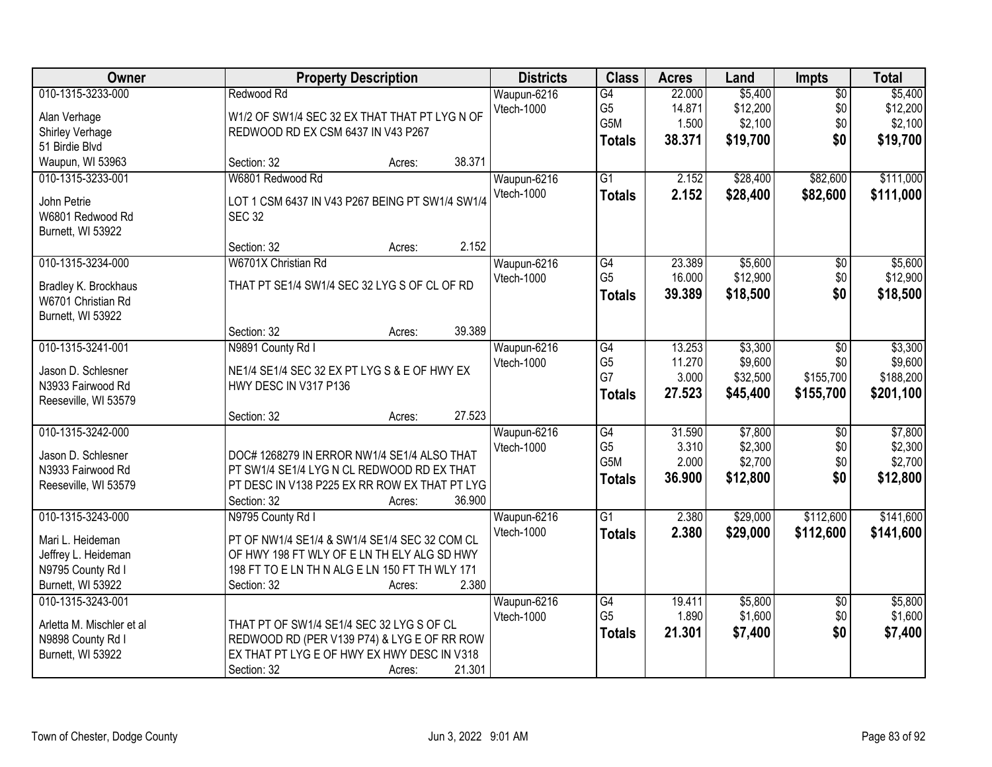| Owner                                                                                                  | <b>Property Description</b>                                                                                                                                                                           | <b>Districts</b>          | <b>Class</b>                                              | <b>Acres</b>                        | Land                                       | Impts                                | <b>Total</b>                                 |
|--------------------------------------------------------------------------------------------------------|-------------------------------------------------------------------------------------------------------------------------------------------------------------------------------------------------------|---------------------------|-----------------------------------------------------------|-------------------------------------|--------------------------------------------|--------------------------------------|----------------------------------------------|
| 010-1315-3233-000<br>Alan Verhage<br>Shirley Verhage<br>51 Birdie Blvd                                 | Redwood Rd<br>W1/2 OF SW1/4 SEC 32 EX THAT THAT PT LYG N OF<br>REDWOOD RD EX CSM 6437 IN V43 P267                                                                                                     | Waupun-6216<br>Vtech-1000 | G4<br>G <sub>5</sub><br>G5M<br><b>Totals</b>              | 22.000<br>14.871<br>1.500<br>38.371 | \$5,400<br>\$12,200<br>\$2,100<br>\$19,700 | $\overline{50}$<br>\$0<br>\$0<br>\$0 | \$5,400<br>\$12,200<br>\$2,100<br>\$19,700   |
| Waupun, WI 53963                                                                                       | 38.371<br>Section: 32<br>Acres:                                                                                                                                                                       |                           |                                                           |                                     |                                            |                                      |                                              |
| 010-1315-3233-001<br>John Petrie<br>W6801 Redwood Rd<br>Burnett, WI 53922                              | W6801 Redwood Rd<br>LOT 1 CSM 6437 IN V43 P267 BEING PT SW1/4 SW1/4<br><b>SEC 32</b>                                                                                                                  | Waupun-6216<br>Vtech-1000 | $\overline{G1}$<br><b>Totals</b>                          | 2.152<br>2.152                      | \$28,400<br>\$28,400                       | \$82,600<br>\$82,600                 | \$111,000<br>\$111,000                       |
|                                                                                                        | 2.152<br>Section: 32<br>Acres:                                                                                                                                                                        |                           |                                                           |                                     |                                            |                                      |                                              |
| 010-1315-3234-000<br>Bradley K. Brockhaus<br>W6701 Christian Rd<br>Burnett, WI 53922                   | W6701X Christian Rd<br>THAT PT SE1/4 SW1/4 SEC 32 LYG S OF CL OF RD                                                                                                                                   | Waupun-6216<br>Vtech-1000 | $\overline{G4}$<br>G <sub>5</sub><br><b>Totals</b>        | 23.389<br>16.000<br>39.389          | \$5,600<br>\$12,900<br>\$18,500            | $\overline{50}$<br>\$0<br>\$0        | \$5,600<br>\$12,900<br>\$18,500              |
|                                                                                                        | 39.389<br>Section: 32<br>Acres:                                                                                                                                                                       |                           |                                                           |                                     |                                            |                                      |                                              |
| 010-1315-3241-001<br>Jason D. Schlesner<br>N3933 Fairwood Rd<br>Reeseville, WI 53579                   | N9891 County Rd I<br>NE1/4 SE1/4 SEC 32 EX PT LYG S & E OF HWY EX<br>HWY DESC IN V317 P136                                                                                                            | Waupun-6216<br>Vtech-1000 | G4<br>G <sub>5</sub><br>G7<br><b>Totals</b>               | 13.253<br>11.270<br>3.000<br>27.523 | \$3,300<br>\$9,600<br>\$32,500<br>\$45,400 | \$0<br>\$0<br>\$155,700<br>\$155,700 | \$3,300<br>\$9,600<br>\$188,200<br>\$201,100 |
|                                                                                                        | 27.523<br>Section: 32<br>Acres:                                                                                                                                                                       |                           |                                                           |                                     |                                            |                                      |                                              |
| 010-1315-3242-000<br>Jason D. Schlesner<br>N3933 Fairwood Rd<br>Reeseville, WI 53579                   | DOC# 1268279 IN ERROR NW1/4 SE1/4 ALSO THAT<br>PT SW1/4 SE1/4 LYG N CL REDWOOD RD EX THAT<br>PT DESC IN V138 P225 EX RR ROW EX THAT PT LYG<br>36.900<br>Section: 32<br>Acres:                         | Waupun-6216<br>Vtech-1000 | $\overline{G4}$<br>G <sub>5</sub><br>G5M<br><b>Totals</b> | 31.590<br>3.310<br>2.000<br>36.900  | \$7,800<br>\$2,300<br>\$2,700<br>\$12,800  | $\overline{50}$<br>\$0<br>\$0<br>\$0 | \$7,800<br>\$2,300<br>\$2,700<br>\$12,800    |
| 010-1315-3243-000<br>Mari L. Heideman<br>Jeffrey L. Heideman<br>N9795 County Rd I<br>Burnett, WI 53922 | N9795 County Rd I<br>PT OF NW1/4 SE1/4 & SW1/4 SE1/4 SEC 32 COM CL<br>OF HWY 198 FT WLY OF E LN TH ELY ALG SD HWY<br>198 FT TO E LN TH N ALG E LN 150 FT TH WLY 171<br>2.380<br>Section: 32<br>Acres: | Waupun-6216<br>Vtech-1000 | $\overline{G1}$<br><b>Totals</b>                          | 2.380<br>2.380                      | \$29,000<br>\$29,000                       | \$112,600<br>\$112,600               | \$141,600<br>\$141,600                       |
| 010-1315-3243-001<br>Arletta M. Mischler et al<br>N9898 County Rd I<br>Burnett, WI 53922               | THAT PT OF SW1/4 SE1/4 SEC 32 LYG S OF CL<br>REDWOOD RD (PER V139 P74) & LYG E OF RR ROW<br>EX THAT PT LYG E OF HWY EX HWY DESC IN V318<br>21.301<br>Section: 32<br>Acres:                            | Waupun-6216<br>Vtech-1000 | G4<br>G <sub>5</sub><br><b>Totals</b>                     | 19.411<br>1.890<br>21.301           | \$5,800<br>\$1,600<br>\$7,400              | $\overline{30}$<br>\$0<br>\$0        | \$5,800<br>\$1,600<br>\$7,400                |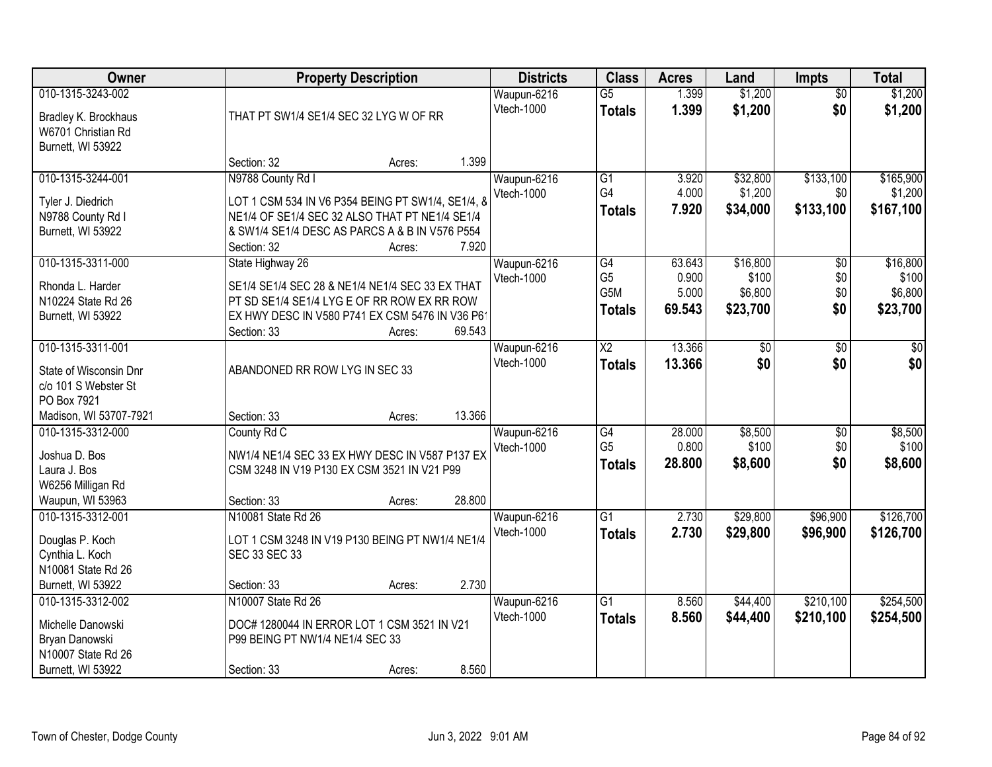| Owner                                                                                                        |                                                                                                                                                                                           | <b>Property Description</b> |        | <b>Districts</b>          | <b>Class</b>                                       | <b>Acres</b>                       | Land                                     | <b>Impts</b>                  | <b>Total</b>                             |
|--------------------------------------------------------------------------------------------------------------|-------------------------------------------------------------------------------------------------------------------------------------------------------------------------------------------|-----------------------------|--------|---------------------------|----------------------------------------------------|------------------------------------|------------------------------------------|-------------------------------|------------------------------------------|
| 010-1315-3243-002<br>Bradley K. Brockhaus<br>W6701 Christian Rd<br>Burnett, WI 53922                         | THAT PT SW1/4 SE1/4 SEC 32 LYG W OF RR                                                                                                                                                    |                             |        | Waupun-6216<br>Vtech-1000 | $\overline{G5}$<br><b>Totals</b>                   | 1.399<br>1.399                     | \$1,200<br>\$1,200                       | $\overline{50}$<br>\$0        | \$1,200<br>\$1,200                       |
|                                                                                                              | Section: 32                                                                                                                                                                               | Acres:                      | 1.399  |                           |                                                    |                                    |                                          |                               |                                          |
| 010-1315-3244-001<br>Tyler J. Diedrich<br>N9788 County Rd I<br>Burnett, WI 53922                             | N9788 County Rd I<br>LOT 1 CSM 534 IN V6 P354 BEING PT SW1/4, SE1/4, 8<br>NE1/4 OF SE1/4 SEC 32 ALSO THAT PT NE1/4 SE1/4<br>& SW1/4 SE1/4 DESC AS PARCS A & B IN V576 P554<br>Section: 32 | Acres:                      | 7.920  | Waupun-6216<br>Vtech-1000 | $\overline{G1}$<br>G4<br><b>Totals</b>             | 3.920<br>4.000<br>7.920            | \$32,800<br>\$1,200<br>\$34,000          | \$133,100<br>\$0<br>\$133,100 | \$165,900<br>\$1,200<br>\$167,100        |
| 010-1315-3311-000<br>Rhonda L. Harder<br>N10224 State Rd 26<br>Burnett, WI 53922                             | State Highway 26<br>SE1/4 SE1/4 SEC 28 & NE1/4 NE1/4 SEC 33 EX THAT<br>PT SD SE1/4 SE1/4 LYG E OF RR ROW EX RR ROW<br>EX HWY DESC IN V580 P741 EX CSM 5476 IN V36 P61<br>Section: 33      | Acres:                      | 69.543 | Waupun-6216<br>Vtech-1000 | G4<br>G <sub>5</sub><br>G5M<br><b>Totals</b>       | 63.643<br>0.900<br>5.000<br>69.543 | \$16,800<br>\$100<br>\$6,800<br>\$23,700 | \$0<br>\$0<br>\$0<br>\$0      | \$16,800<br>\$100<br>\$6,800<br>\$23,700 |
| 010-1315-3311-001<br>State of Wisconsin Dnr<br>c/o 101 S Webster St<br>PO Box 7921<br>Madison, WI 53707-7921 | ABANDONED RR ROW LYG IN SEC 33<br>Section: 33                                                                                                                                             | Acres:                      | 13.366 | Waupun-6216<br>Vtech-1000 | $\overline{\text{X2}}$<br><b>Totals</b>            | 13.366<br>13.366                   | \$0<br>\$0                               | $\frac{1}{20}$<br>\$0         | \$0<br>\$0                               |
| 010-1315-3312-000<br>Joshua D. Bos<br>Laura J. Bos<br>W6256 Milligan Rd<br>Waupun, WI 53963                  | County Rd C<br>NW1/4 NE1/4 SEC 33 EX HWY DESC IN V587 P137 EX<br>CSM 3248 IN V19 P130 EX CSM 3521 IN V21 P99<br>Section: 33                                                               | Acres:                      | 28.800 | Waupun-6216<br>Vtech-1000 | $\overline{G4}$<br>G <sub>5</sub><br><b>Totals</b> | 28.000<br>0.800<br>28.800          | \$8,500<br>\$100<br>\$8,600              | $\overline{50}$<br>\$0<br>\$0 | \$8,500<br>\$100<br>\$8,600              |
| 010-1315-3312-001<br>Douglas P. Koch<br>Cynthia L. Koch<br>N10081 State Rd 26<br>Burnett, WI 53922           | N10081 State Rd 26<br>LOT 1 CSM 3248 IN V19 P130 BEING PT NW1/4 NE1/4<br>SEC 33 SEC 33<br>Section: 33                                                                                     | Acres:                      | 2.730  | Waupun-6216<br>Vtech-1000 | G1<br><b>Totals</b>                                | 2.730<br>2.730                     | \$29,800<br>\$29,800                     | \$96,900<br>\$96,900          | \$126,700<br>\$126,700                   |
| 010-1315-3312-002<br>Michelle Danowski<br>Bryan Danowski<br>N10007 State Rd 26<br>Burnett, WI 53922          | N10007 State Rd 26<br>DOC# 1280044 IN ERROR LOT 1 CSM 3521 IN V21<br>P99 BEING PT NW1/4 NE1/4 SEC 33<br>Section: 33                                                                       | Acres:                      | 8.560  | Waupun-6216<br>Vtech-1000 | $\overline{G1}$<br><b>Totals</b>                   | 8.560<br>8.560                     | \$44,400<br>\$44,400                     | \$210,100<br>\$210,100        | \$254,500<br>\$254,500                   |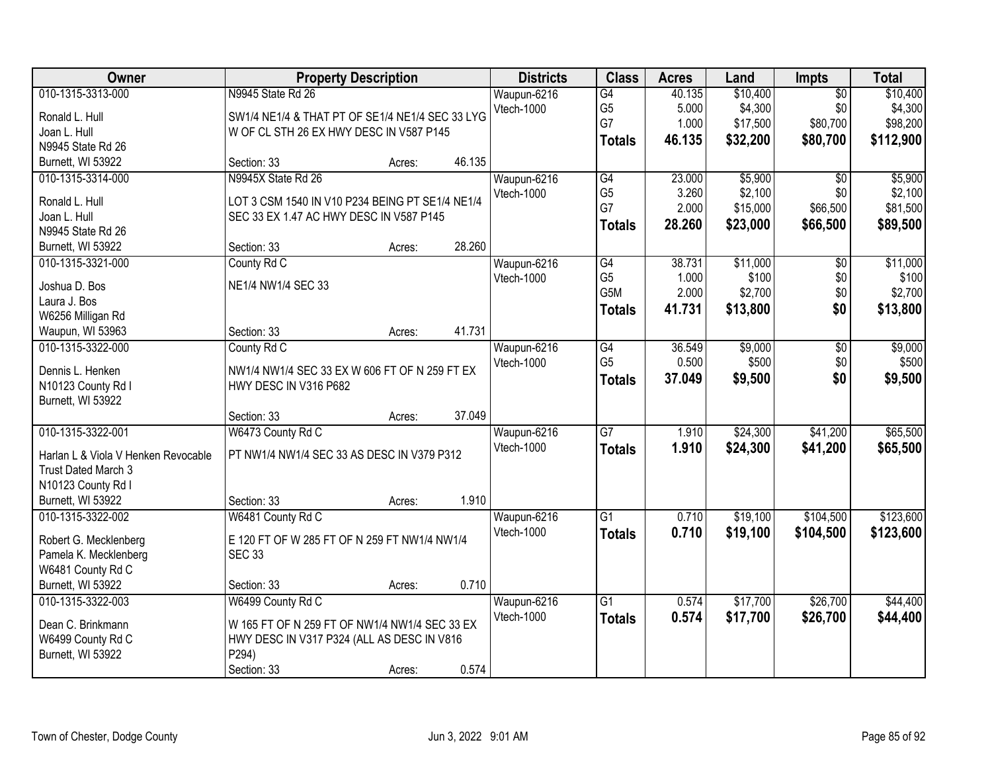| Owner                               | <b>Property Description</b>                     |        |        | <b>Districts</b> | <b>Class</b>    | <b>Acres</b> | Land     | <b>Impts</b>    | <b>Total</b> |
|-------------------------------------|-------------------------------------------------|--------|--------|------------------|-----------------|--------------|----------|-----------------|--------------|
| 010-1315-3313-000                   | N9945 State Rd 26                               |        |        | Waupun-6216      | $\overline{G4}$ | 40.135       | \$10,400 | $\overline{50}$ | \$10,400     |
| Ronald L. Hull                      | SW1/4 NE1/4 & THAT PT OF SE1/4 NE1/4 SEC 33 LYG |        |        | Vtech-1000       | G <sub>5</sub>  | 5.000        | \$4,300  | \$0             | \$4,300      |
| Joan L. Hull                        | W OF CL STH 26 EX HWY DESC IN V587 P145         |        |        |                  | G7              | 1.000        | \$17,500 | \$80,700        | \$98,200     |
| N9945 State Rd 26                   |                                                 |        |        |                  | <b>Totals</b>   | 46.135       | \$32,200 | \$80,700        | \$112,900    |
| Burnett, WI 53922                   | Section: 33                                     | Acres: | 46.135 |                  |                 |              |          |                 |              |
| 010-1315-3314-000                   | N9945X State Rd 26                              |        |        | Waupun-6216      | G4              | 23.000       | \$5,900  | $\overline{50}$ | \$5,900      |
|                                     |                                                 |        |        | Vtech-1000       | G <sub>5</sub>  | 3.260        | \$2,100  | \$0             | \$2,100      |
| Ronald L. Hull                      | LOT 3 CSM 1540 IN V10 P234 BEING PT SE1/4 NE1/4 |        |        |                  | G7              | 2.000        | \$15,000 | \$66,500        | \$81,500     |
| Joan L. Hull                        | SEC 33 EX 1.47 AC HWY DESC IN V587 P145         |        |        |                  | <b>Totals</b>   | 28.260       | \$23,000 | \$66,500        | \$89,500     |
| N9945 State Rd 26                   |                                                 |        |        |                  |                 |              |          |                 |              |
| Burnett, WI 53922                   | Section: 33                                     | Acres: | 28.260 |                  |                 |              |          |                 |              |
| 010-1315-3321-000                   | County Rd C                                     |        |        | Waupun-6216      | G4              | 38.731       | \$11,000 | $\overline{50}$ | \$11,000     |
| Joshua D. Bos                       | NE1/4 NW1/4 SEC 33                              |        |        | Vtech-1000       | G <sub>5</sub>  | 1.000        | \$100    | \$0             | \$100        |
| Laura J. Bos                        |                                                 |        |        |                  | G5M             | 2.000        | \$2,700  | \$0             | \$2,700      |
| W6256 Milligan Rd                   |                                                 |        |        |                  | <b>Totals</b>   | 41.731       | \$13,800 | \$0             | \$13,800     |
| Waupun, WI 53963                    | Section: 33                                     | Acres: | 41.731 |                  |                 |              |          |                 |              |
| 010-1315-3322-000                   | County Rd C                                     |        |        | Waupun-6216      | G4              | 36.549       | \$9,000  | \$0             | \$9,000      |
|                                     |                                                 |        |        | Vtech-1000       | G <sub>5</sub>  | 0.500        | \$500    | \$0             | \$500        |
| Dennis L. Henken                    | NW1/4 NW1/4 SEC 33 EX W 606 FT OF N 259 FT EX   |        |        |                  | <b>Totals</b>   | 37.049       | \$9,500  | \$0             | \$9,500      |
| N10123 County Rd I                  | HWY DESC IN V316 P682                           |        |        |                  |                 |              |          |                 |              |
| Burnett, WI 53922                   |                                                 |        |        |                  |                 |              |          |                 |              |
|                                     | Section: 33                                     | Acres: | 37.049 |                  |                 |              |          |                 |              |
| 010-1315-3322-001                   | W6473 County Rd C                               |        |        | Waupun-6216      | $\overline{G}$  | 1.910        | \$24,300 | \$41,200        | \$65,500     |
| Harlan L & Viola V Henken Revocable | PT NW1/4 NW1/4 SEC 33 AS DESC IN V379 P312      |        |        | Vtech-1000       | <b>Totals</b>   | 1.910        | \$24,300 | \$41,200        | \$65,500     |
| Trust Dated March 3                 |                                                 |        |        |                  |                 |              |          |                 |              |
| N10123 County Rd I                  |                                                 |        |        |                  |                 |              |          |                 |              |
| Burnett, WI 53922                   | Section: 33                                     | Acres: | 1.910  |                  |                 |              |          |                 |              |
| 010-1315-3322-002                   | W6481 County Rd C                               |        |        | Waupun-6216      | $\overline{G1}$ | 0.710        | \$19,100 | \$104,500       | \$123,600    |
|                                     |                                                 |        |        | Vtech-1000       | <b>Totals</b>   | 0.710        | \$19,100 | \$104,500       | \$123,600    |
| Robert G. Mecklenberg               | E 120 FT OF W 285 FT OF N 259 FT NW1/4 NW1/4    |        |        |                  |                 |              |          |                 |              |
| Pamela K. Mecklenberg               | <b>SEC 33</b>                                   |        |        |                  |                 |              |          |                 |              |
| W6481 County Rd C                   |                                                 |        |        |                  |                 |              |          |                 |              |
| Burnett, WI 53922                   | Section: 33                                     | Acres: | 0.710  |                  |                 |              |          |                 |              |
| 010-1315-3322-003                   | W6499 County Rd C                               |        |        | Waupun-6216      | $\overline{G1}$ | 0.574        | \$17,700 | \$26,700        | \$44,400     |
| Dean C. Brinkmann                   | W 165 FT OF N 259 FT OF NW1/4 NW1/4 SEC 33 EX   |        |        | Vtech-1000       | <b>Totals</b>   | 0.574        | \$17,700 | \$26,700        | \$44,400     |
| W6499 County Rd C                   | HWY DESC IN V317 P324 (ALL AS DESC IN V816      |        |        |                  |                 |              |          |                 |              |
| Burnett, WI 53922                   | P294)                                           |        |        |                  |                 |              |          |                 |              |
|                                     | Section: 33                                     | Acres: | 0.574  |                  |                 |              |          |                 |              |
|                                     |                                                 |        |        |                  |                 |              |          |                 |              |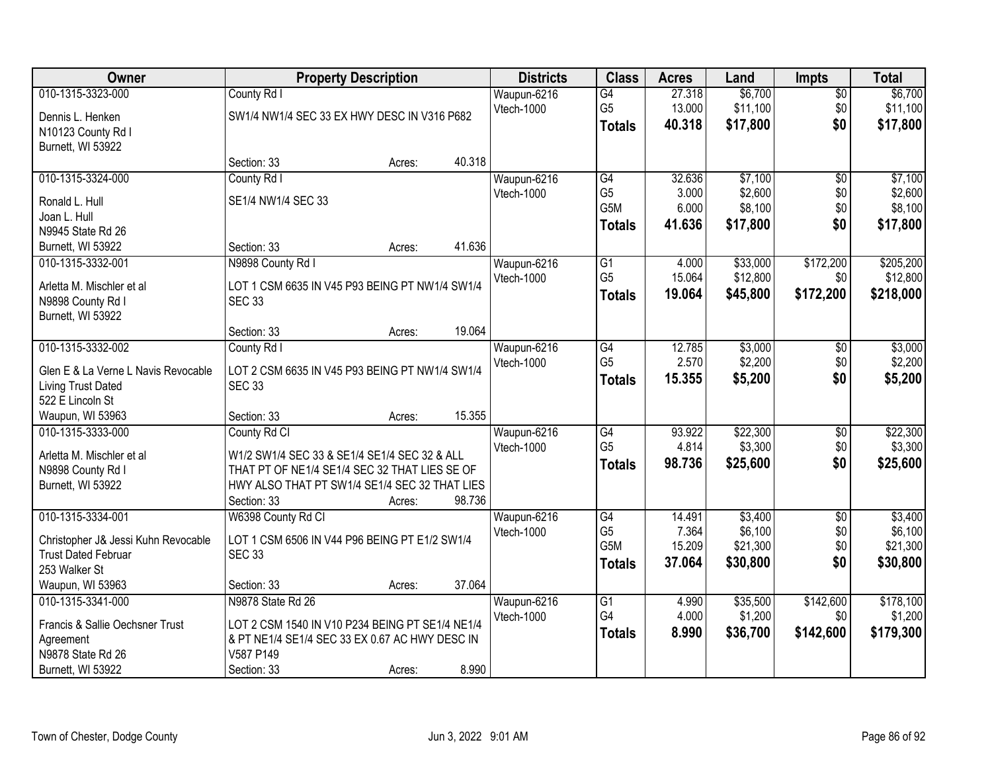| Owner                               | <b>Property Description</b>                     |        |        | <b>Districts</b> | <b>Class</b>          | <b>Acres</b>     | Land     | <b>Impts</b>    | <b>Total</b> |
|-------------------------------------|-------------------------------------------------|--------|--------|------------------|-----------------------|------------------|----------|-----------------|--------------|
| 010-1315-3323-000                   | County Rd I                                     |        |        | Waupun-6216      | $\overline{G4}$       | 27.318           | \$6,700  | $\sqrt{$0}$     | \$6,700      |
| Dennis L. Henken                    | SW1/4 NW1/4 SEC 33 EX HWY DESC IN V316 P682     |        |        | Vtech-1000       | G <sub>5</sub>        | 13.000           | \$11,100 | \$0             | \$11,100     |
| N10123 County Rd I                  |                                                 |        |        |                  | <b>Totals</b>         | 40.318           | \$17,800 | \$0             | \$17,800     |
| Burnett, WI 53922                   |                                                 |        |        |                  |                       |                  |          |                 |              |
|                                     | Section: 33                                     | Acres: | 40.318 |                  |                       |                  |          |                 |              |
| 010-1315-3324-000                   | County Rd I                                     |        |        | Waupun-6216      | G4                    | 32.636           | \$7,100  | $\overline{50}$ | \$7,100      |
| Ronald L. Hull                      | SE1/4 NW1/4 SEC 33                              |        |        | Vtech-1000       | G <sub>5</sub>        | 3.000            | \$2,600  | \$0             | \$2,600      |
| Joan L. Hull                        |                                                 |        |        |                  | G5M                   | 6.000            | \$8,100  | \$0             | \$8,100      |
| N9945 State Rd 26                   |                                                 |        |        |                  | <b>Totals</b>         | 41.636           | \$17,800 | \$0             | \$17,800     |
| Burnett, WI 53922                   | Section: 33                                     | Acres: | 41.636 |                  |                       |                  |          |                 |              |
| 010-1315-3332-001                   | N9898 County Rd I                               |        |        | Waupun-6216      | $\overline{G1}$       | 4.000            | \$33,000 | \$172,200       | \$205,200    |
| Arletta M. Mischler et al           | LOT 1 CSM 6635 IN V45 P93 BEING PT NW1/4 SW1/4  |        |        | Vtech-1000       | G <sub>5</sub>        | 15.064           | \$12,800 | \$0             | \$12,800     |
| N9898 County Rd I                   | <b>SEC 33</b>                                   |        |        |                  | <b>Totals</b>         | 19.064           | \$45,800 | \$172,200       | \$218,000    |
| Burnett, WI 53922                   |                                                 |        |        |                  |                       |                  |          |                 |              |
|                                     | Section: 33                                     | Acres: | 19.064 |                  |                       |                  |          |                 |              |
| 010-1315-3332-002                   | County Rd I                                     |        |        | Waupun-6216      | G4                    | 12.785           | \$3,000  | $\sqrt[6]{3}$   | \$3,000      |
| Glen E & La Verne L Navis Revocable | LOT 2 CSM 6635 IN V45 P93 BEING PT NW1/4 SW1/4  |        |        | Vtech-1000       | G <sub>5</sub>        | 2.570            | \$2,200  | \$0             | \$2,200      |
| Living Trust Dated                  | <b>SEC 33</b>                                   |        |        |                  | <b>Totals</b>         | 15.355           | \$5,200  | \$0             | \$5,200      |
| 522 E Lincoln St                    |                                                 |        |        |                  |                       |                  |          |                 |              |
| Waupun, WI 53963                    | Section: 33                                     | Acres: | 15.355 |                  |                       |                  |          |                 |              |
| 010-1315-3333-000                   | County Rd Cl                                    |        |        | Waupun-6216      | G4                    | 93.922           | \$22,300 | $\overline{50}$ | \$22,300     |
| Arletta M. Mischler et al           | W1/2 SW1/4 SEC 33 & SE1/4 SE1/4 SEC 32 & ALL    |        |        | Vtech-1000       | G <sub>5</sub>        | 4.814            | \$3,300  | \$0             | \$3,300      |
| N9898 County Rd I                   | THAT PT OF NE1/4 SE1/4 SEC 32 THAT LIES SE OF   |        |        |                  | <b>Totals</b>         | 98.736           | \$25,600 | \$0             | \$25,600     |
| Burnett, WI 53922                   | HWY ALSO THAT PT SW1/4 SE1/4 SEC 32 THAT LIES   |        |        |                  |                       |                  |          |                 |              |
|                                     | Section: 33                                     | Acres: | 98.736 |                  |                       |                  |          |                 |              |
| 010-1315-3334-001                   | W6398 County Rd Cl                              |        |        | Waupun-6216      | G4                    | 14.491           | \$3,400  | $\sqrt{6}$      | \$3,400      |
| Christopher J& Jessi Kuhn Revocable | LOT 1 CSM 6506 IN V44 P96 BEING PT E1/2 SW1/4   |        |        | Vtech-1000       | G <sub>5</sub><br>G5M | 7.364            | \$6,100  | \$0             | \$6,100      |
| <b>Trust Dated Februar</b>          | <b>SEC 33</b>                                   |        |        |                  |                       | 15.209<br>37.064 | \$21,300 | \$0<br>\$0      | \$21,300     |
| 253 Walker St                       |                                                 |        |        |                  | <b>Totals</b>         |                  | \$30,800 |                 | \$30,800     |
| Waupun, WI 53963                    | Section: 33                                     | Acres: | 37.064 |                  |                       |                  |          |                 |              |
| 010-1315-3341-000                   | N9878 State Rd 26                               |        |        | Waupun-6216      | $\overline{G1}$       | 4.990            | \$35,500 | \$142,600       | \$178,100    |
| Francis & Sallie Oechsner Trust     | LOT 2 CSM 1540 IN V10 P234 BEING PT SE1/4 NE1/4 |        |        | Vtech-1000       | G4                    | 4.000            | \$1,200  | \$0             | \$1,200      |
| Agreement                           | & PT NE1/4 SE1/4 SEC 33 EX 0.67 AC HWY DESC IN  |        |        |                  | <b>Totals</b>         | 8.990            | \$36,700 | \$142,600       | \$179,300    |
| N9878 State Rd 26                   | V587 P149                                       |        |        |                  |                       |                  |          |                 |              |
| Burnett, WI 53922                   | Section: 33                                     | Acres: | 8.990  |                  |                       |                  |          |                 |              |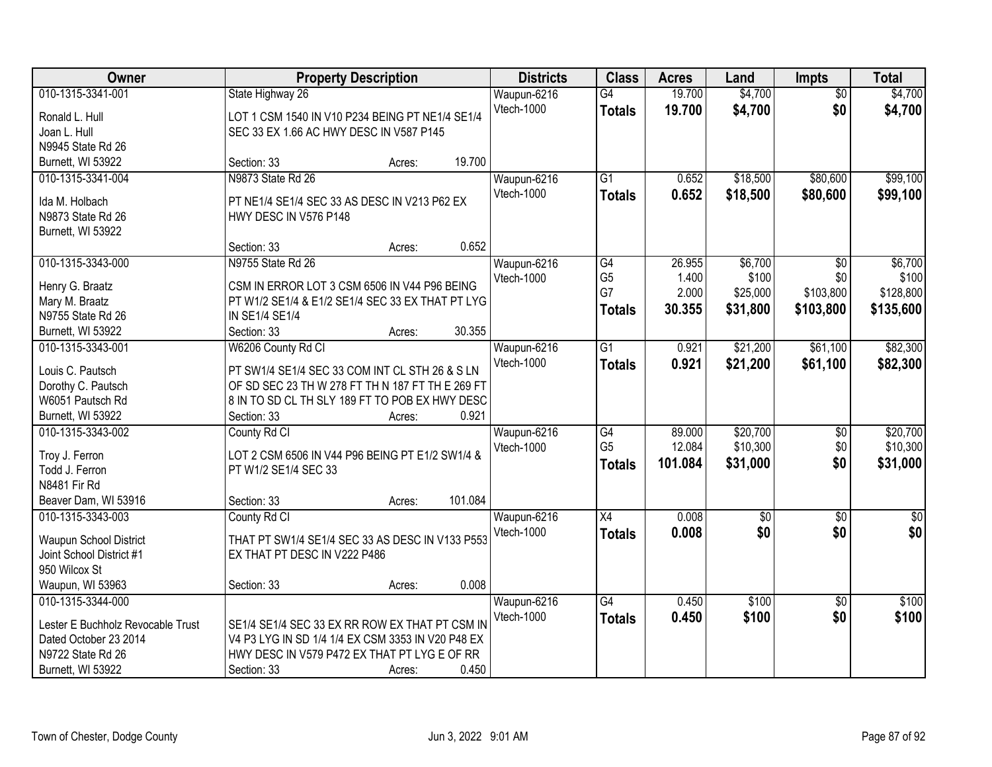| 010-1315-3341-001<br>\$4,700<br>State Highway 26<br>$\overline{G4}$<br>19.700<br>Waupun-6216<br>$\overline{50}$<br>Vtech-1000<br>19.700<br>\$4,700<br>\$0 | \$4,700                  |
|-----------------------------------------------------------------------------------------------------------------------------------------------------------|--------------------------|
|                                                                                                                                                           |                          |
| LOT 1 CSM 1540 IN V10 P234 BEING PT NE1/4 SE1/4<br>Ronald L. Hull                                                                                         | \$4,700<br><b>Totals</b> |
| Joan L. Hull<br>SEC 33 EX 1.66 AC HWY DESC IN V587 P145                                                                                                   |                          |
| N9945 State Rd 26                                                                                                                                         |                          |
| 19.700<br>Burnett, WI 53922<br>Section: 33<br>Acres:                                                                                                      |                          |
| N9873 State Rd 26<br>$\overline{G1}$<br>\$18,500<br>\$80,600<br>010-1315-3341-004<br>Waupun-6216<br>0.652<br>0.652<br>Vtech-1000                          | \$99,100                 |
| \$18,500<br>\$80,600<br><b>Totals</b><br>PT NE1/4 SE1/4 SEC 33 AS DESC IN V213 P62 EX<br>Ida M. Holbach                                                   | \$99,100                 |
| N9873 State Rd 26<br>HWY DESC IN V576 P148                                                                                                                |                          |
| Burnett, WI 53922                                                                                                                                         |                          |
| 0.652<br>Section: 33<br>Acres:                                                                                                                            |                          |
| 010-1315-3343-000<br>N9755 State Rd 26<br>Waupun-6216<br>26.955<br>\$6,700<br>G4<br>\$0                                                                   | \$6,700                  |
| G <sub>5</sub><br>1.400<br>\$100<br>\$0<br>Vtech-1000<br>CSM IN ERROR LOT 3 CSM 6506 IN V44 P96 BEING<br>Henry G. Braatz                                  | \$100                    |
| G7<br>2.000<br>\$25,000<br>\$103,800<br>Mary M. Braatz<br>PT W1/2 SE1/4 & E1/2 SE1/4 SEC 33 EX THAT PT LYG                                                | \$128,800                |
| 30.355<br>\$31,800<br>\$103,800<br><b>Totals</b><br>N9755 State Rd 26<br>IN SE1/4 SE1/4                                                                   | \$135,600                |
| 30.355<br>Section: 33<br>Burnett, WI 53922<br>Acres:                                                                                                      |                          |
| 010-1315-3343-001<br>W6206 County Rd Cl<br>0.921<br>\$21,200<br>\$61,100<br>Waupun-6216<br>G1                                                             | \$82,300                 |
| Vtech-1000<br>0.921<br>\$21,200<br>\$61,100                                                                                                               |                          |
| <b>Totals</b><br>Louis C. Pautsch<br>PT SW1/4 SE1/4 SEC 33 COM INT CL STH 26 & S LN                                                                       | \$82,300                 |
| OF SD SEC 23 TH W 278 FT TH N 187 FT TH E 269 FT<br>Dorothy C. Pautsch                                                                                    |                          |
| 8 IN TO SD CL TH SLY 189 FT TO POB EX HWY DESC<br>W6051 Pautsch Rd                                                                                        |                          |
| 0.921<br>Burnett, WI 53922<br>Section: 33<br>Acres:                                                                                                       |                          |
| \$20,700<br>010-1315-3343-002<br>$\overline{G4}$<br>89.000<br>County Rd Cl<br>\$0<br>Waupun-6216                                                          | \$20,700                 |
| G <sub>5</sub><br>12.084<br>\$10,300<br>\$0<br>Vtech-1000<br>Troy J. Ferron<br>LOT 2 CSM 6506 IN V44 P96 BEING PT E1/2 SW1/4 &                            | \$10,300                 |
| \$0<br>101.084<br>\$31,000<br><b>Totals</b><br>Todd J. Ferron<br>PT W1/2 SE1/4 SEC 33                                                                     | \$31,000                 |
| N8481 Fir Rd                                                                                                                                              |                          |
| 101.084<br>Beaver Dam, WI 53916<br>Section: 33<br>Acres:                                                                                                  |                          |
| Waupun-6216<br>$\overline{X4}$<br>0.008<br>010-1315-3343-003<br>$\sqrt{$0}$<br>$\overline{50}$<br>County Rd Cl                                            | $\overline{50}$          |
| \$0<br>0.008<br>\$0<br>Vtech-1000<br><b>Totals</b>                                                                                                        | \$0                      |
| THAT PT SW1/4 SE1/4 SEC 33 AS DESC IN V133 P553<br>Waupun School District                                                                                 |                          |
| Joint School District #1<br>EX THAT PT DESC IN V222 P486                                                                                                  |                          |
| 950 Wilcox St                                                                                                                                             |                          |
| 0.008<br>Waupun, WI 53963<br>Section: 33<br>Acres:                                                                                                        |                          |
| 010-1315-3344-000<br>0.450<br>\$100<br>Waupun-6216<br>G4<br>$\overline{50}$                                                                               | \$100                    |
| Vtech-1000<br>0.450<br>\$100<br>\$0<br><b>Totals</b><br>Lester E Buchholz Revocable Trust<br>SE1/4 SE1/4 SEC 33 EX RR ROW EX THAT PT CSM IN               | \$100                    |
| Dated October 23 2014<br>V4 P3 LYG IN SD 1/4 1/4 EX CSM 3353 IN V20 P48 EX                                                                                |                          |
| HWY DESC IN V579 P472 EX THAT PT LYG E OF RR<br>N9722 State Rd 26                                                                                         |                          |
| Burnett, WI 53922<br>Section: 33<br>0.450<br>Acres:                                                                                                       |                          |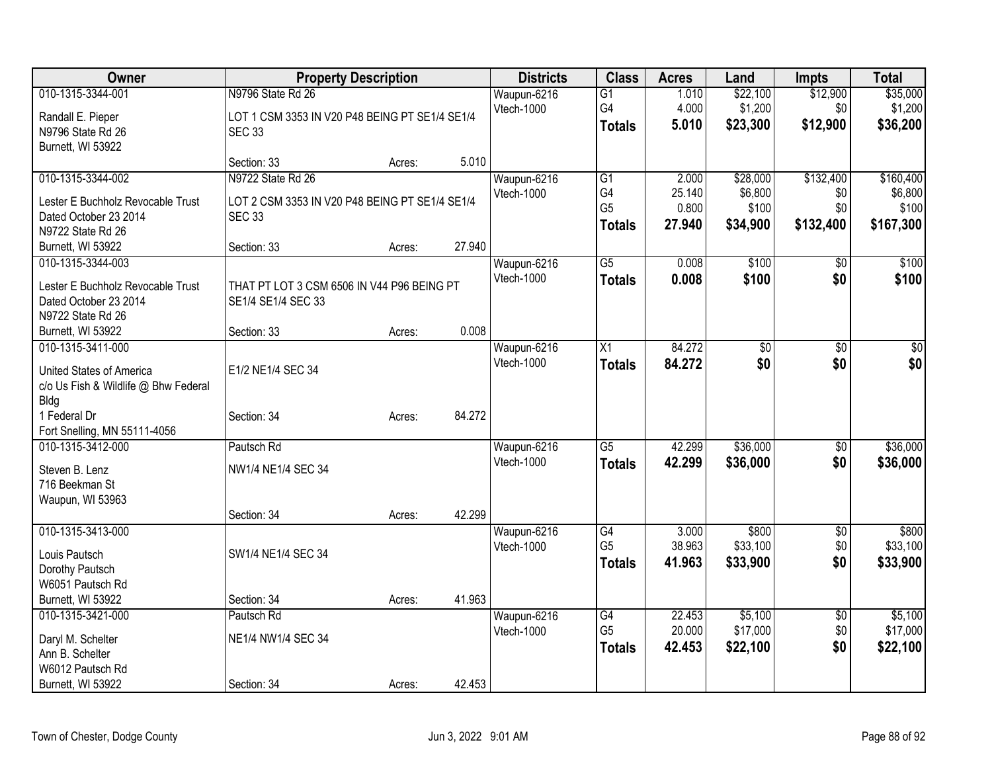| Owner                                |                                                | <b>Property Description</b> |        | <b>Districts</b>  | <b>Class</b>    | <b>Acres</b> | Land            | <b>Impts</b>    | <b>Total</b>    |
|--------------------------------------|------------------------------------------------|-----------------------------|--------|-------------------|-----------------|--------------|-----------------|-----------------|-----------------|
| 010-1315-3344-001                    | N9796 State Rd 26                              |                             |        | Waupun-6216       | $\overline{G1}$ | 1.010        | \$22,100        | \$12,900        | \$35,000        |
| Randall E. Pieper                    | LOT 1 CSM 3353 IN V20 P48 BEING PT SE1/4 SE1/4 |                             |        | Vtech-1000        | G4              | 4.000        | \$1,200         | \$0             | \$1,200         |
| N9796 State Rd 26                    | <b>SEC 33</b>                                  |                             |        |                   | <b>Totals</b>   | 5.010        | \$23,300        | \$12,900        | \$36,200        |
| Burnett, WI 53922                    |                                                |                             |        |                   |                 |              |                 |                 |                 |
|                                      | Section: 33                                    | Acres:                      | 5.010  |                   |                 |              |                 |                 |                 |
| 010-1315-3344-002                    | N9722 State Rd 26                              |                             |        | Waupun-6216       | $\overline{G1}$ | 2.000        | \$28,000        | \$132,400       | \$160,400       |
| Lester E Buchholz Revocable Trust    | LOT 2 CSM 3353 IN V20 P48 BEING PT SE1/4 SE1/4 |                             |        | Vtech-1000        | G4              | 25.140       | \$6,800         | \$0             | \$6,800         |
| Dated October 23 2014                | <b>SEC 33</b>                                  |                             |        |                   | G <sub>5</sub>  | 0.800        | \$100           | \$0             | \$100           |
| N9722 State Rd 26                    |                                                |                             |        |                   | <b>Totals</b>   | 27.940       | \$34,900        | \$132,400       | \$167,300       |
| Burnett, WI 53922                    | Section: 33                                    | Acres:                      | 27.940 |                   |                 |              |                 |                 |                 |
| 010-1315-3344-003                    |                                                |                             |        | Waupun-6216       | $\overline{G5}$ | 0.008        | \$100           | \$0             | \$100           |
| Lester E Buchholz Revocable Trust    | THAT PT LOT 3 CSM 6506 IN V44 P96 BEING PT     |                             |        | Vtech-1000        | <b>Totals</b>   | 0.008        | \$100           | \$0             | \$100           |
| Dated October 23 2014                | SE1/4 SE1/4 SEC 33                             |                             |        |                   |                 |              |                 |                 |                 |
| N9722 State Rd 26                    |                                                |                             |        |                   |                 |              |                 |                 |                 |
| Burnett, WI 53922                    | Section: 33                                    | Acres:                      | 0.008  |                   |                 |              |                 |                 |                 |
| 010-1315-3411-000                    |                                                |                             |        | Waupun-6216       | X1              | 84.272       | $\overline{50}$ | $\overline{50}$ | $\overline{30}$ |
| United States of America             | E1/2 NE1/4 SEC 34                              |                             |        | <b>Vtech-1000</b> | <b>Totals</b>   | 84.272       | \$0             | \$0             | \$0             |
| c/o Us Fish & Wildlife @ Bhw Federal |                                                |                             |        |                   |                 |              |                 |                 |                 |
| Bldg                                 |                                                |                             |        |                   |                 |              |                 |                 |                 |
| 1 Federal Dr                         | Section: 34                                    | Acres:                      | 84.272 |                   |                 |              |                 |                 |                 |
| Fort Snelling, MN 55111-4056         |                                                |                             |        |                   |                 |              |                 |                 |                 |
| 010-1315-3412-000                    | Pautsch Rd                                     |                             |        | Waupun-6216       | $\overline{G5}$ | 42.299       | \$36,000        | \$0             | \$36,000        |
| Steven B. Lenz                       | NW1/4 NE1/4 SEC 34                             |                             |        | <b>Vtech-1000</b> | <b>Totals</b>   | 42.299       | \$36,000        | \$0             | \$36,000        |
| 716 Beekman St                       |                                                |                             |        |                   |                 |              |                 |                 |                 |
| Waupun, WI 53963                     |                                                |                             |        |                   |                 |              |                 |                 |                 |
|                                      | Section: 34                                    | Acres:                      | 42.299 |                   |                 |              |                 |                 |                 |
| 010-1315-3413-000                    |                                                |                             |        | Waupun-6216       | $\overline{G4}$ | 3.000        | \$800           | $\overline{50}$ | \$800           |
| Louis Pautsch                        | SW1/4 NE1/4 SEC 34                             |                             |        | Vtech-1000        | G <sub>5</sub>  | 38.963       | \$33,100        | \$0             | \$33,100        |
| Dorothy Pautsch                      |                                                |                             |        |                   | <b>Totals</b>   | 41.963       | \$33,900        | \$0             | \$33,900        |
| W6051 Pautsch Rd                     |                                                |                             |        |                   |                 |              |                 |                 |                 |
| Burnett, WI 53922                    | Section: 34                                    | Acres:                      | 41.963 |                   |                 |              |                 |                 |                 |
| 010-1315-3421-000                    | Pautsch Rd                                     |                             |        | Waupun-6216       | $\overline{G4}$ | 22.453       | \$5,100         | $\overline{50}$ | \$5,100         |
| Daryl M. Schelter                    | NE1/4 NW1/4 SEC 34                             |                             |        | Vtech-1000        | G <sub>5</sub>  | 20.000       | \$17,000        | \$0             | \$17,000        |
| Ann B. Schelter                      |                                                |                             |        |                   | <b>Totals</b>   | 42.453       | \$22,100        | \$0             | \$22,100        |
| W6012 Pautsch Rd                     |                                                |                             |        |                   |                 |              |                 |                 |                 |
| Burnett, WI 53922                    | Section: 34                                    | Acres:                      | 42.453 |                   |                 |              |                 |                 |                 |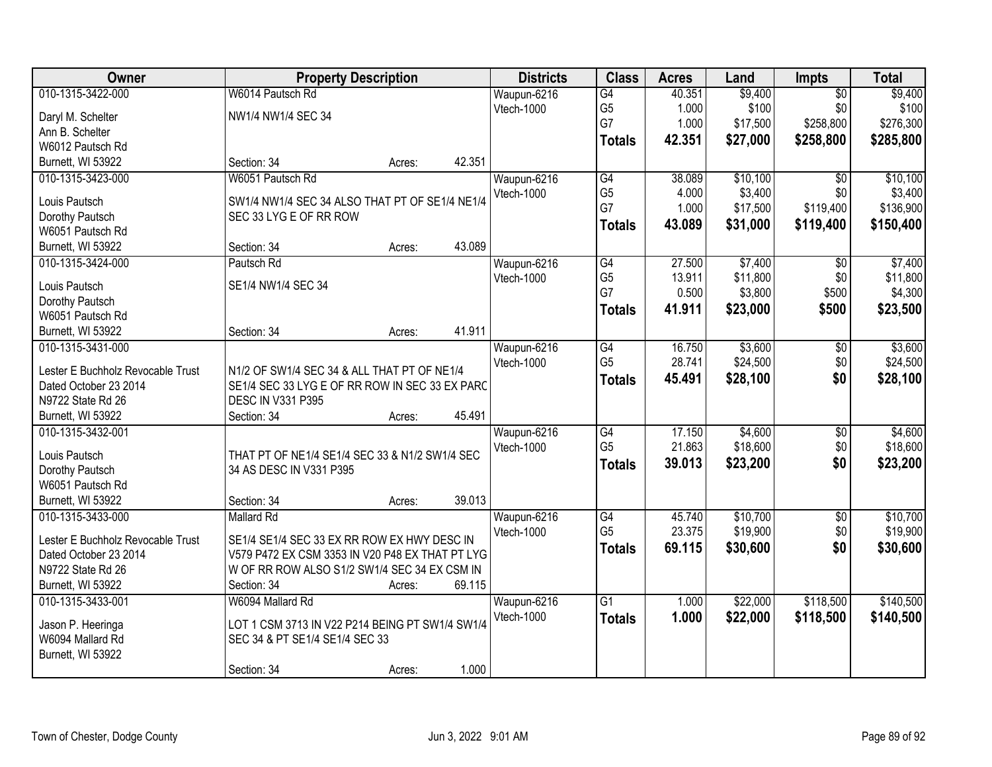| Owner                             | <b>Property Description</b>                     |        |        | <b>Districts</b> | <b>Class</b>    | <b>Acres</b> | Land     | <b>Impts</b>    | <b>Total</b> |
|-----------------------------------|-------------------------------------------------|--------|--------|------------------|-----------------|--------------|----------|-----------------|--------------|
| 010-1315-3422-000                 | W6014 Pautsch Rd                                |        |        | Waupun-6216      | G4              | 40.351       | \$9,400  | $\overline{50}$ | \$9,400      |
| Daryl M. Schelter                 | NW1/4 NW1/4 SEC 34                              |        |        | Vtech-1000       | G <sub>5</sub>  | 1.000        | \$100    | \$0             | \$100        |
| Ann B. Schelter                   |                                                 |        |        |                  | G7              | 1.000        | \$17,500 | \$258,800       | \$276,300    |
| W6012 Pautsch Rd                  |                                                 |        |        |                  | <b>Totals</b>   | 42.351       | \$27,000 | \$258,800       | \$285,800    |
| Burnett, WI 53922                 | Section: 34                                     | Acres: | 42.351 |                  |                 |              |          |                 |              |
| 010-1315-3423-000                 | W6051 Pautsch Rd                                |        |        | Waupun-6216      | $\overline{G4}$ | 38.089       | \$10,100 | $\overline{50}$ | \$10,100     |
|                                   |                                                 |        |        | Vtech-1000       | G <sub>5</sub>  | 4.000        | \$3,400  | \$0             | \$3,400      |
| Louis Pautsch                     | SW1/4 NW1/4 SEC 34 ALSO THAT PT OF SE1/4 NE1/4  |        |        |                  | G7              | 1.000        | \$17,500 | \$119,400       | \$136,900    |
| Dorothy Pautsch                   | SEC 33 LYG E OF RR ROW                          |        |        |                  | <b>Totals</b>   | 43.089       | \$31,000 | \$119,400       | \$150,400    |
| W6051 Pautsch Rd                  |                                                 |        |        |                  |                 |              |          |                 |              |
| Burnett, WI 53922                 | Section: 34                                     | Acres: | 43.089 |                  |                 |              |          |                 |              |
| 010-1315-3424-000                 | Pautsch Rd                                      |        |        | Waupun-6216      | G4              | 27.500       | \$7,400  | $\overline{50}$ | \$7,400      |
| Louis Pautsch                     | SE1/4 NW1/4 SEC 34                              |        |        | Vtech-1000       | G <sub>5</sub>  | 13.911       | \$11,800 | \$0             | \$11,800     |
| Dorothy Pautsch                   |                                                 |        |        |                  | G7              | 0.500        | \$3,800  | \$500           | \$4,300      |
| W6051 Pautsch Rd                  |                                                 |        |        |                  | <b>Totals</b>   | 41.911       | \$23,000 | \$500           | \$23,500     |
| Burnett, WI 53922                 | Section: 34                                     | Acres: | 41.911 |                  |                 |              |          |                 |              |
| 010-1315-3431-000                 |                                                 |        |        | Waupun-6216      | $\overline{G4}$ | 16.750       | \$3,600  | \$0             | \$3,600      |
|                                   |                                                 |        |        | Vtech-1000       | G <sub>5</sub>  | 28.741       | \$24,500 | \$0             | \$24,500     |
| Lester E Buchholz Revocable Trust | N1/2 OF SW1/4 SEC 34 & ALL THAT PT OF NE1/4     |        |        |                  | <b>Totals</b>   | 45.491       | \$28,100 | \$0             | \$28,100     |
| Dated October 23 2014             | SE1/4 SEC 33 LYG E OF RR ROW IN SEC 33 EX PARC  |        |        |                  |                 |              |          |                 |              |
| N9722 State Rd 26                 | DESC IN V331 P395                               |        |        |                  |                 |              |          |                 |              |
| Burnett, WI 53922                 | Section: 34                                     | Acres: | 45.491 |                  |                 |              |          |                 |              |
| 010-1315-3432-001                 |                                                 |        |        | Waupun-6216      | $\overline{G4}$ | 17.150       | \$4,600  | $\overline{30}$ | \$4,600      |
| Louis Pautsch                     | THAT PT OF NE1/4 SE1/4 SEC 33 & N1/2 SW1/4 SEC  |        |        | Vtech-1000       | G <sub>5</sub>  | 21.863       | \$18,600 | \$0             | \$18,600     |
| Dorothy Pautsch                   | 34 AS DESC IN V331 P395                         |        |        |                  | <b>Totals</b>   | 39.013       | \$23,200 | \$0             | \$23,200     |
| W6051 Pautsch Rd                  |                                                 |        |        |                  |                 |              |          |                 |              |
| Burnett, WI 53922                 | Section: 34                                     | Acres: | 39.013 |                  |                 |              |          |                 |              |
| 010-1315-3433-000                 | <b>Mallard Rd</b>                               |        |        | Waupun-6216      | G4              | 45.740       | \$10,700 | $\overline{60}$ | \$10,700     |
|                                   |                                                 |        |        | Vtech-1000       | G <sub>5</sub>  | 23.375       | \$19,900 | \$0             | \$19,900     |
| Lester E Buchholz Revocable Trust | SE1/4 SE1/4 SEC 33 EX RR ROW EX HWY DESC IN     |        |        |                  | <b>Totals</b>   | 69.115       | \$30,600 | \$0             | \$30,600     |
| Dated October 23 2014             | V579 P472 EX CSM 3353 IN V20 P48 EX THAT PT LYG |        |        |                  |                 |              |          |                 |              |
| N9722 State Rd 26                 | W OF RR ROW ALSO S1/2 SW1/4 SEC 34 EX CSM IN    |        |        |                  |                 |              |          |                 |              |
| Burnett, WI 53922                 | Section: 34                                     | Acres: | 69.115 |                  |                 |              |          |                 |              |
| 010-1315-3433-001                 | W6094 Mallard Rd                                |        |        | Waupun-6216      | $\overline{G1}$ | 1.000        | \$22,000 | \$118,500       | \$140,500    |
| Jason P. Heeringa                 | LOT 1 CSM 3713 IN V22 P214 BEING PT SW1/4 SW1/4 |        |        | Vtech-1000       | <b>Totals</b>   | 1.000        | \$22,000 | \$118,500       | \$140,500    |
| W6094 Mallard Rd                  | SEC 34 & PT SE1/4 SE1/4 SEC 33                  |        |        |                  |                 |              |          |                 |              |
| Burnett, WI 53922                 |                                                 |        |        |                  |                 |              |          |                 |              |
|                                   | Section: 34                                     | Acres: | 1.000  |                  |                 |              |          |                 |              |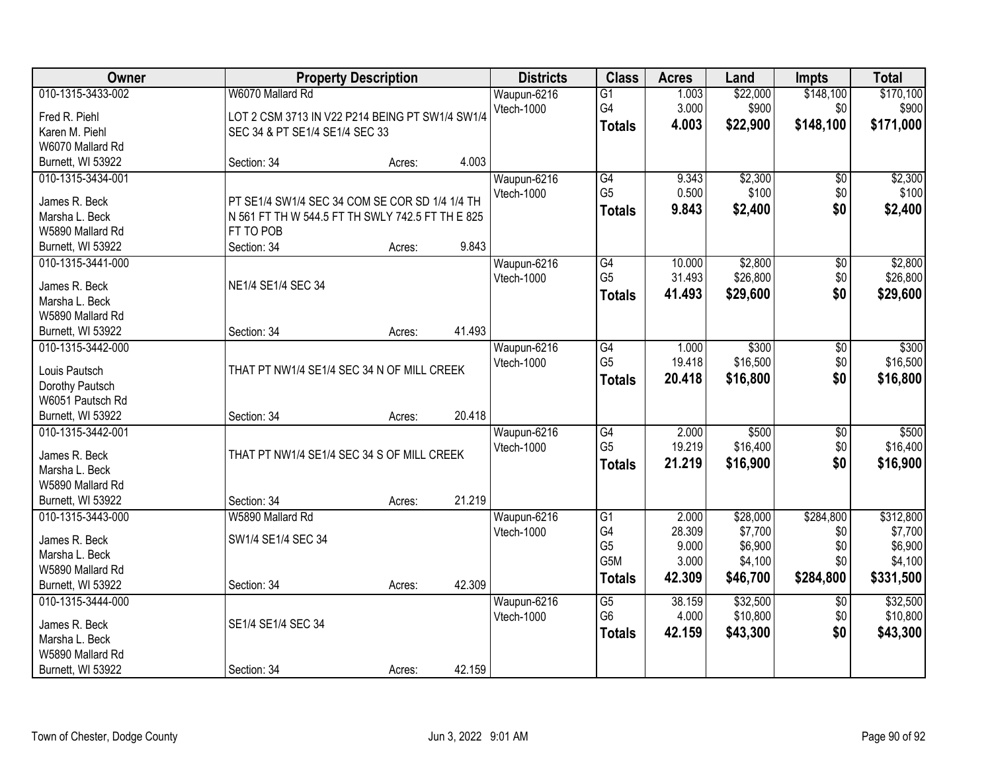| Owner             | <b>Property Description</b>                      |        |        | <b>Districts</b> | <b>Class</b>    | <b>Acres</b> | Land     | <b>Impts</b>    | <b>Total</b> |
|-------------------|--------------------------------------------------|--------|--------|------------------|-----------------|--------------|----------|-----------------|--------------|
| 010-1315-3433-002 | W6070 Mallard Rd                                 |        |        | Waupun-6216      | $\overline{G1}$ | 1.003        | \$22,000 | \$148,100       | \$170,100    |
| Fred R. Piehl     | LOT 2 CSM 3713 IN V22 P214 BEING PT SW1/4 SW1/4  |        |        | Vtech-1000       | G4              | 3.000        | \$900    | \$0             | \$900        |
| Karen M. Piehl    | SEC 34 & PT SE1/4 SE1/4 SEC 33                   |        |        |                  | <b>Totals</b>   | 4.003        | \$22,900 | \$148,100       | \$171,000    |
| W6070 Mallard Rd  |                                                  |        |        |                  |                 |              |          |                 |              |
| Burnett, WI 53922 | Section: 34                                      | Acres: | 4.003  |                  |                 |              |          |                 |              |
| 010-1315-3434-001 |                                                  |        |        | Waupun-6216      | G4              | 9.343        | \$2,300  | $\overline{50}$ | \$2,300      |
|                   |                                                  |        |        | Vtech-1000       | G <sub>5</sub>  | 0.500        | \$100    | \$0             | \$100        |
| James R. Beck     | PT SE1/4 SW1/4 SEC 34 COM SE COR SD 1/4 1/4 TH   |        |        |                  | <b>Totals</b>   | 9.843        | \$2,400  | \$0             | \$2,400      |
| Marsha L. Beck    | N 561 FT TH W 544.5 FT TH SWLY 742.5 FT TH E 825 |        |        |                  |                 |              |          |                 |              |
| W5890 Mallard Rd  | FT TO POB                                        |        |        |                  |                 |              |          |                 |              |
| Burnett, WI 53922 | Section: 34                                      | Acres: | 9.843  |                  |                 |              |          |                 |              |
| 010-1315-3441-000 |                                                  |        |        | Waupun-6216      | G4              | 10.000       | \$2,800  | $\overline{50}$ | \$2,800      |
| James R. Beck     | NE1/4 SE1/4 SEC 34                               |        |        | Vtech-1000       | G <sub>5</sub>  | 31.493       | \$26,800 | \$0             | \$26,800     |
| Marsha L. Beck    |                                                  |        |        |                  | <b>Totals</b>   | 41.493       | \$29,600 | \$0             | \$29,600     |
| W5890 Mallard Rd  |                                                  |        |        |                  |                 |              |          |                 |              |
| Burnett, WI 53922 | Section: 34                                      | Acres: | 41.493 |                  |                 |              |          |                 |              |
| 010-1315-3442-000 |                                                  |        |        | Waupun-6216      | $\overline{G4}$ | 1.000        | \$300    | \$0             | \$300        |
|                   |                                                  |        |        | Vtech-1000       | G <sub>5</sub>  | 19.418       | \$16,500 | \$0             | \$16,500     |
| Louis Pautsch     | THAT PT NW1/4 SE1/4 SEC 34 N OF MILL CREEK       |        |        |                  | <b>Totals</b>   | 20.418       | \$16,800 | \$0             | \$16,800     |
| Dorothy Pautsch   |                                                  |        |        |                  |                 |              |          |                 |              |
| W6051 Pautsch Rd  |                                                  |        |        |                  |                 |              |          |                 |              |
| Burnett, WI 53922 | Section: 34                                      | Acres: | 20.418 |                  |                 |              |          |                 |              |
| 010-1315-3442-001 |                                                  |        |        | Waupun-6216      | $\overline{G4}$ | 2.000        | \$500    | $\overline{30}$ | \$500        |
| James R. Beck     | THAT PT NW1/4 SE1/4 SEC 34 S OF MILL CREEK       |        |        | Vtech-1000       | G <sub>5</sub>  | 19.219       | \$16,400 | \$0             | \$16,400     |
| Marsha L. Beck    |                                                  |        |        |                  | <b>Totals</b>   | 21.219       | \$16,900 | \$0             | \$16,900     |
| W5890 Mallard Rd  |                                                  |        |        |                  |                 |              |          |                 |              |
| Burnett, WI 53922 | Section: 34                                      | Acres: | 21.219 |                  |                 |              |          |                 |              |
| 010-1315-3443-000 | W5890 Mallard Rd                                 |        |        | Waupun-6216      | G1              | 2.000        | \$28,000 | \$284,800       | \$312,800    |
|                   |                                                  |        |        | Vtech-1000       | G4              | 28.309       | \$7,700  | \$0             | \$7,700      |
| James R. Beck     | SW1/4 SE1/4 SEC 34                               |        |        |                  | G <sub>5</sub>  | 9.000        | \$6,900  | \$0             | \$6,900      |
| Marsha L. Beck    |                                                  |        |        |                  | G5M             | 3.000        | \$4,100  | \$0             | \$4,100      |
| W5890 Mallard Rd  |                                                  |        |        |                  | <b>Totals</b>   | 42.309       | \$46,700 | \$284,800       | \$331,500    |
| Burnett, WI 53922 | Section: 34                                      | Acres: | 42.309 |                  |                 |              |          |                 |              |
| 010-1315-3444-000 |                                                  |        |        | Waupun-6216      | $\overline{G5}$ | 38.159       | \$32,500 | $\overline{30}$ | \$32,500     |
| James R. Beck     | SE1/4 SE1/4 SEC 34                               |        |        | Vtech-1000       | G <sub>6</sub>  | 4.000        | \$10,800 | \$0             | \$10,800     |
| Marsha L. Beck    |                                                  |        |        |                  | <b>Totals</b>   | 42.159       | \$43,300 | \$0             | \$43,300     |
| W5890 Mallard Rd  |                                                  |        |        |                  |                 |              |          |                 |              |
| Burnett, WI 53922 | Section: 34                                      | Acres: | 42.159 |                  |                 |              |          |                 |              |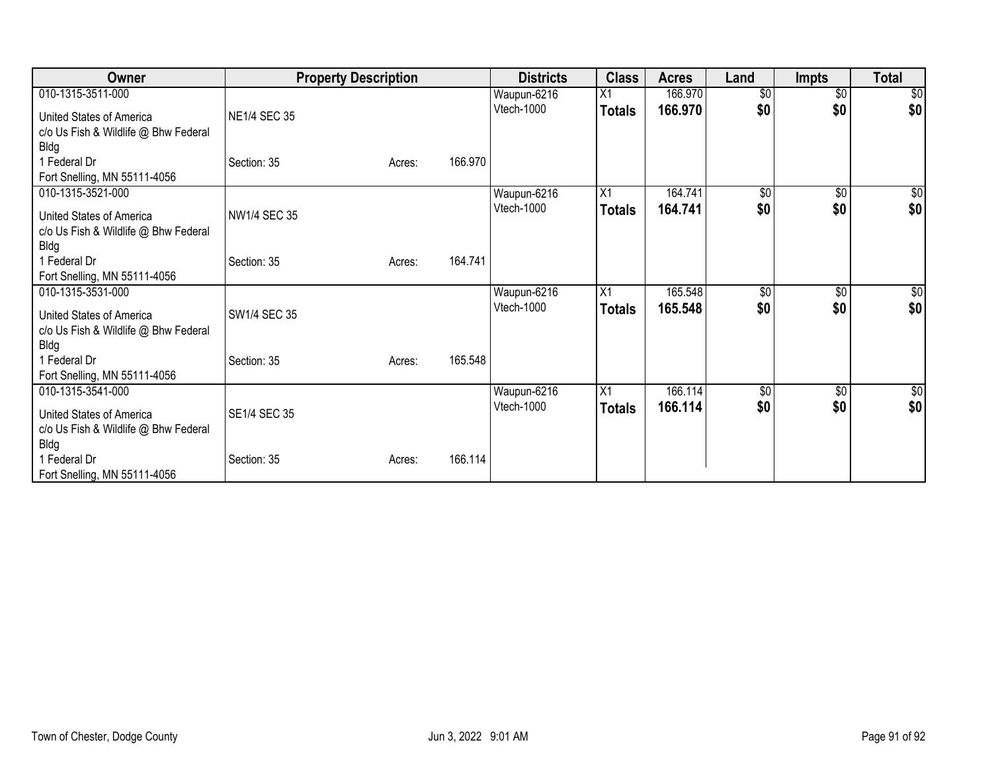| Owner                                | <b>Property Description</b> |        |         | <b>Districts</b> | <b>Class</b>  | <b>Acres</b> | Land            | <b>Impts</b>    | <b>Total</b> |
|--------------------------------------|-----------------------------|--------|---------|------------------|---------------|--------------|-----------------|-----------------|--------------|
| 010-1315-3511-000                    |                             |        |         | Waupun-6216      | X1            | 166.970      | $\overline{50}$ | $\overline{50}$ | \$0          |
| United States of America             | NE1/4 SEC 35                |        |         | Vtech-1000       | <b>Totals</b> | 166.970      | \$0             | \$0             | \$0          |
| c/o Us Fish & Wildlife @ Bhw Federal |                             |        |         |                  |               |              |                 |                 |              |
| <b>Bldg</b>                          |                             |        |         |                  |               |              |                 |                 |              |
| 1 Federal Dr                         | Section: 35                 | Acres: | 166.970 |                  |               |              |                 |                 |              |
| Fort Snelling, MN 55111-4056         |                             |        |         |                  |               |              |                 |                 |              |
| 010-1315-3521-000                    |                             |        |         | Waupun-6216      | X1            | 164.741      | $\overline{50}$ | \$0             | \$0          |
| United States of America             | NW1/4 SEC 35                |        |         | Vtech-1000       | <b>Totals</b> | 164.741      | \$0             | \$0             | \$0          |
| c/o Us Fish & Wildlife @ Bhw Federal |                             |        |         |                  |               |              |                 |                 |              |
| <b>Bldg</b>                          |                             |        |         |                  |               |              |                 |                 |              |
| 1 Federal Dr                         | Section: 35                 | Acres: | 164.741 |                  |               |              |                 |                 |              |
| Fort Snelling, MN 55111-4056         |                             |        |         |                  |               |              |                 |                 |              |
| 010-1315-3531-000                    |                             |        |         | Waupun-6216      | X1            | 165.548      | $\sqrt[6]{}$    | $\sqrt{6}$      | \$0          |
| United States of America             | SW1/4 SEC 35                |        |         | Vtech-1000       | <b>Totals</b> | 165.548      | \$0             | \$0             | \$0          |
| c/o Us Fish & Wildlife @ Bhw Federal |                             |        |         |                  |               |              |                 |                 |              |
| <b>Bldg</b>                          |                             |        |         |                  |               |              |                 |                 |              |
| 1 Federal Dr                         | Section: 35                 | Acres: | 165.548 |                  |               |              |                 |                 |              |
| Fort Snelling, MN 55111-4056         |                             |        |         |                  |               |              |                 |                 |              |
| 010-1315-3541-000                    |                             |        |         | Waupun-6216      | X1            | 166.114      | $\sqrt[6]{}$    | \$0             | \$0          |
|                                      |                             |        |         | Vtech-1000       | <b>Totals</b> | 166.114      | \$0             | \$0             | \$0          |
| United States of America             | SE1/4 SEC 35                |        |         |                  |               |              |                 |                 |              |
| c/o Us Fish & Wildlife @ Bhw Federal |                             |        |         |                  |               |              |                 |                 |              |
| <b>Bldg</b>                          |                             |        |         |                  |               |              |                 |                 |              |
| 1 Federal Dr                         | Section: 35                 | Acres: | 166.114 |                  |               |              |                 |                 |              |
| Fort Snelling, MN 55111-4056         |                             |        |         |                  |               |              |                 |                 |              |